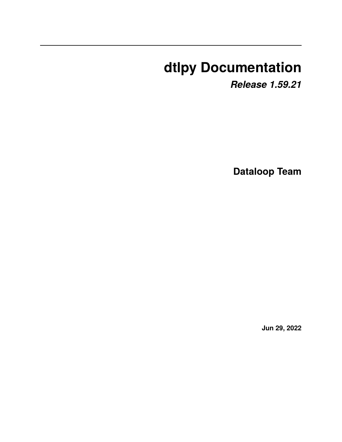# **dtlpy Documentation**

*Release 1.59.21*

**Dataloop Team**

**Jun 29, 2022**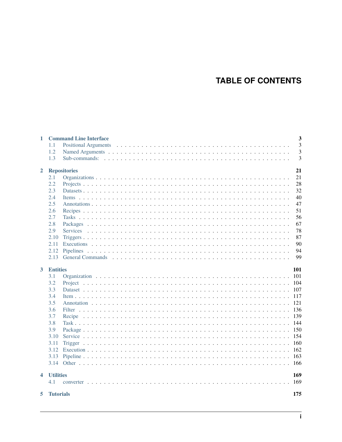# **TABLE OF CONTENTS**

| $\mathbf{1}$         | <b>Command Line Interface</b> | 3    |
|----------------------|-------------------------------|------|
|                      | 1.1                           | 3    |
|                      | 1.2                           | 3    |
|                      | 1.3                           | 3    |
| $\overline{2}$       | <b>Repositories</b>           | 21   |
|                      | 2.1                           | 21   |
|                      | 2.2                           | 28   |
|                      | 2.3                           | 32   |
|                      | 2.4                           | 40   |
|                      | 2.5                           | 47   |
|                      | 2.6                           | 51   |
|                      | 2.7                           | 56   |
|                      | 2.8                           | 67   |
|                      | 2.9                           | 78   |
|                      | 2.10                          | 87   |
|                      | 2.11                          | 90   |
|                      | 2.12                          | 94   |
|                      | 2.13                          | 99   |
| 3                    | <b>Entities</b>               | 101  |
|                      | 3.1                           |      |
|                      | 3.2                           | 104  |
|                      | 3.3                           | 107  |
|                      | 3.4                           | -117 |
|                      | 3.5                           |      |
|                      | 3.6                           | 136  |
|                      | 3.7                           | 139  |
|                      | 3.8                           | -144 |
|                      | 3.9                           |      |
|                      | 3.10                          |      |
|                      | 3.11                          | -160 |
|                      | 3.12                          | 162  |
|                      | 3.13                          | 163  |
|                      |                               | -166 |
| $\blacktriangleleft$ | <b>Utilities</b>              | 169  |
|                      | 4.1                           | 169  |
| 5                    | <b>Tutorials</b>              | 175  |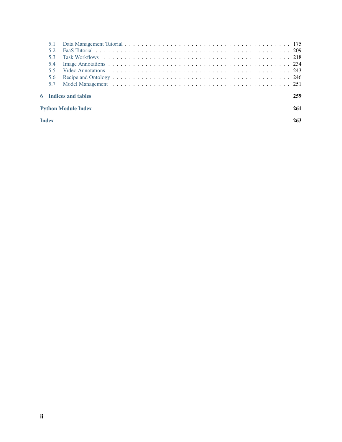| 53           |                             |     |
|--------------|-----------------------------|-----|
| 5.4          |                             |     |
| 55           |                             |     |
| 5.6          |                             |     |
| 57           |                             |     |
|              | <b>6</b> Indices and tables | 259 |
|              | <b>Python Module Index</b>  | 261 |
| <b>Index</b> |                             | 263 |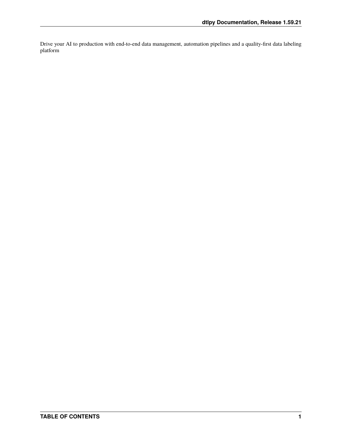Drive your AI to production with end-to-end data management, automation pipelines and a quality-first data labeling platform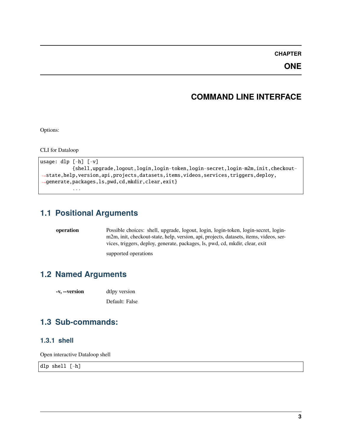**CHAPTER**

**ONE**

# **COMMAND LINE INTERFACE**

<span id="page-6-0"></span>Options:

CLI for Dataloop

```
usage: dlp [-h] [-v]
           {shell,upgrade,logout,login,login-token,login-secret,login-m2m,init,checkout-
˓→state,help,version,api,projects,datasets,items,videos,services,triggers,deploy,
˓→generate,packages,ls,pwd,cd,mkdir,clear,exit}
           ...
```
# <span id="page-6-1"></span>**1.1 Positional Arguments**

**operation** Possible choices: shell, upgrade, logout, login, login-token, login-secret, loginm2m, init, checkout-state, help, version, api, projects, datasets, items, videos, services, triggers, deploy, generate, packages, ls, pwd, cd, mkdir, clear, exit

supported operations

# <span id="page-6-2"></span>**1.2 Named Arguments**

**-v, --version** dtlpy version

Default: False

# <span id="page-6-3"></span>**1.3 Sub-commands:**

# **1.3.1 shell**

Open interactive Dataloop shell

dlp shell [-h]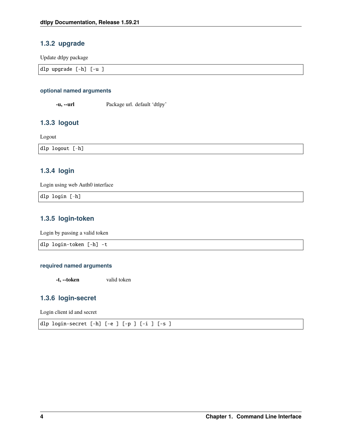# **1.3.2 upgrade**

Update dtlpy package

| dlp upgrade<br>$[-h]$<br>-u |  |
|-----------------------------|--|
|                             |  |

# **optional named arguments**

**-u, --url** Package url. default 'dtlpy'

# **1.3.3 logout**

Logout

dlp logout [-h]

# **1.3.4 login**

Login using web Auth0 interface

dlp login [-h]

# **1.3.5 login-token**

Login by passing a valid token

dlp login-token [-h] -t

# **required named arguments**

**-t, --token** valid token

# **1.3.6 login-secret**

Login client id and secret

dlp login-secret [-h] [-e ] [-p ] [-i ] [-s ]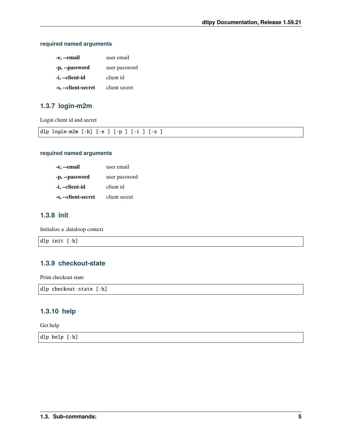# **required named arguments**

| -e, --email         | user email    |
|---------------------|---------------|
| -p, --password      | user password |
| -i, --client-id     | client id     |
| -s, --client-secret | client secret |

# **1.3.7 login-m2m**

Login client id and secret

| dlp | login-m2m [-h] [-e ] [-p ] [-i ]<br>. |  |  | $\sim$<br>$-$<br>້ |  |
|-----|---------------------------------------|--|--|--------------------|--|
|     |                                       |  |  |                    |  |

# **required named arguments**

| -e, --email         | user email    |
|---------------------|---------------|
| -p, --password      | user password |
| -i, --client-id     | client id     |
| -s, --client-secret | client secret |

# **1.3.8 init**

Initialize a .dataloop context

dlp init [-h]

# **1.3.9 checkout-state**

Print checkout state

dlp checkout-state [-h]

# **1.3.10 help**

Get help

dlp help [-h]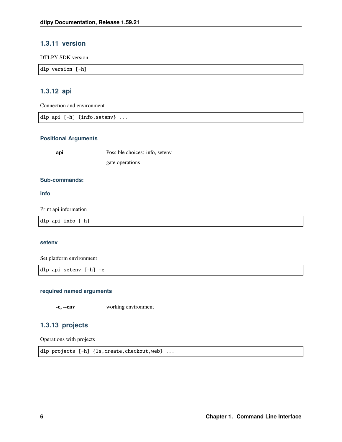# **1.3.11 version**

DTLPY SDK version

|  | dlp version $[-h]$ |  |  |  |  |  |
|--|--------------------|--|--|--|--|--|
|--|--------------------|--|--|--|--|--|

# **1.3.12 api**

Connection and environment

dlp api [-h] {info,setenv} ...

### **Positional Arguments**

**api** Possible choices: info, setenv gate operations

# **Sub-commands:**

**info**

Print api information

dlp api info [-h]

### **setenv**

Set platform environment

dlp api setenv [-h] -e

### **required named arguments**

**-e, --env** working environment

# **1.3.13 projects**

Operations with projects

```
dlp projects [-h] {ls,create,checkout,web} ...
```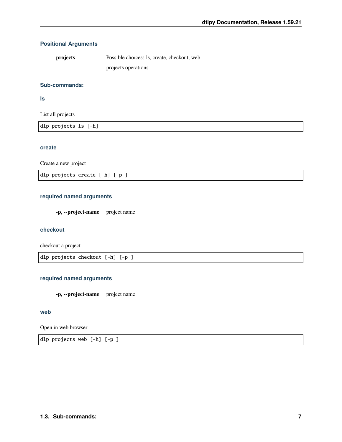# **Positional Arguments**

| projects | Possible choices: 1s, create, checkout, web |
|----------|---------------------------------------------|
|          | projects operations                         |

### **Sub-commands:**

**ls**

List all projects

| dlp projects ls [-h] |  |
|----------------------|--|
|                      |  |

# **create**

Create a new project

dlp projects create [-h] [-p ]

# **required named arguments**

**-p, --project-name** project name

# **checkout**

checkout a project

dlp projects checkout [-h] [-p ]

### **required named arguments**

**-p, --project-name** project name

# **web**

Open in web browser

dlp projects web [-h] [-p ]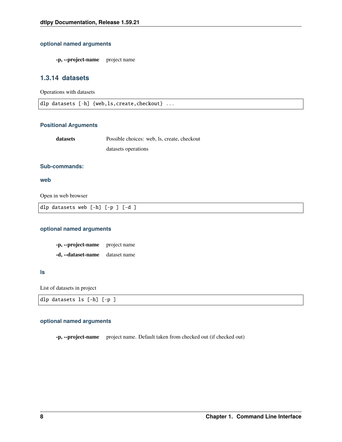# **optional named arguments**

**-p, --project-name** project name

# **1.3.14 datasets**

Operations with datasets

dlp datasets [-h] {web,ls,create,checkout} ...

### **Positional Arguments**

| datasets | Possible choices: web, ls. create, checkout |
|----------|---------------------------------------------|
|          | datasets operations                         |

### **Sub-commands:**

### **web**

Open in web browser

dlp datasets web [-h] [-p ] [-d ]

# **optional named arguments**

**-p, --project-name** project name **-d, --dataset-name** dataset name

**ls**

List of datasets in project

| dlp datasets ls [-h] [-p ] |
|----------------------------|
|----------------------------|

### **optional named arguments**

**-p, --project-name** project name. Default taken from checked out (if checked out)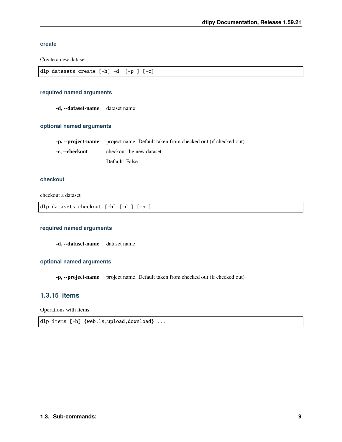### **create**

Create a new dataset

| dlp datasets create $[-h]$ -d $[-p]$ $[-c]$ |  |  |  |
|---------------------------------------------|--|--|--|

### **required named arguments**

**-d, --dataset-name** dataset name

### **optional named arguments**

|                | -p, --project-name project name. Default taken from checked out (if checked out) |
|----------------|----------------------------------------------------------------------------------|
| -c. --checkout | checkout the new dataset                                                         |
|                | Default: False                                                                   |

# **checkout**

checkout a dataset

dlp datasets checkout [-h] [-d ] [-p ]

## **required named arguments**

**-d, --dataset-name** dataset name

# **optional named arguments**

**-p, --project-name** project name. Default taken from checked out (if checked out)

# **1.3.15 items**

Operations with items

dlp items [-h] {web,ls,upload,download} ...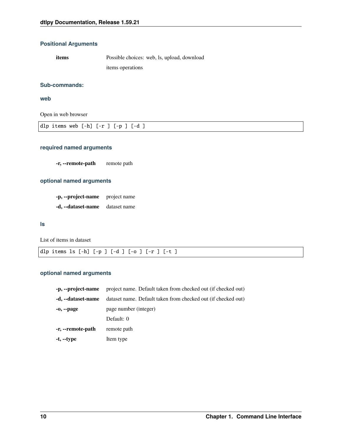# **Positional Arguments**

**items** Possible choices: web, ls, upload, download items operations

### **Sub-commands:**

**web**

Open in web browser

| dlp items web $[-h]$ $[-r]$ $[-p]$ $[-d]$ |
|-------------------------------------------|
|-------------------------------------------|

# **required named arguments**

**-r, --remote-path** remote path

# **optional named arguments**

**-p, --project-name** project name **-d, --dataset-name** dataset name

**ls**

List of items in dataset

|  |  |  |  |  |  |  |  | dlp items ls [-h] [-p ] [-d ] [-o ] [-r ] [-t ] |  |
|--|--|--|--|--|--|--|--|-------------------------------------------------|--|
|--|--|--|--|--|--|--|--|-------------------------------------------------|--|

# **optional named arguments**

| -p, --project-name | project name. Default taken from checked out (if checked out) |
|--------------------|---------------------------------------------------------------|
| -d, --dataset-name | dataset name. Default taken from checked out (if checked out) |
| $-0, -page$        | page number (integer)                                         |
|                    | Default: 0                                                    |
| -r, --remote-path  | remote path                                                   |
| -t, --type         | Item type                                                     |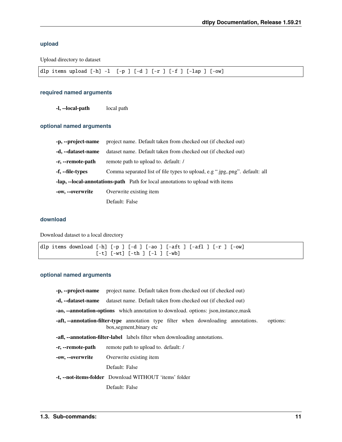# **upload**

Upload directory to dataset

| dlp items upload $[-h] -1$ $[-p] [-d] [-r] [-f] [-ln p] [-ow]$ |  |  |
|----------------------------------------------------------------|--|--|
|----------------------------------------------------------------|--|--|

# **required named arguments**

**-l, --local-path** local path

# **optional named arguments**

| -p, --project-name                                                             | project name. Default taken from checked out (if checked out)               |  |  |  |  |  |
|--------------------------------------------------------------------------------|-----------------------------------------------------------------------------|--|--|--|--|--|
| -d, --dataset-name                                                             | dataset name. Default taken from checked out (if checked out)               |  |  |  |  |  |
| -r, --remote-path                                                              | remote path to upload to. default: /                                        |  |  |  |  |  |
| -f, --file-types                                                               | Comma separated list of file types to upload, e.g ".jpg,.png". default: all |  |  |  |  |  |
| -lap, --local-annotations-path Path for local annotations to upload with items |                                                                             |  |  |  |  |  |
| -ow, --overwrite                                                               | Overwrite existing item                                                     |  |  |  |  |  |
|                                                                                | Default: False                                                              |  |  |  |  |  |

# **download**

Download dataset to a local directory

|  | dlp items download [-h] [-p ] [-d ] [-ao ] [-aft ] [-afl ] [-r ] [-ow] |                                       |  |  |  |  |  |  |
|--|------------------------------------------------------------------------|---------------------------------------|--|--|--|--|--|--|
|  |                                                                        | $[-t]$ $[-wt]$ $[-th]$ $[-1]$ $[-wb]$ |  |  |  |  |  |  |

# **optional named arguments**

|                                                                                                                                    | -p, --project-name project name. Default taken from checked out (if checked out) |  |  |  |  |  |  |  |  |  |
|------------------------------------------------------------------------------------------------------------------------------------|----------------------------------------------------------------------------------|--|--|--|--|--|--|--|--|--|
| -d, --dataset-name                                                                                                                 | dataset name. Default taken from checked out (if checked out)                    |  |  |  |  |  |  |  |  |  |
| <b>-ao, --annotation-options</b> which annotation to download. options: json, instance, mask                                       |                                                                                  |  |  |  |  |  |  |  |  |  |
| <b>-aft, --annotation-filter-type</b> annotation type filter when downloading annotations.<br>options:<br>box, segment, binary etc |                                                                                  |  |  |  |  |  |  |  |  |  |
| <b>-aff, --annotation-filter-label</b> labels filter when downloading annotations.                                                 |                                                                                  |  |  |  |  |  |  |  |  |  |
| -r, --remote-path                                                                                                                  | remote path to upload to. default: /                                             |  |  |  |  |  |  |  |  |  |
| -ow, --overwrite                                                                                                                   | Overwrite existing item                                                          |  |  |  |  |  |  |  |  |  |
|                                                                                                                                    | Default: False                                                                   |  |  |  |  |  |  |  |  |  |
|                                                                                                                                    | -t, --not-items-folder Download WITHOUT 'items' folder                           |  |  |  |  |  |  |  |  |  |
|                                                                                                                                    | Default: False                                                                   |  |  |  |  |  |  |  |  |  |
|                                                                                                                                    |                                                                                  |  |  |  |  |  |  |  |  |  |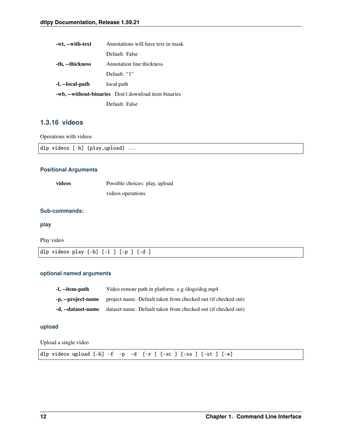| -wt, --with-text                                     | Annotations will have text in mask |  |  |  |  |  |
|------------------------------------------------------|------------------------------------|--|--|--|--|--|
|                                                      | Default: False                     |  |  |  |  |  |
| -th, --thickness                                     | Annotation line thickness          |  |  |  |  |  |
|                                                      | Default: "1"                       |  |  |  |  |  |
| -l, --local-path                                     | local path                         |  |  |  |  |  |
| -wb, --without-binaries Don't download item binaries |                                    |  |  |  |  |  |
| Default: False                                       |                                    |  |  |  |  |  |

# **1.3.16 videos**

Operations with videos

|  |  |  | dlp videos $[-h]$ {play, upload} |  |
|--|--|--|----------------------------------|--|
|--|--|--|----------------------------------|--|

# **Positional Arguments**

| videos | Possible choices: play, upload |
|--------|--------------------------------|
|        | videos operations              |

### **Sub-commands:**

**play**

Play video

|  |  | dlp videos play $[-h]$ $[-1]$ $[-p]$ $[-d]$ |  |  |  |  |  |  |  |  |
|--|--|---------------------------------------------|--|--|--|--|--|--|--|--|
|--|--|---------------------------------------------|--|--|--|--|--|--|--|--|

# **optional named arguments**

| -l, --item-path    | Video remote path in platform. e.g /dogs/dog.mp4              |
|--------------------|---------------------------------------------------------------|
| -p, --project-name | project name. Default taken from checked out (if checked out) |
| -d. --dataset-name | dataset name. Default taken from checked out (if checked out) |

# **upload**

Upload a single video

|  |  |  |  |  |  |  |  |  |  | dlp videos upload $[-h]$ -f -p -d $[-r]$ $[-sc]$ $[-ss]$ $[-st]$ $[-e]$ |  |  |
|--|--|--|--|--|--|--|--|--|--|-------------------------------------------------------------------------|--|--|
|--|--|--|--|--|--|--|--|--|--|-------------------------------------------------------------------------|--|--|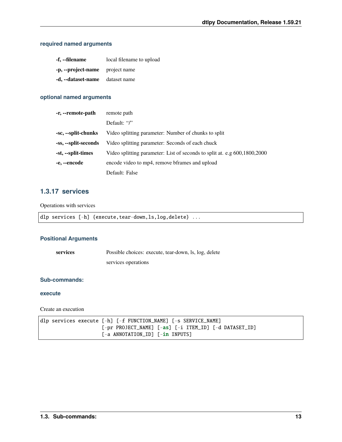# **required named arguments**

| -f, --filename                  | local filename to upload |
|---------------------------------|--------------------------|
| -p, --project-name project name |                          |
| -d, --dataset-name dataset name |                          |

### **optional named arguments**

| -r, --remote-path    | remote path                                                               |  |  |  |
|----------------------|---------------------------------------------------------------------------|--|--|--|
|                      | Default: $\lq\lq\lq\lq$                                                   |  |  |  |
| -sc, --split-chunks  | Video splitting parameter: Number of chunks to split                      |  |  |  |
| -ss, --split-seconds | Video splitting parameter: Seconds of each chuck                          |  |  |  |
| -st, --split-times   | Video splitting parameter: List of seconds to split at. e.g 600,1800,2000 |  |  |  |
| -e, --encode         | encode video to mp4, remove bframes and upload                            |  |  |  |
|                      | Default: False                                                            |  |  |  |

# **1.3.17 services**

Operations with services

|  |  |  | dlp services [-h] {execute,tear-down,ls,log,delete} |  |
|--|--|--|-----------------------------------------------------|--|
|--|--|--|-----------------------------------------------------|--|

### **Positional Arguments**

**services** Possible choices: execute, tear-down, ls, log, delete

services operations

# **Sub-commands:**

### **execute**

Create an execution

|  |  | dlp services execute $[-h]$ $[-f]$ FUNCTION NAME] $[-s]$ SERVICE NAME]                                                                       |  |  |  |
|--|--|----------------------------------------------------------------------------------------------------------------------------------------------|--|--|--|
|  |  | $\lceil -\text{pr} \rceil$ PROJECT_NAME] $\lceil -\text{as} \rceil$ $\lceil -\text{i} \rceil$ ITEM_ID] $\lceil -\text{d} \rceil$ DATASET_ID] |  |  |  |
|  |  |                                                                                                                                              |  |  |  |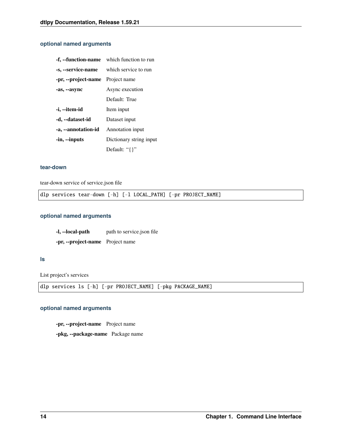# **optional named arguments**

|                                  | <b>f</b> , <b>-function-name</b> which function to run |
|----------------------------------|--------------------------------------------------------|
| -s, --service-name               | which service to run                                   |
| -pr, --project-name Project name |                                                        |
| -as, --async                     | Async execution                                        |
|                                  | Default: True                                          |
| -i, --item-id                    | Item input                                             |
| -d, --dataset-id                 | Dataset input                                          |
| -a, --annotation-id              | Annotation input                                       |
| -in, --inputs                    | Dictionary string input                                |
|                                  | Default: "{}"                                          |

### **tear-down**

tear-down service of service.json file

dlp services tear-down [-h] [-l LOCAL\_PATH] [-pr PROJECT\_NAME]

# **optional named arguments**

**-l, --local-path** path to service.json file

**-pr, --project-name** Project name

### **ls**

List project's services

dlp services ls [-h] [-pr PROJECT\_NAME] [-pkg PACKAGE\_NAME]

### **optional named arguments**

**-pr, --project-name** Project name **-pkg, --package-name** Package name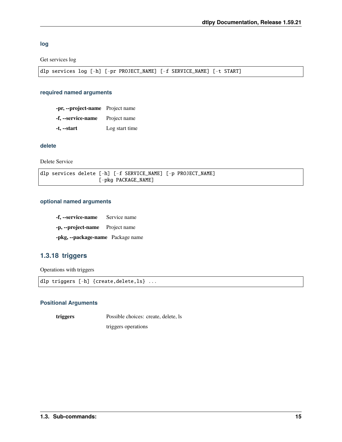**log**

Get services log

dlp services log [-h] [-pr PROJECT\_NAME] [-f SERVICE\_NAME] [-t START]

### **required named arguments**

**-pr, --project-name** Project name **-f, --service-name** Project name **-t, --start** Log start time

## **delete**

Delete Service

dlp services delete [-h] [-f SERVICE\_NAME] [-p PROJECT\_NAME] [-pkg PACKAGE\_NAME]

### **optional named arguments**

**-f, --service-name** Service name

**-p, --project-name** Project name

**-pkg, --package-name** Package name

# **1.3.18 triggers**

Operations with triggers

```
dlp triggers [-h] {create,delete,ls} ...
```
### **Positional Arguments**

**triggers** Possible choices: create, delete, ls triggers operations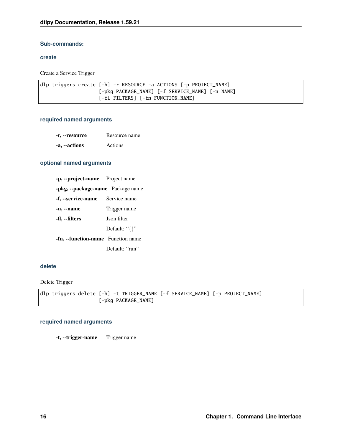# **Sub-commands:**

### **create**

Create a Service Trigger

```
dlp triggers create [-h] -r RESOURCE -a ACTIONS [-p PROJECT_NAME]
                    [-pkg PACKAGE_NAME] [-f SERVICE_NAME] [-n NAME]
                    [-fl FILTERS] [-fn FUNCTION_NAME]
```
# **required named arguments**

- **-r, --resource** Resource name
- **-a, --actions** Actions

### **optional named arguments**

| -p, --project-name Project name           |                    |
|-------------------------------------------|--------------------|
| -pkg, --package-name Package name         |                    |
| -f, --service-name                        | Service name       |
| -n, --name                                | Trigger name       |
| -fl, --filters                            | <b>Ison filter</b> |
|                                           | Default: "{}"      |
| <b>-fn, --function-name</b> Function name |                    |
|                                           | Default: "run"     |

### **delete**

Delete Trigger

dlp triggers delete [-h] -t TRIGGER\_NAME [-f SERVICE\_NAME] [-p PROJECT\_NAME] [-pkg PACKAGE\_NAME]

### **required named arguments**

**-t, --trigger-name** Trigger name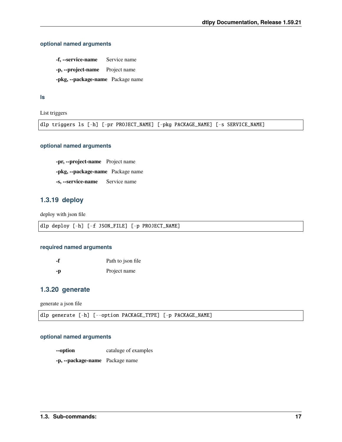# **optional named arguments**

**-f, --service-name** Service name **-p, --project-name** Project name **-pkg, --package-name** Package name

**ls**

List triggers

dlp triggers ls [-h] [-pr PROJECT\_NAME] [-pkg PACKAGE\_NAME] [-s SERVICE\_NAME]

### **optional named arguments**

**-pr, --project-name** Project name **-pkg, --package-name** Package name **-s, --service-name** Service name

# **1.3.19 deploy**

deploy with json file

|  |  |  |  |  |  | dlp deploy [-h] [-f JSON_FILE] [-p PROJECT_NAME] |
|--|--|--|--|--|--|--------------------------------------------------|
|--|--|--|--|--|--|--------------------------------------------------|

### **required named arguments**

**-f** Path to json file **-p** Project name

# **1.3.20 generate**

generate a json file

dlp generate [-h] [--option PACKAGE\_TYPE] [-p PACKAGE\_NAME]

### **optional named arguments**

**--option** cataluge of examples

**-p, --package-name** Package name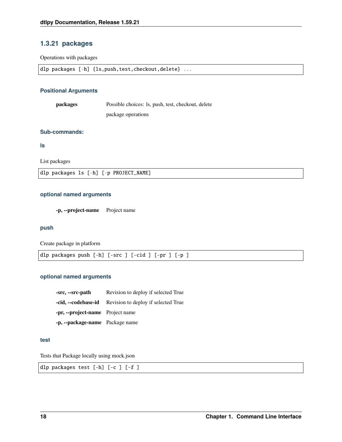# **1.3.21 packages**

Operations with packages

| dlp packages [-h] {ls, push, test, checkout, delete} |
|------------------------------------------------------|

### **Positional Arguments**

**packages** Possible choices: ls, push, test, checkout, delete

package operations

### **Sub-commands:**

**ls**

List packages

dlp packages ls [-h] [-p PROJECT\_NAME]

### **optional named arguments**

**-p, --project-name** Project name

### **push**

Create package in platform

|--|--|

## **optional named arguments**

**-src, --src-path** Revision to deploy if selected True **-cid, --codebase-id** Revision to deploy if selected True **-pr, --project-name** Project name **-p, --package-name** Package name

### **test**

Tests that Package locally using mock.json

dlp packages test [-h] [-c ] [-f ]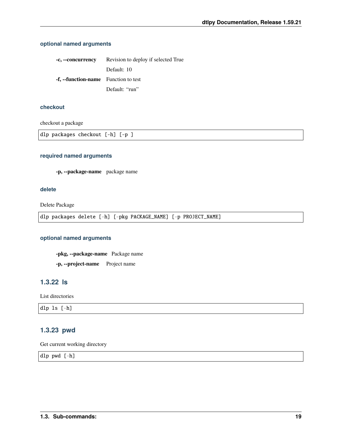# **optional named arguments**

| -c, --concurrency                           | Revision to deploy if selected True |
|---------------------------------------------|-------------------------------------|
|                                             | Default: 10                         |
| <b>-f, --function-name</b> Function to test |                                     |
|                                             | Default: "run"                      |

# **checkout**

checkout a package

dlp packages checkout [-h] [-p ]

### **required named arguments**

**-p, --package-name** package name

### **delete**

Delete Package

dlp packages delete [-h] [-pkg PACKAGE\_NAME] [-p PROJECT\_NAME]

### **optional named arguments**

**-pkg, --package-name** Package name

**-p, --project-name** Project name

# **1.3.22 ls**

List directories

dlp ls [-h]

# **1.3.23 pwd**

Get current working directory

dlp pwd [-h]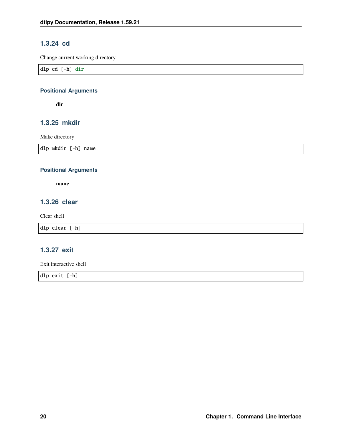# **1.3.24 cd**

Change current working directory

dlp cd [-h] dir

# **Positional Arguments**

**dir**

# **1.3.25 mkdir**

Make directory

dlp mkdir [-h] name

# **Positional Arguments**

**name**

# **1.3.26 clear**

Clear shell

dlp clear [-h]

# **1.3.27 exit**

Exit interactive shell

dlp exit [-h]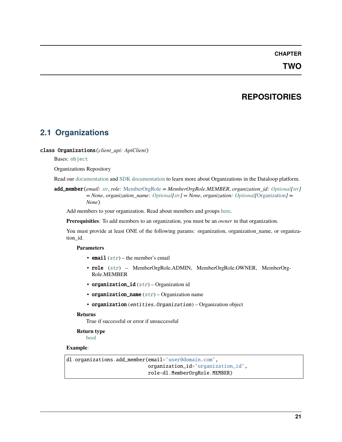# **CHAPTER**

# **TWO**

# **REPOSITORIES**

# <span id="page-24-1"></span><span id="page-24-0"></span>**2.1 Organizations**

### class Organizations(*client\_api: ApiClient*)

### Bases: [object](https://docs.python.org/3/library/functions.html#object)

### Organizations Repository

Read our [documentation](https://dataloop.ai/docs/org-setup) and [SDK documentation](https://dataloop.ai/docs/sdk-org) to learn more about Organizations in the Dataloop platform.

add\_member(*email: [str](https://docs.python.org/3/library/stdtypes.html#str)*, *role:* [MemberOrgRole](#page-104-2) *= MemberOrgRole.MEMBER*, *organization\_id: [Optional\[](https://docs.python.org/3/library/typing.html#typing.Optional)[str\]](https://docs.python.org/3/library/stdtypes.html#str) = None*, *organization\_name: [Optional](https://docs.python.org/3/library/typing.html#typing.Optional)[\[str\]](https://docs.python.org/3/library/stdtypes.html#str) = None*, *organization: [Optional\[](https://docs.python.org/3/library/typing.html#typing.Optional)*[Organization](#page-104-3)*] = None*)

Add members to your organization. Read about members and groups [here.](https://dataloop.ai/docs/org-members-groups)

**Prerequisities**: To add members to an organization, you must be an *owner* in that organization.

You must provide at least ONE of the following params: organization, organization\_name, or organization\_id.

### **Parameters**

- email  $(str)$  $(str)$  $(str)$  the member's email
- role ([str](https://docs.python.org/3/library/stdtypes.html#str)) MemberOrgRole.ADMIN, MemberOrgRole.OWNER, MemberOrg-Role.MEMBER
- organization\_id  $(str)$  $(str)$  $(str)$  Organization id
- organization\_name  $(str)$  $(str)$  $(str)$  Organization name
- organization (entities.Organization) Organization object

### **Returns**

True if successful or error if unsuccessful

# **Return type**

# [bool](https://docs.python.org/3/library/functions.html#bool)

# **Example**:

dl.organizations.add\_member(email='user@domain.com', organization\_id='organization\_id', role=dl.MemberOrgRole.MEMBER)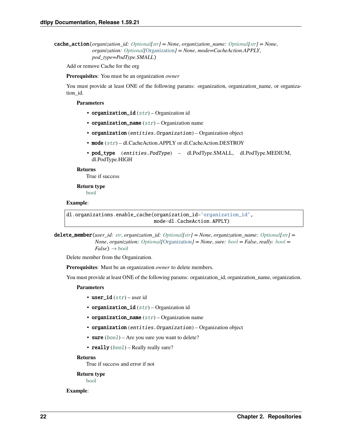```
cache_action(organization_id: Optional[str] = None, organization_name: Optional[str] = None,
               organization: Optional[Organization] = None, mode=CacheAction.APPLY,
               pod_type=PodType.SMALL)
```
Add or remove Cache for the org

**Prerequisites**: You must be an organization *owner*

You must provide at least ONE of the following params: organization, organization\_name, or organization\_id.

#### **Parameters**

- organization\_id  $(str)$  $(str)$  $(str)$  Organization id
- organization\_name  $(str)$  $(str)$  $(str)$  Organization name
- organization (entities.Organization) Organization object
- mode ([str](https://docs.python.org/3/library/stdtypes.html#str)) dl.CacheAction.APPLY or dl.CacheAction.DESTROY
- pod\_type (entities.PodType) dl.PodType.SMALL, dl.PodType.MEDIUM, dl.PodType.HIGH

#### **Returns**

True if success

**Return type** [bool](https://docs.python.org/3/library/functions.html#bool)

### **Example**:

```
dl.organizations.enable_cache(organization_id='organization_id',
                              mode=dl.CacheAction.APPLY)
```
delete\_member(*user\_id: [str](https://docs.python.org/3/library/stdtypes.html#str)*, *organization\_id: [Optional\[](https://docs.python.org/3/library/typing.html#typing.Optional)[str\]](https://docs.python.org/3/library/stdtypes.html#str) = None*, *organization\_name: [Optional](https://docs.python.org/3/library/typing.html#typing.Optional)[\[str\]](https://docs.python.org/3/library/stdtypes.html#str) = None*, *organization: [Optional\[](https://docs.python.org/3/library/typing.html#typing.Optional)*[Organization](#page-104-3)*] = None*, *sure: [bool](https://docs.python.org/3/library/functions.html#bool) = False*, *really: [bool](https://docs.python.org/3/library/functions.html#bool) =*  $False$ )  $\rightarrow$  [bool](https://docs.python.org/3/library/functions.html#bool)

Delete member from the Organization.

**Prerequisites**: Must be an organization *owner* to delete members.

You must provide at least ONE of the following params: organization\_id, organization\_name, organization.

### **Parameters**

- user\_id  $(str)$  $(str)$  $(str)$  user id
- organization\_id  $(str)$  $(str)$  $(str)$  Organization id
- organization\_name  $(str)$  $(str)$  $(str)$  Organization name
- organization (entities.Organization) Organization object
- sure  $(bool)$  $(bool)$  $(bool)$  Are you sure you want to delete?
- really ([bool](https://docs.python.org/3/library/functions.html#bool)) Really really sure?

### **Returns**

True if success and error if not

### **Return type**

[bool](https://docs.python.org/3/library/functions.html#bool)

### **Example**: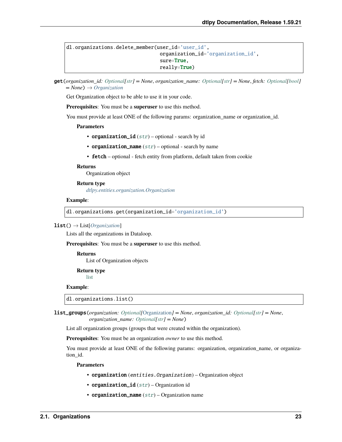dl.organizations.delete\_member(user\_id='user\_id', organization\_id='organization\_id', sure=True, really=True)

get(*organization\_id: [Optional\[](https://docs.python.org/3/library/typing.html#typing.Optional)[str\]](https://docs.python.org/3/library/stdtypes.html#str) = None*, *organization\_name: [Optional](https://docs.python.org/3/library/typing.html#typing.Optional)[\[str\]](https://docs.python.org/3/library/stdtypes.html#str) = None*, *fetch: [Optional](https://docs.python.org/3/library/typing.html#typing.Optional)[\[bool\]](https://docs.python.org/3/library/functions.html#bool) = None*) → *[Organization](#page-104-3)*

Get Organization object to be able to use it in your code.

**Prerequisites**: You must be a **superuser** to use this method.

You must provide at least ONE of the following params: organization\_name or organization\_id.

**Parameters**

- organization\_id  $(str)$  $(str)$  $(str)$  optional search by id
- organization\_name  $(str)$  $(str)$  $(str)$  optional search by name
- fetch optional fetch entity from platform, default taken from cookie

### **Returns**

Organization object

**Return type** *[dtlpy.entities.organization.Organization](#page-104-3)*

#### **Example**:

dl.organizations.get(organization\_id='organization\_id')

#### list() → List[*[Organization](#page-104-3)*]

Lists all the organizations in Dataloop.

**Prerequisites**: You must be a **superuser** to use this method.

#### **Returns**

List of Organization objects

**Return type**

[list](https://docs.python.org/3/library/stdtypes.html#list)

#### **Example**:

dl.organizations.list()

list\_groups(*organization: [Optional\[](https://docs.python.org/3/library/typing.html#typing.Optional)*[Organization](#page-104-3)*] = None*, *organization\_id: [Optional\[](https://docs.python.org/3/library/typing.html#typing.Optional)[str\]](https://docs.python.org/3/library/stdtypes.html#str) = None*, *organization\_name: [Optional](https://docs.python.org/3/library/typing.html#typing.Optional)[\[str\]](https://docs.python.org/3/library/stdtypes.html#str) = None*)

List all organization groups (groups that were created within the organization).

**Prerequisites**: You must be an organization *owner* to use this method.

You must provide at least ONE of the following params: organization, organization\_name, or organization\_id.

- organization (entities.Organization) Organization object
- organization\_id  $(str)$  $(str)$  $(str)$  Organization id
- organization\_name  $(str)$  $(str)$  $(str)$  Organization name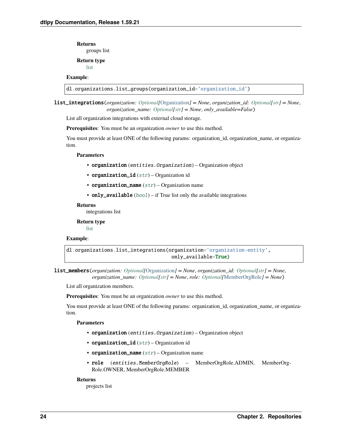**Returns**

groups list

**Return type**

[list](https://docs.python.org/3/library/stdtypes.html#list)

# **Example**:

dl.organizations.list\_groups(organization\_id='organization\_id')

list\_integrations(*organization: [Optional\[](https://docs.python.org/3/library/typing.html#typing.Optional)*[Organization](#page-104-3)*] = None*, *organization\_id: [Optional](https://docs.python.org/3/library/typing.html#typing.Optional)[\[str\]](https://docs.python.org/3/library/stdtypes.html#str) = None*, *organization\_name: [Optional\[](https://docs.python.org/3/library/typing.html#typing.Optional)[str\]](https://docs.python.org/3/library/stdtypes.html#str) = None*, *only\_available=False*)

List all organization integrations with external cloud storage.

**Prerequisites**: You must be an organization *owner* to use this method.

You must provide at least ONE of the following params: organization\_id, organization\_name, or organization.

### **Parameters**

- organization (entities.Organization) Organization object
- organization\_id  $(str)$  $(str)$  $(str)$  Organization id
- organization\_name  $(str)$  $(str)$  $(str)$  Organization name
- only\_available  $(bool)$  $(bool)$  $(bool)$  if True list only the available integrations

#### **Returns**

integrations list

**Return type** [list](https://docs.python.org/3/library/stdtypes.html#list)

### **Example**:

dl.organizations.list\_integrations(organization='organization-entity', only\_available=True)

list\_members(*organization: [Optional\[](https://docs.python.org/3/library/typing.html#typing.Optional)*[Organization](#page-104-3)*] = None*, *organization\_id: [Optional\[](https://docs.python.org/3/library/typing.html#typing.Optional)[str\]](https://docs.python.org/3/library/stdtypes.html#str) = None*, *organization\_name: [Optional\[](https://docs.python.org/3/library/typing.html#typing.Optional)[str\]](https://docs.python.org/3/library/stdtypes.html#str) = None*, *role: [Optional\[](https://docs.python.org/3/library/typing.html#typing.Optional)*[MemberOrgRole](#page-104-2)*] = None*)

List all organization members.

**Prerequisites**: You must be an organization *owner* to use this method.

You must provide at least ONE of the following params: organization\_id, organization\_name, or organization.

### **Parameters**

- organization (entities.Organization) Organization object
- organization\_id  $(str)$  $(str)$  $(str)$  Organization id
- organization\_name  $(str)$  $(str)$  $(str)$  Organization name
- role (entities.MemberOrgRole) MemberOrgRole.ADMIN, MemberOrg-Role.OWNER, MemberOrgRole.MEMBER

#### **Returns**

projects list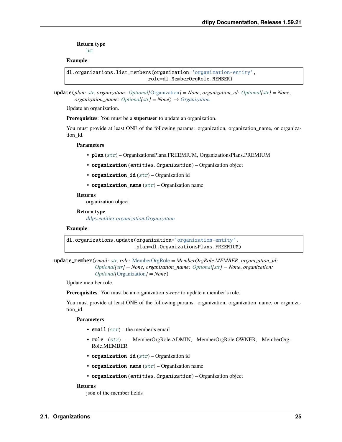**Return type** [list](https://docs.python.org/3/library/stdtypes.html#list)

**Example**:

```
dl.organizations.list_members(organization='organization-entity',
                            role=dl.MemberOrgRole.MEMBER)
```
update(*plan: [str](https://docs.python.org/3/library/stdtypes.html#str)*, *organization: [Optional\[](https://docs.python.org/3/library/typing.html#typing.Optional)*[Organization](#page-104-3)*] = None*, *organization\_id: [Optional](https://docs.python.org/3/library/typing.html#typing.Optional)[\[str\]](https://docs.python.org/3/library/stdtypes.html#str) = None*, *organization\_name: [Optional](https://docs.python.org/3/library/typing.html#typing.Optional)[\[str\]](https://docs.python.org/3/library/stdtypes.html#str) = None*) → *[Organization](#page-104-3)*

Update an organization.

**Prerequisites**: You must be a **superuser** to update an organization.

You must provide at least ONE of the following params: organization, organization\_name, or organization\_id.

#### **Parameters**

- plan ([str](https://docs.python.org/3/library/stdtypes.html#str)) OrganizationsPlans.FREEMIUM, OrganizationsPlans.PREMIUM
- organization (entities.Organization) Organization object
- organization\_id  $(str)$  $(str)$  $(str)$  Organization id
- organization\_name  $(str)$  $(str)$  $(str)$  Organization name

#### **Returns**

organization object

#### **Return type**

*[dtlpy.entities.organization.Organization](#page-104-3)*

### **Example**:

```
dl.organizations.update(organization='organization-entity',
                        plan=dl.OrganizationsPlans.FREEMIUM)
```

```
update_member(email: str, role: MemberOrgRole = MemberOrgRole.MEMBER, organization_id:
                Optional[str] = None, organization_name: Optional[str] = None, organization:
                Optional[Organization] = None)
```
Update member role.

**Prerequisites**: You must be an organization *owner* to update a member's role.

You must provide at least ONE of the following params: organization, organization\_name, or organization\_id.

#### **Parameters**

- **email**  $(str)$  $(str)$  $(str)$  the member's email
- role ([str](https://docs.python.org/3/library/stdtypes.html#str)) MemberOrgRole.ADMIN, MemberOrgRole.OWNER, MemberOrg-Role.MEMBER
- organization\_id  $(str)$  $(str)$  $(str)$  Organization id
- organization\_name  $(str)$  $(str)$  $(str)$  Organization name
- organization (entities.Organization) Organization object

### **Returns**

json of the member fields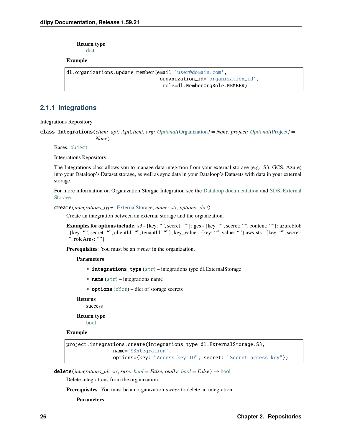**Return type**

[dict](https://docs.python.org/3/library/stdtypes.html#dict)

# **Example**:

```
dl.organizations.update_member(email='user@domain.com',
                                organization_id='organization_id',
                                 role=dl.MemberOrgRole.MEMBER)
```
# **2.1.1 Integrations**

Integrations Repository

class Integrations(*client\_api: ApiClient*, *org: [Optional\[](https://docs.python.org/3/library/typing.html#typing.Optional)*[Organization](#page-104-3)*] = None*, *project: [Optional\[](https://docs.python.org/3/library/typing.html#typing.Optional)*[Project](#page-107-1)*] = None*)

Bases: [object](https://docs.python.org/3/library/functions.html#object)

Integrations Repository

The Integrations class allows you to manage data integrtion from your external storage (e.g., S3, GCS, Azure) into your Dataloop's Dataset storage, as well as sync data in your Dataloop's Datasets with data in your external storage.

For more information on Organization Storgae Integration see the [Dataloop documentation](https://dataloop.ai/docs/organization-integrations) and [SDK External](https://dataloop.ai/docs/sdk-sync-storage) [Storage.](https://dataloop.ai/docs/sdk-sync-storage)

```
create(integrations_type: ExternalStorage, name: str, options: dict)
```
Create an integration between an external storage and the organization.

**Examples for options include**: s3 - {key: "", secret: ""}; gcs - {key: "", secret: "", content: ""}; azureblob - {key: "", secret: "", clientId: "", tenantId: ""}; key\_value - {key: "", value: ""} aws-sts - {key: "", secret: "", roleArns: ""}

**Prerequisites**: You must be an *owner* in the organization.

### **Parameters**

- integrations\_type  $(str)$  $(str)$  $(str)$  integrations type dl.ExternalStorage
- **name**  $(str)$  $(str)$  $(str)$  integrations name
- options  $(dict)$  $(dict)$  $(dict)$  dict of storage secrets

#### **Returns**

success

# **Return type**

[bool](https://docs.python.org/3/library/functions.html#bool)

### **Example**:

```
project.integrations.create(integrations_type=dl.ExternalStorage.S3,
                name='S3ntegration',
                options={key: "Access key ID", secret: "Secret access key"})
```
**delete**(*integrations\_id: [str](https://docs.python.org/3/library/stdtypes.html#str), sure: [bool](https://docs.python.org/3/library/functions.html#bool)* = *False, really: bool* = *False*)  $\rightarrow$  bool

Delete integrations from the organization.

**Prerequisites**: You must be an organization *owner* to delete an integration.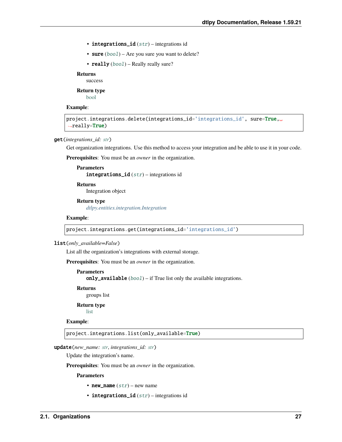- integrations\_id  $(str)$  $(str)$  $(str)$  integrations id
- sure  $(bool)$  $(bool)$  $(bool)$  Are you sure you want to delete?
- really ([bool](https://docs.python.org/3/library/functions.html#bool)) Really really sure?

# **Returns**

success

**Return type** [bool](https://docs.python.org/3/library/functions.html#bool)

#### **Example**:

```
project.integrations.delete(integrations_id='integrations_id', sure=True,.
→really=True)
```
#### get(*integrations\_id: [str](https://docs.python.org/3/library/stdtypes.html#str)*)

Get organization integrations. Use this method to access your integration and be able to use it in your code.

**Prerequisites**: You must be an *owner* in the organization.

```
Parameters
   integrations_id (str) – integrations id
```
**Returns**

Integration object

**Return type** *[dtlpy.entities.integration.Integration](#page-107-2)*

#### **Example**:

project.integrations.get(integrations\_id='integrations\_id')

#### list(*only\_available=False*)

List all the organization's integrations with external storage.

**Prerequisites**: You must be an *owner* in the organization.

### **Parameters**

only\_available  $(bool)$  $(bool)$  $(bool)$  – if True list only the available integrations.

**Returns**

groups list

**Return type**

[list](https://docs.python.org/3/library/stdtypes.html#list)

# **Example**:

project.integrations.list(only\_available=True)

#### update(*new\_name: [str](https://docs.python.org/3/library/stdtypes.html#str)*, *integrations\_id: [str](https://docs.python.org/3/library/stdtypes.html#str)*)

Update the integration's name.

**Prerequisites**: You must be an *owner* in the organization.

- new\_name  $(str)$  $(str)$  $(str)$  new name
- integrations\_id  $(str)$  $(str)$  $(str)$  integrations id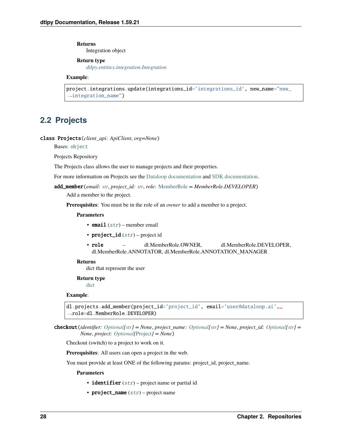**Returns** Integration object

**Return type**

*[dtlpy.entities.integration.Integration](#page-107-2)*

**Example**:

```
project.integrations.update(integrations_id='integrations_id', new_name="new_
˓→integration_name")
```
# <span id="page-31-0"></span>**2.2 Projects**

class Projects(*client\_api: ApiClient*, *org=None*)

Bases: [object](https://docs.python.org/3/library/functions.html#object)

Projects Repository

The Projects class allows the user to manage projects and their properties.

For more information on Projects see the [Dataloop documentation](https://dataloop.ai/docs/project) and [SDK documentation.](https://dataloop.ai/docs/sdk-projects)

```
add_member(email: str, project_id: str, role: MemberRole = MemberRole.DEVELOPER)
```
Add a member to the project.

**Prerequisites**: You must be in the role of an *owner* to add a member to a project.

#### **Parameters**

- email  $(str)$  $(str)$  $(str)$  member email
- project\_id  $(str)$  $(str)$  $(str)$  project id
- role dl.MemberRole.OWNER, dl.MemberRole.DEVELOPER, dl.MemberRole.ANNOTATOR, dl.MemberRole.ANNOTATION\_MANAGER

### **Returns**

dict that represent the user

#### **Return type**

[dict](https://docs.python.org/3/library/stdtypes.html#dict)

### **Example**:

```
dl.projects.add_member(project_id='project_id', email='user@dataloop.ai',␣
˓→role=dl.MemberRole.DEVELOPER)
```
checkout(*identifier: [Optional](https://docs.python.org/3/library/typing.html#typing.Optional)[\[str\]](https://docs.python.org/3/library/stdtypes.html#str) = None*, *project\_name: [Optional\[](https://docs.python.org/3/library/typing.html#typing.Optional)[str\]](https://docs.python.org/3/library/stdtypes.html#str) = None*, *project\_id: [Optional\[](https://docs.python.org/3/library/typing.html#typing.Optional)[str\]](https://docs.python.org/3/library/stdtypes.html#str) = None*, *project: [Optional\[](https://docs.python.org/3/library/typing.html#typing.Optional)*[Project](#page-107-1)*] = None*)

Checkout (switch) to a project to work on it.

**Prerequisites**: All users can open a project in the web.

You must provide at least ONE of the following params: project\_id, project\_name.

- identifier  $(str)$  $(str)$  $(str)$  project name or partial id
- project\_name  $(str)$  $(str)$  $(str)$  project name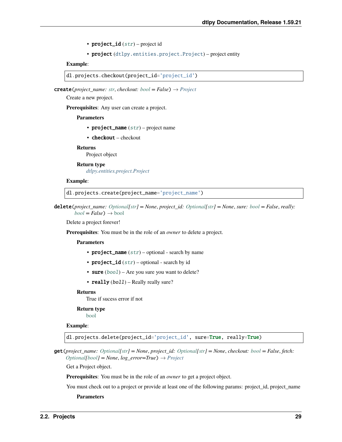• project\_id  $(str)$  $(str)$  $(str)$  – project id

```
• project (dtlpy.entities.project.Project) – project entity
```
**Example**:

```
dl.projects.checkout(project_id='project_id')
```
**create**(*project\_name: [str](https://docs.python.org/3/library/stdtypes.html#str), checkout: [bool](https://docs.python.org/3/library/functions.html#bool)* =  $False$ )  $\rightarrow$  *[Project](#page-107-1)* 

Create a new project.

**Prerequisites**: Any user can create a project.

#### **Parameters**

- project\_name  $(str)$  $(str)$  $(str)$  project name
- checkout checkout

### **Returns**

Project object

**Return type** *[dtlpy.entities.project.Project](#page-107-1)*

#### **Example**:

dl.projects.create(project\_name='project\_name')

delete(*project\_name: [Optional\[](https://docs.python.org/3/library/typing.html#typing.Optional)[str\]](https://docs.python.org/3/library/stdtypes.html#str) = None*, *project\_id: [Optional](https://docs.python.org/3/library/typing.html#typing.Optional)[\[str\]](https://docs.python.org/3/library/stdtypes.html#str) = None*, *sure: [bool](https://docs.python.org/3/library/functions.html#bool) = False*, *really:*  $bool = False$  $bool = False$ )  $\rightarrow$  bool

Delete a project forever!

**Prerequisites**: You must be in the role of an *owner* to delete a project.

### **Parameters**

- project\_name  $(str)$  $(str)$  $(str)$  optional search by name
- project\_id  $(str)$  $(str)$  $(str)$  optional search by id
- sure  $(bool)$  $(bool)$  $(bool)$  Are you sure you want to delete?
- really  $(boll)$  Really really sure?

### **Returns**

True if sucess error if not

#### **Return type**

[bool](https://docs.python.org/3/library/functions.html#bool)

### **Example**:

dl.projects.delete(project\_id='project\_id', sure=True, really=True)

get(*project\_name: [Optional](https://docs.python.org/3/library/typing.html#typing.Optional)[\[str\]](https://docs.python.org/3/library/stdtypes.html#str) = None*, *project\_id: [Optional\[](https://docs.python.org/3/library/typing.html#typing.Optional)[str\]](https://docs.python.org/3/library/stdtypes.html#str) = None*, *checkout: [bool](https://docs.python.org/3/library/functions.html#bool) = False*, *fetch:*  $Optional[bool] = None, log_error = True) \rightarrow Project$  $Optional[bool] = None, log_error = True) \rightarrow Project$  $Optional[bool] = None, log_error = True) \rightarrow Project$  $Optional[bool] = None, log_error = True) \rightarrow Project$ 

Get a Project object.

**Prerequisites**: You must be in the role of an *owner* to get a project object.

You must check out to a project or provide at least one of the following params: project\_id, project\_name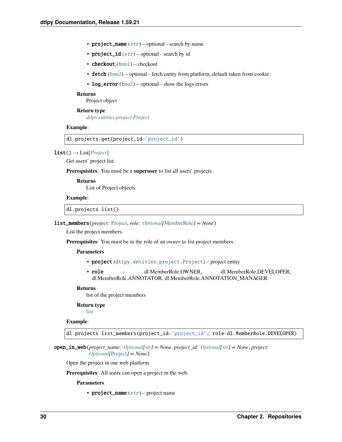- project\_name  $(str)$  $(str)$  $(str)$  optional search by name
- project\_id  $(str)$  $(str)$  $(str)$  optional search by id
- checkout ([bool](https://docs.python.org/3/library/functions.html#bool)) checkout
- fetch ([bool](https://docs.python.org/3/library/functions.html#bool)) optional fetch entity from platform, default taken from cookie
- log\_error  $(bool)$  $(bool)$  $(bool)$  optional show the logs errors

#### **Returns**

Project object

**Return type** *[dtlpy.entities.project.Project](#page-107-1)*

#### **Example**:

dl.projects.get(project\_id='project\_id')

 $list() \rightarrow List[Project]$  $list() \rightarrow List[Project]$  $list() \rightarrow List[Project]$ 

Get users' project list.

**Prerequisites**: You must be a **superuser** to list all users' projects.

#### **Returns**

List of Project objects

### **Example**:

dl.projects.list()

#### list\_members(*project:* [Project,](#page-107-1) *role: [Optional\[](https://docs.python.org/3/library/typing.html#typing.Optional)*[MemberRole](#page-107-3)*] = None*)

List the project members.

**Prerequisites**: You must be in the role of an *owner* to list project members.

### **Parameters**

- project ([dtlpy.entities.project.Project](#page-107-1)) project entity
- role dl.MemberRole.OWNER, dl.MemberRole.DEVELOPER, dl.MemberRole.ANNOTATOR, dl.MemberRole.ANNOTATION\_MANAGER

#### **Returns**

list of the project members

### **Return type**

[list](https://docs.python.org/3/library/stdtypes.html#list)

### **Example**:

dl.projects.list\_members(project\_id='project\_id', role=dl.MemberRole.DEVELOPER)

open\_in\_web(*project\_name: [Optional](https://docs.python.org/3/library/typing.html#typing.Optional)[\[str\]](https://docs.python.org/3/library/stdtypes.html#str) = None*, *project\_id: [Optional](https://docs.python.org/3/library/typing.html#typing.Optional)[\[str\]](https://docs.python.org/3/library/stdtypes.html#str) = None*, *project: [Optional\[](https://docs.python.org/3/library/typing.html#typing.Optional)*[Project](#page-107-1)*] = None*)

Open the project in our web platform.

**Prerequisites**: All users can open a project in the web.

#### **Parameters**

• project\_name  $(str)$  $(str)$  $(str)$  – project name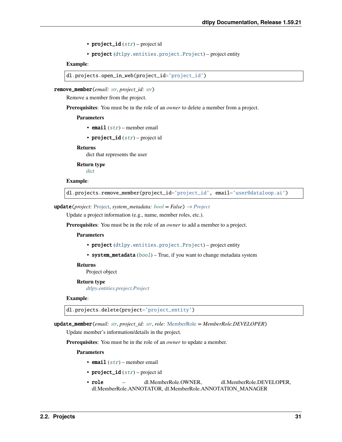• project\_id  $(str)$  $(str)$  $(str)$  – project id

```
• project (dtlpy.entities.project.Project) – project entity
```
**Example**:

```
dl.projects.open_in_web(project_id='project_id')
```
remove\_member(*email: [str](https://docs.python.org/3/library/stdtypes.html#str)*, *project\_id: [str](https://docs.python.org/3/library/stdtypes.html#str)*)

Remove a member from the project.

**Prerequisites**: You must be in the role of an *owner* to delete a member from a project.

#### **Parameters**

- email  $(str)$  $(str)$  $(str)$  member email
- project\_id  $(str)$  $(str)$  $(str)$  project id

### **Returns**

dict that represents the user

**Return type** [dict](https://docs.python.org/3/library/stdtypes.html#dict)

### **Example**:

dl.projects.remove\_member(project\_id='project\_id', email='user@dataloop.ai')

### **update**(*project:* [Project,](#page-107-1) *system\_metadata:*  $bool = False$  $bool = False$ )  $\rightarrow$  *[Project](#page-107-1)*

Update a project information (e.g., name, member roles, etc.).

**Prerequisites**: You must be in the role of an *owner* to add a member to a project.

#### **Parameters**

- project ([dtlpy.entities.project.Project](#page-107-1)) project entity
- system\_metadata ([bool](https://docs.python.org/3/library/functions.html#bool)) True, if you want to change metadata system

#### **Returns**

Project object

### **Return type**

*[dtlpy.entities.project.Project](#page-107-1)*

### **Example**:

dl.projects.delete(project='project\_entity')

update\_member(*email: [str](https://docs.python.org/3/library/stdtypes.html#str)*, *project\_id: [str](https://docs.python.org/3/library/stdtypes.html#str)*, *role:* [MemberRole](#page-107-3) *= MemberRole.DEVELOPER*)

Update member's information/details in the project.

**Prerequisites**: You must be in the role of an *owner* to update a member.

- email  $(str)$  $(str)$  $(str)$  member email
- project\_id  $(str)$  $(str)$  $(str)$  project id
- role dl.MemberRole.OWNER, dl.MemberRole.DEVELOPER, dl.MemberRole.ANNOTATOR, dl.MemberRole.ANNOTATION\_MANAGER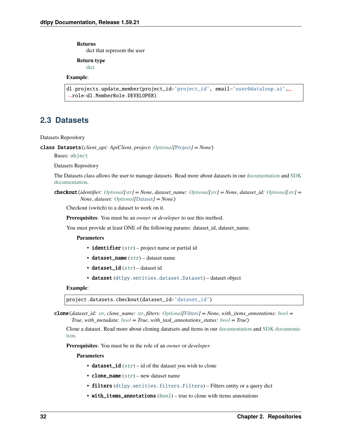#### **Returns**

dict that represent the user

**Return type**

[dict](https://docs.python.org/3/library/stdtypes.html#dict)

# **Example**:

```
dl.projects.update_member(project_id='project_id', email='user@dataloop.ai',␣
˓→role=dl.MemberRole.DEVELOPER)
```
# <span id="page-35-0"></span>**2.3 Datasets**

#### Datasets Repository

class Datasets(*client\_api: ApiClient*, *project: [Optional\[](https://docs.python.org/3/library/typing.html#typing.Optional)*[Project](#page-107-1)*] = None*)

Bases: [object](https://docs.python.org/3/library/functions.html#object)

Datasets Repository

The Datasets class allows the user to manage datasets. Read more about datasets in our [documentation](https://dataloop.ai/docs/dataset) and [SDK](https://dataloop.ai/docs/sdk-create-dataset) [documentation.](https://dataloop.ai/docs/sdk-create-dataset)

checkout(*identifier: [Optional\[](https://docs.python.org/3/library/typing.html#typing.Optional)[str\]](https://docs.python.org/3/library/stdtypes.html#str) = None*, *dataset\_name: [Optional\[](https://docs.python.org/3/library/typing.html#typing.Optional)[str\]](https://docs.python.org/3/library/stdtypes.html#str) = None*, *dataset\_id: [Optional\[](https://docs.python.org/3/library/typing.html#typing.Optional)[str\]](https://docs.python.org/3/library/stdtypes.html#str) = None*, *dataset: [Optional\[](https://docs.python.org/3/library/typing.html#typing.Optional)*[Dataset](#page-110-1)*] = None*)

Checkout (switch) to a dataset to work on it.

**Prerequisites**: You must be an *owner* or *developer* to use this method.

You must provide at least ONE of the following params: dataset\_id, dataset\_name.

#### **Parameters**

- identifier  $(str)$  $(str)$  $(str)$  project name or partial id
- dataset\_name  $(str)$  $(str)$  $(str)$  dataset name
- dataset\_id  $(str)$  $(str)$  $(str)$  dataset id
- dataset ([dtlpy.entities.dataset.Dataset](#page-110-1)) dataset object

### **Example**:

```
project.datasets.checkout(dataset_id='dataset_id')
```
clone(*dataset\_id: [str](https://docs.python.org/3/library/stdtypes.html#str)*, *clone\_name: [str](https://docs.python.org/3/library/stdtypes.html#str)*, *filters: [Optional\[](https://docs.python.org/3/library/typing.html#typing.Optional)*[Filters](#page-139-1)*] = None*, *with\_items\_annotations: [bool](https://docs.python.org/3/library/functions.html#bool) = True*, *with\_metadata: [bool](https://docs.python.org/3/library/functions.html#bool) = True*, *with\_task\_annotations\_status: [bool](https://docs.python.org/3/library/functions.html#bool) = True*)

Clone a dataset. Read more about cloning datatsets and items in our [documentation](https://dataloop.ai/docs/clone-merge-dataset#cloned-dataset) and [SDK documenta](https://dataloop.ai/docs/sdk-create-dataset#clone-dataset)[tion.](https://dataloop.ai/docs/sdk-create-dataset#clone-dataset)

**Prerequisites**: You must be in the role of an *owner* or *developer*.

- dataset\_id  $(str)$  $(str)$  $(str)$  id of the dataset you wish to clone
- clone\_name  $(str)$  $(str)$  $(str)$  new dataset name
- filters ([dtlpy.entities.filters.Filters](#page-139-1)) Filters entity or a query dict
- with\_items\_annotations ([bool](https://docs.python.org/3/library/functions.html#bool)) true to clone with items annotations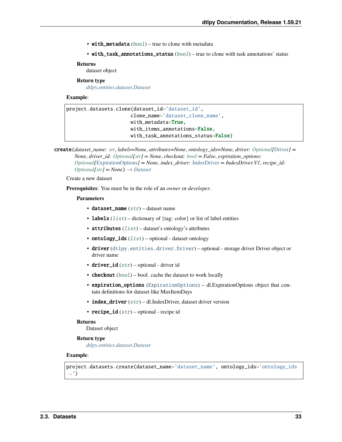• with\_metadata ([bool](https://docs.python.org/3/library/functions.html#bool)) – true to clone with metadata

```
bool) – true to clone with task annotations' status
```
### **Returns**

dataset object

### **Return type**

*[dtlpy.entities.dataset.Dataset](#page-110-0)*

### **Example**:

```
project.datasets.clone(dataset_id='dataset_id',
                      clone_name='dataset_clone_name',
                      with_metadata=True,
                      with_items_annotations=False,
                      with_task_annotations_status=False)
```
create(*dataset\_name: [str](https://docs.python.org/3/library/stdtypes.html#str)*, *labels=None*, *attributes=None*, *ontology\_ids=None*, *driver: [Optional\[](https://docs.python.org/3/library/typing.html#typing.Optional)*[Driver](#page-119-0)*] = None*, *driver\_id: [Optional\[](https://docs.python.org/3/library/typing.html#typing.Optional)[str\]](https://docs.python.org/3/library/stdtypes.html#str) = None*, *checkout: [bool](https://docs.python.org/3/library/functions.html#bool) = False*, *expiration\_options: [Optional\[](https://docs.python.org/3/library/typing.html#typing.Optional)*[ExpirationOptions](#page-119-1)*] = None*, *index\_driver:* [IndexDriver](#page-119-2) *= IndexDriver.V1*, *recipe\_id: [Optional\[](https://docs.python.org/3/library/typing.html#typing.Optional)[str\]](https://docs.python.org/3/library/stdtypes.html#str) = None*) → *[Dataset](#page-110-0)*

### Create a new dataset

**Prerequisites**: You must be in the role of an *owner* or *developer*.

### **Parameters**

- dataset\_name  $(str)$  $(str)$  $(str)$  dataset name
- labels  $(list)$  $(list)$  $(list)$  dictionary of  $\{tag: color\}$  or list of label entities
- attributes  $(list)$  $(list)$  $(list)$  dataset's ontology's attributes
- ontology\_ids  $(list)$  $(list)$  $(list)$  optional dataset ontology
- driver ([dtlpy.entities.driver.Driver](#page-119-0)) optional storage driver Driver object or driver name
- driver\_id  $(str)$  $(str)$  $(str)$  optional driver id
- checkout  $(bool)$  $(bool)$  $(bool)$  bool. cache the dataset to work locally
- expiration\_options ([ExpirationOptions](#page-119-1)) dl.ExpirationOptions object that contain definitions for dataset like MaxItemDays
- index\_driver  $(str) dl$  $(str) dl$  $(str) dl$ . IndexDriver, dataset driver version
- recipe\_id  $(str)$  $(str)$  $(str)$  optional recipe id

# **Returns**

Dataset object

#### **Return type**

*[dtlpy.entities.dataset.Dataset](#page-110-0)*

### **Example**:

project.datasets.create(dataset\_name='dataset\_name', ontology\_ids='ontology\_ids ˓→')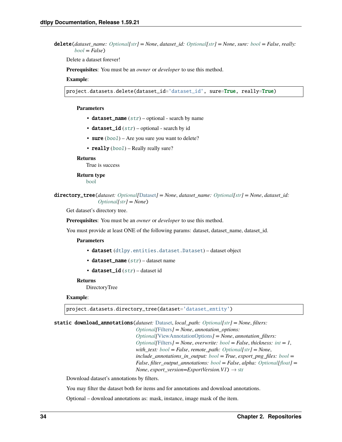**delete**(*dataset name: [Optional\[](https://docs.python.org/3/library/typing.html#typing.Optional)[str\]](https://docs.python.org/3/library/stdtypes.html#str)* = None, *dataset id: Optional[str]* = None, *sure: [bool](https://docs.python.org/3/library/functions.html#bool)* = False, *really: [bool](https://docs.python.org/3/library/functions.html#bool) = False*)

Delete a dataset forever!

**Prerequisites**: You must be an *owner* or *developer* to use this method.

#### **Example**:

project.datasets.delete(dataset\_id='dataset\_id', sure=True, really=True)

#### **Parameters**

- dataset\_name  $(str)$  $(str)$  $(str)$  optional search by name
- dataset\_id  $(str)$  $(str)$  $(str)$  optional search by id
- sure  $(bool)$  $(bool)$  $(bool)$  Are you sure you want to delete?
- really  $(bool)$  $(bool)$  $(bool)$  Really really sure?

### **Returns**

True is success

# **Return type**

[bool](https://docs.python.org/3/library/functions.html#bool)

directory\_tree(*dataset: [Optional\[](https://docs.python.org/3/library/typing.html#typing.Optional)*[Dataset](#page-110-0)*] = None*, *dataset\_name: [Optional\[](https://docs.python.org/3/library/typing.html#typing.Optional)[str\]](https://docs.python.org/3/library/stdtypes.html#str) = None*, *dataset\_id: [Optional\[](https://docs.python.org/3/library/typing.html#typing.Optional)[str\]](https://docs.python.org/3/library/stdtypes.html#str) = None*)

Get dataset's directory tree.

**Prerequisites**: You must be an *owner* or *developer* to use this method.

You must provide at least ONE of the following params: dataset, dataset\_name, dataset\_id.

#### **Parameters**

- dataset ([dtlpy.entities.dataset.Dataset](#page-110-0)) dataset object
- dataset\_name  $(str)$  $(str)$  $(str)$  dataset name
- dataset\_id  $(str)$  $(str)$  $(str)$  dataset id

#### **Returns**

DirectoryTree

### **Example**:

project.datasets.directory\_tree(dataset='dataset\_entity')

static download\_annotations(*dataset:* [Dataset,](#page-110-0) *local\_path: [Optional](https://docs.python.org/3/library/typing.html#typing.Optional)[\[str\]](https://docs.python.org/3/library/stdtypes.html#str) = None*, *filters:*

*[Optional\[](https://docs.python.org/3/library/typing.html#typing.Optional)*[Filters](#page-139-0)*] = None*, *annotation\_options: [Optional\[](https://docs.python.org/3/library/typing.html#typing.Optional)*[ViewAnnotationOptions](#page-129-0)*] = None*, *annotation\_filters: [Optional\[](https://docs.python.org/3/library/typing.html#typing.Optional)*[Filters](#page-139-0)*] = None*, *overwrite: [bool](https://docs.python.org/3/library/functions.html#bool) = False*, *thickness: [int](https://docs.python.org/3/library/functions.html#int) = 1*, *with\_text: [bool](https://docs.python.org/3/library/functions.html#bool) = False*, *remote\_path: [Optional](https://docs.python.org/3/library/typing.html#typing.Optional)[\[str\]](https://docs.python.org/3/library/stdtypes.html#str) = None*, *include\_annotations\_in\_output: [bool](https://docs.python.org/3/library/functions.html#bool) = True*, *export\_png\_files: [bool](https://docs.python.org/3/library/functions.html#bool) = False*, *filter\_output\_annotations: [bool](https://docs.python.org/3/library/functions.html#bool) = False*, *alpha: [Optional\[](https://docs.python.org/3/library/typing.html#typing.Optional)[float\]](https://docs.python.org/3/library/functions.html#float) = None*, *export* version=ExportVersion.V1)  $\rightarrow$  [str](https://docs.python.org/3/library/stdtypes.html#str)

Download dataset's annotations by filters.

You may filter the dataset both for items and for annotations and download annotations.

Optional – download annotations as: mask, instance, image mask of the item.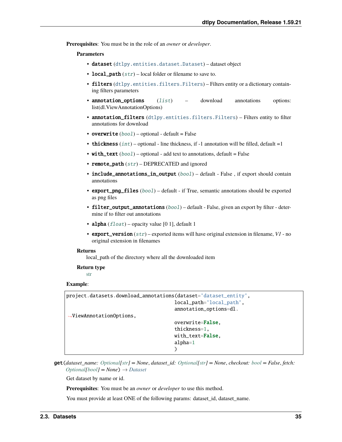**Prerequisites**: You must be in the role of an *owner* or *developer*.

### **Parameters**

- dataset ([dtlpy.entities.dataset.Dataset](#page-110-0)) dataset object
- local\_path  $(str)$  $(str)$  $(str)$  local folder or filename to save to.
- filters ([dtlpy.entities.filters.Filters](#page-139-0)) Filters entity or a dictionary containing filters parameters
- annotation\_options ([list](https://docs.python.org/3/library/stdtypes.html#list)) download annotations options: list(dl.ViewAnnotationOptions)
- annotation\_filters ([dtlpy.entities.filters.Filters](#page-139-0)) Filters entity to filter annotations for download
- overwrite  $(bool)$  $(bool)$  $(bool)$  optional default = False
- thickness  $(int)$  $(int)$  $(int)$  optional line thickness, if -1 annotation will be filled, default =1
- with\_text  $(bool)$  $(bool)$  $(bool)$  optional add text to annotations, default = False
- remote\_path  $(str)$  $(str)$  $(str)$  DEPRECATED and ignored
- include\_annotations\_in\_output ([bool](https://docs.python.org/3/library/functions.html#bool)) default False, if export should contain annotations
- export\_png\_files ([bool](https://docs.python.org/3/library/functions.html#bool)) default if True, semantic annotations should be exported as png files
- filter\_output\_annotations ([bool](https://docs.python.org/3/library/functions.html#bool)) default False, given an export by filter determine if to filter out annotations
- alpha  $(fload)$  opacity value [0 1], default 1
- export\_version ([str](https://docs.python.org/3/library/stdtypes.html#str)) exported items will have original extension in filename, *V1* no original extension in filenames

### **Returns**

local\_path of the directory where all the downloaded item

#### **Return type** [str](https://docs.python.org/3/library/stdtypes.html#str)

### **Example**:

```
project.datasets.download_annotations(dataset='dataset_entity',
                                      local_path='local_path',
                                      annotation_options=dl.
˓→ViewAnnotationOptions,
                                      overwrite=False,
                                      thickness=1,
                                      with_text=False,
                                      alpha=1
                                      )
```
get(*dataset\_name: [Optional\[](https://docs.python.org/3/library/typing.html#typing.Optional)[str\]](https://docs.python.org/3/library/stdtypes.html#str) = None*, *dataset\_id: [Optional\[](https://docs.python.org/3/library/typing.html#typing.Optional)[str\]](https://docs.python.org/3/library/stdtypes.html#str) = None*, *checkout: [bool](https://docs.python.org/3/library/functions.html#bool) = False*, *fetch: [Optional](https://docs.python.org/3/library/typing.html#typing.Optional)[\[bool\]](https://docs.python.org/3/library/functions.html#bool) = None*) → *[Dataset](#page-110-0)*

Get dataset by name or id.

**Prerequisites**: You must be an *owner* or *developer* to use this method.

You must provide at least ONE of the following params: dataset\_id, dataset\_name.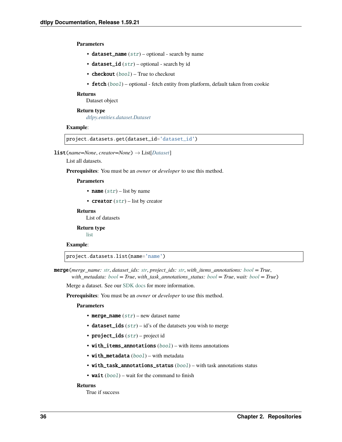### **Parameters**

- dataset\_name  $(str)$  $(str)$  $(str)$  optional search by name
- dataset\_id  $(str)$  $(str)$  $(str)$  optional search by id
- checkout ([bool](https://docs.python.org/3/library/functions.html#bool)) True to checkout
- fetch  $(bool)$  $(bool)$  $(bool)$  optional fetch entity from platform, default taken from cookie

#### **Returns**

Dataset object

**Return type** *[dtlpy.entities.dataset.Dataset](#page-110-0)*

### **Example**:

```
project.datasets.get(dataset_id='dataset_id')
```
list(*name=None*, *creator=None*) → List[*[Dataset](#page-110-0)*]

List all datasets.

**Prerequisites**: You must be an *owner* or *developer* to use this method.

#### **Parameters**

- **name**  $(str)$  $(str)$  $(str)$  list by name
- **creator**  $(str)$  $(str)$  $(str)$  list by creator

### **Returns**

List of datasets

**Return type**

[list](https://docs.python.org/3/library/stdtypes.html#list)

### **Example**:

project.datasets.list(name='name')

merge(*merge\_name: [str](https://docs.python.org/3/library/stdtypes.html#str)*, *dataset\_ids: [str](https://docs.python.org/3/library/stdtypes.html#str)*, *project\_ids: [str](https://docs.python.org/3/library/stdtypes.html#str)*, *with\_items\_annotations: [bool](https://docs.python.org/3/library/functions.html#bool) = True*, *with\_metadata: [bool](https://docs.python.org/3/library/functions.html#bool) = True*, *with\_task\_annotations\_status: [bool](https://docs.python.org/3/library/functions.html#bool) = True*, *wait: [bool](https://docs.python.org/3/library/functions.html#bool) = True*)

Merge a dataset. See our [SDK docs](https://dataloop.ai/docs/sdk-create-dataset#merge-datasets) for more information.

**Prerequisites**: You must be an *owner* or *developer* to use this method.

#### **Parameters**

- merge\_name  $(str)$  $(str)$  $(str)$  new dataset name
- dataset\_ids  $(str)$  $(str)$  $(str)$  id's of the datatsets you wish to merge
- project\_ids  $(str)$  $(str)$  $(str)$  project id
- with\_items\_annotations ([bool](https://docs.python.org/3/library/functions.html#bool)) with items annotations
- with\_metadata ([bool](https://docs.python.org/3/library/functions.html#bool)) with metadata
- with\_task\_annotations\_status ([bool](https://docs.python.org/3/library/functions.html#bool)) with task annotations status
- wait  $(bool)$  $(bool)$  $(bool)$  wait for the command to finish

#### **Returns**

True if success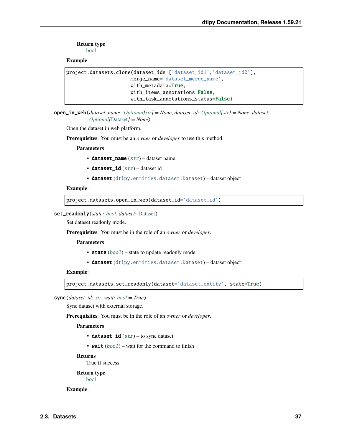**Return type**

[bool](https://docs.python.org/3/library/functions.html#bool)

**Example**:

```
project.datasets.clone(dataset_ids=['dataset_id1','dataset_id2'],
                      merge_name='dataset_merge_name',
                      with_metadata=True,
                      with_items_annotations=False,
                      with_task_annotations_status=False)
```
open\_in\_web(*dataset\_name: [Optional\[](https://docs.python.org/3/library/typing.html#typing.Optional)[str\]](https://docs.python.org/3/library/stdtypes.html#str) = None*, *dataset\_id: [Optional\[](https://docs.python.org/3/library/typing.html#typing.Optional)[str\]](https://docs.python.org/3/library/stdtypes.html#str) = None*, *dataset: [Optional\[](https://docs.python.org/3/library/typing.html#typing.Optional)*[Dataset](#page-110-0)*] = None*)

Open the dataset in web platform.

**Prerequisites**: You must be an *owner* or *developer* to use this method.

**Parameters**

- dataset\_name  $(str)$  $(str)$  $(str)$  dataset name
- dataset\_id ([str](https://docs.python.org/3/library/stdtypes.html#str)) dataset id
- dataset ([dtlpy.entities.dataset.Dataset](#page-110-0)) dataset object

### **Example**:

```
project.datasets.open_in_web(dataset_id='dataset_id')
```
#### set\_readonly(*state: [bool](https://docs.python.org/3/library/functions.html#bool)*, *dataset:* [Dataset](#page-110-0))

Set dataset readonly mode.

**Prerequisites**: You must be in the role of an *owner* or *developer*.

**Parameters**

- state ([bool](https://docs.python.org/3/library/functions.html#bool)) state to update readonly mode
- dataset ([dtlpy.entities.dataset.Dataset](#page-110-0)) dataset object

### **Example**:

```
project.datasets.set_readonly(dataset='dataset_entity', state=True)
```
sync(*dataset\_id: [str](https://docs.python.org/3/library/stdtypes.html#str)*, *wait: [bool](https://docs.python.org/3/library/functions.html#bool) = True*)

Sync dataset with external storage.

**Prerequisites**: You must be in the role of an *owner* or *developer*.

**Parameters**

- dataset\_id  $(str)$  $(str)$  $(str)$  to sync dataset
- wait  $(bool)$  $(bool)$  $(bool)$  wait for the command to finish

### **Returns**

True if success

**Return type**

[bool](https://docs.python.org/3/library/functions.html#bool)

**Example**: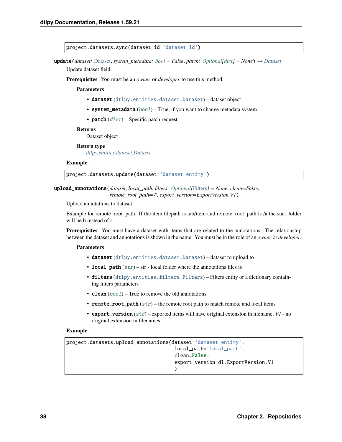```
project.datasets.sync(dataset_id='dataset_id')
```
update(*dataset:* [Dataset,](#page-110-0) *system\_metadata: [bool](https://docs.python.org/3/library/functions.html#bool) = False*, *patch: [Optional\[](https://docs.python.org/3/library/typing.html#typing.Optional)[dict\]](https://docs.python.org/3/library/stdtypes.html#dict) = None*) → *[Dataset](#page-110-0)*

Update dataset field.

**Prerequisites**: You must be an *owner* or *developer* to use this method.

### **Parameters**

- dataset ([dtlpy.entities.dataset.Dataset](#page-110-0)) dataset object
- system\_metadata ([bool](https://docs.python.org/3/library/functions.html#bool)) True, if you want to change metadata system
- patch  $(dict)$  $(dict)$  $(dict)$  Specific patch request

### **Returns**

Dataset object

**Return type** *[dtlpy.entities.dataset.Dataset](#page-110-0)*

### **Example**:

project.datasets.update(dataset='dataset\_entity')

upload\_annotations(*dataset*, *local\_path*, *filters: [Optional\[](https://docs.python.org/3/library/typing.html#typing.Optional)*[Filters](#page-139-0)*] = None*, *clean=False*, *remote\_root\_path='/'*, *export\_version=ExportVersion.V1*)

Upload annotations to dataset.

Example for remote\_root\_path: If the item filepath is a/b/item and remote\_root\_path is /a the start folder will be b instead of a

**Prerequisites**: You must have a dataset with items that are related to the annotations. The relationship between the dataset and annotations is shown in the name. You must be in the role of an *owner* or *developer*.

#### **Parameters**

- dataset ([dtlpy.entities.dataset.Dataset](#page-110-0)) dataset to upload to
- local\_path  $(str)$  $(str)$  $(str)$  str local folder where the annotations files is
- filters ([dtlpy.entities.filters.Filters](#page-139-0)) Filters entity or a dictionary containing filters parameters
- **clean**  $(boo1)$  True to remove the old annotations
- remote\_root\_path  $(str)$  $(str)$  $(str)$  the remote root path to match remote and local items
- export\_version ([str](https://docs.python.org/3/library/stdtypes.html#str)) exported items will have original extension in filename, *V1* no original extension in filenames

### **Example**:

```
project.datasets.upload_annotations(dataset='dataset_entity',
                                     local_path='local_path',
                                      clean=False,
                                      export_version=dl.ExportVersion.V1
                                      )
```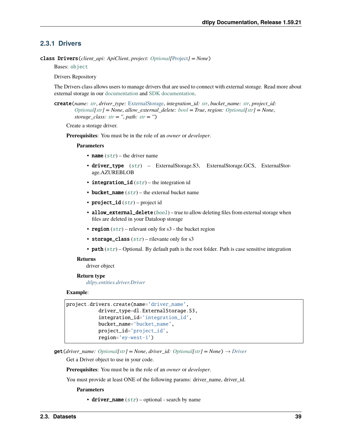# **2.3.1 Drivers**

class Drivers(*client\_api: ApiClient*, *project: [Optional\[](https://docs.python.org/3/library/typing.html#typing.Optional)*[Project](#page-107-0)*] = None*)

Bases: [object](https://docs.python.org/3/library/functions.html#object)

Drivers Repository

The Drivers class allows users to manage drivers that are used to connect with external storage. Read more about external storage in our [documentation](https://dataloop.ai/docs/storage) and [SDK documentation.](https://dataloop.ai/docs/sdk-sync-storage)

create(*name: [str](https://docs.python.org/3/library/stdtypes.html#str)*, *driver\_type:* [ExternalStorage,](#page-120-0) *integration\_id: [str](https://docs.python.org/3/library/stdtypes.html#str)*, *bucket\_name: [str](https://docs.python.org/3/library/stdtypes.html#str)*, *project\_id: [Optional\[](https://docs.python.org/3/library/typing.html#typing.Optional)[str\]](https://docs.python.org/3/library/stdtypes.html#str) = None*, *allow\_external\_delete: [bool](https://docs.python.org/3/library/functions.html#bool) = True*, *region: [Optional](https://docs.python.org/3/library/typing.html#typing.Optional)[\[str\]](https://docs.python.org/3/library/stdtypes.html#str) = None*, *storage\_class:*  $str =$  $str =$   $\prime\prime$ ,  $path: str = \prime\prime$ )

Create a storage driver.

**Prerequisites**: You must be in the role of an *owner* or *developer*.

#### **Parameters**

- name  $(str)$  $(str)$  $(str)$  the driver name
- driver\_type ([str](https://docs.python.org/3/library/stdtypes.html#str)) ExternalStorage.S3, ExternalStorage.GCS, ExternalStorage.AZUREBLOB
- integration\_id  $(str)$  $(str)$  $(str)$  the integration id
- bucket\_name  $(str)$  $(str)$  $(str)$  the external bucket name
- project\_id  $(str)$  $(str)$  $(str)$  project id
- allow\_external\_delete ([bool](https://docs.python.org/3/library/functions.html#bool)) true to allow deleting files from external storage when files are deleted in your Dataloop storage
- region  $(str)$  $(str)$  $(str)$  relevant only for s3 the bucket region
- storage\_class  $(str)$  $(str)$  $(str)$  rilevante only for s3
- path  $(str)$  $(str)$  $(str)$  Optional. By default path is the root folder. Path is case sensitive integration

#### **Returns**

driver object

#### **Return type**

*[dtlpy.entities.driver.Driver](#page-119-0)*

### **Example**:

```
project.drivers.create(name='driver_name',
           driver_type=dl.ExternalStorage.S3,
           integration_id='integration_id',
           bucket_name='bucket_name',
           project_id='project_id',
           region='ey-west-1')
```
**get**(*driver\_name: [Optional](https://docs.python.org/3/library/typing.html#typing.Optional)*[*[str\]](https://docs.python.org/3/library/stdtypes.html#str)* = *None*, *driver\_id: Optional*[*str]* = *None*)  $\rightarrow$  *[Driver](#page-119-0)* 

Get a Driver object to use in your code.

**Prerequisites**: You must be in the role of an *owner* or *developer*.

You must provide at least ONE of the following params: driver\_name, driver\_id.

**Parameters**

• driver\_name  $(str)$  $(str)$  $(str)$  – optional - search by name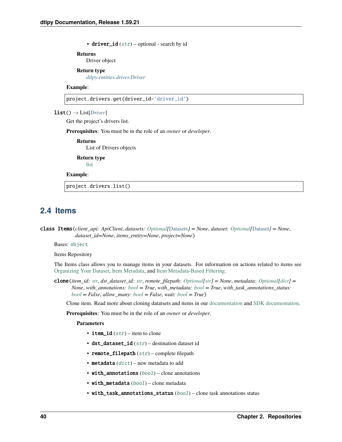• driver\_id  $(str)$  $(str)$  $(str)$  – optional - search by id

#### **Returns**

Driver object

# **Return type**

*[dtlpy.entities.driver.Driver](#page-119-0)*

### **Example**:

project.drivers.get(driver\_id='driver\_id')

### list() → List[*[Driver](#page-119-0)*]

Get the project's drivers list.

**Prerequisites**: You must be in the role of an *owner* or *developer*.

#### **Returns**

List of Drivers objects

**Return type**

[list](https://docs.python.org/3/library/stdtypes.html#list)

## **Example**:

project.drivers.list()

# **2.4 Items**

class Items(*client\_api: ApiClient*, *datasets: [Optional\[](https://docs.python.org/3/library/typing.html#typing.Optional)*[Datasets](#page-35-0)*] = None*, *dataset: [Optional\[](https://docs.python.org/3/library/typing.html#typing.Optional)*[Dataset](#page-110-0)*] = None*, *dataset\_id=None*, *items\_entity=None*, *project=None*)

Bases: [object](https://docs.python.org/3/library/functions.html#object)

Items Repository

The Items class allows you to manage items in your datasets. For information on actions related to items see [Organizing Your Dataset,](https:/dataloop.ai/docs/sdk-organize-dataset) [Item Metadata,](https://dataloop.ai/docs/sdk-add-item-metadata) and [Item Metadata-Based Filtering.](https://dataloop.ai/docs/sdk-custom-filter-metadata)

clone(*item\_id: [str](https://docs.python.org/3/library/stdtypes.html#str)*, *dst\_dataset\_id: [str](https://docs.python.org/3/library/stdtypes.html#str)*, *remote\_filepath: [Optional\[](https://docs.python.org/3/library/typing.html#typing.Optional)[str\]](https://docs.python.org/3/library/stdtypes.html#str) = None*, *metadata: [Optional](https://docs.python.org/3/library/typing.html#typing.Optional)[\[dict\]](https://docs.python.org/3/library/stdtypes.html#dict) = None*, *with\_annotations: [bool](https://docs.python.org/3/library/functions.html#bool) = True*, *with\_metadata: [bool](https://docs.python.org/3/library/functions.html#bool) = True*, *with\_task\_annotations\_status: [bool](https://docs.python.org/3/library/functions.html#bool) = False*, *allow\_many: [bool](https://docs.python.org/3/library/functions.html#bool) = False*, *wait: [bool](https://docs.python.org/3/library/functions.html#bool) = True*)

Clone item. Read more about cloning datatsets and items in our [documentation](https://dataloop.ai/docs/clone-merge-dataset#cloned-dataset) and [SDK documentation.](https://dataloop.ai/docs/sdk-create-dataset#clone-dataset)

**Prerequisites**: You must be in the role of an *owner* or *developer*.

- item\_id  $(str)$  $(str)$  $(str)$  item to clone
- dst\_dataset\_id  $(str)$  $(str)$  $(str)$  destination dataset id
- remote\_filepath  $(str)$  $(str)$  $(str)$  complete filepath
- **metadata**  $(dict)$  $(dict)$  $(dict)$  new metadata to add
- with\_annotations ([bool](https://docs.python.org/3/library/functions.html#bool)) clone annotations
- with\_metadata ([bool](https://docs.python.org/3/library/functions.html#bool)) clone metadata
- with\_task\_annotations\_status ([bool](https://docs.python.org/3/library/functions.html#bool)) clone task annotations status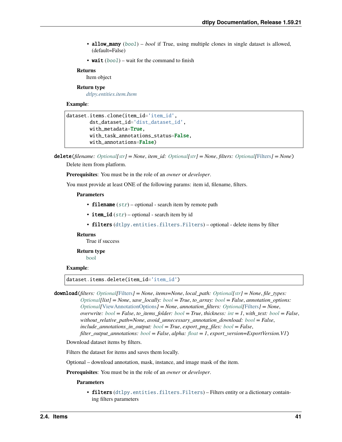- **allow\_many** (*[bool](https://docs.python.org/3/library/functions.html#bool)*) *bool* if True, using multiple clones in single dataset is allowed, (default=False)
- wait  $(bool)$  $(bool)$  $(bool)$  wait for the command to finish

Item object

### **Return type**

*[dtlpy.entities.item.Item](#page-120-1)*

### **Example**:

```
dataset.items.clone(item_id='item_id',
        dst_dataset_id='dist_dataset_id',
        with_metadata=True,
        with_task_annotations_status=False,
        with_annotations=False)
```
delete(*filename: [Optional](https://docs.python.org/3/library/typing.html#typing.Optional)[\[str\]](https://docs.python.org/3/library/stdtypes.html#str) = None*, *item\_id: [Optional](https://docs.python.org/3/library/typing.html#typing.Optional)[\[str\]](https://docs.python.org/3/library/stdtypes.html#str) = None*, *filters: [Optional\[](https://docs.python.org/3/library/typing.html#typing.Optional)*[Filters](#page-139-0)*] = None*)

Delete item from platform.

**Prerequisites**: You must be in the role of an *owner* or *developer*.

You must provide at least ONE of the following params: item id, filename, filters.

### **Parameters**

- filename  $(str)$  $(str)$  $(str)$  optional search item by remote path
- item\_id  $(str)$  $(str)$  $(str)$  optional search item by id
- filters ([dtlpy.entities.filters.Filters](#page-139-0)) optional delete items by filter

### **Returns**

True if success

### **Return type**

[bool](https://docs.python.org/3/library/functions.html#bool)

### **Example**:

dataset.items.delete(item\_id='item\_id')

download(*filters: [Optional\[](https://docs.python.org/3/library/typing.html#typing.Optional)*[Filters](#page-139-0)*] = None*, *items=None*, *local\_path: [Optional\[](https://docs.python.org/3/library/typing.html#typing.Optional)[str\]](https://docs.python.org/3/library/stdtypes.html#str) = None*, *file\_types: [Optional\[](https://docs.python.org/3/library/typing.html#typing.Optional)list] = None*, *save\_locally: [bool](https://docs.python.org/3/library/functions.html#bool) = True*, *to\_array: [bool](https://docs.python.org/3/library/functions.html#bool) = False*, *annotation\_options: [Optional\[](https://docs.python.org/3/library/typing.html#typing.Optional)*[ViewAnnotationOptions](#page-129-0)*] = None*, *annotation\_filters: [Optional\[](https://docs.python.org/3/library/typing.html#typing.Optional)*[Filters](#page-139-0)*] = None*, *overwrite: [bool](https://docs.python.org/3/library/functions.html#bool) = False*, *to\_items\_folder: [bool](https://docs.python.org/3/library/functions.html#bool) = True*, *thickness: [int](https://docs.python.org/3/library/functions.html#int) = 1*, *with\_text: [bool](https://docs.python.org/3/library/functions.html#bool) = False*, *without\_relative\_path=None*, *avoid\_unnecessary\_annotation\_download: [bool](https://docs.python.org/3/library/functions.html#bool) = False*, *include* annotations in output:  $bool = True$  $bool = True$ , *export* png files:  $bool = False$ , *filter\_output\_annotations: [bool](https://docs.python.org/3/library/functions.html#bool) = False*, *alpha: [float](https://docs.python.org/3/library/functions.html#float) = 1*, *export\_version=ExportVersion.V1*)

Download dataset items by filters.

Filters the dataset for items and saves them locally.

Optional – download annotation, mask, instance, and image mask of the item.

**Prerequisites**: You must be in the role of an *owner* or *developer*.

### **Parameters**

• filters ([dtlpy.entities.filters.Filters](#page-139-0)) – Filters entity or a dictionary containing filters parameters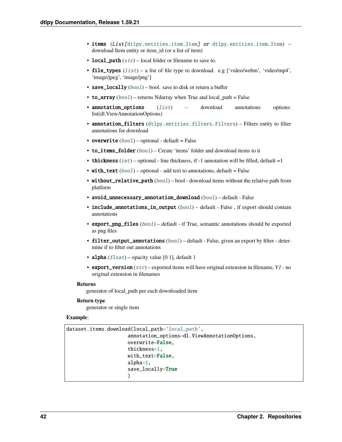- items (List[[dtlpy.entities.item.Item](#page-120-1)] or dtlpy.entities.item.Item) download Item entity or item\_id (or a list of item)
- local\_path  $(str)$  $(str)$  $(str)$  local folder or filename to save to.
- file\_types  $(list) a$  $(list) a$  $(list) a$  list of file type to download. e.g ['video/webm', 'video/mp4', 'image/jpeg', 'image/png']
- save\_locally  $(bool)$  $(bool)$  $(bool)$  bool. save to disk or return a buffer
- to\_array  $(bool)$  $(bool)$  $(bool)$  returns Ndarray when True and  $local\_path = False$
- **annotation\_options** ([list](https://docs.python.org/3/library/stdtypes.html#list)) download annotations options: list(dl.ViewAnnotationOptions)
- annotation\_filters ([dtlpy.entities.filters.Filters](#page-139-0)) Filters entity to filter annotations for download
- overwrite  $(bool)$  $(bool)$  $(bool)$  optional default = False
- to\_items\_folder ([bool](https://docs.python.org/3/library/functions.html#bool)) Create 'items' folder and download items to it
- thickness  $(int)$  $(int)$  $(int)$  optional line thickness, if -1 annotation will be filled, default =1
- with\_text  $(bool)$  $(bool)$  $(bool)$  optional add text to annotations, default = False
- without\_relative\_path ([bool](https://docs.python.org/3/library/functions.html#bool)) bool download items without the relative path from platform
- avoid\_unnecessary\_annotation\_download ([bool](https://docs.python.org/3/library/functions.html#bool)) default False
- include\_annotations\_in\_output ([bool](https://docs.python.org/3/library/functions.html#bool)) default False, if export should contain annotations
- export\_png\_files ([bool](https://docs.python.org/3/library/functions.html#bool)) default if True, semantic annotations should be exported as png files
- filter\_output\_annotations  $(bool)$  $(bool)$  $(bool)$  default False, given an export by filter determine if to filter out annotations
- alpha  $(fload)$  opacity value [0 1], default 1
- export\_version ([str](https://docs.python.org/3/library/stdtypes.html#str)) exported items will have original extension in filename, *V1* no original extension in filenames

generator of local\_path per each downloaded item

# **Return type**

generator or single item

### **Example**:

```
dataset.items.download(local_path='local_path',
                     annotation_options=dl.ViewAnnotationOptions,
                     overwrite=False,
                     thickness=1,
                     with_text=False,
                     alpha=1,
                     save_locally=True
                     )
```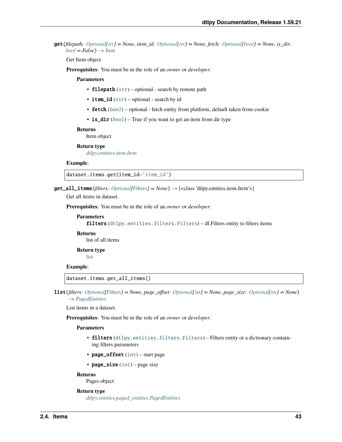get(*filepath: [Optional\[](https://docs.python.org/3/library/typing.html#typing.Optional)[str\]](https://docs.python.org/3/library/stdtypes.html#str) = None*, *item\_id: [Optional\[](https://docs.python.org/3/library/typing.html#typing.Optional)[str\]](https://docs.python.org/3/library/stdtypes.html#str) = None*, *fetch: [Optional\[](https://docs.python.org/3/library/typing.html#typing.Optional)[bool\]](https://docs.python.org/3/library/functions.html#bool) = None*, *is\_dir:*  $bool = False$  $bool = False$ )  $\rightarrow$  *[Item](#page-120-1)* 

Get Item object

**Prerequisites**: You must be in the role of an *owner* or *developer*.

#### **Parameters**

- filepath  $(str)$  $(str)$  $(str)$  optional search by remote path
- item\_id  $(str)$  $(str)$  $(str)$  optional search by id
- fetch ([bool](https://docs.python.org/3/library/functions.html#bool)) optional fetch entity from platform, default taken from cookie
- is\_dir ([bool](https://docs.python.org/3/library/functions.html#bool)) True if you want to get an item from dir type

#### **Returns**

Item object

**Return type** *[dtlpy.entities.item.Item](#page-120-1)*

### **Example**:

dataset.items.get(item\_id='item\_id')

 $get\_all\_items(filters: *Optional*[Filters] = None) \rightarrow ['dthy.entities.item.Item'>]$  $get\_all\_items(filters: *Optional*[Filters] = None) \rightarrow ['dthy.entities.item.Item'>]$  $get\_all\_items(filters: *Optional*[Filters] = None) \rightarrow ['dthy.entities.item.Item'>]$ 

Get all items in dataset.

**Prerequisites**: You must be in the role of an *owner* or *developer*.

```
Parameters
   dtlpy.entities.filters.Filters) - dl.Filters entity to filters items
```
**Returns** list of all items

**Return type**

[list](https://docs.python.org/3/library/stdtypes.html#list)

# **Example**:

dataset.items.get\_all\_items()

list(*filters: [Optional\[](https://docs.python.org/3/library/typing.html#typing.Optional)*[Filters](#page-139-0)*] = None*, *page\_offset: [Optional\[](https://docs.python.org/3/library/typing.html#typing.Optional)[int\]](https://docs.python.org/3/library/functions.html#int) = None*, *page\_size: [Optional](https://docs.python.org/3/library/typing.html#typing.Optional)[\[int\]](https://docs.python.org/3/library/functions.html#int) = None*) → *[PagedEntities](#page-169-0)*

List items in a dataset.

**Prerequisites**: You must be in the role of an *owner* or *developer*.

#### **Parameters**

- filters ([dtlpy.entities.filters.Filters](#page-139-0)) Filters entity or a dictionary containing filters parameters
- page\_offset  $(int)$  $(int)$  $(int)$  start page
- page\_size  $(int)$  $(int)$  $(int)$  page size

### **Returns**

Pages object

### **Return type**

*[dtlpy.entities.paged\\_entities.PagedEntities](#page-169-0)*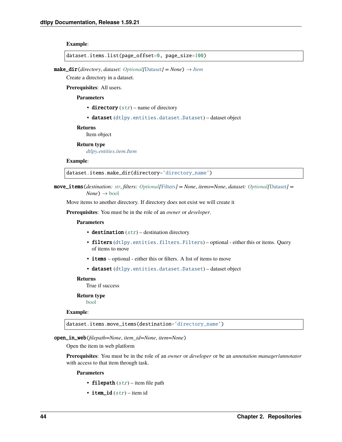### **Example**:

dataset.items.list(page\_offset=0, page\_size=100)

 $make\_dir$ (*directory*, *dataset: Optional*[[Dataset](#page-110-0)] = None)  $\rightarrow$  *[Item](#page-120-1)* 

Create a directory in a dataset.

**Prerequisites**: All users.

**Parameters**

- directory  $(str)$  $(str)$  $(str)$  name of directory
- dataset ([dtlpy.entities.dataset.Dataset](#page-110-0)) dataset object

### **Returns**

Item object

### **Return type**

*[dtlpy.entities.item.Item](#page-120-1)*

#### **Example**:

dataset.items.make\_dir(directory='directory\_name')

move\_items(*destination: [str](https://docs.python.org/3/library/stdtypes.html#str)*, *filters: [Optional\[](https://docs.python.org/3/library/typing.html#typing.Optional)*[Filters](#page-139-0)*] = None*, *items=None*, *dataset: [Optional\[](https://docs.python.org/3/library/typing.html#typing.Optional)*[Dataset](#page-110-0)*] =*  $None$ )  $\rightarrow$  [bool](https://docs.python.org/3/library/functions.html#bool)

Move items to another directory. If directory does not exist we will create it

**Prerequisites**: You must be in the role of an *owner* or *developer*.

#### **Parameters**

- destination  $(str)$  $(str)$  $(str)$  destination directory
- filters ([dtlpy.entities.filters.Filters](#page-139-0)) optional either this or items. Query of items to move
- **items** optional either this or filters. A list of items to move
- dataset ([dtlpy.entities.dataset.Dataset](#page-110-0)) dataset object

### **Returns**

True if success

### **Return type**

[bool](https://docs.python.org/3/library/functions.html#bool)

### **Example**:

dataset.items.move\_items(destination='directory\_name')

open\_in\_web(*filepath=None*, *item\_id=None*, *item=None*)

Open the item in web platform

**Prerequisites**: You must be in the role of an *owner* or *developer* or be an *annotation manager*/*annotator* with access to that item through task.

- filepath  $(str)$  $(str)$  $(str)$  item file path
- item\_id  $(str)$  $(str)$  $(str)$  item id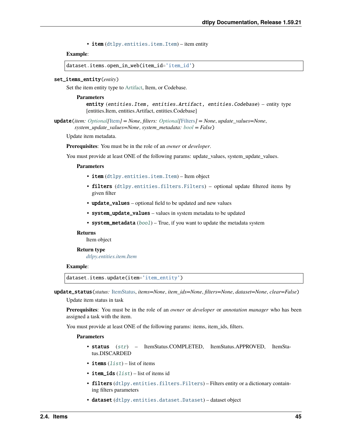• item ([dtlpy.entities.item.Item](#page-120-1)) – item entity

### **Example**:

dataset.items.open\_in\_web(item\_id='item\_id')

### set\_items\_entity(*entity*)

Set the item entity type to [Artifact,](https://dataloop.ai/docs/auto-annotation-service?#uploading-model-weights-as-artifacts) Item, or Codebase.

#### **Parameters**

entity (entities.Item, entities.Artifact, entities.Codebase) – entity type [entities.Item, entities.Artifact, entities.Codebase]

update(*item: [Optional\[](https://docs.python.org/3/library/typing.html#typing.Optional)*[Item](#page-120-1)*] = None*, *filters: [Optional\[](https://docs.python.org/3/library/typing.html#typing.Optional)*[Filters](#page-139-0)*] = None*, *update\_values=None*, *system\_update\_values=None*, *system\_metadata: [bool](https://docs.python.org/3/library/functions.html#bool) = False*)

Update item metadata.

**Prerequisites**: You must be in the role of an *owner* or *developer*.

You must provide at least ONE of the following params: update\_values, system\_update\_values.

### **Parameters**

- **item** ([dtlpy.entities.item.Item](#page-120-1)) Item object
- filters ([dtlpy.entities.filters.Filters](#page-139-0)) optional update filtered items by given filter
- update\_values optional field to be updated and new values
- system\_update\_values values in system metadata to be updated
- system\_metadata ([bool](https://docs.python.org/3/library/functions.html#bool)) True, if you want to update the metadata system

#### **Returns**

Item object

#### **Return type**

*[dtlpy.entities.item.Item](#page-120-1)*

### **Example**:

dataset.items.update(item='item\_entity')

update\_status(*status:* [ItemStatus,](#page-123-0) *items=None*, *item\_ids=None*, *filters=None*, *dataset=None*, *clear=False*)

Update item status in task

**Prerequisites**: You must be in the role of an *owner* or *developer* or *annotation manager* who has been assigned a task with the item.

You must provide at least ONE of the following params: items, item\_ids, filters.

- status ([str](https://docs.python.org/3/library/stdtypes.html#str)) ItemStatus.COMPLETED, ItemStatus.APPROVED, ItemStatus.DISCARDED
- items  $(list)$  $(list)$  $(list)$  list of items
- item\_ids  $(list)$  $(list)$  $(list)$  list of items id
- filters ([dtlpy.entities.filters.Filters](#page-139-0)) Filters entity or a dictionary containing filters parameters
- dataset ([dtlpy.entities.dataset.Dataset](#page-110-0)) dataset object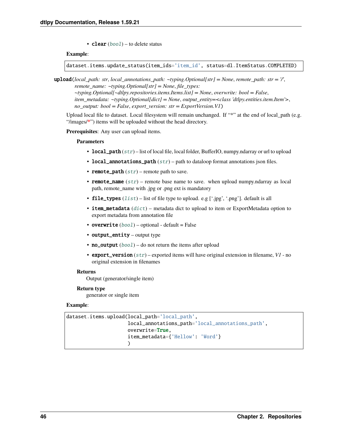• **clear**  $(bool)$  $(bool)$  $(bool)$  – to delete status

### **Example**:

dataset.items.update\_status(item\_ids='item\_id', status=dl.ItemStatus.COMPLETED)

upload(*local\_path: str*, *local\_annotations\_path: ~typing.Optional[str] = None*, *remote\_path: str = '/'*, *remote\_name: ~typing.Optional[str] = None*, *file\_types: ~typing.Optional[~dtlpy.repositories.items.Items.list] = None*, *overwrite: bool = False*, *item\_metadata: ~typing.Optional[dict] = None*, *output\_entity=<class 'dtlpy.entities.item.Item'>*, *no\_output: bool = False*, *export\_version: str = ExportVersion.V1*)

Upload local file to dataset. Local filesystem will remain unchanged. If "\*" at the end of local\_path (e.g. "/images/**\***") items will be uploaded without the head directory.

**Prerequisites**: Any user can upload items.

### **Parameters**

- local\_path  $(str)$  $(str)$  $(str)$  list of local file, local folder, BufferIO, numpy.ndarray or url to upload
- local\_annotations\_path  $(str)$  $(str)$  $(str)$  path to dataloop format annotations json files.
- **remote\_path**  $(str)$  $(str)$  $(str)$  remote path to save.
- **remote\_name**  $(str)$  $(str)$  $(str)$  remote base name to save. when upload numpy.ndarray as local path, remote\_name with .jpg or .png ext is mandatory
- file\_types  $(list)$  $(list)$  $(list)$  list of file type to upload. e.g ['.jpg', '.png']. default is all
- item\_metadata  $(dict)$  $(dict)$  $(dict)$  metadata dict to upload to item or ExportMetadata option to export metadata from annotation file
- overwrite  $(bool)$  $(bool)$  $(bool)$  optional default = False
- output\_entity output type
- **no\_output**  $(bool)$  $(bool)$  $(bool)$  do not return the items after upload
- export\_version ([str](https://docs.python.org/3/library/stdtypes.html#str)) exported items will have original extension in filename, *V1* no original extension in filenames

#### **Returns**

Output (generator/single item)

#### **Return type**

generator or single item

### **Example**:

```
dataset.items.upload(local_path='local_path',
                      local_annotations_path='local_annotations_path',
                      overwrite=True,
                      item_metadata={'Hellow': 'Word'}
                      \mathcal{L}
```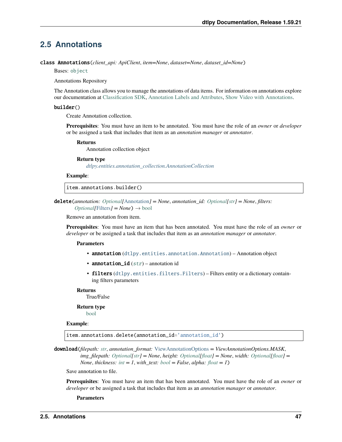# **2.5 Annotations**

class Annotations(*client\_api: ApiClient*, *item=None*, *dataset=None*, *dataset\_id=None*)

Bases: [object](https://docs.python.org/3/library/functions.html#object)

Annotations Repository

The Annotation class allows you to manage the annotations of data items. For information on annotations explore our documentation at [Classification SDK,](https://dataloop.ai/docs/sdk-classify-item) [Annotation Labels and Attributes,](https://dataloop.ai/docs/sdk-annotation-ontology) [Show Video with Annotations.](https://dataloop.ai/docs/sdk-show-videos)

### builder()

Create Annotation collection.

**Prerequisites**: You must have an item to be annotated. You must have the role of an *owner* or *developer* or be assigned a task that includes that item as an *annotation manager* or *annotator*.

#### **Returns**

Annotation collection object

### **Return type**

*[dtlpy.entities.annotation\\_collection.AnnotationCollection](#page-130-0)*

#### **Example**:

item.annotations.builder()

delete(*annotation: [Optional\[](https://docs.python.org/3/library/typing.html#typing.Optional)*[Annotation](#page-124-0)*] = None*, *annotation\_id: [Optional](https://docs.python.org/3/library/typing.html#typing.Optional)[\[str\]](https://docs.python.org/3/library/stdtypes.html#str) = None*, *filters:*  $Optional/Filters *l* = None *l* \rightarrow bool$  $Optional/Filters *l* = None *l* \rightarrow bool$  $Optional/Filters *l* = None *l* \rightarrow bool$  $Optional/Filters *l* = None *l* \rightarrow bool$ 

Remove an annotation from item.

**Prerequisites**: You must have an item that has been annotated. You must have the role of an *owner* or *developer* or be assigned a task that includes that item as an *annotation manager* or *annotator*.

#### **Parameters**

- annotation ([dtlpy.entities.annotation.Annotation](#page-124-0)) Annotation object
- annotation\_id  $(str)$  $(str)$  $(str)$  annotation id
- filters ([dtlpy.entities.filters.Filters](#page-139-0)) Filters entity or a dictionary containing filters parameters

### **Returns**

True/False

#### **Return type**

[bool](https://docs.python.org/3/library/functions.html#bool)

#### **Example**:

item.annotations.delete(annotation\_id='annotation\_id')

download(*filepath: [str](https://docs.python.org/3/library/stdtypes.html#str)*, *annotation\_format:* [ViewAnnotationOptions](#page-129-0) *= ViewAnnotationOptions.MASK*, *img\_filepath: [Optional](https://docs.python.org/3/library/typing.html#typing.Optional)[\[str\]](https://docs.python.org/3/library/stdtypes.html#str) = None*, *height: [Optional\[](https://docs.python.org/3/library/typing.html#typing.Optional)[float\]](https://docs.python.org/3/library/functions.html#float) = None*, *width: [Optional\[](https://docs.python.org/3/library/typing.html#typing.Optional)[float\]](https://docs.python.org/3/library/functions.html#float) = None*, *thickness:*  $int = 1$  $int = 1$ ,  $with\_text: bool = False$  $with\_text: bool = False$  $with\_text: bool = False$ ,  $alpha: float = 1$  $alpha: float = 1$  $alpha: float = 1$ )

Save annotation to file.

**Prerequisites**: You must have an item that has been annotated. You must have the role of an *owner* or *developer* or be assigned a task that includes that item as an *annotation manager* or *annotator*.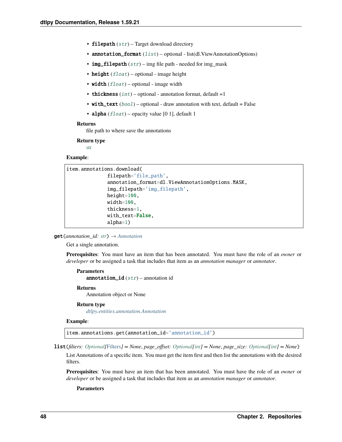- filepath  $(str)$  $(str)$  $(str)$  Target download directory
- annotation\_format  $(list)$  $(list)$  $(list)$  optional list(dl. ViewAnnotationOptions)
- img\_filepath  $(str)$  $(str)$  $(str)$  img file path needed for img\_mask
- height  $(fload)$  optional image height
- width  $(fload)$  optional image width
- thickness  $(int)$  $(int)$  $(int)$  optional annotation format, default =1
- with\_text  $(bool)$  $(bool)$  $(bool)$  optional draw annotation with text, default = False
- alpha  $(f$ loat) opacity value [0 1], default 1

file path to where save the annotations

### **Return type**

[str](https://docs.python.org/3/library/stdtypes.html#str)

#### **Example**:

```
item.annotations.download(
              filepath='file_path',
              annotation_format=dl.ViewAnnotationOptions.MASK,
              img_filepath='img_filepath',
              height=100,
              width=100,
              thickness=1,
              with_text=False,
              alpha=1)
```
get(*annotation\_id: [str](https://docs.python.org/3/library/stdtypes.html#str)*) → *[Annotation](#page-124-0)*

Get a single annotation.

**Prerequisites**: You must have an item that has been annotated. You must have the role of an *owner* or *developer* or be assigned a task that includes that item as an *annotation manager* or *annotator*.

```
Parameters
   annotation_id str) – annotation id
```
#### **Returns**

Annotation object or None

### **Return type**

*[dtlpy.entities.annotation.Annotation](#page-124-0)*

### **Example**:

item.annotations.get(annotation\_id='annotation\_id')

list(*filters: [Optional\[](https://docs.python.org/3/library/typing.html#typing.Optional)*[Filters](#page-139-0)*] = None*, *page\_offset: [Optional\[](https://docs.python.org/3/library/typing.html#typing.Optional)[int\]](https://docs.python.org/3/library/functions.html#int) = None*, *page\_size: [Optional](https://docs.python.org/3/library/typing.html#typing.Optional)[\[int\]](https://docs.python.org/3/library/functions.html#int) = None*)

List Annotations of a specific item. You must get the item first and then list the annotations with the desired filters.

**Prerequisites**: You must have an item that has been annotated. You must have the role of an *owner* or *developer* or be assigned a task that includes that item as an *annotation manager* or *annotator*.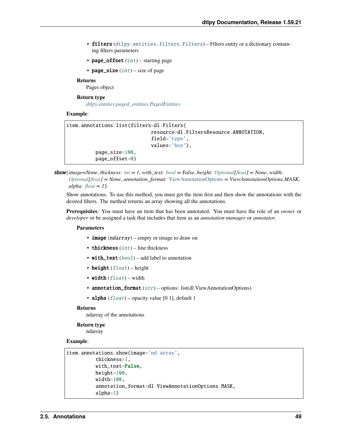- filters ([dtlpy.entities.filters.Filters](#page-139-0)) Filters entity or a dictionary containing filters parameters
- page\_offset  $(int)$  $(int)$  $(int)$  starting page
- page\_size  $(int)$  $(int)$  $(int)$  size of page

Pages object

### **Return type**

*[dtlpy.entities.paged\\_entities.PagedEntities](#page-169-0)*

### **Example**:

```
item.annotations.list(filters=dl.Filters(
                              resource=dl.FiltersResource.ANNOTATION,
                              field='type',
                              values='box'),
          page_size=100,
          page_offset=0)
```
show( $image = None$ ,  $thickness: int = 1$  $thickness: int = 1$  $thickness: int = 1$ ,  $with\_text: book = False$ ,  $height: Optional[float] = None$  $height: Optional[float] = None$  $height: Optional[float] = None$  $height: Optional[float] = None$ ,  $width:$ *[Optional](https://docs.python.org/3/library/typing.html#typing.Optional)[\[float\]](https://docs.python.org/3/library/functions.html#float) = None*, *annotation\_format:* [ViewAnnotationOptions](#page-129-0) *= ViewAnnotationOptions.MASK*,  $alpha:$   $float = 1$  $float = 1$ 

Show annotations. To use this method, you must get the item first and then show the annotations with the desired filters. The method returns an array showing all the annotations.

**Prerequisites**: You must have an item that has been annotated. You must have the role of an *owner* or *developer* or be assigned a task that includes that item as an *annotation manager* or *annotator*.

### **Parameters**

- **image** (*ndarray*) empty or image to draw on
- thickness  $(int)$  $(int)$  $(int)$  line thickness
- with\_text  $(bool)$  $(bool)$  $(bool)$  add label to annotation
- height  $(f$ *loat* $) height$
- width  $(fload)$  width
- annotation\_format  $(str)$  $(str)$  $(str)$  options: list(dl.ViewAnnotationOptions)
- alpha  $(fload)$  opacity value [0 1], default 1

#### **Returns**

ndarray of the annotations

### **Return type**

ndarray

### **Example**:

```
item.annotations.show(image='nd array',
          thickness=1,
          with_text=False,
          height=100,
          width=100,
          annotation_format=dl.ViewAnnotationOptions.MASK,
          alpha=1)
```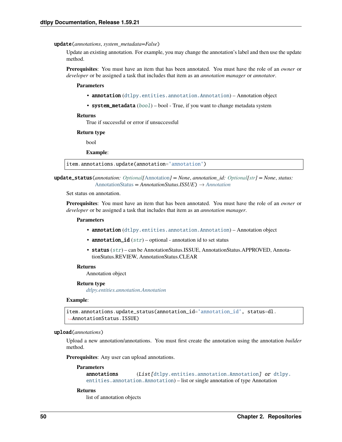#### update(*annotations*, *system\_metadata=False*)

Update an existing annotation. For example, you may change the annotation's label and then use the update method.

**Prerequisites**: You must have an item that has been annotated. You must have the role of an *owner* or *developer* or be assigned a task that includes that item as an *annotation manager* or *annotator*.

#### **Parameters**

- annotation ([dtlpy.entities.annotation.Annotation](#page-124-0)) Annotation object
- system\_metadata  $(boo1)$  [bool](https://docs.python.org/3/library/functions.html#bool) True, if you want to change metadata system

#### **Returns**

True if successful or error if unsuccessful

#### **Return type**

bool

**Example**:

item.annotations.update(annotation='annotation')

update\_status(*annotation: [Optional\[](https://docs.python.org/3/library/typing.html#typing.Optional)*[Annotation](#page-124-0)*] = None*, *annotation\_id: [Optional\[](https://docs.python.org/3/library/typing.html#typing.Optional)[str\]](https://docs.python.org/3/library/stdtypes.html#str) = None*, *status:* [AnnotationStatus](#page-129-1) *= AnnotationStatus.ISSUE*) → *[Annotation](#page-124-0)*

Set status on annotation.

**Prerequisites**: You must have an item that has been annotated. You must have the role of an *owner* or *developer* or be assigned a task that includes that item as an *annotation manager*.

### **Parameters**

- annotation ([dtlpy.entities.annotation.Annotation](#page-124-0)) Annotation object
- annotation\_id  $(str)$  $(str)$  $(str)$  optional annotation id to set status
- status ([str](https://docs.python.org/3/library/stdtypes.html#str)) can be AnnotationStatus.ISSUE, AnnotationStatus.APPROVED, AnnotationStatus.REVIEW, AnnotationStatus.CLEAR

#### **Returns**

Annotation object

### **Return type**

*[dtlpy.entities.annotation.Annotation](#page-124-0)*

#### **Example**:

```
item.annotations.update_status(annotation_id='annotation_id', status=dl.
˓→AnnotationStatus.ISSUE)
```
### upload(*annotations*)

Upload a new annotation/annotations. You must first create the annotation using the annotation *builder* method.

**Prerequisites**: Any user can upload annotations.

#### **Parameters**

```
annotations (dtlpy.entities.annotation.Annotation]dtlpy.
entities.annotation.Annotation) – list or single annotation of type Annotation
```
#### **Returns**

list of annotation objects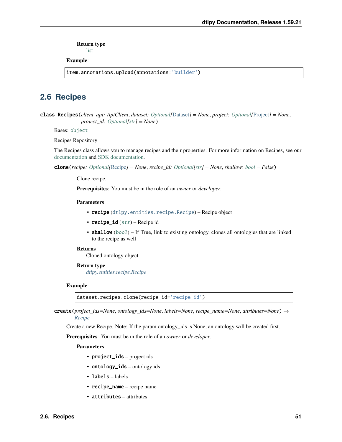**Return type**

[list](https://docs.python.org/3/library/stdtypes.html#list)

### **Example**:

item.annotations.upload(annotations='builder')

# **2.6 Recipes**

class Recipes(*client\_api: ApiClient*, *dataset: [Optional\[](https://docs.python.org/3/library/typing.html#typing.Optional)*[Dataset](#page-110-0)*] = None*, *project: [Optional\[](https://docs.python.org/3/library/typing.html#typing.Optional)*[Project](#page-107-0)*] = None*, *project\_id: [Optional\[](https://docs.python.org/3/library/typing.html#typing.Optional)[str\]](https://docs.python.org/3/library/stdtypes.html#str) = None*)

Bases: [object](https://docs.python.org/3/library/functions.html#object)

Recipes Repository

The Recipes class allows you to manage recipes and their properties. For more information on Recipes, see our [documentation](https://dataloop.ai/docs/ontology) and [SDK documentation.](https://dataloop.ai/docs/sdk-recipe)

clone(*recipe: [Optional\[](https://docs.python.org/3/library/typing.html#typing.Optional)*[Recipe](#page-142-0)*] = None*, *recipe\_id: [Optional\[](https://docs.python.org/3/library/typing.html#typing.Optional)[str\]](https://docs.python.org/3/library/stdtypes.html#str) = None*, *shallow: [bool](https://docs.python.org/3/library/functions.html#bool) = False*)

Clone recipe.

**Prerequisites**: You must be in the role of an *owner* or *developer*.

### **Parameters**

- recipe ([dtlpy.entities.recipe.Recipe](#page-142-0)) Recipe object
- recipe\_id  $(str)$  $(str)$  $(str)$  Recipe id
- shallow ([bool](https://docs.python.org/3/library/functions.html#bool)) If True, link to existing ontology, clones all ontologies that are linked to the recipe as well

### **Returns**

Cloned ontology object

#### **Return type**

*[dtlpy.entities.recipe.Recipe](#page-142-0)*

### **Example**:

dataset.recipes.clone(recipe\_id='recipe\_id')

create(*project\_ids=None*, *ontology\_ids=None*, *labels=None*, *recipe\_name=None*, *attributes=None*) → *[Recipe](#page-142-0)*

Create a new Recipe. Note: If the param ontology\_ids is None, an ontology will be created first.

**Prerequisites**: You must be in the role of an *owner* or *developer*.

- project\_ids project ids
- **ontology\_ids** ontology ids
- labels labels
- recipe\_name recipe name
- attributes attributes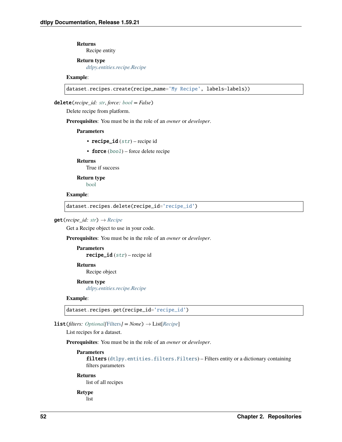**Returns** Recipe entity

### **Return type**

*[dtlpy.entities.recipe.Recipe](#page-142-0)*

### **Example**:

dataset.recipes.create(recipe\_name='My Recipe', labels=labels))

delete(*recipe\_id: [str](https://docs.python.org/3/library/stdtypes.html#str)*, *force: [bool](https://docs.python.org/3/library/functions.html#bool) = False*)

Delete recipe from platform.

**Prerequisites**: You must be in the role of an *owner* or *developer*.

### **Parameters**

- recipe\_id  $(str)$  $(str)$  $(str)$  recipe id
- force  $(bool)$  $(bool)$  $(bool)$  force delete recipe

### **Returns**

True if success

**Return type**

[bool](https://docs.python.org/3/library/functions.html#bool)

### **Example**:

dataset.recipes.delete(recipe\_id='recipe\_id')

### $get(recipe_id: str) \rightarrow Recipe$  $get(recipe_id: str) \rightarrow Recipe$  $get(recipe_id: str) \rightarrow Recipe$  $get(recipe_id: str) \rightarrow Recipe$

Get a Recipe object to use in your code.

**Prerequisites**: You must be in the role of an *owner* or *developer*.

**Parameters**  $\text{recipe\_id}(str)$  $\text{recipe\_id}(str)$  $\text{recipe\_id}(str)$  – recipe id **Returns**

Recipe object

### **Return type**

*[dtlpy.entities.recipe.Recipe](#page-142-0)*

### **Example**:

dataset.recipes.get(recipe\_id='recipe\_id')

**list**(*filters: Optional*[[Filters](#page-139-0)*]* = *None*)  $\rightarrow$  List[*[Recipe](#page-142-0)*]

List recipes for a dataset.

**Prerequisites**: You must be in the role of an *owner* or *developer*.

### **Parameters**

filters ([dtlpy.entities.filters.Filters](#page-139-0)) – Filters entity or a dictionary containing filters parameters

#### **Returns**

list of all recipes

### **Retype** list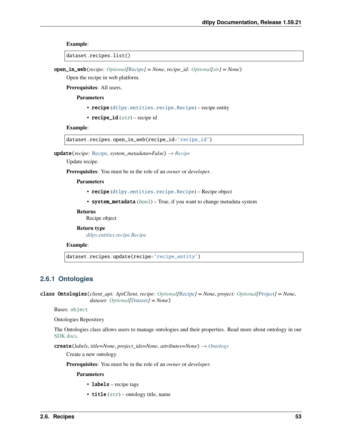### **Example**:

```
dataset.recipes.list()
```
open\_in\_web(*recipe: [Optional\[](https://docs.python.org/3/library/typing.html#typing.Optional)*[Recipe](#page-142-0)*] = None*, *recipe\_id: [Optional\[](https://docs.python.org/3/library/typing.html#typing.Optional)[str\]](https://docs.python.org/3/library/stdtypes.html#str) = None*)

Open the recipe in web platform.

**Prerequisites**: All users.

**Parameters**

- recipe ([dtlpy.entities.recipe.Recipe](#page-142-0)) recipe entity
- recipe\_id  $(str)$  $(str)$  $(str)$  recipe id

### **Example**:

```
dataset.recipes.open_in_web(recipe_id='recipe_id')
```
update(*recipe:* [Recipe,](#page-142-0) *system\_metadata=False*) → *[Recipe](#page-142-0)*

Update recipe.

**Prerequisites**: You must be in the role of an *owner* or *developer*.

**Parameters**

- recipe ([dtlpy.entities.recipe.Recipe](#page-142-0)) Recipe object
- system\_metadata ([bool](https://docs.python.org/3/library/functions.html#bool)) True, if you want to change metadata system

**Returns**

Recipe object

### **Return type**

*[dtlpy.entities.recipe.Recipe](#page-142-0)*

### **Example**:

dataset.recipes.update(recipe='recipe\_entity')

# **2.6.1 Ontologies**

class Ontologies(*client\_api: ApiClient*, *recipe: [Optional\[](https://docs.python.org/3/library/typing.html#typing.Optional)*[Recipe](#page-142-0)*] = None*, *project: [Optional\[](https://docs.python.org/3/library/typing.html#typing.Optional)*[Project](#page-107-0)*] = None*, *dataset: [Optional\[](https://docs.python.org/3/library/typing.html#typing.Optional)*[Dataset](#page-110-0)*] = None*)

Bases: [object](https://docs.python.org/3/library/functions.html#object)

Ontologies Repository

The Ontologies class allows users to manage ontologies and their properties. Read more about ontology in our [SDK docs.](https://dataloop.ai/docs/sdk-ontology)

create(*labels*, *title=None*, *project\_ids=None*, *attributes=None*) → *[Ontology](#page-143-0)*

Create a new ontology.

**Prerequisites**: You must be in the role of an *owner* or *developer*.

- labels recipe tags
- title  $(str)$  $(str)$  $(str)$  ontology title, name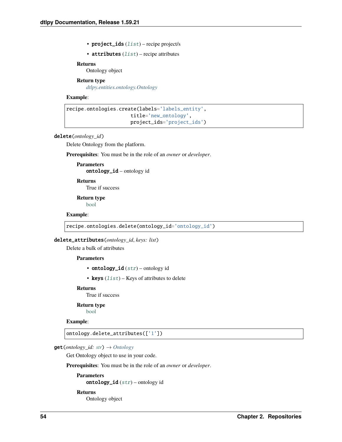• project\_ids  $(list)$  $(list)$  $(list)$  – recipe project/s

• attributes  $(list)$  $(list)$  $(list)$  – recipe attributes

### **Returns**

Ontology object

#### **Return type**

*[dtlpy.entities.ontology.Ontology](#page-143-0)*

### **Example**:

```
recipe.ontologies.create(labels='labels_entity',
                      title='new_ontology',
                      project_ids='project_ids')
```
### delete(*ontology\_id*)

Delete Ontology from the platform.

**Prerequisites**: You must be in the role of an *owner* or *developer*.

### **Parameters** ontology\_id – ontology id

### **Returns**

True if success

### **Return type**

[bool](https://docs.python.org/3/library/functions.html#bool)

### **Example**:

recipe.ontologies.delete(ontology\_id='ontology\_id')

#### delete\_attributes(*ontology\_id*, *keys: list*)

Delete a bulk of attributes

### **Parameters**

- ontology\_id  $(str)$  $(str)$  $(str)$  ontology id
- keys  $(list)$  $(list)$  $(list)$  Keys of attributes to delete

### **Returns**

True if success

### **Return type**

[bool](https://docs.python.org/3/library/functions.html#bool)

# **Example**:

ontology.delete\_attributes(['1'])

### get(*ontology\_id: [str](https://docs.python.org/3/library/stdtypes.html#str)*) → *[Ontology](#page-143-0)*

Get Ontology object to use in your code.

### **Prerequisites**: You must be in the role of an *owner* or *developer*.

### **Parameters** ontology\_id  $(str)$  $(str)$  $(str)$  – ontology id

#### **Returns**

Ontology object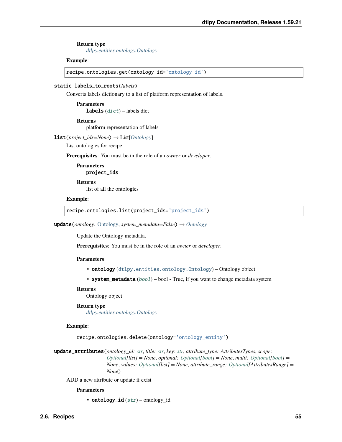### **Return type**

*[dtlpy.entities.ontology.Ontology](#page-143-0)*

### **Example**:

recipe.ontologies.get(ontology\_id='ontology\_id')

### static labels\_to\_roots(*labels*)

Converts labels dictionary to a list of platform representation of labels.

**Parameters labels**  $(dict)$  $(dict)$  $(dict)$  – labels dict

**Returns**

platform representation of labels

list(*project\_ids=None*) → List[*[Ontology](#page-143-0)*]

List ontologies for recipe

**Prerequisites**: You must be in the role of an *owner* or *developer*.

**Parameters** project\_ids –

**Returns** list of all the ontologies

### **Example**:

recipe.ontologies.list(project\_ids='project\_ids')

update(*ontology:* [Ontology,](#page-143-0) *system\_metadata=False*) → *[Ontology](#page-143-0)*

Update the Ontology metadata.

**Prerequisites**: You must be in the role of an *owner* or *developer*.

#### **Parameters**

- ontology ([dtlpy.entities.ontology.Ontology](#page-143-0)) Ontology object
- system\_metadata ([bool](https://docs.python.org/3/library/functions.html#bool)) bool True, if you want to change metadata system

### **Returns**

Ontology object

#### **Return type**

*[dtlpy.entities.ontology.Ontology](#page-143-0)*

### **Example**:

recipe.ontologies.delete(ontology='ontology\_entity')

update\_attributes(*ontology\_id: [str](https://docs.python.org/3/library/stdtypes.html#str)*, *title: [str](https://docs.python.org/3/library/stdtypes.html#str)*, *key: [str](https://docs.python.org/3/library/stdtypes.html#str)*, *attribute\_type: AttributesTypes*, *scope: [Optional\[](https://docs.python.org/3/library/typing.html#typing.Optional)list] = None*, *optional: [Optional](https://docs.python.org/3/library/typing.html#typing.Optional)[\[bool\]](https://docs.python.org/3/library/functions.html#bool) = None*, *multi: [Optional\[](https://docs.python.org/3/library/typing.html#typing.Optional)[bool\]](https://docs.python.org/3/library/functions.html#bool) = None*, *values: [Optional\[](https://docs.python.org/3/library/typing.html#typing.Optional)list] = None*, *attribute\_range: [Optional\[](https://docs.python.org/3/library/typing.html#typing.Optional)AttributesRange] = None*)

ADD a new attribute or update if exist

#### **Parameters**

• ontology\_id  $(str)$  $(str)$  $(str)$  – ontology\_id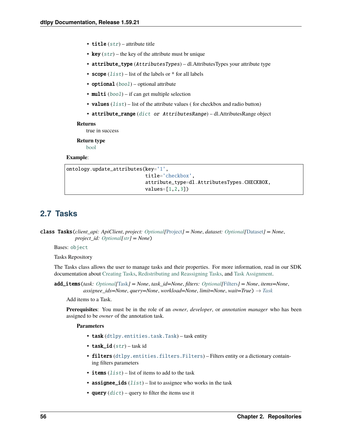- title  $(str)$  $(str)$  $(str)$  attribute title
- key  $(str)$  $(str)$  $(str)$  the key of the attribute must br unique
- attribute\_type (AttributesTypes) dl.AttributesTypes your attribute type
- scope  $(list)$  $(list)$  $(list)$  list of the labels or  $*$  for all labels
- optional  $(bool)$  $(bool)$  $(bool)$  optional attribute
- multi  $(bool)$  $(bool)$  $(bool)$  if can get multiple selection
- values  $(list)$  $(list)$  $(list)$  list of the attribute values (for checkbox and radio button)
- attribute\_range ([dict](https://docs.python.org/3/library/stdtypes.html#dict) or AttributesRange) dl.AttributesRange object

true in success

### **Return type**

[bool](https://docs.python.org/3/library/functions.html#bool)

### **Example**:

```
ontology.update_attributes(key='1',
                           title='checkbox',
                           attribute_type=dl.AttributesTypes.CHECKBOX,
                           values=[1,2,3])
```
# **2.7 Tasks**

class Tasks(*client\_api: ApiClient*, *project: [Optional\[](https://docs.python.org/3/library/typing.html#typing.Optional)*[Project](#page-107-0)*] = None*, *dataset: [Optional\[](https://docs.python.org/3/library/typing.html#typing.Optional)*[Dataset](#page-110-0)*] = None*, *project\_id: [Optional](https://docs.python.org/3/library/typing.html#typing.Optional)[\[str\]](https://docs.python.org/3/library/stdtypes.html#str) = None*)

Bases: [object](https://docs.python.org/3/library/functions.html#object)

Tasks Repository

The Tasks class allows the user to manage tasks and their properties. For more information, read in our SDK documentation about [Creating Tasks,](https://dataloop.ai/docs/sdk-create-task) [Redistributing and Reassigning Tasks,](https://dataloop.ai/docs/sdk-redistribute-task) and [Task Assignment.](https://dataloop.ai/docs/sdk-task-assigment)

add\_items(*task: [Optional\[](https://docs.python.org/3/library/typing.html#typing.Optional)*[Task](#page-147-0)*] = None*, *task\_id=None*, *filters: [Optional\[](https://docs.python.org/3/library/typing.html#typing.Optional)*[Filters](#page-139-0)*] = None*, *items=None*, *assignee\_ids=None*, *query=None*, *workload=None*, *limit=None*, *wait=True*) → *[Task](#page-147-0)*

Add items to a Task.

**Prerequisites**: You must be in the role of an *owner*, *developer*, or *annotation manager* who has been assigned to be *owner* of the annotation task.

- task ([dtlpy.entities.task.Task](#page-147-0)) task entity
- task\_id  $(str)$  $(str)$  $(str)$  task id
- filters ([dtlpy.entities.filters.Filters](#page-139-0)) Filters entity or a dictionary containing filters parameters
- items  $(list)$  $(list)$  $(list)$  list of items to add to the task
- assignee\_ids  $(list)$  $(list)$  $(list)$  list to assignee who works in the task
- query  $(dict)$  $(dict)$  $(dict)$  query to filter the items use it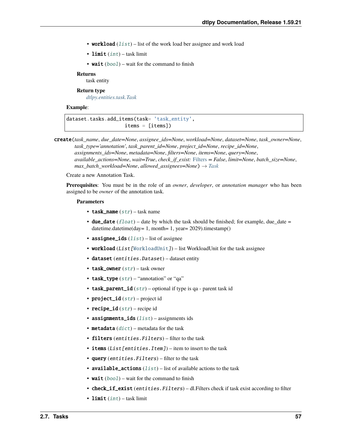- workload  $(list)$  $(list)$  $(list)$  list of the work load ber assignee and work load
- limit  $(int)$  $(int)$  $(int)$  task limit
- wait  $(bool)$  $(bool)$  $(bool)$  wait for the command to finish

task entity

**Return type**

*[dtlpy.entities.task.Task](#page-147-0)*

### **Example**:

dataset.tasks.add\_items(task= 'task\_entity', items = [items])

create(*task\_name*, *due\_date=None*, *assignee\_ids=None*, *workload=None*, *dataset=None*, *task\_owner=None*, *task\_type='annotation'*, *task\_parent\_id=None*, *project\_id=None*, *recipe\_id=None*, *assignments\_ids=None*, *metadata=None*, *filters=None*, *items=None*, *query=None*, *available\_actions=None*, *wait=True*, *check\_if\_exist:* [Filters](#page-139-0) *= False*, *limit=None*, *batch\_size=None*, *max\_batch\_workload=None*, *allowed\_assignees=None*) → *[Task](#page-147-0)*

Create a new Annotation Task.

**Prerequisites**: You must be in the role of an *owner*, *developer*, or *annotation manager* who has been assigned to be *owner* of the annotation task.

- task\_name  $(str)$  $(str)$  $(str)$  task name
- due\_date  $(flost)$  date by which the task should be finished; for example, due date = datetime.datetime(day= 1, month= 1, year= 2029).timestamp()
- assignee\_ids  $(list)$  $(list)$  $(list)$  list of assignee
- workload (List [[WorkloadUnit](#page-152-0)]) list WorkloadUnit for the task assignee
- dataset (entities.Dataset) dataset entity
- task\_owner  $(str)$  $(str)$  $(str)$  task owner
- task\_type  $(str)$  $(str)$  $(str)$  "annotation" or "qa"
- task\_parent\_id  $(str)$  $(str)$  $(str)$  optional if type is qa parent task id
- project\_id  $(str)$  $(str)$  $(str)$  project id
- recipe\_id  $(str)$  $(str)$  $(str)$  recipe id
- assignments\_ids  $(list)$  $(list)$  $(list)$  assignments ids
- metadata  $(dict)$  $(dict)$  $(dict)$  metadata for the task
- filters (entities. Filters) filter to the task
- items (List [entities. Item]) item to insert to the task
- query (entities. Filters) filter to the task
- available\_actions  $(list)$  $(list)$  $(list)$  list of available actions to the task
- wait  $(bool)$  $(bool)$  $(bool)$  wait for the command to finish
- **check\_if\_exist** (entities. Filters) dl. Filters check if task exist according to filter
- limit  $(int)$  $(int)$  $(int)$  task limit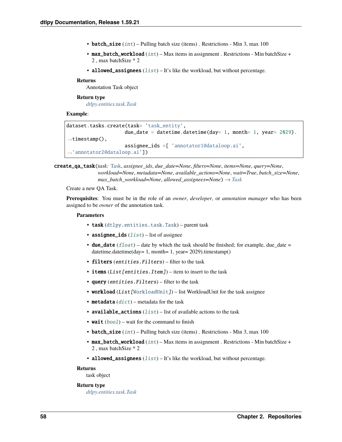- batch\_size  $(int)$  $(int)$  $(int)$  Pulling batch size (items). Restrictions Min 3, max 100
- max\_batch\_workload  $(int)$  $(int)$  $(int)$  Max items in assignment . Restrictions Min batchSize + 2 , max batchSize \* 2
- allowed\_assignees  $(list) It's like the workload, but without percentage.$  $(list) It's like the workload, but without percentage.$  $(list) It's like the workload, but without percentage.$

Annotation Task object

### **Return type**

*[dtlpy.entities.task.Task](#page-147-0)*

### **Example**:

```
dataset.tasks.create(task= 'task_entity',
                     due_date = datetime.datetime(day= 1, month= 1, year= 2029).
\rightarrowtimestamp(),
                     assignee_ids =[ 'annotator1@dataloop.ai',
 ˓→'annotator2@dataloop.ai'])
```
create\_qa\_task(*task:* [Task,](#page-147-0) *assignee\_ids*, *due\_date=None*, *filters=None*, *items=None*, *query=None*, *workload=None*, *metadata=None*, *available\_actions=None*, *wait=True*, *batch\_size=None*, *max\_batch\_workload=None, allowed\_assignees=None*)  $\rightarrow$  *[Task](#page-147-0)* 

Create a new QA Task.

**Prerequisites**: You must be in the role of an *owner*, *developer*, or *annotation manager* who has been assigned to be *owner* of the annotation task.

### **Parameters**

- task ([dtlpy.entities.task.Task](#page-147-0)) parent task
- assignee\_ids  $(list)$  $(list)$  $(list)$  list of assignee
- due\_date  $(fload)$  date by which the task should be finished; for example, due\_date = datetime.datetime(day= 1, month= 1, year= 2029).timestamp()
- **filters** (entities. Filters) filter to the task
- items  $(List[entities.Hem])$  item to insert to the task
- query (entities. Filters) filter to the task
- workload (List [[WorkloadUnit](#page-152-0)]) list WorkloadUnit for the task assignee
- metadata  $(dict)$  $(dict)$  $(dict)$  metadata for the task
- available\_actions  $(list)$  $(list)$  $(list)$  list of available actions to the task
- wait  $(bool)$  $(bool)$  $(bool)$  wait for the command to finish
- batch\_size  $(int)$  $(int)$  $(int)$  Pulling batch size (items). Restrictions Min 3, max 100
- max\_batch\_workload  $(int)$  $(int)$  $(int)$  Max items in assignment . Restrictions Min batchSize + 2 , max batchSize \* 2
- allowed\_assignees  $(list) It's like the workload, but without percentage.$  $(list) It's like the workload, but without percentage.$  $(list) It's like the workload, but without percentage.$

#### **Returns**

task object

### **Return type**

*[dtlpy.entities.task.Task](#page-147-0)*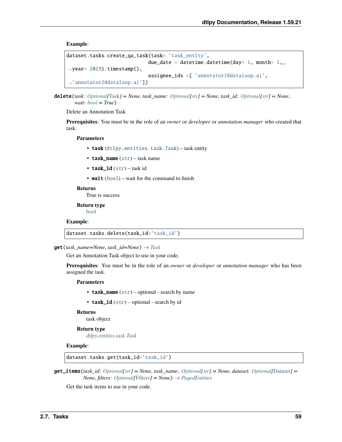**Example**:

```
dataset.tasks.create_qa_task(task= 'task_entity',
                             due_date = datetime.datetime(day= 1, month= 1, □\rightarrowyear= 2029).timestamp(),
                             assignee_ids =[ 'annotator1@dataloop.ai',
  'annotator2@dataloop.ai'])
```

```
delete(task: Optional[Task] = None, task_name: Optional[str] = None, task_id: Optional[str] = None,
        wait: bool = True)
```
Delete an Annotation Task.

**Prerequisites**: You must be in the role of an *owner* or *developer* or *annotation manager* who created that task.

**Parameters**

- task ([dtlpy.entities.task.Task](#page-147-0)) task entity
- task\_name  $(str)$  $(str)$  $(str)$  task name
- task\_id  $(str)$  $(str)$  $(str)$  task id
- wait  $(bool)$  $(bool)$  $(bool)$  wait for the command to finish

#### **Returns**

True is success

**Return type** [bool](https://docs.python.org/3/library/functions.html#bool)

**Example**:

dataset.tasks.delete(task\_id='task\_id')

 $get(task_name=None, task_id=None) \rightarrow Task$  $get(task_name=None, task_id=None) \rightarrow Task$ 

Get an Annotation Task object to use in your code.

**Prerequisites**: You must be in the role of an *owner* or *developer* or *annotation manager* who has been assigned the task.

**Parameters**

- task\_name  $(str)$  $(str)$  $(str)$  optional search by name
- task\_id  $(str)$  $(str)$  $(str)$  optional search by id

#### **Returns**

task object

**Return type**

*[dtlpy.entities.task.Task](#page-147-0)*

**Example**:

dataset.tasks.get(task\_id='task\_id')

get\_items(*task\_id: [Optional\[](https://docs.python.org/3/library/typing.html#typing.Optional)[str\]](https://docs.python.org/3/library/stdtypes.html#str) = None*, *task\_name: [Optional](https://docs.python.org/3/library/typing.html#typing.Optional)[\[str\]](https://docs.python.org/3/library/stdtypes.html#str) = None*, *dataset: [Optional\[](https://docs.python.org/3/library/typing.html#typing.Optional)*[Dataset](#page-110-0)*] = None*, *filters: Optional* [[Filters](#page-139-0)] = *None*  $) \rightarrow$  *[PagedEntities](#page-169-0)* 

Get the task items to use in your code.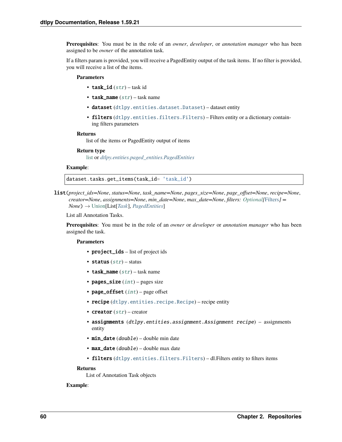**Prerequisites**: You must be in the role of an *owner*, *developer*, or *annotation manager* who has been assigned to be *owner* of the annotation task.

If a filters param is provided, you will receive a PagedEntity output of the task items. If no filter is provided, you will receive a list of the items.

### **Parameters**

- task\_id  $(str)$  $(str)$  $(str)$  task id
- task\_name  $(str)$  $(str)$  $(str)$  task name
- dataset ([dtlpy.entities.dataset.Dataset](#page-110-0)) dataset entity
- filters ([dtlpy.entities.filters.Filters](#page-139-0)) Filters entity or a dictionary containing filters parameters

#### **Returns**

list of the items or PagedEntity output of items

### **Return type**

[list](https://docs.python.org/3/library/stdtypes.html#list) or *[dtlpy.entities.paged\\_entities.PagedEntities](#page-169-0)*

### **Example**:

dataset.tasks.get\_items(task\_id= 'task\_id')

list(*project\_ids=None*, *status=None*, *task\_name=None*, *pages\_size=None*, *page\_offset=None*, *recipe=None*, *creator=None*, *assignments=None*, *min\_date=None*, *max\_date=None*, *filters: [Optional\[](https://docs.python.org/3/library/typing.html#typing.Optional)*[Filters](#page-139-0)*] = None*) → [Union\[](https://docs.python.org/3/library/typing.html#typing.Union)List[*[Task](#page-147-0)*], *[PagedEntities](#page-169-0)*]

List all Annotation Tasks.

**Prerequisites**: You must be in the role of an *owner* or *developer* or *annotation manager* who has been assigned the task.

### **Parameters**

- project\_ids list of project ids
- status  $(str)$  $(str)$  $(str)$  status
- task\_name  $(str)$  $(str)$  $(str)$  task name
- pages\_size  $(int)$  $(int)$  $(int)$  pages size
- page\_offset  $(int)$  $(int)$  $(int)$  page offset
- recipe ([dtlpy.entities.recipe.Recipe](#page-142-0)) recipe entity
- creator  $(str)$  $(str)$  $(str)$  creator
- assignments (dtlpy.entities.assignment.Assignment recipe) assignments entity
- $min\_date$  (*double*) double min date
- $max_data(double) double max date$
- filters ([dtlpy.entities.filters.Filters](#page-139-0)) dl.Filters entity to filters items

### **Returns**

List of Annotation Task objects

#### **Example**: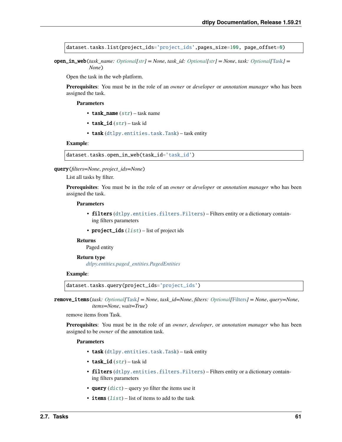dataset.tasks.list(project\_ids='project\_ids',pages\_size=100, page\_offset=0)

open\_in\_web(*task\_name: [Optional](https://docs.python.org/3/library/typing.html#typing.Optional)[\[str\]](https://docs.python.org/3/library/stdtypes.html#str) = None*, *task\_id: [Optional\[](https://docs.python.org/3/library/typing.html#typing.Optional)[str\]](https://docs.python.org/3/library/stdtypes.html#str) = None*, *task: [Optional\[](https://docs.python.org/3/library/typing.html#typing.Optional)*[Task](#page-147-0)*] = None*)

Open the task in the web platform.

**Prerequisites**: You must be in the role of an *owner* or *developer* or *annotation manager* who has been assigned the task.

#### **Parameters**

- task\_name  $(str)$  $(str)$  $(str)$  task name
- task\_id  $(str)$  $(str)$  $(str)$  task id
- task ([dtlpy.entities.task.Task](#page-147-0)) task entity

### **Example**:

```
dataset.tasks.open_in_web(task_id='task_id')
```
### query(*filters=None*, *project\_ids=None*)

List all tasks by filter.

**Prerequisites**: You must be in the role of an *owner* or *developer* or *annotation manager* who has been assigned the task.

### **Parameters**

- filters ([dtlpy.entities.filters.Filters](#page-139-0)) Filters entity or a dictionary containing filters parameters
- project\_ids  $(list)$  $(list)$  $(list)$  list of project ids

### **Returns**

Paged entity

### **Return type** *[dtlpy.entities.paged\\_entities.PagedEntities](#page-169-0)*

#### **Example**:

dataset.tasks.query(project\_ids='project\_ids')

remove\_items(*task: [Optional\[](https://docs.python.org/3/library/typing.html#typing.Optional)*[Task](#page-147-0)*] = None*, *task\_id=None*, *filters: [Optional\[](https://docs.python.org/3/library/typing.html#typing.Optional)*[Filters](#page-139-0)*] = None*, *query=None*, *items=None*, *wait=True*)

remove items from Task.

**Prerequisites**: You must be in the role of an *owner*, *developer*, or *annotation manager* who has been assigned to be *owner* of the annotation task.

- task ([dtlpy.entities.task.Task](#page-147-0)) task entity
- task\_id  $(str)$  $(str)$  $(str)$  task id
- filters ([dtlpy.entities.filters.Filters](#page-139-0)) Filters entity or a dictionary containing filters parameters
- query  $(dict)$  $(dict)$  $(dict)$  query yo filter the items use it
- items  $(list)$  $(list)$  $(list)$  list of items to add to the task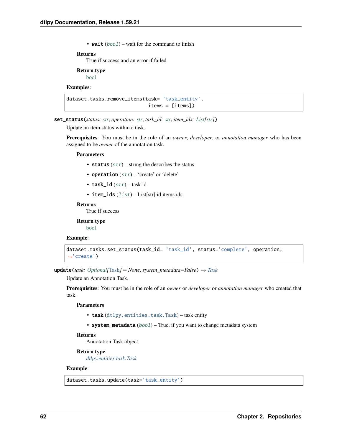• wait  $(bool)$  $(bool)$  $(bool)$  – wait for the command to finish

#### **Returns**

True if success and an error if failed

### **Return type**

[bool](https://docs.python.org/3/library/functions.html#bool)

### **Examples**:

```
dataset.tasks.remove_items(task= 'task_entity',
                            items = [items])
```
set\_status(*status: [str](https://docs.python.org/3/library/stdtypes.html#str)*, *operation: [str](https://docs.python.org/3/library/stdtypes.html#str)*, *task\_id: [str](https://docs.python.org/3/library/stdtypes.html#str)*, *item\_ids: [List](https://docs.python.org/3/library/typing.html#typing.List)[\[str\]](https://docs.python.org/3/library/stdtypes.html#str)*)

Update an item status within a task.

**Prerequisites**: You must be in the role of an *owner*, *developer*, or *annotation manager* who has been assigned to be *owner* of the annotation task.

#### **Parameters**

- status  $(str)$  $(str)$  $(str)$  string the describes the status
- operation  $(str)$  $(str)$  $(str)$  'create' or 'delete'
- task\_id  $(str)$  $(str)$  $(str)$  task id
- item\_ids  $(list)$  $(list)$  $(list)$  List[str] id items ids

#### **Returns**

True if success

**Return type** [bool](https://docs.python.org/3/library/functions.html#bool)

### **Example**:

```
dataset.tasks.set_status(task_id= 'task_id', status='complete', operation=
˓→'create')
```
update(*task: [Optional\[](https://docs.python.org/3/library/typing.html#typing.Optional)*[Task](#page-147-0)*] = None*, *system\_metadata=False*) → *[Task](#page-147-0)*

Update an Annotation Task.

**Prerequisites**: You must be in the role of an *owner* or *developer* or *annotation manager* who created that task.

#### **Parameters**

- task ([dtlpy.entities.task.Task](#page-147-0)) task entity
- system\_metadata ([bool](https://docs.python.org/3/library/functions.html#bool)) True, if you want to change metadata system

### **Returns**

Annotation Task object

#### **Return type**

*[dtlpy.entities.task.Task](#page-147-0)*

### **Example**:

dataset.tasks.update(task='task\_entity')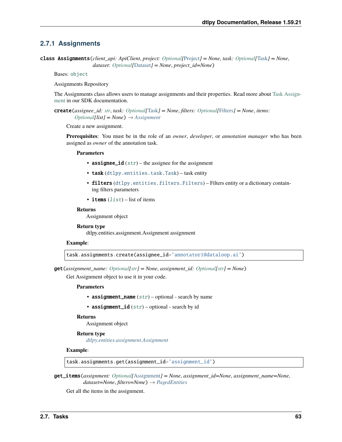# **2.7.1 Assignments**

class Assignments(*client\_api: ApiClient*, *project: [Optional\[](https://docs.python.org/3/library/typing.html#typing.Optional)*[Project](#page-107-0)*] = None*, *task: [Optional\[](https://docs.python.org/3/library/typing.html#typing.Optional)*[Task](#page-147-0)*] = None*, *dataset: [Optional\[](https://docs.python.org/3/library/typing.html#typing.Optional)*[Dataset](#page-110-0)*] = None*, *project\_id=None*)

Bases: [object](https://docs.python.org/3/library/functions.html#object)

Assignments Repository

The Assignments class allows users to manage assignments and their properties. Read more about [Task Assign](https://dataloop.ai/docs/sdk-task-assigment)[ment](https://dataloop.ai/docs/sdk-task-assigment) in our SDK documentation.

create(*assignee\_id: [str](https://docs.python.org/3/library/stdtypes.html#str)*, *task: [Optional\[](https://docs.python.org/3/library/typing.html#typing.Optional)*[Task](#page-147-0)*] = None*, *filters: [Optional\[](https://docs.python.org/3/library/typing.html#typing.Optional)*[Filters](#page-139-0)*] = None*, *items:*  $Optional[list] = None$  $Optional[list] = None$   $\rightarrow$  *[Assignment](#page-150-0)* 

Create a new assignment.

**Prerequisites**: You must be in the role of an *owner*, *developer*, or *annotation manager* who has been assigned as *owner* of the annotation task.

#### **Parameters**

- assignee\_id  $(str)$  $(str)$  $(str)$  the assignee for the assignment
- task ([dtlpy.entities.task.Task](#page-147-0)) task entity
- filters ([dtlpy.entities.filters.Filters](#page-139-0)) Filters entity or a dictionary containing filters parameters
- items  $(list)$  $(list)$  $(list)$  list of items

### **Returns**

Assignment object

### **Return type**

dtlpy.entities.assignment.Assignment assignment

### **Example**:

task.assignments.create(assignee\_id='annotator1@dataloop.ai')

get(*assignment\_name: [Optional](https://docs.python.org/3/library/typing.html#typing.Optional)[\[str\]](https://docs.python.org/3/library/stdtypes.html#str) = None*, *assignment\_id: [Optional](https://docs.python.org/3/library/typing.html#typing.Optional)[\[str\]](https://docs.python.org/3/library/stdtypes.html#str) = None*)

Get Assignment object to use it in your code.

#### **Parameters**

- assignment\_name  $(str)$  $(str)$  $(str)$  optional search by name
- assignment\_id  $(str)$  $(str)$  $(str)$  optional search by id

### **Returns**

Assignment object

#### **Return type**

*[dtlpy.entities.assignment.Assignment](#page-150-0)*

### **Example**:

task.assignments.get(assignment\_id='assignment\_id')

get\_items(*assignment: [Optional\[](https://docs.python.org/3/library/typing.html#typing.Optional)*[Assignment](#page-150-0)*] = None*, *assignment\_id=None*, *assignment\_name=None*, *dataset=None*, *filters=None*) → *[PagedEntities](#page-169-0)*

Get all the items in the assignment.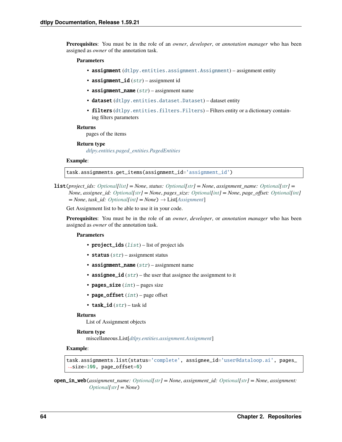**Prerequisites**: You must be in the role of an *owner*, *developer*, or *annotation manager* who has been assigned as *owner* of the annotation task.

### **Parameters**

- assignment ([dtlpy.entities.assignment.Assignment](#page-150-0)) assignment entity
- assignment\_id  $(str)$  $(str)$  $(str)$  assignment id
- assignment\_name  $(str)$  $(str)$  $(str)$  assignment name
- dataset ([dtlpy.entities.dataset.Dataset](#page-110-0)) dataset entity
- filters ([dtlpy.entities.filters.Filters](#page-139-0)) Filters entity or a dictionary containing filters parameters

#### **Returns**

pages of the items

#### **Return type**

*[dtlpy.entities.paged\\_entities.PagedEntities](#page-169-0)*

### **Example**:

task.assignments.get\_items(assignment\_id='assignment\_id')

list(*project\_ids: [Optional\[](https://docs.python.org/3/library/typing.html#typing.Optional)[list\]](https://docs.python.org/3/library/stdtypes.html#list) = None*, *status: [Optional\[](https://docs.python.org/3/library/typing.html#typing.Optional)[str\]](https://docs.python.org/3/library/stdtypes.html#str) = None*, *assignment\_name: [Optional\[](https://docs.python.org/3/library/typing.html#typing.Optional)[str\]](https://docs.python.org/3/library/stdtypes.html#str) = None*, *assignee\_id: [Optional\[](https://docs.python.org/3/library/typing.html#typing.Optional)[str\]](https://docs.python.org/3/library/stdtypes.html#str) = None*, *pages\_size: [Optional\[](https://docs.python.org/3/library/typing.html#typing.Optional)[int\]](https://docs.python.org/3/library/functions.html#int) = None*, *page\_offset: [Optional\[](https://docs.python.org/3/library/typing.html#typing.Optional)[int\]](https://docs.python.org/3/library/functions.html#int)*  $= None, task\_id: Optional(int] = None) \rightarrow List[Assignment]$  $= None, task\_id: Optional(int] = None) \rightarrow List[Assignment]$  $= None, task\_id: Optional(int] = None) \rightarrow List[Assignment]$  $= None, task\_id: Optional(int] = None) \rightarrow List[Assignment]$  $= None, task\_id: Optional(int] = None) \rightarrow List[Assignment]$ 

Get Assignment list to be able to use it in your code.

**Prerequisites**: You must be in the role of an *owner*, *developer*, or *annotation manager* who has been assigned as *owner* of the annotation task.

#### **Parameters**

- project\_ids  $(list)$  $(list)$  $(list)$  list of project ids
- status  $(str)$  $(str)$  $(str)$  assignment status
- assignment\_name  $(str)$  $(str)$  $(str)$  assignment name
- assignee\_id  $(str)$  $(str)$  $(str)$  the user that assignee the assignment to it
- pages\_size  $(int)$  $(int)$  $(int)$  pages size
- page\_offset  $(int)$  $(int)$  $(int)$  page offset
- task  $id (str) task id$  $id (str) task id$  $id (str) task id$

#### **Returns**

List of Assignment objects

### **Return type**

miscellaneous.List[*[dtlpy.entities.assignment.Assignment](#page-150-0)*]

### **Example**:

```
task.assignments.list(status='complete', assignee_id='user@dataloop.ai', pages_
˓→size=100, page_offset=0)
```
open\_in\_web(*assignment\_name: [Optional\[](https://docs.python.org/3/library/typing.html#typing.Optional)[str\]](https://docs.python.org/3/library/stdtypes.html#str) = None*, *assignment\_id: [Optional](https://docs.python.org/3/library/typing.html#typing.Optional)[\[str\]](https://docs.python.org/3/library/stdtypes.html#str) = None*, *assignment: [Optional\[](https://docs.python.org/3/library/typing.html#typing.Optional)[str\]](https://docs.python.org/3/library/stdtypes.html#str) = None*)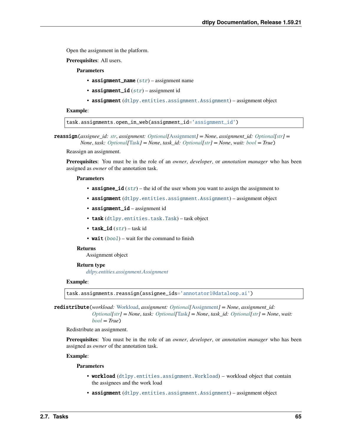Open the assignment in the platform.

**Prerequisites**: All users.

**Parameters**

- assignment\_name  $(str)$  $(str)$  $(str)$  assignment name
- assignment\_id  $(str)$  $(str)$  $(str)$  assignment id
- assignment ([dtlpy.entities.assignment.Assignment](#page-150-0)) assignment object

**Example**:

task.assignments.open\_in\_web(assignment\_id='assignment\_id')

reassign(*assignee\_id: [str](https://docs.python.org/3/library/stdtypes.html#str)*, *assignment: [Optional\[](https://docs.python.org/3/library/typing.html#typing.Optional)*[Assignment](#page-150-0)*] = None*, *assignment\_id: [Optional\[](https://docs.python.org/3/library/typing.html#typing.Optional)[str\]](https://docs.python.org/3/library/stdtypes.html#str) = None*, *task: [Optional\[](https://docs.python.org/3/library/typing.html#typing.Optional)*[Task](#page-147-0)*] = None*, *task\_id: [Optional](https://docs.python.org/3/library/typing.html#typing.Optional)[\[str\]](https://docs.python.org/3/library/stdtypes.html#str) = None*, *wait: [bool](https://docs.python.org/3/library/functions.html#bool) = True*)

Reassign an assignment.

**Prerequisites**: You must be in the role of an *owner*, *developer*, or *annotation manager* who has been assigned as *owner* of the annotation task.

#### **Parameters**

- assignee\_id  $(str)$  $(str)$  $(str)$  the id of the user whom you want to assign the assignment to
- assignment ([dtlpy.entities.assignment.Assignment](#page-150-0)) assignment object
- assignment\_id assignment id
- task ([dtlpy.entities.task.Task](#page-147-0)) task object
- task\_id  $(str)$  $(str)$  $(str)$  task id
- wait  $(bool)$  $(bool)$  $(bool)$  wait for the command to finish

### **Returns**

Assignment object

### **Return type**

*[dtlpy.entities.assignment.Assignment](#page-150-0)*

#### **Example**:

task.assignments.reassign(assignee\_ids='annotator1@dataloop.ai')

redistribute(*workload:* [Workload,](#page-152-1) *assignment: [Optional\[](https://docs.python.org/3/library/typing.html#typing.Optional)*[Assignment](#page-150-0)*] = None*, *assignment\_id: [Optional](https://docs.python.org/3/library/typing.html#typing.Optional)[\[str\]](https://docs.python.org/3/library/stdtypes.html#str) = None*, *task: [Optional\[](https://docs.python.org/3/library/typing.html#typing.Optional)*[Task](#page-147-0)*] = None*, *task\_id: [Optional](https://docs.python.org/3/library/typing.html#typing.Optional)[\[str\]](https://docs.python.org/3/library/stdtypes.html#str) = None*, *wait:*

Redistribute an assignment.

*[bool](https://docs.python.org/3/library/functions.html#bool) = True*)

**Prerequisites**: You must be in the role of an *owner*, *developer*, or *annotation manager* who has been assigned as *owner* of the annotation task.

### **Example**:

- workload ([dtlpy.entities.assignment.Workload](#page-152-1)) workload object that contain the assignees and the work load
- assignment ([dtlpy.entities.assignment.Assignment](#page-150-0)) assignment object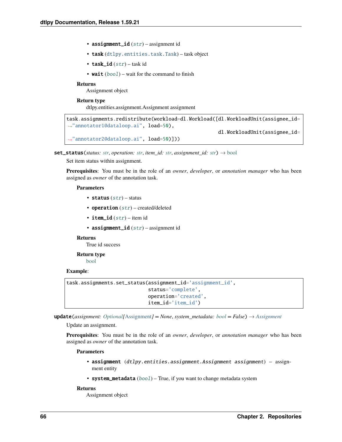- assignment\_id  $(str)$  $(str)$  $(str)$  assignment id
- task ([dtlpy.entities.task.Task](#page-147-0)) task object
- task\_id  $(str)$  $(str)$  $(str)$  task id
- wait  $(bool)$  $(bool)$  $(bool)$  wait for the command to finish

Assignment object

### **Return type**

dtlpy.entities.assignment.Assignment assignment

```
task.assignments.redistribute(workload=dl.Workload([dl.WorkloadUnit(assignee_id=
˓→"annotator1@dataloop.ai", load=50),
                                                    dl.WorkloadUnit(assignee_id=
˓→"annotator2@dataloop.ai", load=50)]))
```
set\_status(*status: [str](https://docs.python.org/3/library/stdtypes.html#str)*, *operation: [str](https://docs.python.org/3/library/stdtypes.html#str)*, *item\_id: [str](https://docs.python.org/3/library/stdtypes.html#str)*, *assignment\_id: [str](https://docs.python.org/3/library/stdtypes.html#str)*) → [bool](https://docs.python.org/3/library/functions.html#bool)

Set item status within assignment.

**Prerequisites**: You must be in the role of an *owner*, *developer*, or *annotation manager* who has been assigned as *owner* of the annotation task.

### **Parameters**

- status  $(str)$  $(str)$  $(str)$  status
- operation  $(str)$  $(str)$  $(str)$  created/deleted
- item\_id  $(str)$  $(str)$  $(str)$  item id
- assignment\_id  $(str)$  $(str)$  $(str)$  assignment id

#### **Returns**

True id success

## **Return type**

[bool](https://docs.python.org/3/library/functions.html#bool)

### **Example**:

```
task.assignments.set_status(assignment_id='assignment_id',
                            status='complete',
                            operation='created',
                            item_id='item_id')
```
update(*assignment: [Optional\[](https://docs.python.org/3/library/typing.html#typing.Optional)*[Assignment](#page-150-0)*] = None*, *system\_metadata: [bool](https://docs.python.org/3/library/functions.html#bool) = False*) → *[Assignment](#page-150-0)*

Update an assignment.

**Prerequisites**: You must be in the role of an *owner*, *developer*, or *annotation manager* who has been assigned as *owner* of the annotation task.

#### **Parameters**

- assignment (dtlpy.entities.assignment.Assignment assignment) assignment entity
- system\_metadata ([bool](https://docs.python.org/3/library/functions.html#bool)) True, if you want to change metadata system

#### **Returns**

Assignment object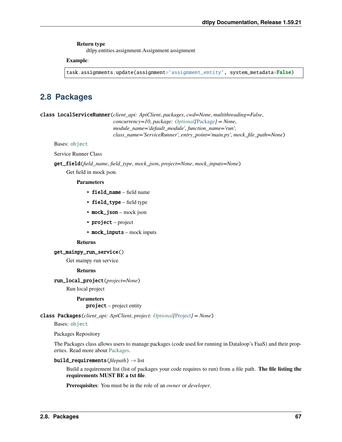### **Return type**

dtlpy.entities.assignment.Assignment assignment

### **Example**:

task.assignments.update(assignment='assignment\_entity', system\_metadata=False)

# **2.8 Packages**

class LocalServiceRunner(*client\_api: ApiClient*, *packages*, *cwd=None*, *multithreading=False*, *concurrency=10*, *package: [Optional\[](https://docs.python.org/3/library/typing.html#typing.Optional)*[Package](#page-153-0)*] = None*, *module\_name='default\_module'*, *function\_name='run'*, *class\_name='ServiceRunner'*, *entry\_point='main.py'*, *mock\_file\_path=None*)

Bases: [object](https://docs.python.org/3/library/functions.html#object)

Service Runner Class

get\_field(*field\_name*, *field\_type*, *mock\_json*, *project=None*, *mock\_inputs=None*) Get field in mock json.

# **Parameters**

- field name field name
- field\_type field type
- mock\_json mock json
- project project
- mock\_inputs mock inputs

## **Returns**

get\_mainpy\_run\_service()

Get mainpy run service

### **Returns**

run\_local\_project(*project=None*)

Run local project

### **Parameters**

project – project entity

class Packages(*client\_api: ApiClient*, *project: [Optional\[](https://docs.python.org/3/library/typing.html#typing.Optional)*[Project](#page-107-0)*] = None*)

Bases: [object](https://docs.python.org/3/library/functions.html#object)

Packages Repository

The Packages class allows users to manage packages (code used for running in Dataloop's FaaS) and their properties. Read more about [Packages.](https://dataloop.ai/docs/faas-package)

build\_requirements(*filepath*) → list

Build a requirement list (list of packages your code requires to run) from a file path. **The file listing the requirements MUST BE a txt file**.

**Prerequisites**: You must be in the role of an *owner* or *developer*.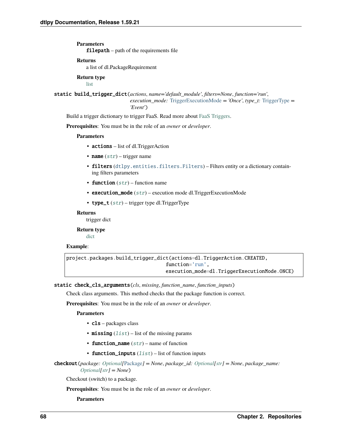**Parameters** filepath – path of the requirements file

**Returns**

a list of dl.PackageRequirement

**Return type** [list](https://docs.python.org/3/library/stdtypes.html#list)

static build\_trigger\_dict(*actions*, *name='default\_module'*, *filters=None*, *function='run'*, *execution\_mode:* [TriggerExecutionMode](#page-164-0) *= 'Once'*, *type\_t:* [TriggerType](#page-164-1) *= 'Event'*)

Build a trigger dictionary to trigger FaaS. Read more about [FaaS Triggers.](https://dataloop.ai/docs/faas-trigger)

**Prerequisites**: You must be in the role of an *owner* or *developer*.

### **Parameters**

- actions list of dl. TriggerAction
- name  $(str)$  $(str)$  $(str)$  trigger name
- filters ([dtlpy.entities.filters.Filters](#page-139-0)) Filters entity or a dictionary containing filters parameters
- function  $(str)$  $(str)$  $(str)$  function name
- execution\_mode  $(str)$  $(str)$  $(str)$  execution mode dl. TriggerExecutionMode
- type\_t  $(str)$  $(str)$  $(str)$  trigger type dl. Trigger Type

### **Returns**

trigger dict

**Return type**

[dict](https://docs.python.org/3/library/stdtypes.html#dict)

### **Example**:

```
project.packages.build_trigger_dict(actions=dl.TriggerAction.CREATED,
                                  function='run',
                                  execution_mode=dl.TriggerExecutionMode.ONCE)
```
static check\_cls\_arguments(*cls*, *missing*, *function\_name*, *function\_inputs*)

Check class arguments. This method checks that the package function is correct.

**Prerequisites**: You must be in the role of an *owner* or *developer*.

**Parameters**

- **cls** packages class
- missing  $(list)$  $(list)$  $(list)$  list of the missing params
- function\_name  $(str)$  $(str)$  $(str)$  name of function
- function\_inputs  $(list)$  $(list)$  $(list)$  list of function inputs

```
checkout(package: Optional[Package] = None, package_id: Optional[str] = None, package_name:
          Optional[str] = None)
```
Checkout (switch) to a package.

**Prerequisites**: You must be in the role of an *owner* or *developer*.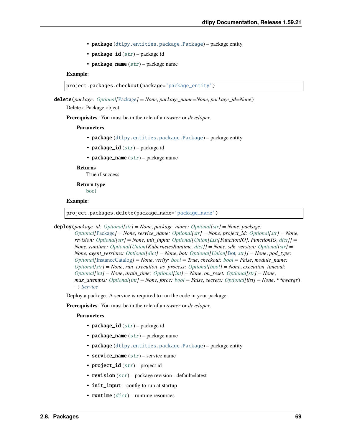- package ([dtlpy.entities.package.Package](#page-153-0)) package entity
- package\_id  $(str)$  $(str)$  $(str)$  package id
- package\_name  $(str)$  $(str)$  $(str)$  package name

## **Example**:

project.packages.checkout(package='package\_entity')

delete(*package: [Optional\[](https://docs.python.org/3/library/typing.html#typing.Optional)*[Package](#page-153-0)*] = None*, *package\_name=None*, *package\_id=None*)

Delete a Package object.

**Prerequisites**: You must be in the role of an *owner* or *developer*.

### **Parameters**

- package ([dtlpy.entities.package.Package](#page-153-0)) package entity
- package\_id  $(str)$  $(str)$  $(str)$  package id
- package\_name  $(str)$  $(str)$  $(str)$  package name

#### **Returns**

True if success

**Return type** [bool](https://docs.python.org/3/library/functions.html#bool)

#### **Example**:

project.packages.delete(package\_name='package\_name')

deploy(*package\_id: [Optional\[](https://docs.python.org/3/library/typing.html#typing.Optional)[str\]](https://docs.python.org/3/library/stdtypes.html#str) = None*, *package\_name: [Optional](https://docs.python.org/3/library/typing.html#typing.Optional)[\[str\]](https://docs.python.org/3/library/stdtypes.html#str) = None*, *package:*

*[Optional\[](https://docs.python.org/3/library/typing.html#typing.Optional)*[Package](#page-153-0)*] = None*, *service\_name: [Optional\[](https://docs.python.org/3/library/typing.html#typing.Optional)[str\]](https://docs.python.org/3/library/stdtypes.html#str) = None*, *project\_id: [Optional\[](https://docs.python.org/3/library/typing.html#typing.Optional)[str\]](https://docs.python.org/3/library/stdtypes.html#str) = None*, *revision: [Optional](https://docs.python.org/3/library/typing.html#typing.Optional)[\[str\]](https://docs.python.org/3/library/stdtypes.html#str) = None*, *init\_input: [Optional](https://docs.python.org/3/library/typing.html#typing.Optional)[\[Union\[](https://docs.python.org/3/library/typing.html#typing.Union)[List\[](https://docs.python.org/3/library/typing.html#typing.List)FunctionIO], FunctionIO, [dict\]](https://docs.python.org/3/library/stdtypes.html#dict)] = None*, *runtime: [Optional](https://docs.python.org/3/library/typing.html#typing.Optional)[\[Union\[](https://docs.python.org/3/library/typing.html#typing.Union)KubernetesRuntime, [dict\]](https://docs.python.org/3/library/stdtypes.html#dict)] = None*, *sdk\_version: [Optional](https://docs.python.org/3/library/typing.html#typing.Optional)[\[str\]](https://docs.python.org/3/library/stdtypes.html#str) = None*, *agent\_versions: [Optional\[](https://docs.python.org/3/library/typing.html#typing.Optional)[dict\]](https://docs.python.org/3/library/stdtypes.html#dict) = None*, *bot: [Optional\[](https://docs.python.org/3/library/typing.html#typing.Optional)[Union\[](https://docs.python.org/3/library/typing.html#typing.Union)*[Bot](#page-162-0)*, [str\]](https://docs.python.org/3/library/stdtypes.html#str)] = None*, *pod\_type: [Optional\[](https://docs.python.org/3/library/typing.html#typing.Optional)*[InstanceCatalog](#page-157-0)*] = None*, *verify: [bool](https://docs.python.org/3/library/functions.html#bool) = True*, *checkout: [bool](https://docs.python.org/3/library/functions.html#bool) = False*, *module\_name: [Optional\[](https://docs.python.org/3/library/typing.html#typing.Optional)[str\]](https://docs.python.org/3/library/stdtypes.html#str) = None*, *run\_execution\_as\_process: [Optional](https://docs.python.org/3/library/typing.html#typing.Optional)[\[bool\]](https://docs.python.org/3/library/functions.html#bool) = None*, *execution\_timeout: [Optional\[](https://docs.python.org/3/library/typing.html#typing.Optional)[int\]](https://docs.python.org/3/library/functions.html#int) = None*, *drain\_time: [Optional\[](https://docs.python.org/3/library/typing.html#typing.Optional)[int\]](https://docs.python.org/3/library/functions.html#int) = None*, *on\_reset: [Optional](https://docs.python.org/3/library/typing.html#typing.Optional)[\[str\]](https://docs.python.org/3/library/stdtypes.html#str) = None*, *max\_attempts: [Optional](https://docs.python.org/3/library/typing.html#typing.Optional)[\[int\]](https://docs.python.org/3/library/functions.html#int) = None*, *force: [bool](https://docs.python.org/3/library/functions.html#bool) = False*, *secrets: [Optional\[](https://docs.python.org/3/library/typing.html#typing.Optional)list] = None*, *\*\*kwargs*) → *[Service](#page-159-0)*

Deploy a package. A service is required to run the code in your package.

**Prerequisites**: You must be in the role of an *owner* or *developer*.

- package\_id  $(str)$  $(str)$  $(str)$  package id
- package\_name  $(str)$  $(str)$  $(str)$  package name
- **package** ([dtlpy.entities.package.Package](#page-153-0)) package entity
- service\_name  $(str)$  $(str)$  $(str)$  service name
- project\_id  $(str)$  $(str)$  $(str)$  project id
- revision  $(str)$  $(str)$  $(str)$  package revision default=latest
- init\_input config to run at startup
- runtime  $(dict)$  $(dict)$  $(dict)$  runtime resources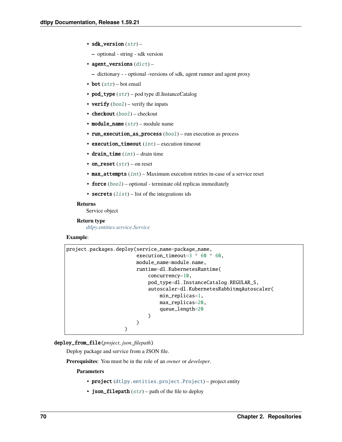- sdk\_version  $(str)$  $(str)$  $(str)$ 
	- **–** optional string sdk version
- agent\_versions  $(dict)$  $(dict)$  $(dict)$ 
	- **–** dictionary - optional -versions of sdk, agent runner and agent proxy
- bot  $(str)$  $(str)$  $(str)$  bot email
- pod\_type  $(str)$  $(str)$  $(str)$  pod type dl.InstanceCatalog
- verify  $(bool)$  $(bool)$  $(bool)$  verify the inputs
- checkout  $(bool)$  $(bool)$  $(bool)$  checkout
- module\_name  $(str)$  $(str)$  $(str)$  module name
- run\_execution\_as\_process ([bool](https://docs.python.org/3/library/functions.html#bool)) run execution as process
- execution\_timeout  $(int)$  $(int)$  $(int)$  execution timeout
- drain\_time  $(int)$  $(int)$  $(int)$  drain time
- on\_reset  $(str)$  $(str)$  $(str)$  on reset
- max\_attempts ([int](https://docs.python.org/3/library/functions.html#int)) Maximum execution retries in-case of a service reset
- force ([bool](https://docs.python.org/3/library/functions.html#bool)) optional terminate old replicas immediately
- secrets  $(list)$  $(list)$  $(list)$  list of the integrations ids

Service object

## **Return type**

*[dtlpy.entities.service.Service](#page-159-0)*

## **Example**:

| project.packages.deploy(service_name=package_name, |  |
|----------------------------------------------------|--|
| execution_timeout=3 $*$ 60 $*$ 60,                 |  |
| module_name=module.name,                           |  |
| runtime=dl.KubernetesRuntime(                      |  |
| $concurrency=10$ .                                 |  |
| pod_type=dl.InstanceCatalog.REGULAR_S,             |  |
| autoscaler=dl.KubernetesRabbitmqAutoscaler(        |  |
| $min\_replicas=1$ ,                                |  |
| $max\_replicas = 20$ ,                             |  |
| queue_length=20                                    |  |
|                                                    |  |
|                                                    |  |
|                                                    |  |

## deploy\_from\_file(*project*, *json\_filepath*)

Deploy package and service from a JSON file.

**Prerequisites**: You must be in the role of an *owner* or *developer*.

- project ([dtlpy.entities.project.Project](#page-107-0)) project entity
- json\_filepath  $(str)$  $(str)$  $(str)$  path of the file to deploy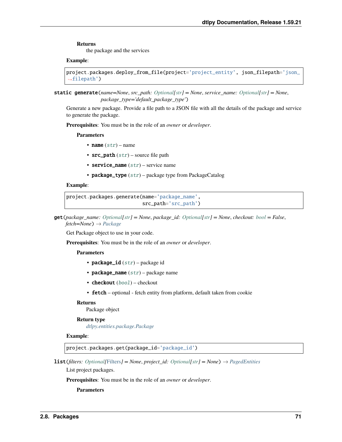the package and the services

## **Example**:

```
project.packages.deploy_from_file(project='project_entity', json_filepath='json_
\rightarrowfilepath')
```
static generate(*name=None*, *src\_path: [Optional](https://docs.python.org/3/library/typing.html#typing.Optional)[\[str\]](https://docs.python.org/3/library/stdtypes.html#str) = None*, *service\_name: [Optional\[](https://docs.python.org/3/library/typing.html#typing.Optional)[str\]](https://docs.python.org/3/library/stdtypes.html#str) = None*, *package\_type='default\_package\_type'*)

Generate a new package. Provide a file path to a JSON file with all the details of the package and service to generate the package.

**Prerequisites**: You must be in the role of an *owner* or *developer*.

#### **Parameters**

- name  $(str)$  $(str)$  $(str)$  name
- $src\_path(str)$  $src\_path(str)$  $src\_path(str)$  source file path
- service\_name  $(str)$  $(str)$  $(str)$  service name
- package\_type ([str](https://docs.python.org/3/library/stdtypes.html#str)) package type from PackageCatalog

## **Example**:

```
project.packages.generate(name='package_name',
                          src_path='src_path')
```
get(*package\_name: [Optional\[](https://docs.python.org/3/library/typing.html#typing.Optional)[str\]](https://docs.python.org/3/library/stdtypes.html#str) = None*, *package\_id: [Optional\[](https://docs.python.org/3/library/typing.html#typing.Optional)[str\]](https://docs.python.org/3/library/stdtypes.html#str) = None*, *checkout: [bool](https://docs.python.org/3/library/functions.html#bool) = False*, *fetch=None*) → *[Package](#page-153-0)*

Get Package object to use in your code.

**Prerequisites**: You must be in the role of an *owner* or *developer*.

## **Parameters**

- package\_id  $(str)$  $(str)$  $(str)$  package id
- package\_name  $(str)$  $(str)$  $(str)$  package name
- checkout ([bool](https://docs.python.org/3/library/functions.html#bool)) checkout
- **fetch** optional fetch entity from platform, default taken from cookie

## **Returns**

Package object

## **Return type**

*[dtlpy.entities.package.Package](#page-153-0)*

## **Example**:

project.packages.get(package\_id='package\_id')

**list**(*filters: Optional*[[Filters](#page-139-0)] = *None*, *project\_id: Optional*[*str*] = *None*)  $\rightarrow$  *[PagedEntities](#page-169-0)* 

List project packages.

**Prerequisites**: You must be in the role of an *owner* or *developer*.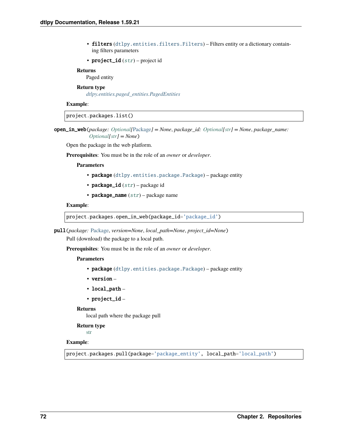• filters ([dtlpy.entities.filters.Filters](#page-139-0)) – Filters entity or a dictionary containing filters parameters

```
• project_id str) – project id
```
## **Returns**

Paged entity

## **Return type**

*[dtlpy.entities.paged\\_entities.PagedEntities](#page-169-0)*

## **Example**:

project.packages.list()

open\_in\_web(*package: [Optional\[](https://docs.python.org/3/library/typing.html#typing.Optional)*[Package](#page-153-0)*] = None*, *package\_id: [Optional](https://docs.python.org/3/library/typing.html#typing.Optional)[\[str\]](https://docs.python.org/3/library/stdtypes.html#str) = None*, *package\_name: [Optional\[](https://docs.python.org/3/library/typing.html#typing.Optional)[str\]](https://docs.python.org/3/library/stdtypes.html#str) = None*)

Open the package in the web platform.

**Prerequisites**: You must be in the role of an *owner* or *developer*.

## **Parameters**

- package ([dtlpy.entities.package.Package](#page-153-0)) package entity
- package\_id  $(str)$  $(str)$  $(str)$  package id
- package\_name  $(str)$  $(str)$  $(str)$  package name

## **Example**:

project.packages.open\_in\_web(package\_id='package\_id')

pull(*package:* [Package,](#page-153-0) *version=None*, *local\_path=None*, *project\_id=None*)

Pull (download) the package to a local path.

**Prerequisites**: You must be in the role of an *owner* or *developer*.

#### **Parameters**

- package ([dtlpy.entities.package.Package](#page-153-0)) package entity
- version –
- local\_path –
- project\_id –

#### **Returns**

local path where the package pull

## **Return type**

[str](https://docs.python.org/3/library/stdtypes.html#str)

## **Example**:

project.packages.pull(package='package\_entity', local\_path='local\_path')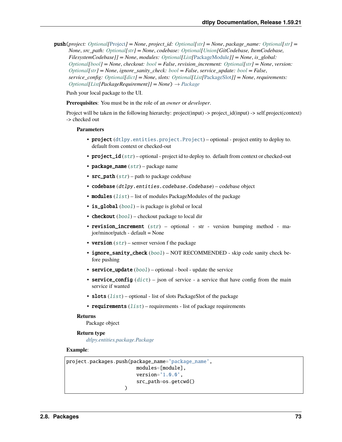**push**(*project: [Optional](https://docs.python.org/3/library/typing.html#typing.Optional)*[[Project](#page-107-0)] = None, *project* id: *Optional*[*str*] = None, *package\_name: Optional*[*str*] = *None*, *src\_path: [Optional](https://docs.python.org/3/library/typing.html#typing.Optional)[\[str\]](https://docs.python.org/3/library/stdtypes.html#str) = None*, *codebase: [Optional\[](https://docs.python.org/3/library/typing.html#typing.Optional)[Union\[](https://docs.python.org/3/library/typing.html#typing.Union)GitCodebase, ItemCodebase, FilesystemCodebase]] = None*, *modules: [Optional\[](https://docs.python.org/3/library/typing.html#typing.Optional)[List\[](https://docs.python.org/3/library/typing.html#typing.List)*[PackageModule](#page-156-0)*]] = None*, *is\_global: [Optional](https://docs.python.org/3/library/typing.html#typing.Optional)[\[bool\]](https://docs.python.org/3/library/functions.html#bool) = None*, *checkout: [bool](https://docs.python.org/3/library/functions.html#bool) = False*, *revision\_increment: [Optional](https://docs.python.org/3/library/typing.html#typing.Optional)[\[str\]](https://docs.python.org/3/library/stdtypes.html#str) = None*, *version: [Optional](https://docs.python.org/3/library/typing.html#typing.Optional)* $[str]$  = None, *ignore sanity check:*  $bool = False$  $bool = False$ , *service update:*  $bool = False$ , *service\_config: [Optional\[](https://docs.python.org/3/library/typing.html#typing.Optional)[dict\]](https://docs.python.org/3/library/stdtypes.html#dict) = None*, *slots: [Optional\[](https://docs.python.org/3/library/typing.html#typing.Optional)[List\[](https://docs.python.org/3/library/typing.html#typing.List)*[PackageSlot](#page-157-1)*]] = None*, *requirements:*  $Optional[List[Packet, Required]$  $Optional[List[Packet, Required]$  $Optional[List[Packet, Required]$ *[Package](#page-153-0)Requirement]]* = *None* $)$   $\rightarrow$  *Package* 

Push your local package to the UI.

**Prerequisites**: You must be in the role of an *owner* or *developer*.

Project will be taken in the following hierarchy: project(input) -> project\_id(input) -> self.project(context) -> checked out

#### **Parameters**

- project ([dtlpy.entities.project.Project](#page-107-0)) optional project entity to deploy to. default from context or checked-out
- project\_id ([str](https://docs.python.org/3/library/stdtypes.html#str)) optional project id to deploy to. default from context or checked-out
- package\_name  $(str)$  $(str)$  $(str)$  package name
- $src\_path(str)$  $src\_path(str)$  $src\_path(str)$  path to package codebase
- codebase (dtlpy.entities.codebase.Codebase) codebase object
- modules  $(list)$  $(list)$  $(list)$  list of modules PackageModules of the package
- is\_global ([bool](https://docs.python.org/3/library/functions.html#bool)) is package is global or local
- **checkout**  $(boo1)$  checkout package to local dir
- revision\_increment  $(str)$  $(str)$  $(str)$  optional str version bumping method major/minor/patch - default = None
- version  $(str)$  $(str)$  $(str)$  semver version f the package
- ignore\_sanity\_check ([bool](https://docs.python.org/3/library/functions.html#bool)) NOT RECOMMENDED skip code sanity check before pushing
- service\_update ([bool](https://docs.python.org/3/library/functions.html#bool)) optional bool update the service
- service\_config  $(dict)$  $(dict)$  $(dict)$  json of service a service that have config from the main service if wanted
- slots  $(list)$  $(list)$  $(list)$  optional list of slots PackageSlot of the package
- requirements  $(list)$  $(list)$  $(list)$  requirements list of package requirements

## **Returns**

Package object

## **Return type**

*[dtlpy.entities.package.Package](#page-153-0)*

## **Example**:

```
project.packages.push(package_name='package_name',
                        modules=[module],
                        version='1.0.0',
                        src_path=os.getcwd()
                    )
```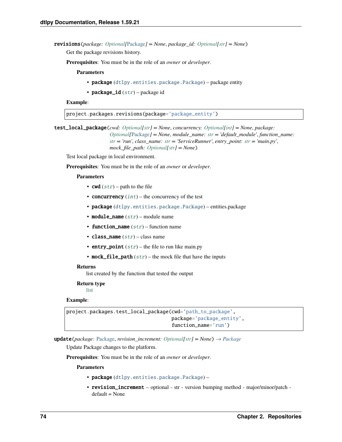revisions(*package: [Optional\[](https://docs.python.org/3/library/typing.html#typing.Optional)*[Package](#page-153-0)*] = None*, *package\_id: [Optional\[](https://docs.python.org/3/library/typing.html#typing.Optional)[str\]](https://docs.python.org/3/library/stdtypes.html#str) = None*)

Get the package revisions history.

**Prerequisites**: You must be in the role of an *owner* or *developer*.

**Parameters**

• package ([dtlpy.entities.package.Package](#page-153-0)) – package entity

• package\_id  $(str)$  $(str)$  $(str)$  – package id

**Example**:

project.packages.revisions(package='package\_entity')

test\_local\_package(*cwd: [Optional](https://docs.python.org/3/library/typing.html#typing.Optional)[\[str\]](https://docs.python.org/3/library/stdtypes.html#str) = None*, *concurrency: [Optional\[](https://docs.python.org/3/library/typing.html#typing.Optional)[int\]](https://docs.python.org/3/library/functions.html#int) = None*, *package: [Optional\[](https://docs.python.org/3/library/typing.html#typing.Optional)*[Package](#page-153-0)*] = None*, *module\_name: [str](https://docs.python.org/3/library/stdtypes.html#str) = 'default\_module'*, *function\_name: [str](https://docs.python.org/3/library/stdtypes.html#str) = 'run'*, *class\_name: [str](https://docs.python.org/3/library/stdtypes.html#str) = 'ServiceRunner'*, *entry\_point: [str](https://docs.python.org/3/library/stdtypes.html#str) = 'main.py'*, *mock\_file\_path: [Optional\[](https://docs.python.org/3/library/typing.html#typing.Optional)[str\]](https://docs.python.org/3/library/stdtypes.html#str) = None*)

Test local package in local environment.

**Prerequisites**: You must be in the role of an *owner* or *developer*.

### **Parameters**

- **cwd**  $(str)$  $(str)$  $(str)$  path to the file
- concurrency  $(int)$  $(int)$  $(int)$  the concurrency of the test
- package ([dtlpy.entities.package.Package](#page-153-0)) entities.package
- module\_name  $(str)$  $(str)$  $(str)$  module name
- function\_name  $(str)$  $(str)$  $(str)$  function name
- class\_name  $(str)$  $(str)$  $(str)$  class name
- entry\_point  $(str)$  $(str)$  $(str)$  the file to run like main.py
- mock\_file\_path  $(str)$  $(str)$  $(str)$  the mock file that have the inputs

#### **Returns**

list created by the function that tested the output

**Return type**

[list](https://docs.python.org/3/library/stdtypes.html#list)

#### **Example**:

```
project.packages.test_local_package(cwd='path_to_package',
                                    package='package_entity',
                                    function_name='run')
```
**update**(*package:* [Package,](#page-153-0) *revision* increment: *[Optional](https://docs.python.org/3/library/typing.html#typing.Optional)[\[str\]](https://docs.python.org/3/library/stdtypes.html#str)* = *None*)  $\rightarrow$  *[Package](#page-153-0)* 

Update Package changes to the platform.

**Prerequisites**: You must be in the role of an *owner* or *developer*.

- package ([dtlpy.entities.package.Package](#page-153-0)) –
- revision\_increment optional str version bumping method major/minor/patch default = None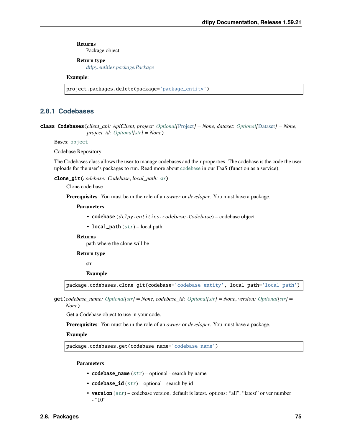Package object

## **Return type**

*[dtlpy.entities.package.Package](#page-153-0)*

## **Example**:

project.packages.delete(package='package\_entity')

# **2.8.1 Codebases**

class Codebases(*client\_api: ApiClient*, *project: [Optional\[](https://docs.python.org/3/library/typing.html#typing.Optional)*[Project](#page-107-0)*] = None*, *dataset: [Optional\[](https://docs.python.org/3/library/typing.html#typing.Optional)*[Dataset](#page-110-0)*] = None*, *project\_id: [Optional](https://docs.python.org/3/library/typing.html#typing.Optional)[\[str\]](https://docs.python.org/3/library/stdtypes.html#str) = None*)

Bases: [object](https://docs.python.org/3/library/functions.html#object)

Codebase Repository

The Codebases class allows the user to manage codebases and their properties. The codebase is the code the user uploads for the user's packages to run. Read more about [codebase](https://dataloop.ai/docs/tutorial-ui?#1-codebase) in our FaaS (function as a service).

clone\_git(*codebase: Codebase*, *local\_path: [str](https://docs.python.org/3/library/stdtypes.html#str)*)

Clone code base

**Prerequisites**: You must be in the role of an *owner* or *developer*. You must have a package.

## **Parameters**

- codebase (dtlpy.entities.codebase.Codebase) codebase object
- local\_path  $(str)$  $(str)$  $(str)$  local path

#### **Returns**

path where the clone will be

#### **Return type**

str

#### **Example**:

package.codebases.clone\_git(codebase='codebase\_entity', local\_path='local\_path')

get(*codebase\_name: [Optional](https://docs.python.org/3/library/typing.html#typing.Optional)[\[str\]](https://docs.python.org/3/library/stdtypes.html#str) = None*, *codebase\_id: [Optional\[](https://docs.python.org/3/library/typing.html#typing.Optional)[str\]](https://docs.python.org/3/library/stdtypes.html#str) = None*, *version: [Optional](https://docs.python.org/3/library/typing.html#typing.Optional)[\[str\]](https://docs.python.org/3/library/stdtypes.html#str) = None*)

Get a Codebase object to use in your code.

**Prerequisites**: You must be in the role of an *owner* or *developer*. You must have a package.

## **Example**:

package.codebases.get(codebase\_name='codebase\_name')

- codebase\_name  $(str)$  $(str)$  $(str)$  optional search by name
- codebase\_id  $(str)$  $(str)$  $(str)$  optional search by id
- version  $(str)$  $(str)$  $(str)$  codebase version. default is latest. options: "all", "latest" or ver number  $-$  "10"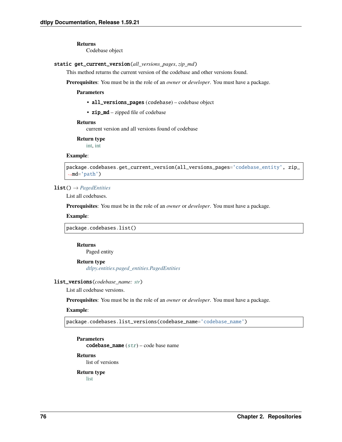Codebase object

## static get\_current\_version(*all\_versions\_pages*, *zip\_md*)

This method returns the current version of the codebase and other versions found.

**Prerequisites**: You must be in the role of an *owner* or *developer*. You must have a package.

**Parameters**

- all\_versions\_pages (codebase) codebase object
- zip\_md zipped file of codebase

## **Returns**

current version and all versions found of codebase

**Return type**

[int,](https://docs.python.org/3/library/functions.html#int) [int](https://docs.python.org/3/library/functions.html#int)

## **Example**:

```
package.codebases.get_current_version(all_versions_pages='codebase_entity', zip_
\rightarrowmd='path')
```
## list() → *[PagedEntities](#page-169-0)*

List all codebases.

**Prerequisites**: You must be in the role of an *owner* or *developer*. You must have a package.

#### **Example**:

package.codebases.list()

## **Returns**

Paged entity

#### **Return type**

*[dtlpy.entities.paged\\_entities.PagedEntities](#page-169-0)*

## list\_versions(*codebase\_name: [str](https://docs.python.org/3/library/stdtypes.html#str)*)

List all codebase versions.

**Prerequisites**: You must be in the role of an *owner* or *developer*. You must have a package.

## **Example**:

package.codebases.list\_versions(codebase\_name='codebase\_name')

**Parameters**

codebase\_name  $(str)$  $(str)$  $(str)$  – code base name

## **Returns**

list of versions

#### **Return type** [list](https://docs.python.org/3/library/stdtypes.html#list)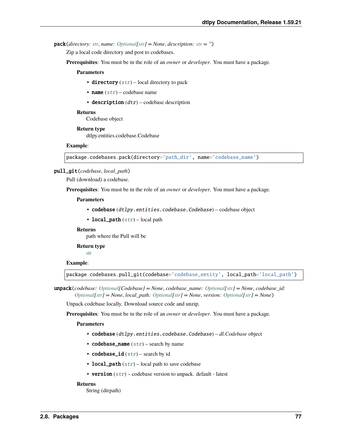pack(*directory: [str](https://docs.python.org/3/library/stdtypes.html#str)*, *name: [Optional\[](https://docs.python.org/3/library/typing.html#typing.Optional)[str\]](https://docs.python.org/3/library/stdtypes.html#str) = None*, *description: [str](https://docs.python.org/3/library/stdtypes.html#str) = ''*)

Zip a local code directory and post to codebases.

**Prerequisites**: You must be in the role of an *owner* or *developer*. You must have a package.

#### **Parameters**

- directory  $(str)$  $(str)$  $(str)$  local directory to pack
- **name**  $(str)$  $(str)$  $(str)$  codebase name
- $\bullet$  description  $(dtr)$  codebase description

#### **Returns**

Codebase object

#### **Return type**

dtlpy.entities.codebase.Codebase

#### **Example**:

package.codebases.pack(directory='path\_dir', name='codebase\_name')

## pull\_git(*codebase*, *local\_path*)

Pull (download) a codebase.

**Prerequisites**: You must be in the role of an *owner* or *developer*. You must have a package.

#### **Parameters**

- codebase (dtlpy.entities.codebase.Codebase) codebase object
- local\_path  $(str)$  $(str)$  $(str)$  local path

## **Returns**

path where the Pull will be

## **Return type**

[str](https://docs.python.org/3/library/stdtypes.html#str)

## **Example**:

package.codebases.pull\_git(codebase='codebase\_entity', local\_path='local\_path')

unpack(*codebase: [Optional\[](https://docs.python.org/3/library/typing.html#typing.Optional)Codebase] = None*, *codebase\_name: [Optional\[](https://docs.python.org/3/library/typing.html#typing.Optional)[str\]](https://docs.python.org/3/library/stdtypes.html#str) = None*, *codebase\_id: [Optional\[](https://docs.python.org/3/library/typing.html#typing.Optional)[str\]](https://docs.python.org/3/library/stdtypes.html#str) = None*, *local\_path: [Optional\[](https://docs.python.org/3/library/typing.html#typing.Optional)[str\]](https://docs.python.org/3/library/stdtypes.html#str) = None*, *version: [Optional](https://docs.python.org/3/library/typing.html#typing.Optional)[\[str\]](https://docs.python.org/3/library/stdtypes.html#str) = None*)

Unpack codebase locally. Download source code and unzip.

**Prerequisites**: You must be in the role of an *owner* or *developer*. You must have a package.

## **Parameters**

- codebase (dtlpy.entities.codebase.Codebase) *dl.Codebase* object
- codebase\_name  $(str)$  $(str)$  $(str)$  search by name
- codebase\_id  $(str)$  $(str)$  $(str)$  search by id
- local\_path  $(str)$  $(str)$  $(str)$  local path to save codebase
- version  $(str)$  $(str)$  $(str)$  codebase version to unpack. default latest

#### **Returns**

String (dirpath)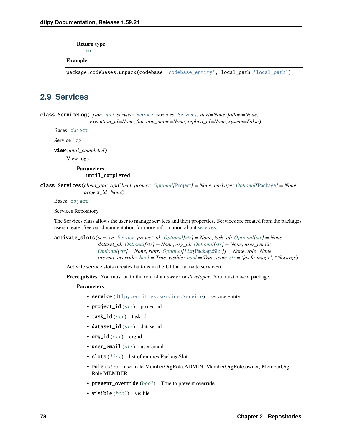**Return type**

[str](https://docs.python.org/3/library/stdtypes.html#str)

## **Example**:

package.codebases.unpack(codebase='codebase\_entity', local\_path='local\_path')

# **2.9 Services**

<span id="page-81-1"></span>class ServiceLog(*\_json: [dict](https://docs.python.org/3/library/stdtypes.html#dict)*, *service:* [Service,](#page-159-0) *services:* [Services,](#page-81-0) *start=None*, *follow=None*, *execution\_id=None*, *function\_name=None*, *replica\_id=None*, *system=False*)

Bases: [object](https://docs.python.org/3/library/functions.html#object)

Service Log

view(*until\_completed*)

View logs

**Parameters** until\_completed –

<span id="page-81-0"></span>class Services(*client\_api: ApiClient*, *project: [Optional\[](https://docs.python.org/3/library/typing.html#typing.Optional)*[Project](#page-107-0)*] = None*, *package: [Optional\[](https://docs.python.org/3/library/typing.html#typing.Optional)*[Package](#page-153-0)*] = None*, *project\_id=None*)

Bases: [object](https://docs.python.org/3/library/functions.html#object)

Services Repository

The Services class allows the user to manage services and their properties. Services are created from the packages users create. See our documentation for more information about [services.](https://dataloop.ai/docs/faas-service)

activate\_slots(*service:* [Service,](#page-159-0) *project\_id: [Optional](https://docs.python.org/3/library/typing.html#typing.Optional)[\[str\]](https://docs.python.org/3/library/stdtypes.html#str) = None*, *task\_id: [Optional\[](https://docs.python.org/3/library/typing.html#typing.Optional)[str\]](https://docs.python.org/3/library/stdtypes.html#str) = None*, *dataset id: [Optional\[](https://docs.python.org/3/library/typing.html#typing.Optional)[str\]](https://docs.python.org/3/library/stdtypes.html#str)* = None, *org\_id: [Optional](https://docs.python.org/3/library/typing.html#typing.Optional)[\[str\]](https://docs.python.org/3/library/stdtypes.html#str)* = None, *user\_email: [Optional\[](https://docs.python.org/3/library/typing.html#typing.Optional)[str\]](https://docs.python.org/3/library/stdtypes.html#str) = None*, *slots: [Optional](https://docs.python.org/3/library/typing.html#typing.Optional)[\[List\[](https://docs.python.org/3/library/typing.html#typing.List)*[PackageSlot](#page-157-1)*]] = None*, *role=None*, *prevent\_override: [bool](https://docs.python.org/3/library/functions.html#bool) = True*, *visible: [bool](https://docs.python.org/3/library/functions.html#bool) = True*, *icon: [str](https://docs.python.org/3/library/stdtypes.html#str) = 'fas fa-magic'*, *\*\*kwargs*)

Activate service slots (creates buttons in the UI that activate services).

**Prerequisites**: You must be in the role of an *owner* or *developer*. You must have a package.

- service ([dtlpy.entities.service.Service](#page-159-0)) service entity
- project\_id  $(str)$  $(str)$  $(str)$  project id
- task\_id  $(str)$  $(str)$  $(str)$  task id
- dataset\_id  $(str)$  $(str)$  $(str)$  dataset id
- $org_id(str) orgid$  $org_id(str) orgid$  $org_id(str) orgid$
- user\_email  $(str)$  $(str)$  $(str)$  user email
- slots  $(list)$  $(list)$  $(list)$  list of entities. Package Slot
- role ([str](https://docs.python.org/3/library/stdtypes.html#str)) user role MemberOrgRole.ADMIN, MemberOrgRole.owner, MemberOrg-Role.MEMBER
- prevent\_override ([bool](https://docs.python.org/3/library/functions.html#bool)) True to prevent override
- visible ([bool](https://docs.python.org/3/library/functions.html#bool)) visible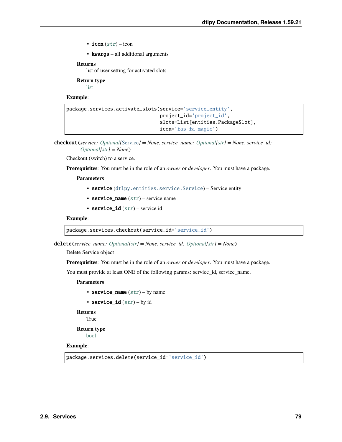- icon  $(str)$  $(str)$  $(str)$  icon
- **kwargs** all additional arguments

list of user setting for activated slots

**Return type**

[list](https://docs.python.org/3/library/stdtypes.html#list)

#### **Example**:

```
package.services.activate_slots(service='service_entity',
                                project_id='project_id',
                                slots=List[entities.PackageSlot],
                                icon='fas fa-magic')
```
checkout(*service: [Optional\[](https://docs.python.org/3/library/typing.html#typing.Optional)*[Service](#page-159-0)*] = None*, *service\_name: [Optional\[](https://docs.python.org/3/library/typing.html#typing.Optional)[str\]](https://docs.python.org/3/library/stdtypes.html#str) = None*, *service\_id: [Optional](https://docs.python.org/3/library/typing.html#typing.Optional)[\[str\]](https://docs.python.org/3/library/stdtypes.html#str) = None*)

Checkout (switch) to a service.

**Prerequisites**: You must be in the role of an *owner* or *developer*. You must have a package.

**Parameters**

- service ([dtlpy.entities.service.Service](#page-159-0)) Service entity
- service\_name  $(str)$  $(str)$  $(str)$  service name
- service\_id  $(str)$  $(str)$  $(str)$  service id

## **Example**:

package.services.checkout(service\_id='service\_id')

delete(*service\_name: [Optional\[](https://docs.python.org/3/library/typing.html#typing.Optional)[str\]](https://docs.python.org/3/library/stdtypes.html#str) = None*, *service\_id: [Optional](https://docs.python.org/3/library/typing.html#typing.Optional)[\[str\]](https://docs.python.org/3/library/stdtypes.html#str) = None*)

Delete Service object

**Prerequisites**: You must be in the role of an *owner* or *developer*. You must have a package.

You must provide at least ONE of the following params: service\_id, service\_name.

**Parameters**

```
• service_name str) – by name
```
• service\_id  $(str)$  $(str)$  $(str)$  – by id

**Returns**

True

**Return type** [bool](https://docs.python.org/3/library/functions.html#bool)

**Example**:

package.services.delete(service\_id='service\_id')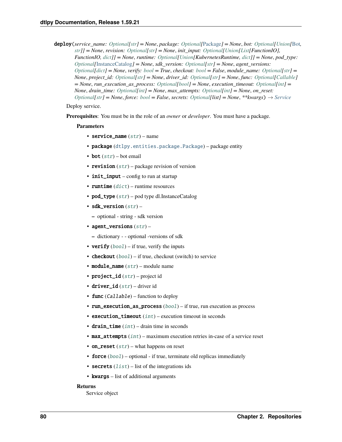**deploy**(*service\_name:\_[Optional](https://docs.python.org/3/library/typing.html#typing.Optional)[\[str\]](https://docs.python.org/3/library/stdtypes.html#str)* = None, *package:\_Optional*[[Package](#page-153-0)*]* = None, *bot:\_Optional*[*Union*[[Bot](#page-162-0), *[str\]](https://docs.python.org/3/library/stdtypes.html#str)] = None*, *revision: [Optional\[](https://docs.python.org/3/library/typing.html#typing.Optional)[str\]](https://docs.python.org/3/library/stdtypes.html#str) = None*, *init\_input: [Optional\[](https://docs.python.org/3/library/typing.html#typing.Optional)[Union](https://docs.python.org/3/library/typing.html#typing.Union)[\[List\[](https://docs.python.org/3/library/typing.html#typing.List)FunctionIO], FunctionIO, [dict\]](https://docs.python.org/3/library/stdtypes.html#dict)] = None*, *runtime: [Optional\[](https://docs.python.org/3/library/typing.html#typing.Optional)[Union\[](https://docs.python.org/3/library/typing.html#typing.Union)KubernetesRuntime, [dict\]](https://docs.python.org/3/library/stdtypes.html#dict)] = None*, *pod\_type: [Optional\[](https://docs.python.org/3/library/typing.html#typing.Optional)*[InstanceCatalog](#page-157-0)*] = None*, *sdk\_version: [Optional](https://docs.python.org/3/library/typing.html#typing.Optional)[\[str\]](https://docs.python.org/3/library/stdtypes.html#str) = None*, *agent\_versions: [Optional\[](https://docs.python.org/3/library/typing.html#typing.Optional)[dict\]](https://docs.python.org/3/library/stdtypes.html#dict) = None*, *verify: [bool](https://docs.python.org/3/library/functions.html#bool) = True*, *checkout: [bool](https://docs.python.org/3/library/functions.html#bool) = False*, *module\_name: [Optional\[](https://docs.python.org/3/library/typing.html#typing.Optional)[str\]](https://docs.python.org/3/library/stdtypes.html#str) = None*, *project\_id: [Optional\[](https://docs.python.org/3/library/typing.html#typing.Optional)[str\]](https://docs.python.org/3/library/stdtypes.html#str) = None*, *driver\_id: [Optional](https://docs.python.org/3/library/typing.html#typing.Optional)[\[str\]](https://docs.python.org/3/library/stdtypes.html#str) = None*, *func: [Optional\[](https://docs.python.org/3/library/typing.html#typing.Optional)[Callable\]](https://docs.python.org/3/library/typing.html#typing.Callable) = None*, *run\_execution\_as\_process: [Optional\[](https://docs.python.org/3/library/typing.html#typing.Optional)[bool\]](https://docs.python.org/3/library/functions.html#bool) = None*, *execution\_timeout: [Optional](https://docs.python.org/3/library/typing.html#typing.Optional)[\[int\]](https://docs.python.org/3/library/functions.html#int) = None*, *drain\_time: [Optional\[](https://docs.python.org/3/library/typing.html#typing.Optional)[int\]](https://docs.python.org/3/library/functions.html#int) = None*, *max\_attempts: [Optional](https://docs.python.org/3/library/typing.html#typing.Optional)[\[int\]](https://docs.python.org/3/library/functions.html#int) = None*, *on\_reset: [Optional\[](https://docs.python.org/3/library/typing.html#typing.Optional)[str\]](https://docs.python.org/3/library/stdtypes.html#str) = None*, *force: [bool](https://docs.python.org/3/library/functions.html#bool) = False*, *secrets: [Optional\[](https://docs.python.org/3/library/typing.html#typing.Optional)list] = None*, *\*\*kwargs*) → *[Service](#page-159-0)*

#### Deploy service.

**Prerequisites**: You must be in the role of an *owner* or *developer*. You must have a package.

#### **Parameters**

- service\_name  $(str)$  $(str)$  $(str)$  name
- package ([dtlpy.entities.package.Package](#page-153-0)) package entity
- bot  $(str)$  $(str)$  $(str)$  bot email
- revision  $(str)$  $(str)$  $(str)$  package revision of version
- init\_input config to run at startup
- runtime  $(dict)$  $(dict)$  $(dict)$  runtime resources
- pod\_type  $(str)$  $(str)$  $(str)$  pod type dl.InstanceCatalog
- sdk\_version  $(str)$  $(str)$  $(str)$ 
	- **–** optional string sdk version
- agent\_versions  $(str)$  $(str)$  $(str)$ 
	- **–** dictionary - optional -versions of sdk
- verify  $(bool)$  $(bool)$  $(bool)$  if true, verify the inputs
- **checkout**  $(bool)$  $(bool)$  $(bool)$  if true, checkout (switch) to service
- module\_name  $(str)$  $(str)$  $(str)$  module name
- project\_id  $(str)$  $(str)$  $(str)$  project id
- driver\_id  $(str)$  $(str)$  $(str)$  driver id
- **func**  $(Ca11ab1e)$  function to deploy
- run\_execution\_as\_process ([bool](https://docs.python.org/3/library/functions.html#bool)) if true, run execution as process
- execution\_timeout  $(int)$  $(int)$  $(int)$  execution timeout in seconds
- drain\_time  $(int)$  $(int)$  $(int)$  drain time in seconds
- max\_attempts ([int](https://docs.python.org/3/library/functions.html#int)) maximum execution retries in-case of a service reset
- on\_reset  $(str)$  $(str)$  $(str)$  what happens on reset
- force  $(bool)$  $(bool)$  $(bool)$  optional if true, terminate old replicas immediately
- secrets  $(list)$  $(list)$  $(list)$  list of the integrations ids
- kwargs list of additional arguments

#### **Returns**

Service object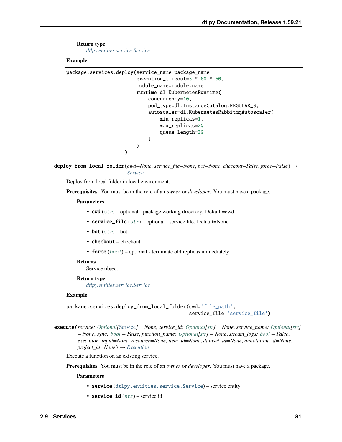## **Return type**

*[dtlpy.entities.service.Service](#page-159-0)*

## **Example**:

```
package.services.deploy(service_name=package_name,
                        execution_timeout=3 * 60 * 60,
                        module_name=module.name,
                        runtime=dl.KubernetesRuntime(
                            concurrency=10,
                            pod_type=dl.InstanceCatalog.REGULAR_S,
                            autoscaler=dl.KubernetesRabbitmqAutoscaler(
                                min_replicas=1,
                                max_replicas=20,
                                queue_length=20
                            )
                        )
                    )
```
deploy\_from\_local\_folder(*cwd=None*, *service\_file=None*, *bot=None*, *checkout=False*, *force=False*) → *[Service](#page-159-0)*

Deploy from local folder in local environment.

**Prerequisites**: You must be in the role of an *owner* or *developer*. You must have a package.

## **Parameters**

- cwd ([str](https://docs.python.org/3/library/stdtypes.html#str)) optional package working directory. Default=cwd
- service\_file  $(str)$  $(str)$  $(str)$  optional service file. Default=None
- bot  $(str) bot$  $(str) bot$  $(str) bot$
- checkout checkout
- force ([bool](https://docs.python.org/3/library/functions.html#bool)) optional terminate old replicas immediately

## **Returns**

Service object

#### **Return type**

*[dtlpy.entities.service.Service](#page-159-0)*

## **Example**:

package.services.deploy\_from\_local\_folder(cwd='file\_path', service\_file='service\_file')

execute(*service: [Optional\[](https://docs.python.org/3/library/typing.html#typing.Optional)*[Service](#page-159-0)*] = None*, *service\_id: [Optional\[](https://docs.python.org/3/library/typing.html#typing.Optional)[str\]](https://docs.python.org/3/library/stdtypes.html#str) = None*, *service\_name: [Optional](https://docs.python.org/3/library/typing.html#typing.Optional)[\[str\]](https://docs.python.org/3/library/stdtypes.html#str) = None*, *sync: [bool](https://docs.python.org/3/library/functions.html#bool) = False*, *function\_name: [Optional\[](https://docs.python.org/3/library/typing.html#typing.Optional)[str\]](https://docs.python.org/3/library/stdtypes.html#str) = None*, *stream\_logs: [bool](https://docs.python.org/3/library/functions.html#bool) = False*, *execution\_input=None*, *resource=None*, *item\_id=None*, *dataset\_id=None*, *annotation\_id=None*, *project\_id=None*) → *[Execution](#page-165-0)*

Execute a function on an existing service.

**Prerequisites**: You must be in the role of an *owner* or *developer*. You must have a package.

- service ([dtlpy.entities.service.Service](#page-159-0)) service entity
- service\_id  $(str)$  $(str)$  $(str)$  service id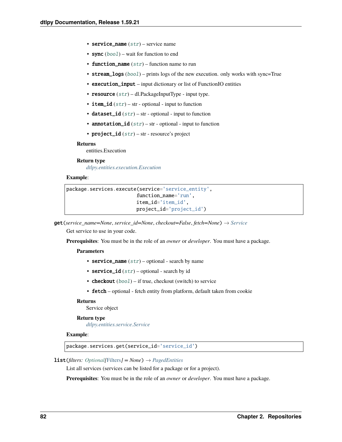- service\_name  $(str)$  $(str)$  $(str)$  service name
- sync  $(bool)$  $(bool)$  $(bool)$  wait for function to end
- function\_name  $(str)$  $(str)$  $(str)$  function name to run
- stream\_logs ([bool](https://docs.python.org/3/library/functions.html#bool)) prints logs of the new execution. only works with sync=True
- execution\_input input dictionary or list of FunctionIO entities
- resource  $(str)$  $(str)$  $(str)$  dl.PackageInputType input type.
- item\_id  $(str)$  $(str)$  $(str)$  str optional input to function
- dataset\_id  $(str)$  $(str)$  $(str)$  str optional input to function
- annotation\_id  $(str)$  $(str)$  $(str)$  str optional input to function
- project\_id  $(str)$  $(str)$  $(str)$  str resource's project

entities.Execution

## **Return type**

*[dtlpy.entities.execution.Execution](#page-165-0)*

## **Example**:

```
package.services.execute(service='service_entity',
                        function_name='run',
                        item_id='item_id',
                        project_id='project_id')
```
get(*service\_name=None*, *service\_id=None*, *checkout=False*, *fetch=None*) → *[Service](#page-159-0)*

Get service to use in your code.

**Prerequisites**: You must be in the role of an *owner* or *developer*. You must have a package.

#### **Parameters**

- service\_name  $(str)$  $(str)$  $(str)$  optional search by name
- service\_id  $(str)$  $(str)$  $(str)$  optional search by id
- **checkout**  $(bool)$  $(bool)$  $(bool)$  if true, checkout (switch) to service
- fetch optional fetch entity from platform, default taken from cookie

## **Returns**

Service object

## **Return type**

*[dtlpy.entities.service.Service](#page-159-0)*

## **Example**:

package.services.get(service\_id='service\_id')

#### **list**(*filters: Optional*[[Filters](#page-139-0)*]* = *None*)  $\rightarrow$  *[PagedEntities](#page-169-0)*

List all services (services can be listed for a package or for a project).

**Prerequisites**: You must be in the role of an *owner* or *developer*. You must have a package.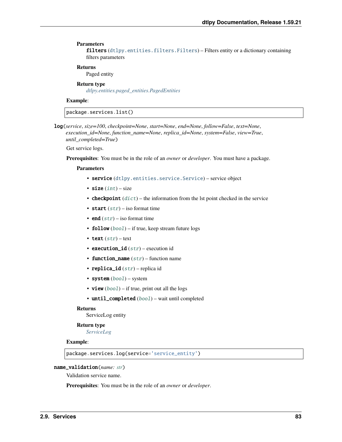#### **Parameters**

filters ([dtlpy.entities.filters.Filters](#page-139-0)) – Filters entity or a dictionary containing filters parameters

## **Returns**

Paged entity

## **Return type**

*[dtlpy.entities.paged\\_entities.PagedEntities](#page-169-0)*

## **Example**:

package.services.list()

log(*service*, *size=100*, *checkpoint=None*, *start=None*, *end=None*, *follow=False*, *text=None*, *execution\_id=None*, *function\_name=None*, *replica\_id=None*, *system=False*, *view=True*, *until\_completed=True*)

Get service logs.

**Prerequisites**: You must be in the role of an *owner* or *developer*. You must have a package.

## **Parameters**

- service ([dtlpy.entities.service.Service](#page-159-0)) service object
- size  $(int)$  $(int)$  $(int)$  size
- **checkpoint**  $(dict)$  $(dict)$  $(dict)$  the information from the lst point checked in the service
- start  $(str)$  $(str)$  $(str)$  iso format time
- end  $(str)$  $(str)$  $(str)$  iso format time
- **follow**  $(bool)$  $(bool)$  $(bool)$  if true, keep stream future logs
- text  $(str)$  $(str)$  $(str)$  text
- execution\_id  $(str)$  $(str)$  $(str)$  execution id
- function\_name  $(str)$  $(str)$  $(str)$  function name
- replica\_id  $(str)$  $(str)$  $(str)$  replica id
- system ([bool](https://docs.python.org/3/library/functions.html#bool)) system
- view  $(bool)$  $(bool)$  $(bool)$  if true, print out all the logs
- until\_completed ([bool](https://docs.python.org/3/library/functions.html#bool)) wait until completed

#### **Returns**

ServiceLog entity

## **Return type**

*[ServiceLog](#page-81-1)*

## **Example**:

package.services.log(service='service\_entity')

#### name\_validation(*name: [str](https://docs.python.org/3/library/stdtypes.html#str)*)

Validation service name.

**Prerequisites**: You must be in the role of an *owner* or *developer*.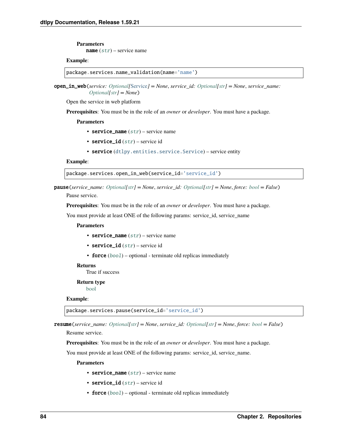**Parameters**

**name**  $(str)$  $(str)$  $(str)$  – service name

#### **Example**:

package.services.name\_validation(name='name')

open\_in\_web(*service: [Optional\[](https://docs.python.org/3/library/typing.html#typing.Optional)*[Service](#page-159-0)*] = None*, *service\_id: [Optional\[](https://docs.python.org/3/library/typing.html#typing.Optional)[str\]](https://docs.python.org/3/library/stdtypes.html#str) = None*, *service\_name: [Optional\[](https://docs.python.org/3/library/typing.html#typing.Optional)[str\]](https://docs.python.org/3/library/stdtypes.html#str) = None*)

Open the service in web platform

**Prerequisites**: You must be in the role of an *owner* or *developer*. You must have a package.

**Parameters**

- service\_name  $(str)$  $(str)$  $(str)$  service name
- service\_id  $(str)$  $(str)$  $(str)$  service id
- service ([dtlpy.entities.service.Service](#page-159-0)) service entity

#### **Example**:

package.services.open\_in\_web(service\_id='service\_id')

pause(*service\_name: [Optional](https://docs.python.org/3/library/typing.html#typing.Optional)[\[str\]](https://docs.python.org/3/library/stdtypes.html#str) = None*, *service\_id: [Optional](https://docs.python.org/3/library/typing.html#typing.Optional)[\[str\]](https://docs.python.org/3/library/stdtypes.html#str) = None*, *force: [bool](https://docs.python.org/3/library/functions.html#bool) = False*)

Pause service.

**Prerequisites**: You must be in the role of an *owner* or *developer*. You must have a package.

You must provide at least ONE of the following params: service\_id, service\_name

#### **Parameters**

- service\_name  $(str)$  $(str)$  $(str)$  service name
- service\_id  $(str)$  $(str)$  $(str)$  service id
- force ([bool](https://docs.python.org/3/library/functions.html#bool)) optional terminate old replicas immediately

#### **Returns**

True if success

#### **Return type**

[bool](https://docs.python.org/3/library/functions.html#bool)

#### **Example**:

package.services.pause(service\_id='service\_id')

resume(*service\_name: [Optional\[](https://docs.python.org/3/library/typing.html#typing.Optional)[str\]](https://docs.python.org/3/library/stdtypes.html#str) = None*, *service\_id: [Optional](https://docs.python.org/3/library/typing.html#typing.Optional)[\[str\]](https://docs.python.org/3/library/stdtypes.html#str) = None*, *force: [bool](https://docs.python.org/3/library/functions.html#bool) = False*) Resume service.

**Prerequisites**: You must be in the role of an *owner* or *developer*. You must have a package.

You must provide at least ONE of the following params: service\_id, service\_name.

- service\_name  $(str)$  $(str)$  $(str)$  service name
- service\_id  $(str)$  $(str)$  $(str)$  service id
- force ([bool](https://docs.python.org/3/library/functions.html#bool)) optional terminate old replicas immediately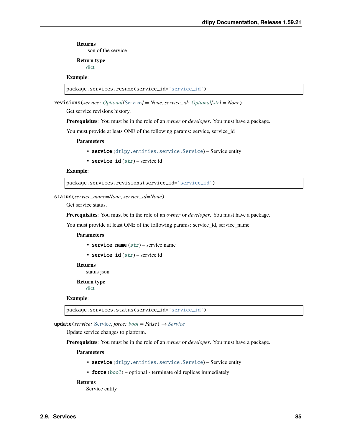json of the service

# **Return type**

[dict](https://docs.python.org/3/library/stdtypes.html#dict)

# **Example**:

```
package.services.resume(service_id='service_id')
```
revisions(*service: [Optional\[](https://docs.python.org/3/library/typing.html#typing.Optional)*[Service](#page-159-0)*] = None*, *service\_id: [Optional](https://docs.python.org/3/library/typing.html#typing.Optional)[\[str\]](https://docs.python.org/3/library/stdtypes.html#str) = None*)

Get service revisions history.

**Prerequisites**: You must be in the role of an *owner* or *developer*. You must have a package.

You must provide at leats ONE of the following params: service, service\_id

## **Parameters**

- service ([dtlpy.entities.service.Service](#page-159-0)) Service entity
- service\_id  $(str)$  $(str)$  $(str)$  service id

## **Example**:

package.services.revisions(service\_id='service\_id')

#### status(*service\_name=None*, *service\_id=None*)

Get service status.

**Prerequisites**: You must be in the role of an *owner* or *developer*. You must have a package.

You must provide at least ONE of the following params: service id, service name

#### **Parameters**

- service\_name  $(str)$  $(str)$  $(str)$  service name
- service\_id  $(str)$  $(str)$  $(str)$  service id

**Returns**

status json

#### **Return type**

[dict](https://docs.python.org/3/library/stdtypes.html#dict)

#### **Example**:

package.services.status(service\_id='service\_id')

**update**(*service:* [Service,](#page-159-0) *force:*  $bool = False$  $bool = False$ )  $\rightarrow$  *[Service](#page-159-0)* 

Update service changes to platform.

**Prerequisites**: You must be in the role of an *owner* or *developer*. You must have a package.

## **Parameters**

- service ([dtlpy.entities.service.Service](#page-159-0)) Service entity
- force  $(bool)$  $(bool)$  $(bool)$  optional terminate old replicas immediately

#### **Returns**

Service entity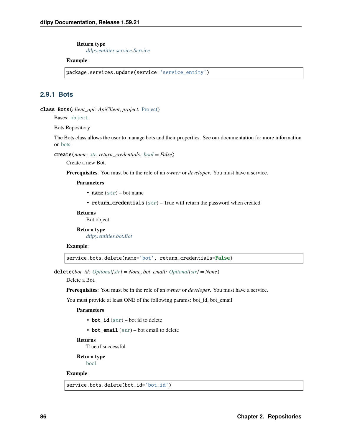#### **Return type**

*[dtlpy.entities.service.Service](#page-159-0)*

## **Example**:

package.services.update(service='service\_entity')

# **2.9.1 Bots**

class Bots(*client\_api: ApiClient*, *project:* [Project](#page-107-0))

Bases: [object](https://docs.python.org/3/library/functions.html#object)

Bots Repository

The Bots class allows the user to manage bots and their properties. See our documentation for more information on [bots.](https://dataloop.ai/docs/faas-bot)

create(*name: [str](https://docs.python.org/3/library/stdtypes.html#str)*, *return\_credentials: [bool](https://docs.python.org/3/library/functions.html#bool) = False*)

Create a new Bot.

**Prerequisites**: You must be in the role of an *owner* or *developer*. You must have a service.

**Parameters**

- name  $(str)$  $(str)$  $(str)$  bot name
- return\_credentials  $(str)$  $(str)$  $(str)$  True will return the password when created

**Returns**

Bot object

**Return type** *[dtlpy.entities.bot.Bot](#page-162-0)*

#### **Example**:

service.bots.delete(name='bot', return\_credentials=False)

delete(*bot\_id: [Optional\[](https://docs.python.org/3/library/typing.html#typing.Optional)[str\]](https://docs.python.org/3/library/stdtypes.html#str) = None*, *bot\_email: [Optional\[](https://docs.python.org/3/library/typing.html#typing.Optional)[str\]](https://docs.python.org/3/library/stdtypes.html#str) = None*)

Delete a Bot.

**Prerequisites**: You must be in the role of an *owner* or *developer*. You must have a service.

You must provide at least ONE of the following params: bot\_id, bot\_email

## **Parameters**

- bot\_id  $(str)$  $(str)$  $(str)$  bot id to delete
- bot\_email  $(str)$  $(str)$  $(str)$  bot email to delete

**Returns**

True if successful

**Return type**

[bool](https://docs.python.org/3/library/functions.html#bool)

## **Example**:

service.bots.delete(bot\_id='bot\_id')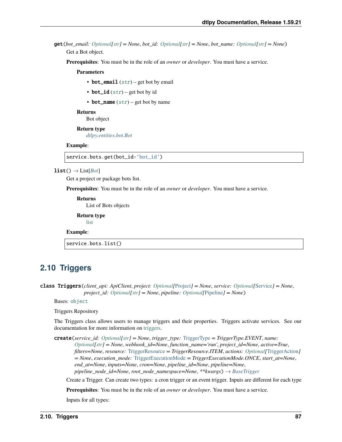**get**(*bot\_email: [Optional](https://docs.python.org/3/library/typing.html#typing.Optional)* $[str] = None$  $[str] = None$ , *bot\_id: Optional* $[str] = None$  $[str] = None$  $[str] = None$ , *bot\_name: Optional* $[str] = None$ Get a Bot object.

**Prerequisites**: You must be in the role of an *owner* or *developer*. You must have a service.

#### **Parameters**

- bot\_email  $(str)$  $(str)$  $(str)$  get bot by email
- bot\_id  $(str)$  $(str)$  $(str)$  get bot by id
- bot\_name  $(str)$  $(str)$  $(str)$  get bot by name

#### **Returns**

Bot object

**Return type** *[dtlpy.entities.bot.Bot](#page-162-0)*

#### **Example**:

service.bots.get(bot\_id='bot\_id')

#### $list() \rightarrow List[Bot]$  $list() \rightarrow List[Bot]$  $list() \rightarrow List[Bot]$

Get a project or package bots list.

**Prerequisites**: You must be in the role of an *owner* or *developer*. You must have a service.

**Returns** List of Bots objects

**Return type** [list](https://docs.python.org/3/library/stdtypes.html#list)

#### **Example**:

service.bots.list()

# **2.10 Triggers**

class Triggers(*client\_api: ApiClient*, *project: [Optional\[](https://docs.python.org/3/library/typing.html#typing.Optional)*[Project](#page-107-0)*] = None*, *service: [Optional\[](https://docs.python.org/3/library/typing.html#typing.Optional)*[Service](#page-159-0)*] = None*, *project\_id: [Optional](https://docs.python.org/3/library/typing.html#typing.Optional)[\[str\]](https://docs.python.org/3/library/stdtypes.html#str) = None*, *pipeline: [Optional\[](https://docs.python.org/3/library/typing.html#typing.Optional)*[Pipeline](#page-166-0)*] = None*)

Bases: [object](https://docs.python.org/3/library/functions.html#object)

Triggers Repository

The Triggers class allows users to manage triggers and their properties. Triggers activate services. See our documentation for more information on [triggers.](https://dataloop.ai/docs/faas-trigger)

create(*service\_id: [Optional\[](https://docs.python.org/3/library/typing.html#typing.Optional)[str\]](https://docs.python.org/3/library/stdtypes.html#str) = None*, *trigger\_type:* [TriggerType](#page-164-0) *= TriggerType.EVENT*, *name: [Optional\[](https://docs.python.org/3/library/typing.html#typing.Optional)[str\]](https://docs.python.org/3/library/stdtypes.html#str) = None*, *webhook\_id=None*, *function\_name='run'*, *project\_id=None*, *active=True*, *filters=None*, *resource:* [TriggerResource](#page-164-1) *= TriggerResource.ITEM*, *actions: [Optional\[](https://docs.python.org/3/library/typing.html#typing.Optional)*[TriggerAction](#page-164-2)*] = None*, *execution\_mode:* [TriggerExecutionMode](#page-164-3) *= TriggerExecutionMode.ONCE*, *start\_at=None*, *end\_at=None*, *inputs=None*, *cron=None*, *pipeline\_id=None*, *pipeline=None*, *pipeline\_node\_id=None*, *root\_node\_namespace=None*, *\*\*kwargs*) → *[BaseTrigger](#page-163-0)*

Create a Trigger. Can create two types: a cron trigger or an event trigger. Inputs are different for each type

**Prerequisites**: You must be in the role of an *owner* or *developer*. You must have a service.

Inputs for all types: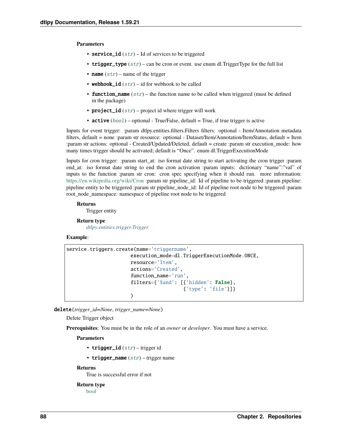### **Parameters**

- service\_id  $(str)$  $(str)$  $(str)$  Id of services to be triggered
- trigger\_type  $(str)$  $(str)$  $(str)$  can be cron or event. use enum dl. TriggerType for the full list
- name  $(str)$  $(str)$  $(str)$  name of the trigger
- webhook\_id  $(str)$  $(str)$  $(str)$  id for webhook to be called
- **function\_name**  $(str)$  $(str)$  $(str)$  the function name to be called when triggered (must be defined in the package)
- project\_id  $(str)$  $(str)$  $(str)$  project id where trigger will work
- **active**  $(bool)$  $(bool)$  $(bool)$  optional True/False, default = True, if true trigger is active

Inputs for event trigger: :param dtlpy.entities.filters.Filters filters: optional - Item/Annotation metadata filters, default = none :param str resource: optional - Dataset/Item/Annotation/ItemStatus, default = Item :param str actions: optional - Created/Updated/Deleted, default = create :param str execution\_mode: how many times trigger should be activated; default is "Once". enum dl.TriggerExecutionMode

Inputs for cron trigger: :param start\_at: iso format date string to start activating the cron trigger :param end\_at: iso format date string to end the cron activation :param inputs: dictionary "name":"val" of inputs to the function :param str cron: cron spec specifying when it should run. more information: <https://en.wikipedia.org/wiki/Cron> :param str pipeline\_id: Id of pipeline to be triggered :param pipeline: pipeline entity to be triggered :param str pipeline\_node\_id: Id of pipeline root node to be triggered :param root node namespace: namespace of pipeline root node to be triggered

#### **Returns**

Trigger entity

## **Return type**

*[dtlpy.entities.trigger.Trigger](#page-164-4)*

## **Example**:

```
service.triggers.create(name='triggername',
                      execution_mode=dl.TriggerExecutionMode.ONCE,
                      resource='Item',
                      actions='Created',
                      function_name='run',
                      filters={'$and': [{'hidden': False},
                                         {'type': 'file'}]}
                      )
```
delete(*trigger\_id=None*, *trigger\_name=None*)

Delete Trigger object

**Prerequisites**: You must be in the role of an *owner* or *developer*. You must have a service.

#### **Parameters**

- trigger\_id  $(str)$  $(str)$  $(str)$  trigger id
- trigger\_name  $(str)$  $(str)$  $(str)$  trigger name

#### **Returns**

True is successful error if not

## **Return type**

[bool](https://docs.python.org/3/library/functions.html#bool)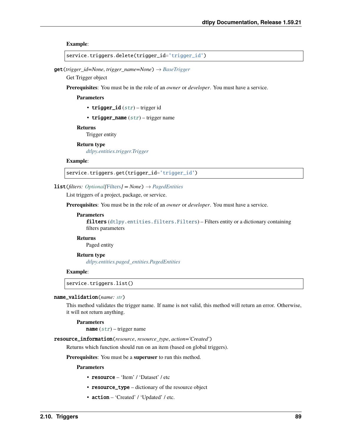**Example**:

```
service.triggers.delete(trigger_id='trigger_id')
```
get(*trigger\_id=None*, *trigger\_name=None*) → *[BaseTrigger](#page-163-0)*

Get Trigger object

**Prerequisites**: You must be in the role of an *owner* or *developer*. You must have a service.

**Parameters**

- trigger\_id  $(str)$  $(str)$  $(str)$  trigger id
- trigger\_name  $(str)$  $(str)$  $(str)$  trigger name

**Returns**

Trigger entity

**Return type**

*[dtlpy.entities.trigger.Trigger](#page-164-4)*

#### **Example**:

service.triggers.get(trigger\_id='trigger\_id')

#### **list**(*filters: Optional*[[Filters](#page-139-0)*]* = *None*)  $\rightarrow$  *[PagedEntities](#page-169-0)*

List triggers of a project, package, or service.

**Prerequisites**: You must be in the role of an *owner* or *developer*. You must have a service.

#### **Parameters**

filters ([dtlpy.entities.filters.Filters](#page-139-0)) – Filters entity or a dictionary containing filters parameters

### **Returns**

Paged entity

### **Return type** *[dtlpy.entities.paged\\_entities.PagedEntities](#page-169-0)*

#### **Example**:

service.triggers.list()

#### name\_validation(*name: [str](https://docs.python.org/3/library/stdtypes.html#str)*)

This method validates the trigger name. If name is not valid, this method will return an error. Otherwise, it will not return anything.

## **Parameters**

**name**  $(str)$  $(str)$  $(str)$  – trigger name

resource\_information(*resource*, *resource\_type*, *action='Created'*)

Returns which function should run on an item (based on global triggers).

**Prerequisites**: You must be a **superuser** to run this method.

- resource 'Item' / 'Dataset' / etc
- resource\_type dictionary of the resource object
- action 'Created' / 'Updated' / etc.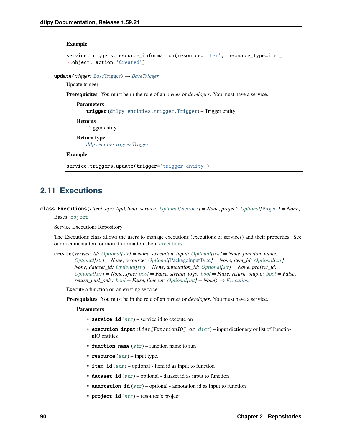**Example**:

```
service.triggers.resource_information(resource='Item', resource_type=item_
˓→object, action='Created')
```
update(*trigger:* [BaseTrigger](#page-163-0)) → *[BaseTrigger](#page-163-0)*

Update trigger

**Prerequisites**: You must be in the role of an *owner* or *developer*. You must have a service.

**Parameters** trigger ([dtlpy.entities.trigger.Trigger](#page-164-4)) – Trigger entity **Returns**

Trigger entity

**Return type**

*[dtlpy.entities.trigger.Trigger](#page-164-4)*

**Example**:

service.triggers.update(trigger='trigger\_entity')

# **2.11 Executions**

class Executions(*client\_api: ApiClient*, *service: [Optional\[](https://docs.python.org/3/library/typing.html#typing.Optional)*[Service](#page-159-0)*] = None*, *project: [Optional\[](https://docs.python.org/3/library/typing.html#typing.Optional)*[Project](#page-107-0)*] = None*)

Bases: [object](https://docs.python.org/3/library/functions.html#object)

Service Executions Repository

The Executions class allows the users to manage executions (executions of services) and their properties. See our documentation for more information about [executions.](https://dataloop.ai/docs/faas-execution)

create(*service\_id: [Optional\[](https://docs.python.org/3/library/typing.html#typing.Optional)[str\]](https://docs.python.org/3/library/stdtypes.html#str) = None*, *execution\_input: [Optional](https://docs.python.org/3/library/typing.html#typing.Optional)[\[list\]](https://docs.python.org/3/library/stdtypes.html#list) = None*, *function\_name: [Optional\[](https://docs.python.org/3/library/typing.html#typing.Optional)[str\]](https://docs.python.org/3/library/stdtypes.html#str) = None*, *resource: [Optional\[](https://docs.python.org/3/library/typing.html#typing.Optional)*[PackageInputType](#page-156-1)*] = None*, *item\_id: [Optional](https://docs.python.org/3/library/typing.html#typing.Optional)[\[str\]](https://docs.python.org/3/library/stdtypes.html#str) = None*, *dataset\_id: [Optional\[](https://docs.python.org/3/library/typing.html#typing.Optional)[str\]](https://docs.python.org/3/library/stdtypes.html#str) = None*, *annotation\_id: [Optional\[](https://docs.python.org/3/library/typing.html#typing.Optional)[str\]](https://docs.python.org/3/library/stdtypes.html#str) = None*, *project\_id: [Optional\[](https://docs.python.org/3/library/typing.html#typing.Optional)[str\]](https://docs.python.org/3/library/stdtypes.html#str) = None*, *sync: [bool](https://docs.python.org/3/library/functions.html#bool) = False*, *stream\_logs: [bool](https://docs.python.org/3/library/functions.html#bool) = False*, *return\_output: [bool](https://docs.python.org/3/library/functions.html#bool) = False*, *return\_curl\_only:*  $bool = False$  $bool = False$ , *timeout:*  $Optional(int] = None$  $Optional(int] = None$  $Optional(int] = None$   $\rightarrow Execution$  $\rightarrow Execution$ 

Execute a function on an existing service

**Prerequisites**: You must be in the role of an *owner* or *developer*. You must have a service.

- service\_id  $(str)$  $(str)$  $(str)$  service id to execute on
- execution\_input (List[FunctionIO] or [dict](https://docs.python.org/3/library/stdtypes.html#dict)) input dictionary or list of FunctionIO entities
- function\_name  $(str)$  $(str)$  $(str)$  function name to run
- resource  $(str)$  $(str)$  $(str)$  input type.
- **item\_id**  $(str)$  $(str)$  $(str)$  optional item id as input to function
- dataset\_id  $(str)$  $(str)$  $(str)$  optional dataset id as input to function
- **annotation\_id**  $(str)$  $(str)$  $(str)$  optional annotation id as input to function
- project\_id  $(str)$  $(str)$  $(str)$  resource's project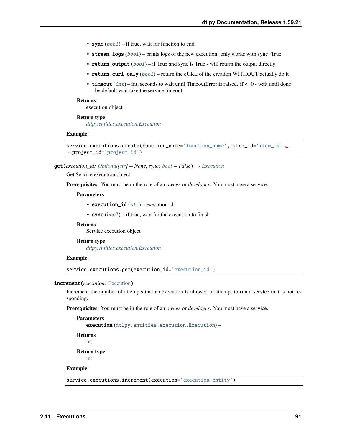- sync  $(bool)$  $(bool)$  $(bool)$  if true, wait for function to end
- stream\_logs ([bool](https://docs.python.org/3/library/functions.html#bool)) prints logs of the new execution. only works with sync=True
- return\_output ([bool](https://docs.python.org/3/library/functions.html#bool)) if True and sync is True will return the output directly
- return\_curl\_only ([bool](https://docs.python.org/3/library/functions.html#bool)) return the cURL of the creation WITHOUT actually do it
- timeout  $(int)$  $(int)$  $(int)$  int, seconds to wait until TimeoutError is raised. if  $\leq=0$  wait until done - by default wait take the service timeout

execution object

#### **Return type**

*[dtlpy.entities.execution.Execution](#page-165-0)*

#### **Example**:

```
service.executions.create(function_name='function_name', item_id='item_id',␣
˓→project_id='project_id')
```
 $get(execution_id: Optional[str] = None, sync: bool = False) \rightarrow Execution$  $get(execution_id: Optional[str] = None, sync: bool = False) \rightarrow Execution$  $get(execution_id: Optional[str] = None, sync: bool = False) \rightarrow Execution$  $get(execution_id: Optional[str] = None, sync: bool = False) \rightarrow Execution$  $get(execution_id: Optional[str] = None, sync: bool = False) \rightarrow Execution$  $get(execution_id: Optional[str] = None, sync: bool = False) \rightarrow Execution$  $get(execution_id: Optional[str] = None, sync: bool = False) \rightarrow Execution$ 

Get Service execution object

**Prerequisites**: You must be in the role of an *owner* or *developer*. You must have a service.

## **Parameters**

- execution\_id  $(str)$  $(str)$  $(str)$  execution id
- sync  $(bool)$  $(bool)$  $(bool)$  if true, wait for the execution to finish

### **Returns**

Service execution object

#### **Return type**

*[dtlpy.entities.execution.Execution](#page-165-0)*

## **Example**:

service.executions.get(execution\_id='execution\_id')

#### increment(*execution:* [Execution](#page-165-0))

Increment the number of attempts that an execution is allowed to attempt to run a service that is not responding.

**Prerequisites**: You must be in the role of an *owner* or *developer*. You must have a service.

```
Parameters
   execution (dtlpy.entities.execution.Execution) –
Returns
```
int

**Return type**

[int](https://docs.python.org/3/library/functions.html#int)

## **Example**:

service.executions.increment(execution='execution\_entity')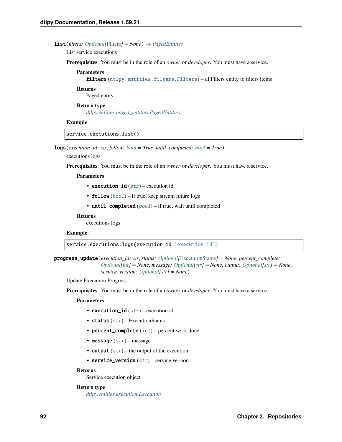#### **list**(*filters: Optional*[[Filters](#page-139-0)] =  $None$ )  $\rightarrow$  *[PagedEntities](#page-169-0)*

List service executions

**Prerequisites**: You must be in the role of an *owner* or *developer*. You must have a service.

**Parameters** filters ([dtlpy.entities.filters.Filters](#page-139-0)) - dl.Filters entity to filters items

**Returns**

Paged entity

## **Return type**

*[dtlpy.entities.paged\\_entities.PagedEntities](#page-169-0)*

## **Example**:

service.executions.list()

logs(*execution\_id: [str](https://docs.python.org/3/library/stdtypes.html#str)*, *follow: [bool](https://docs.python.org/3/library/functions.html#bool) = True*, *until\_completed: [bool](https://docs.python.org/3/library/functions.html#bool) = True*)

executions logs

**Prerequisites**: You must be in the role of an *owner* or *developer*. You must have a service.

#### **Parameters**

- execution\_id  $(str)$  $(str)$  $(str)$  execution id
- **follow**  $(bool)$  $(bool)$  $(bool)$  if true, keep stream future logs
- until\_completed ([bool](https://docs.python.org/3/library/functions.html#bool)) if true, wait until completed

## **Returns**

executions logs

## **Example**:

service.executions.logs(execution\_id='execution\_id')

progress\_update(*execution\_id: [str](https://docs.python.org/3/library/stdtypes.html#str)*, *status: [Optional\[](https://docs.python.org/3/library/typing.html#typing.Optional)*[ExecutionStatus](#page-166-1)*] = None*, *percent\_complete: [Optional\[](https://docs.python.org/3/library/typing.html#typing.Optional)[int\]](https://docs.python.org/3/library/functions.html#int) = None*, *message: [Optional\[](https://docs.python.org/3/library/typing.html#typing.Optional)[str\]](https://docs.python.org/3/library/stdtypes.html#str) = None*, *output: [Optional\[](https://docs.python.org/3/library/typing.html#typing.Optional)[str\]](https://docs.python.org/3/library/stdtypes.html#str) = None*, *service\_version: [Optional\[](https://docs.python.org/3/library/typing.html#typing.Optional)[str\]](https://docs.python.org/3/library/stdtypes.html#str) = None*)

Update Execution Progress.

**Prerequisites**: You must be in the role of an *owner* or *developer*. You must have a service.

#### **Parameters**

- execution\_id  $(str)$  $(str)$  $(str)$  execution id
- status  $(str)$  $(str)$  $(str)$  ExecutionStatus
- percent\_complete ([int](https://docs.python.org/3/library/functions.html#int)) percent work done
- message  $(str)$  $(str)$  $(str)$  message
- output  $(str)$  $(str)$  $(str)$  the output of the execution
- service\_version  $(str)$  $(str)$  $(str)$  service version

## **Returns**

Service execution object

## **Return type**

*[dtlpy.entities.execution.Execution](#page-165-0)*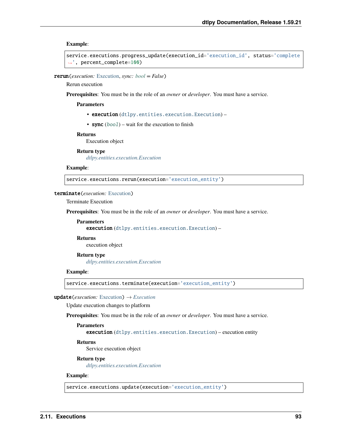**Example**:

```
service.executions.progress_update(execution_id='execution_id', status='complete
˓→', percent_complete=100)
```
rerun(*execution:* [Execution,](#page-165-0) *sync: [bool](https://docs.python.org/3/library/functions.html#bool) = False*)

Rerun execution

**Prerequisites**: You must be in the role of an *owner* or *developer*. You must have a service.

**Parameters**

- execution ([dtlpy.entities.execution.Execution](#page-165-0)) –
- sync  $(bool)$  $(bool)$  $(bool)$  wait for the execution to finish

## **Returns**

Execution object

#### **Return type**

*[dtlpy.entities.execution.Execution](#page-165-0)*

#### **Example**:

service.executions.rerun(execution='execution\_entity')

## terminate(*execution:* [Execution](#page-165-0))

Terminate Execution

**Prerequisites**: You must be in the role of an *owner* or *developer*. You must have a service.

**Parameters** execution ([dtlpy.entities.execution.Execution](#page-165-0)) -

**Returns**

execution object

**Return type** *[dtlpy.entities.execution.Execution](#page-165-0)*

#### **Example**:

service.executions.terminate(execution='execution\_entity')

 $update(execution: Execution) \rightarrow Execution$  $update(execution: Execution) \rightarrow Execution$  $update(execution: Execution) \rightarrow Execution$ 

Update execution changes to platform

**Prerequisites**: You must be in the role of an *owner* or *developer*. You must have a service.

#### **Parameters**

execution ([dtlpy.entities.execution.Execution](#page-165-0)) – execution entity

#### **Returns**

Service execution object

#### **Return type**

*[dtlpy.entities.execution.Execution](#page-165-0)*

#### **Example**:

service.executions.update(execution='execution\_entity')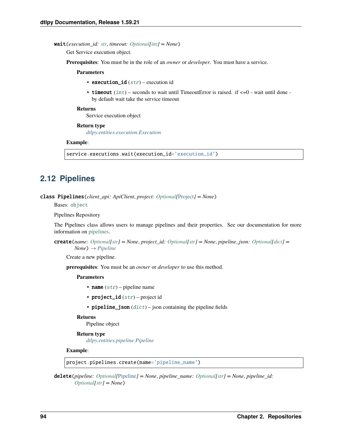## wait(*execution\_id: [str](https://docs.python.org/3/library/stdtypes.html#str)*, *timeout: [Optional\[](https://docs.python.org/3/library/typing.html#typing.Optional)[int\]](https://docs.python.org/3/library/functions.html#int) = None*)

Get Service execution object.

**Prerequisites**: You must be in the role of an *owner* or *developer*. You must have a service.

#### **Parameters**

- execution\_id  $(str)$  $(str)$  $(str)$  execution id
- timeout  $(int)$  $(int)$  $(int)$  seconds to wait until TimeoutError is raised. if  $\leq 0$  wait until done by default wait take the service timeout

## **Returns**

Service execution object

## **Return type**

*[dtlpy.entities.execution.Execution](#page-165-0)*

#### **Example**:

service.executions.wait(execution\_id='execution\_id')

# **2.12 Pipelines**

class Pipelines(*client\_api: ApiClient*, *project: [Optional\[](https://docs.python.org/3/library/typing.html#typing.Optional)*[Project](#page-107-0)*] = None*)

Bases: [object](https://docs.python.org/3/library/functions.html#object)

Pipelines Repository

The Pipelines class allows users to manage pipelines and their properties. See our documentation for more information on [pipelines.](https://dataloop.ai/docs/pipelines-overview)

create(*name: [Optional\[](https://docs.python.org/3/library/typing.html#typing.Optional)[str\]](https://docs.python.org/3/library/stdtypes.html#str) = None*, *project\_id: [Optional](https://docs.python.org/3/library/typing.html#typing.Optional)[\[str\]](https://docs.python.org/3/library/stdtypes.html#str) = None*, *pipeline\_json: [Optional\[](https://docs.python.org/3/library/typing.html#typing.Optional)[dict\]](https://docs.python.org/3/library/stdtypes.html#dict) = None*) → *[Pipeline](#page-166-0)*

Create a new pipeline.

**prerequisites**: You must be an *owner* or *developer* to use this method.

## **Parameters**

- name  $(str)$  $(str)$  $(str)$  pipeline name
- project\_id  $(str)$  $(str)$  $(str)$  project id
- pipeline\_json  $(dict)$  $(dict)$  $(dict)$  json containing the pipeline fields

#### **Returns**

Pipeline object

## **Return type** *[dtlpy.entities.pipeline.Pipeline](#page-166-0)*

## **Example**:

project.pipelines.create(name='pipeline\_name')

delete(*pipeline: [Optional\[](https://docs.python.org/3/library/typing.html#typing.Optional)*[Pipeline](#page-166-0)*] = None*, *pipeline\_name: [Optional\[](https://docs.python.org/3/library/typing.html#typing.Optional)[str\]](https://docs.python.org/3/library/stdtypes.html#str) = None*, *pipeline\_id: [Optional\[](https://docs.python.org/3/library/typing.html#typing.Optional)[str\]](https://docs.python.org/3/library/stdtypes.html#str) = None*)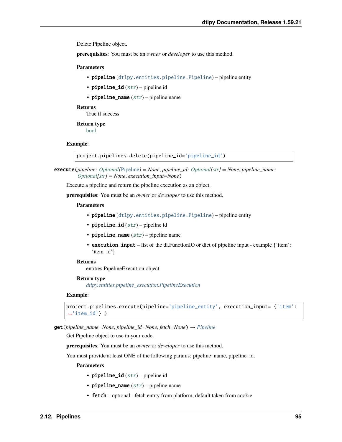Delete Pipeline object.

**prerequisites**: You must be an *owner* or *developer* to use this method.

#### **Parameters**

- pipeline ([dtlpy.entities.pipeline.Pipeline](#page-166-0)) pipeline entity
- pipeline\_id  $(str)$  $(str)$  $(str)$  pipeline id
- pipeline\_name  $(str)$  $(str)$  $(str)$  pipeline name

### **Returns**

True if success

## **Return type**

[bool](https://docs.python.org/3/library/functions.html#bool)

#### **Example**:

project.pipelines.delete(pipeline\_id='pipeline\_id')

execute(*pipeline: [Optional\[](https://docs.python.org/3/library/typing.html#typing.Optional)*[Pipeline](#page-166-0)*] = None*, *pipeline\_id: [Optional](https://docs.python.org/3/library/typing.html#typing.Optional)[\[str\]](https://docs.python.org/3/library/stdtypes.html#str) = None*, *pipeline\_name: [Optional\[](https://docs.python.org/3/library/typing.html#typing.Optional)[str\]](https://docs.python.org/3/library/stdtypes.html#str) = None*, *execution\_input=None*)

Execute a pipeline and return the pipeline execution as an object.

**prerequisites**: You must be an *owner* or *developer* to use this method.

#### **Parameters**

- pipeline ([dtlpy.entities.pipeline.Pipeline](#page-166-0)) pipeline entity
- pipeline\_id  $(str)$  $(str)$  $(str)$  pipeline id
- **pipeline\_name**  $(str)$  $(str)$  $(str)$  pipeline name
- execution\_input list of the dl.FunctionIO or dict of pipeline input example {'item': 'item\_id' }

#### **Returns**

entities.PipelineExecution object

#### **Return type**

*[dtlpy.entities.pipeline\\_execution.PipelineExecution](#page-168-0)*

## **Example**:

```
project.pipelines.execute(pipeline='pipeline_entity', execution_input= {'item':
\rightarrow'item_id'} )
```
get(*pipeline\_name=None*, *pipeline\_id=None*, *fetch=None*) → *[Pipeline](#page-166-0)*

Get Pipeline object to use in your code.

**prerequisites**: You must be an *owner* or *developer* to use this method.

You must provide at least ONE of the following params: pipeline\_name, pipeline\_id.

- pipeline\_id  $(str)$  $(str)$  $(str)$  pipeline id
- pipeline\_name  $(str)$  $(str)$  $(str)$  pipeline name
- fetch optional fetch entity from platform, default taken from cookie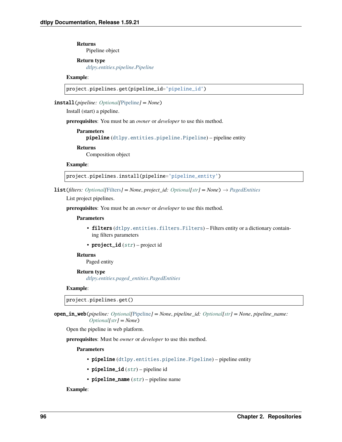**Returns** Pipeline object

## **Return type**

*[dtlpy.entities.pipeline.Pipeline](#page-166-0)*

## **Example**:

project.pipelines.get(pipeline\_id='pipeline\_id')

install(*pipeline: [Optional\[](https://docs.python.org/3/library/typing.html#typing.Optional)*[Pipeline](#page-166-0)*] = None*)

Install (start) a pipeline.

**prerequisites**: You must be an *owner* or *developer* to use this method.

```
Parameters
   pipeline (dtlpy.entities.pipeline.Pipeline) – pipeline entity
Returns
```
Composition object

#### **Example**:

project.pipelines.install(pipeline='pipeline\_entity')

**list**(*filters: Optional*[[Filters](#page-139-0)*]* = *None*, *project\_id: [Optional\[](https://docs.python.org/3/library/typing.html#typing.Optional)[str\]](https://docs.python.org/3/library/stdtypes.html#str)* = *None*)  $\rightarrow$  *[PagedEntities](#page-169-0)* 

List project pipelines.

**prerequisites**: You must be an *owner* or *developer* to use this method.

## **Parameters**

- filters ([dtlpy.entities.filters.Filters](#page-139-0)) Filters entity or a dictionary containing filters parameters
- project\_id ([str](https://docs.python.org/3/library/stdtypes.html#str)) project id

## **Returns**

Paged entity

## **Return type**

*[dtlpy.entities.paged\\_entities.PagedEntities](#page-169-0)*

## **Example**:

project.pipelines.get()

open\_in\_web(*pipeline: [Optional\[](https://docs.python.org/3/library/typing.html#typing.Optional)*[Pipeline](#page-166-0)*] = None*, *pipeline\_id: [Optional](https://docs.python.org/3/library/typing.html#typing.Optional)[\[str\]](https://docs.python.org/3/library/stdtypes.html#str) = None*, *pipeline\_name: [Optional\[](https://docs.python.org/3/library/typing.html#typing.Optional)[str\]](https://docs.python.org/3/library/stdtypes.html#str) = None*)

Open the pipeline in web platform.

**prerequisites**: Must be *owner* or *developer* to use this method.

## **Parameters**

- pipeline ([dtlpy.entities.pipeline.Pipeline](#page-166-0)) pipeline entity
- pipeline\_id  $(str)$  $(str)$  $(str)$  pipeline id
- **pipeline\_name**  $(str)$  $(str)$  $(str)$  pipeline name

## **Example**: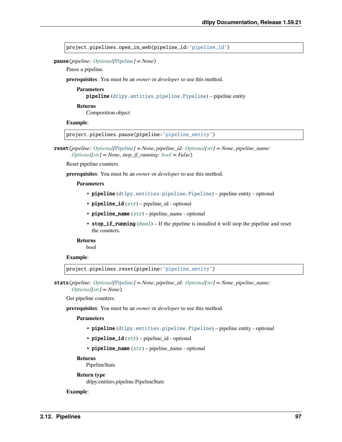project.pipelines.open\_in\_web(pipeline\_id='pipeline\_id')

pause(*pipeline: [Optional\[](https://docs.python.org/3/library/typing.html#typing.Optional)*[Pipeline](#page-166-0)*] = None*)

Pause a pipeline.

**prerequisites**: You must be an *owner* or *developer* to use this method.

**Parameters**

pipeline ([dtlpy.entities.pipeline.Pipeline](#page-166-0)) – pipeline entity

**Returns**

Composition object

## **Example**:

project.pipelines.pause(pipeline='pipeline\_entity')

reset(*pipeline: [Optional\[](https://docs.python.org/3/library/typing.html#typing.Optional)*[Pipeline](#page-166-0)*] = None*, *pipeline\_id: [Optional\[](https://docs.python.org/3/library/typing.html#typing.Optional)[str\]](https://docs.python.org/3/library/stdtypes.html#str) = None*, *pipeline\_name: [Optional](https://docs.python.org/3/library/typing.html#typing.Optional)[\[str\]](https://docs.python.org/3/library/stdtypes.html#str) = None*, *stop\_if\_running: [bool](https://docs.python.org/3/library/functions.html#bool) = False*)

Reset pipeline counters.

**prerequisites**: You must be an *owner* or *developer* to use this method.

### **Parameters**

- pipeline ([dtlpy.entities.pipeline.Pipeline](#page-166-0)) pipeline entity optional
- pipeline\_id  $(str)$  $(str)$  $(str)$  pipeline\_id optional
- pipeline\_name  $(str)$  $(str)$  $(str)$  pipeline\_name optional
- stop\_if\_running  $(bool)$  $(bool)$  $(bool)$  If the pipeline is installed it will stop the pipeline and reset the counters.

**Returns**

bool

```
Example:
```
project.pipelines.reset(pipeline='pipeline\_entity')

stats(*pipeline: [Optional\[](https://docs.python.org/3/library/typing.html#typing.Optional)*[Pipeline](#page-166-0)*] = None*, *pipeline\_id: [Optional\[](https://docs.python.org/3/library/typing.html#typing.Optional)[str\]](https://docs.python.org/3/library/stdtypes.html#str) = None*, *pipeline\_name: [Optional](https://docs.python.org/3/library/typing.html#typing.Optional)[\[str\]](https://docs.python.org/3/library/stdtypes.html#str) = None*)

Get pipeline counters.

#### **prerequisites**: You must be an *owner* or *developer* to use this method.

#### **Parameters**

- pipeline ([dtlpy.entities.pipeline.Pipeline](#page-166-0)) pipeline entity optional
- pipeline\_id  $(str)$  $(str)$  $(str)$  pipeline\_id optional
- pipeline\_name  $(str)$  $(str)$  $(str)$  pipeline\_name optional

#### **Returns**

PipelineStats

## **Return type**

dtlpy.entities.pipeline.PipelineStats

## **Example**: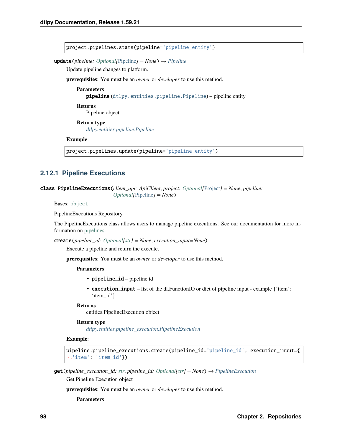project.pipelines.stats(pipeline='pipeline\_entity')

 $update(pipeline: Optional[Pipeline] = None) \rightarrow Pipeline$  $update(pipeline: Optional[Pipeline] = None) \rightarrow Pipeline$  $update(pipeline: Optional[Pipeline] = None) \rightarrow Pipeline$  $update(pipeline: Optional[Pipeline] = None) \rightarrow Pipeline$ 

Update pipeline changes to platform.

**prerequisites**: You must be an *owner* or *developer* to use this method.

**Parameters**

pipeline ([dtlpy.entities.pipeline.Pipeline](#page-166-0)) – pipeline entity

**Returns** Pipeline object

**Return type**

*[dtlpy.entities.pipeline.Pipeline](#page-166-0)*

#### **Example**:

project.pipelines.update(pipeline='pipeline\_entity')

## **2.12.1 Pipeline Executions**

class PipelineExecutions(*client\_api: ApiClient*, *project: [Optional\[](https://docs.python.org/3/library/typing.html#typing.Optional)*[Project](#page-107-0)*] = None*, *pipeline: [Optional\[](https://docs.python.org/3/library/typing.html#typing.Optional)*[Pipeline](#page-166-0)*] = None*)

Bases: [object](https://docs.python.org/3/library/functions.html#object)

PipelineExecutions Repository

The PipelineExecutions class allows users to manage pipeline executions. See our documentation for more information on [pipelines.](https://dataloop.ai/docs/pipelines-overview)

create(*pipeline\_id: [Optional](https://docs.python.org/3/library/typing.html#typing.Optional)[\[str\]](https://docs.python.org/3/library/stdtypes.html#str) = None*, *execution\_input=None*)

Execute a pipeline and return the execute.

**prerequisites**: You must be an *owner* or *developer* to use this method.

#### **Parameters**

- pipeline\_id pipeline id
- execution\_input list of the dl.FunctionIO or dict of pipeline input example {'item': 'item\_id'}

#### **Returns**

entities.PipelineExecution object

## **Return type**

*[dtlpy.entities.pipeline\\_execution.PipelineExecution](#page-168-0)*

## **Example**:

```
pipeline.pipeline_executions.create(pipeline_id='pipeline_id', execution_input={
˓→'item': 'item_id'})
```
get(*pipeline\_execution\_id: [str](https://docs.python.org/3/library/stdtypes.html#str)*, *pipeline\_id: [Optional](https://docs.python.org/3/library/typing.html#typing.Optional)[\[str\]](https://docs.python.org/3/library/stdtypes.html#str) = None*) → *[PipelineExecution](#page-168-0)*

Get Pipeline Execution object

**prerequisites**: You must be an *owner* or *developer* to use this method.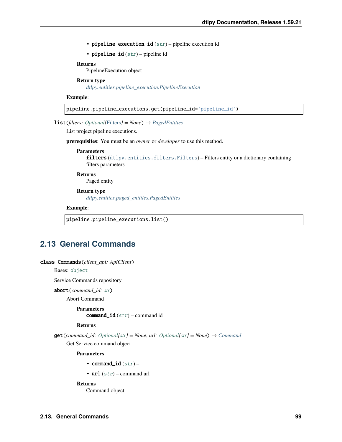• pipeline\_execution\_id ([str](https://docs.python.org/3/library/stdtypes.html#str)) – pipeline execution id

• pipeline\_id  $(str)$  $(str)$  $(str)$  – pipeline id

## **Returns**

PipelineExecution object

## **Return type**

*[dtlpy.entities.pipeline\\_execution.PipelineExecution](#page-168-0)*

#### **Example**:

pipeline.pipeline\_executions.get(pipeline\_id='pipeline\_id')

### **list**(*filters: Optional*[[Filters](#page-139-0)*]* =  $None$ )  $\rightarrow$   $PagedEntities$

List project pipeline executions.

**prerequisites**: You must be an *owner* or *developer* to use this method.

#### **Parameters**

filters ([dtlpy.entities.filters.Filters](#page-139-0)) – Filters entity or a dictionary containing filters parameters

## **Returns**

Paged entity

## **Return type**

*[dtlpy.entities.paged\\_entities.PagedEntities](#page-169-0)*

#### **Example**:

pipeline.pipeline\_executions.list()

# **2.13 General Commands**

#### class Commands(*client\_api: ApiClient*)

## Bases: [object](https://docs.python.org/3/library/functions.html#object)

Service Commands repository

#### abort(*command\_id: [str](https://docs.python.org/3/library/stdtypes.html#str)*)

Abort Command

**Parameters** command\_id  $(str)$  $(str)$  $(str)$  – command id

#### **Returns**

**get**(*command\_id: [Optional](https://docs.python.org/3/library/typing.html#typing.Optional)*[\[str\]](https://docs.python.org/3/library/stdtypes.html#str) = None, *url: Optional*[str] = None)  $\rightarrow$  *[Command](#page-170-0)* 

Get Service command object

## **Parameters**

- command\_id  $(str)$  $(str)$  $(str)$  –
- $url$  ([str](https://docs.python.org/3/library/stdtypes.html#str)) command url

## **Returns**

Command object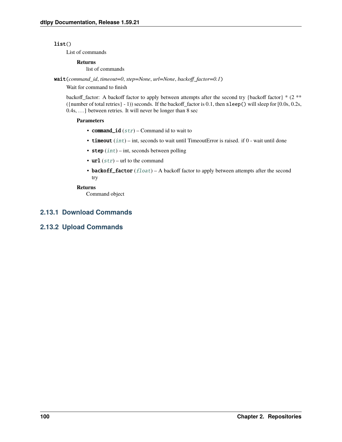## $list()$

List of commands

## **Returns**

list of commands

wait(*command\_id*, *timeout=0*, *step=None*, *url=None*, *backoff\_factor=0.1*)

Wait for command to finish

backoff\_factor: A backoff factor to apply between attempts after the second try {backoff factor} \* (2 \*\* ({number of total retries} - 1)) seconds. If the backoff\_factor is 0.1, then sleep() will sleep for [0.0s, 0.2s, 0.4s, . . . ] between retries. It will never be longer than 8 sec

## **Parameters**

- command\_id  $(str)$  $(str)$  $(str)$  Command id to wait to
- timeout  $(int)$  $(int)$  $(int)$  int, seconds to wait until TimeoutError is raised. if 0 wait until done
- step  $(int)$  $(int)$  $(int)$  int, seconds between polling
- $url (str) url$  $url (str) url$  $url (str) url$  to the command
- backoff\_factor  $(fload)$  A backoff factor to apply between attempts after the second try

## **Returns**

Command object

# **2.13.1 Download Commands**

# **2.13.2 Upload Commands**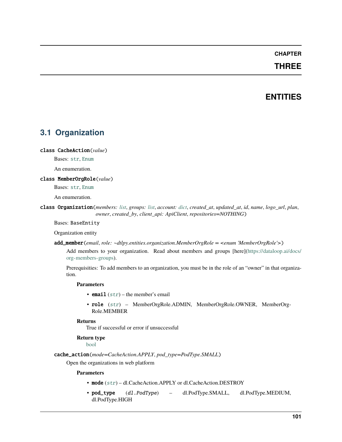# **CHAPTER**

# **THREE**

# **ENTITIES**

# **3.1 Organization**

class CacheAction(*value*)

Bases: [str](https://docs.python.org/3/library/stdtypes.html#str), [Enum](https://docs.python.org/3/library/enum.html#enum.Enum)

An enumeration.

## <span id="page-104-1"></span>class MemberOrgRole(*value*)

Bases: [str](https://docs.python.org/3/library/stdtypes.html#str), [Enum](https://docs.python.org/3/library/enum.html#enum.Enum)

An enumeration.

## <span id="page-104-0"></span>class Organization(*members: [list](https://docs.python.org/3/library/stdtypes.html#list)*, *groups: [list](https://docs.python.org/3/library/stdtypes.html#list)*, *account: [dict](https://docs.python.org/3/library/stdtypes.html#dict)*, *created\_at*, *updated\_at*, *id*, *name*, *logo\_url*, *plan*, *owner*, *created\_by*, *client\_api: ApiClient*, *repositories=NOTHING*)

Bases: BaseEntity

Organization entity

add\_member(*email*, *role: ~dtlpy.entities.organization.MemberOrgRole = <enum 'MemberOrgRole'>*)

Add members to your organization. Read about members and groups [here][\(https://dataloop.ai/docs/](https://dataloop.ai/docs/org-members-groups) [org-members-groups\)](https://dataloop.ai/docs/org-members-groups).

Prerequisities: To add members to an organization, you must be in the role of an "owner" in that organization.

## **Parameters**

- email  $(str)$  $(str)$  $(str)$  the member's email
- role ([str](https://docs.python.org/3/library/stdtypes.html#str)) MemberOrgRole.ADMIN, MemberOrgRole.OWNER, MemberOrg-Role.MEMBER

## **Returns**

True if successful or error if unsuccessful

## **Return type**

[bool](https://docs.python.org/3/library/functions.html#bool)

cache\_action(*mode=CacheAction.APPLY*, *pod\_type=PodType.SMALL*)

Open the organizations in web platform

- mode ([str](https://docs.python.org/3/library/stdtypes.html#str)) dl.CacheAction.APPLY or dl.CacheAction.DESTROY
- pod\_type (dl.PodType) dl.PodType.SMALL, dl.PodType.MEDIUM, dl.PodType.HIGH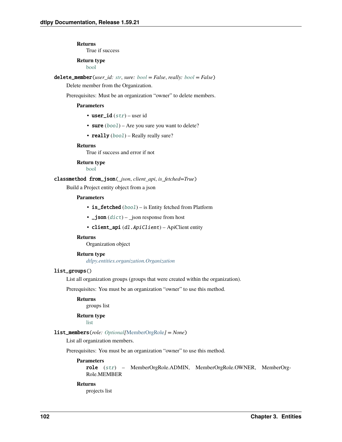True if success

# **Return type**

[bool](https://docs.python.org/3/library/functions.html#bool)

delete\_member(*user\_id: [str](https://docs.python.org/3/library/stdtypes.html#str)*, *sure: [bool](https://docs.python.org/3/library/functions.html#bool) = False*, *really: [bool](https://docs.python.org/3/library/functions.html#bool) = False*)

Delete member from the Organization.

Prerequisites: Must be an organization "owner" to delete members.

## **Parameters**

- user\_id  $(str)$  $(str)$  $(str)$  user id
- sure  $(bool)$  $(bool)$  $(bool)$  Are you sure you want to delete?
- really ([bool](https://docs.python.org/3/library/functions.html#bool)) Really really sure?

### **Returns**

True if success and error if not

# **Return type**

[bool](https://docs.python.org/3/library/functions.html#bool)

classmethod from\_json(*\_json*, *client\_api*, *is\_fetched=True*)

Build a Project entity object from a json

#### **Parameters**

- is\_fetched ([bool](https://docs.python.org/3/library/functions.html#bool)) is Entity fetched from Platform
- $\bigcup$  json  $(dict)$  $(dict)$  $(dict)$   $\bigcup$  json response from host
- client\_api (dl. ApiClient) ApiClient entity

## **Returns**

Organization object

## **Return type**

*[dtlpy.entities.organization.Organization](#page-104-0)*

## list\_groups()

List all organization groups (groups that were created within the organization).

Prerequisites: You must be an organization "owner" to use this method.

## **Returns**

groups list

## **Return type**

[list](https://docs.python.org/3/library/stdtypes.html#list)

## list\_members(*role: [Optional\[](https://docs.python.org/3/library/typing.html#typing.Optional)*[MemberOrgRole](#page-104-1)*] = None*)

List all organization members.

Prerequisites: You must be an organization "owner" to use this method.

## **Parameters**

role ([str](https://docs.python.org/3/library/stdtypes.html#str)) – MemberOrgRole.ADMIN, MemberOrgRole.OWNER, MemberOrg-Role.MEMBER

## **Returns**

projects list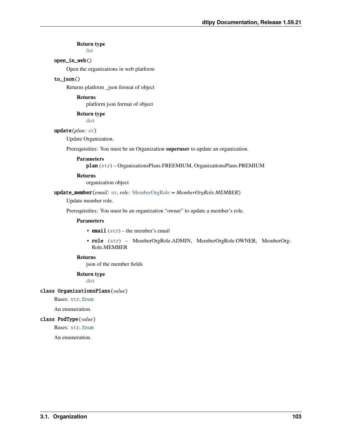# **Return type**

[list](https://docs.python.org/3/library/stdtypes.html#list)

## open\_in\_web()

Open the organizations in web platform

## to\_json()

Returns platform \_json format of object

## **Returns**

platform json format of object

**Return type**

[dict](https://docs.python.org/3/library/stdtypes.html#dict)

## update(*plan: [str](https://docs.python.org/3/library/stdtypes.html#str)*)

Update Organization.

Prerequisities: You must be an Organization **superuser** to update an organization.

## **Parameters**

plan ([str](https://docs.python.org/3/library/stdtypes.html#str)) – OrganizationsPlans.FREEMIUM, OrganizationsPlans.PREMIUM

## **Returns**

organization object

## update\_member(*email: [str](https://docs.python.org/3/library/stdtypes.html#str)*, *role:* [MemberOrgRole](#page-104-1) *= MemberOrgRole.MEMBER*)

Update member role.

Prerequisities: You must be an organization "owner" to update a member's role.

#### **Parameters**

- email  $(str)$  $(str)$  $(str)$  the member's email
- role ([str](https://docs.python.org/3/library/stdtypes.html#str)) MemberOrgRole.ADMIN, MemberOrgRole.OWNER, MemberOrg-Role.MEMBER

## **Returns**

json of the member fields

## **Return type**

[dict](https://docs.python.org/3/library/stdtypes.html#dict)

## class OrganizationsPlans(*value*)

Bases: [str](https://docs.python.org/3/library/stdtypes.html#str), [Enum](https://docs.python.org/3/library/enum.html#enum.Enum)

An enumeration.

## class PodType(*value*)

Bases: [str](https://docs.python.org/3/library/stdtypes.html#str), [Enum](https://docs.python.org/3/library/enum.html#enum.Enum)

An enumeration.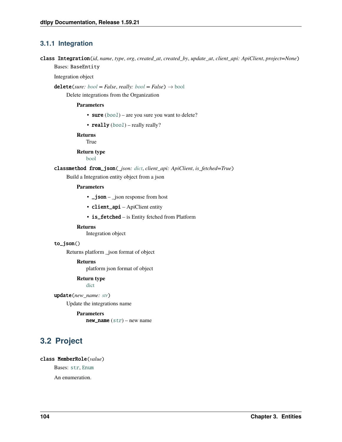# **3.1.1 Integration**

class Integration(*id*, *name*, *type*, *org*, *created\_at*, *created\_by*, *update\_at*, *client\_api: ApiClient*, *project=None*) Bases: BaseEntity

Integration object

 $\text{delete}(sure: \text{bool} = \text{False}, \text{really:} \text{bool} = \text{False}) \rightarrow \text{bool}$  $\text{delete}(sure: \text{bool} = \text{False}, \text{really:} \text{bool} = \text{False}) \rightarrow \text{bool}$  $\text{delete}(sure: \text{bool} = \text{False}, \text{really:} \text{bool} = \text{False}) \rightarrow \text{bool}$ 

Delete integrations from the Organization

## **Parameters**

- sure  $(bool)$  $(bool)$  $(bool)$  are you sure you want to delete?
- really  $(bool)$  $(bool)$  $(bool)$  really really?

**Returns**

True

**Return type**

[bool](https://docs.python.org/3/library/functions.html#bool)

## classmethod from\_json(*\_json: [dict](https://docs.python.org/3/library/stdtypes.html#dict)*, *client\_api: ApiClient*, *is\_fetched=True*)

Build a Integration entity object from a json

## **Parameters**

- $\Box$ json  $\Box$ json response from host
- client\_api ApiClient entity
- is\_fetched is Entity fetched from Platform

## **Returns**

Integration object

## to\_json()

Returns platform \_json format of object

## **Returns**

platform json format of object

#### **Return type**

[dict](https://docs.python.org/3/library/stdtypes.html#dict)

update(*new\_name: [str](https://docs.python.org/3/library/stdtypes.html#str)*)

Update the integrations name

## **Parameters**

 $new_name (str)$  $new_name (str)$  $new_name (str)$  – new name

# **3.2 Project**

## class MemberRole(*value*)

Bases: [str](https://docs.python.org/3/library/stdtypes.html#str), [Enum](https://docs.python.org/3/library/enum.html#enum.Enum)

<span id="page-107-0"></span>An enumeration.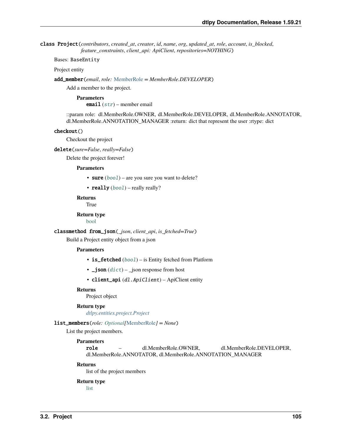class Project(*contributors*, *created\_at*, *creator*, *id*, *name*, *org*, *updated\_at*, *role*, *account*, *is\_blocked*, *feature\_constraints*, *client\_api: ApiClient*, *repositories=NOTHING*)

Bases: BaseEntity

Project entity

add\_member(*email*, *role:* [MemberRole](#page-107-0) *= MemberRole.DEVELOPER*)

Add a member to the project.

# **Parameters**

email  $(str)$  $(str)$  $(str)$  – member email

::param role: dl.MemberRole.OWNER, dl.MemberRole.DEVELOPER, dl.MemberRole.ANNOTATOR, dl.MemberRole.ANNOTATION\_MANAGER :return: dict that represent the user :rtype: dict

#### checkout()

Checkout the project

delete(*sure=False*, *really=False*)

Delete the project forever!

#### **Parameters**

• sure  $(bool)$  $(bool)$  $(bool)$  – are you sure you want to delete?

• really  $(bool)$  $(bool)$  $(bool)$  – really really?

# **Returns**

**True** 

**Return type**

[bool](https://docs.python.org/3/library/functions.html#bool)

#### classmethod from\_json(*\_json*, *client\_api*, *is\_fetched=True*)

Build a Project entity object from a json

# **Parameters**

- is\_fetched (boo1) is Entity fetched from Platform
- $\bigcup$  **json** ([dict](https://docs.python.org/3/library/stdtypes.html#dict)) json response from host
- client\_api (dl.ApiClient) ApiClient entity

### **Returns**

Project object

#### **Return type**

*[dtlpy.entities.project.Project](#page-107-1)*

# list\_members(*role: [Optional\[](https://docs.python.org/3/library/typing.html#typing.Optional)*[MemberRole](#page-107-0)*] = None*)

List the project members.

# **Parameters**

role – dl.MemberRole.OWNER, dl.MemberRole.DEVELOPER, dl.MemberRole.ANNOTATOR, dl.MemberRole.ANNOTATION\_MANAGER

#### **Returns**

list of the project members

# **Return type**

[list](https://docs.python.org/3/library/stdtypes.html#list)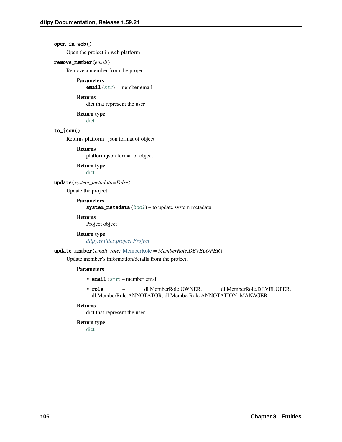# open\_in\_web()

Open the project in web platform

### remove\_member(*email*)

Remove a member from the project.

# **Parameters**

email  $(str)$  $(str)$  $(str)$  – member email

### **Returns**

dict that represent the user

**Return type**

[dict](https://docs.python.org/3/library/stdtypes.html#dict)

# to\_json()

Returns platform \_json format of object

# **Returns**

platform json format of object

**Return type**

[dict](https://docs.python.org/3/library/stdtypes.html#dict)

# update(*system\_metadata=False*)

Update the project

**Parameters**

system\_metadata ([bool](https://docs.python.org/3/library/functions.html#bool)) – to update system metadata

# **Returns**

Project object

# **Return type**

*[dtlpy.entities.project.Project](#page-107-1)*

#### update\_member(*email*, *role:* [MemberRole](#page-107-0) *= MemberRole.DEVELOPER*)

Update member's information/details from the project.

# **Parameters**

- email  $(str)$  $(str)$  $(str)$  member email
- role dl.MemberRole.OWNER, dl.MemberRole.DEVELOPER, dl.MemberRole.ANNOTATOR, dl.MemberRole.ANNOTATION\_MANAGER

# **Returns**

dict that represent the user

# **Return type**

[dict](https://docs.python.org/3/library/stdtypes.html#dict)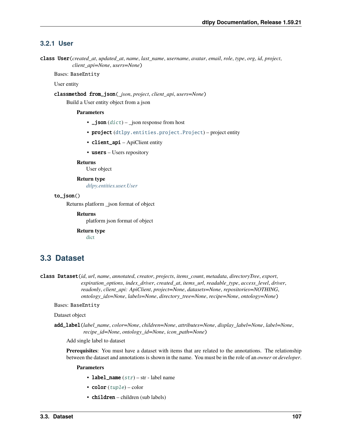# **3.2.1 User**

<span id="page-110-0"></span>class User(*created\_at*, *updated\_at*, *name*, *last\_name*, *username*, *avatar*, *email*, *role*, *type*, *org*, *id*, *project*, *client\_api=None*, *users=None*)

Bases: BaseEntity

User entity

classmethod from\_json(*\_json*, *project*, *client\_api*, *users=None*)

Build a User entity object from a json

# **Parameters**

- $\Box$  json ([dict](https://docs.python.org/3/library/stdtypes.html#dict))  $\Box$  json response from host
- project ([dtlpy.entities.project.Project](#page-107-1)) project entity
- client\_api ApiClient entity
- users Users repository

# **Returns**

User object

# **Return type**

*[dtlpy.entities.user.User](#page-110-0)*

# to\_json()

Returns platform \_json format of object

**Returns**

platform json format of object

**Return type**

[dict](https://docs.python.org/3/library/stdtypes.html#dict)

# **3.3 Dataset**

<span id="page-110-1"></span>class Dataset(*id*, *url*, *name*, *annotated*, *creator*, *projects*, *items\_count*, *metadata*, *directoryTree*, *export*, *expiration\_options*, *index\_driver*, *created\_at*, *items\_url*, *readable\_type*, *access\_level*, *driver*, *readonly*, *client\_api: ApiClient*, *project=None*, *datasets=None*, *repositories=NOTHING*, *ontology\_ids=None*, *labels=None*, *directory\_tree=None*, *recipe=None*, *ontology=None*)

Bases: BaseEntity

Dataset object

add\_label(*label\_name*, *color=None*, *children=None*, *attributes=None*, *display\_label=None*, *label=None*, *recipe\_id=None*, *ontology\_id=None*, *icon\_path=None*)

Add single label to dataset

**Prerequisites**: You must have a dataset with items that are related to the annotations. The relationship between the dataset and annotations is shown in the name. You must be in the role of an *owner* or *developer*.

- label\_name  $(str)$  $(str)$  $(str)$  str label name
- $color(tuple) color$  $color(tuple) color$  $color(tuple) color$
- $children$  children (sub labels)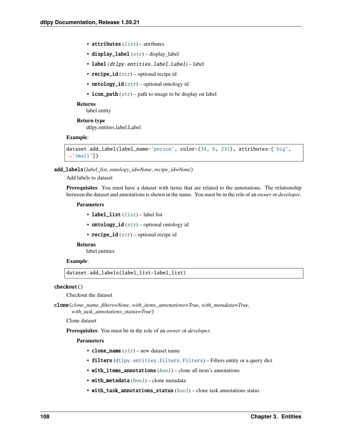- attributes  $(list)$  $(list)$  $(list)$  attributes
- display\_label  $(str)$  $(str)$  $(str)$  display\_label
- label (dtlpy.entities.label.Label) label
- recipe\_id  $(str)$  $(str)$  $(str)$  optional recipe id
- ontology\_id  $(str)$  $(str)$  $(str)$  optional ontology id
- icon\_path  $(str)$  $(str)$  $(str)$  path to image to be display on label

label entity

**Return type** dtlpy.entities.label.Label

# **Example**:

```
dataset.add_label(label_name='person', color=(34, 6, 231), attributes=['big',
\rightarrow'small'])
```
add\_labels(*label\_list*, *ontology\_id=None*, *recipe\_id=None*)

# Add labels to dataset

**Prerequisites**: You must have a dataset with items that are related to the annotations. The relationship between the dataset and annotations is shown in the name. You must be in the role of an *owner* or *developer*.

#### **Parameters**

- label\_[list](https://docs.python.org/3/library/stdtypes.html#list) (list) label list
- ontology\_id  $(str)$  $(str)$  $(str)$  optional ontology id
- recipe\_id  $(str)$  $(str)$  $(str)$  optional recipe id

# **Returns**

label entities

# **Example**:

dataset.add\_labels(label\_list=label\_list)

# checkout()

Checkout the dataset

clone(*clone\_name*, *filters=None*, *with\_items\_annotations=True*, *with\_metadata=True*, *with\_task\_annotations\_status=True*)

Clone dataset

**Prerequisites**: You must be in the role of an *owner* or *developer*.

- clone\_name  $(str)$  $(str)$  $(str)$  new dataset name
- filters ([dtlpy.entities.filters.Filters](#page-139-0)) Filters entity or a query dict
- with\_items\_annotations ([bool](https://docs.python.org/3/library/functions.html#bool)) clone all item's annotations
- with\_metadata ([bool](https://docs.python.org/3/library/functions.html#bool)) clone metadata
- with\_task\_annotations\_status ([bool](https://docs.python.org/3/library/functions.html#bool)) clone task annotations status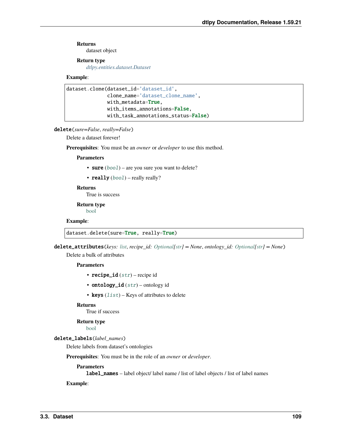dataset object

# **Return type**

*[dtlpy.entities.dataset.Dataset](#page-110-1)*

# **Example**:

```
dataset.clone(dataset_id='dataset_id',
              clone_name='dataset_clone_name',
              with_metadata=True,
              with_items_annotations=False,
              with_task_annotations_status=False)
```
# delete(*sure=False*, *really=False*)

Delete a dataset forever!

**Prerequisites**: You must be an *owner* or *developer* to use this method.

#### **Parameters**

- sure  $(bool)$  $(bool)$  $(bool)$  are you sure you want to delete?
- really  $(bool)$  $(bool)$  $(bool)$  really really?

# **Returns**

True is success

**Return type** [bool](https://docs.python.org/3/library/functions.html#bool)

# **Example**:

dataset.delete(sure=True, really=True)

delete\_attributes(*keys: [list](https://docs.python.org/3/library/stdtypes.html#list)*, *recipe\_id: [Optional\[](https://docs.python.org/3/library/typing.html#typing.Optional)[str\]](https://docs.python.org/3/library/stdtypes.html#str) = None*, *ontology\_id: [Optional\[](https://docs.python.org/3/library/typing.html#typing.Optional)[str\]](https://docs.python.org/3/library/stdtypes.html#str) = None*)

Delete a bulk of attributes

# **Parameters**

- recipe\_id  $(str)$  $(str)$  $(str)$  recipe id
- ontology\_id  $(str)$  $(str)$  $(str)$  ontology id
- keys  $(list)$  $(list)$  $(list)$  Keys of attributes to delete

#### **Returns**

True if success

**Return type**

[bool](https://docs.python.org/3/library/functions.html#bool)

# delete\_labels(*label\_names*)

Delete labels from dataset's ontologies

**Prerequisites**: You must be in the role of an *owner* or *developer*.

#### **Parameters**

label\_names – label object/ label name / list of label objects / list of label names

**Example**: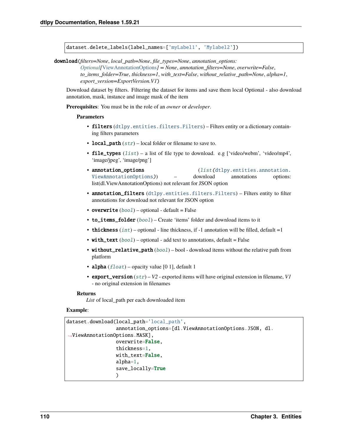dataset.delete\_labels(label\_names=['myLabel1', 'Mylabel2'])

download(*filters=None*, *local\_path=None*, *file\_types=None*, *annotation\_options:*

*[Optional\[](https://docs.python.org/3/library/typing.html#typing.Optional)*[ViewAnnotationOptions](#page-129-0)*] = None*, *annotation\_filters=None*, *overwrite=False*, *to\_items\_folder=True*, *thickness=1*, *with\_text=False*, *without\_relative\_path=None*, *alpha=1*, *export\_version=ExportVersion.V1*)

Download dataset by filters. Filtering the dataset for items and save them local Optional - also download annotation, mask, instance and image mask of the item

**Prerequisites**: You must be in the role of an *owner* or *developer*.

#### **Parameters**

- filters ([dtlpy.entities.filters.Filters](#page-139-0)) Filters entity or a dictionary containing filters parameters
- local\_path  $(str)$  $(str)$  $(str)$  local folder or filename to save to.
- file\_types  $(iist) a$  [list](https://docs.python.org/3/library/stdtypes.html#list) of file type to download. e.g ['video/webm', 'video/mp4', 'image/jpeg', 'image/png']
- **annotation\_options** ([list\(](https://docs.python.org/3/library/stdtypes.html#list)[dtlpy.entities.annotation.](#page-129-0) [ViewAnnotationOptions](#page-129-0))) – download annotations options: list(dl.ViewAnnotationOptions) not relevant for JSON option
- annotation\_filters ([dtlpy.entities.filters.Filters](#page-139-0)) Filters entity to filter annotations for download not relevant for JSON option
- overwrite  $(bool)$  $(bool)$  $(bool)$  optional default = False
- to\_items\_folder ([bool](https://docs.python.org/3/library/functions.html#bool)) Create 'items' folder and download items to it
- thickness  $(int)$  $(int)$  $(int)$  optional line thickness, if -1 annotation will be filled, default =1
- with\_text  $(bool)$  $(bool)$  $(bool)$  optional add text to annotations, default = False
- without\_relative\_path  $(bool)$  $(bool)$  $(bool)$  bool download items without the relative path from platform
- alpha  $(fload)$  opacity value [0 1], default 1
- export\_version ([str](https://docs.python.org/3/library/stdtypes.html#str)) *V2* exported items will have original extension in filename, *V1* - no original extension in filenames

#### **Returns**

*List* of local\_path per each downloaded item

# **Example**:

```
dataset.download(local_path='local_path',
                 annotation_options=[dl.ViewAnnotationOptions.JSON, dl.
˓→ViewAnnotationOptions.MASK],
                 overwrite=False,
                 thickness=1,
                 with_text=False,
                 alpha=1,
                 save_locally=True
                 )
```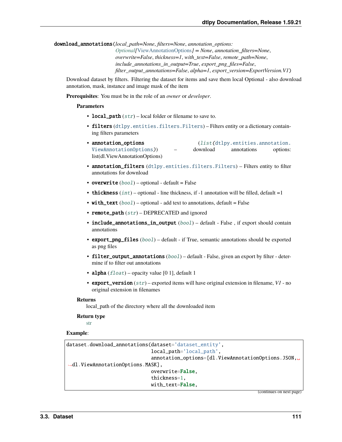download\_annotations(*local\_path=None*, *filters=None*, *annotation\_options:*

*[Optional\[](https://docs.python.org/3/library/typing.html#typing.Optional)*[ViewAnnotationOptions](#page-129-0)*] = None*, *annotation\_filters=None*, *overwrite=False*, *thickness=1*, *with\_text=False*, *remote\_path=None*, *include\_annotations\_in\_output=True*, *export\_png\_files=False*, *filter\_output\_annotations=False*, *alpha=1*, *export\_version=ExportVersion.V1*)

Download dataset by filters. Filtering the dataset for items and save them local Optional - also download annotation, mask, instance and image mask of the item

**Prerequisites**: You must be in the role of an *owner* or *developer*.

#### **Parameters**

- local\_path  $(str)$  $(str)$  $(str)$  local folder or filename to save to.
- filters ([dtlpy.entities.filters.Filters](#page-139-0)) Filters entity or a dictionary containing filters parameters
- **annotation\_options** ([list\(](https://docs.python.org/3/library/stdtypes.html#list)[dtlpy.entities.annotation.](#page-129-0) [ViewAnnotationOptions](#page-129-0))) – download annotations options: list(dl.ViewAnnotationOptions)
- annotation\_filters ([dtlpy.entities.filters.Filters](#page-139-0)) Filters entity to filter annotations for download
- overwrite  $(bool)$  $(bool)$  $(bool)$  optional default = False
- thickness  $(int)$  $(int)$  $(int)$  optional line thickness, if -1 annotation will be filled, default =1
- with\_text  $(bool)$  $(bool)$  $(bool)$  optional add text to annotations, default = False
- remote\_path  $(str)$  $(str)$  $(str)$  DEPRECATED and ignored
- include\_annotations\_in\_output ([bool](https://docs.python.org/3/library/functions.html#bool)) default False, if export should contain annotations
- export\_png\_files ([bool](https://docs.python.org/3/library/functions.html#bool)) default if True, semantic annotations should be exported as png files
- filter\_output\_annotations ([bool](https://docs.python.org/3/library/functions.html#bool)) default False, given an export by filter determine if to filter out annotations
- alpha  $(fload)$  opacity value [0 1], default 1
- export\_version ([str](https://docs.python.org/3/library/stdtypes.html#str)) exported items will have original extension in filename, *V1* no original extension in filenames

#### **Returns**

local path of the directory where all the downloaded item

#### **Return type**

[str](https://docs.python.org/3/library/stdtypes.html#str)

# **Example**:

```
dataset.download_annotations(dataset='dataset_entity',
                             local_path='local_path',
                             annotation_options=[dl.ViewAnnotationOptions.JSON,␣
˓→dl.ViewAnnotationOptions.MASK],
                             overwrite=False,
                             thickness=1,
                             with text=False.
```
(continues on next page)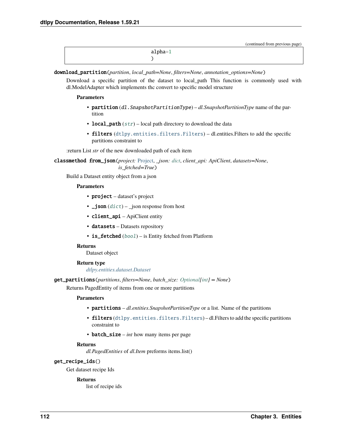(continued from previous page)

| $alpha=1$ |
|-----------|
|           |

download\_partition(*partition*, *local\_path=None*, *filters=None*, *annotation\_options=None*)

Download a specific partition of the dataset to local\_path This function is commonly used with dl.ModelAdapter which implements thc convert to specific model structure

# **Parameters**

- partition (dl.SnapshotPartitionType) *dl.SnapshotPartitionType* name of the partition
- local\_path  $(str)$  $(str)$  $(str)$  local path directory to download the data
- filters ([dtlpy.entities.filters.Filters](#page-139-0)) dl.entities.Filters to add the specific partitions constraint to

:return List *str* of the new downloaded path of each item

classmethod from\_json(*project:* [Project,](#page-107-1) *\_json: [dict](https://docs.python.org/3/library/stdtypes.html#dict)*, *client\_api: ApiClient*, *datasets=None*, *is\_fetched=True*)

Build a Dataset entity object from a json

# **Parameters**

- **project** dataset's project
- $\bigcup$  **json** ([dict](https://docs.python.org/3/library/stdtypes.html#dict)) json response from host
- **client\_api** ApiClient entity
- datasets Datasets repository
- is\_fetched ([bool](https://docs.python.org/3/library/functions.html#bool)) is Entity fetched from Platform

# **Returns**

Dataset object

# **Return type**

*[dtlpy.entities.dataset.Dataset](#page-110-1)*

get\_partitions(*partitions*, *filters=None*, *batch\_size: [Optional\[](https://docs.python.org/3/library/typing.html#typing.Optional)[int\]](https://docs.python.org/3/library/functions.html#int) = None*)

Returns PagedEntity of items from one or more partitions

# **Parameters**

- partitions *dl.entities.SnapshotPartitionType* or a list. Name of the partitions
- filters ([dtlpy.entities.filters.Filters](#page-139-0)) dl.Filters to add the specific partitions constraint to
- batch\_size *int* how many items per page

# **Returns**

*dl.PagedEntities* of *dl.Item* preforms items.list()

# get\_recipe\_ids()

Get dataset recipe Ids

# **Returns**

list of recipe ids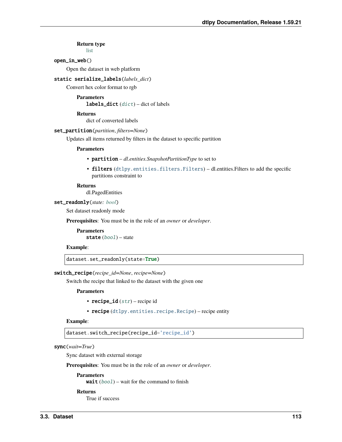# **Return type**

[list](https://docs.python.org/3/library/stdtypes.html#list)

# open\_in\_web()

Open the dataset in web platform

# static serialize\_labels(*labels\_dict*)

Convert hex color format to rgb

# **Parameters labels\_[dict](https://docs.python.org/3/library/stdtypes.html#dict)**  $(dict)$  – dict of labels

**Returns**

dict of converted labels

#### set\_partition(*partition*, *filters=None*)

Updates all items returned by filters in the dataset to specific partition

#### **Parameters**

- partition *dl.entities.SnapshotPartitionType* to set to
- filters ([dtlpy.entities.filters.Filters](#page-139-0)) dl.entities.Filters to add the specific partitions constraint to

#### **Returns**

dl.PagedEntities

# set\_readonly(*state: [bool](https://docs.python.org/3/library/functions.html#bool)*)

Set dataset readonly mode

**Prerequisites**: You must be in the role of an *owner* or *developer*.

**Parameters** state ([bool](https://docs.python.org/3/library/functions.html#bool)) – state

# **Example**:

dataset.set\_readonly(state=True)

# switch\_recipe(*recipe\_id=None*, *recipe=None*)

Switch the recipe that linked to the dataset with the given one

#### **Parameters**

- recipe\_id  $(str)$  $(str)$  $(str)$  recipe id
- recipe ([dtlpy.entities.recipe.Recipe](#page-142-0)) recipe entity

# **Example**:

dataset.switch\_recipe(recipe\_id='recipe\_id')

# sync(*wait=True*)

Sync dataset with external storage

**Prerequisites**: You must be in the role of an *owner* or *developer*.

#### **Parameters**

wait  $(bool)$  $(bool)$  $(bool)$  – wait for the command to finish

#### **Returns**

True if success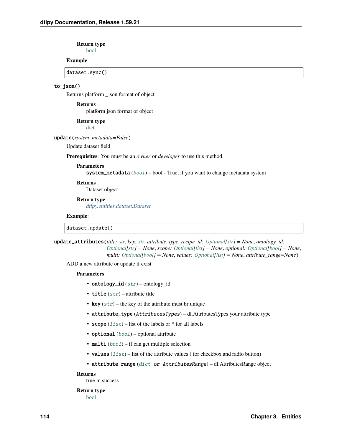#### **Return type** [bool](https://docs.python.org/3/library/functions.html#bool)

# **Example**:

dataset.sync()

# to\_json()

Returns platform \_json format of object

# **Returns**

platform json format of object

### **Return type**

[dict](https://docs.python.org/3/library/stdtypes.html#dict)

update(*system\_metadata=False*)

Update dataset field

**Prerequisites**: You must be an *owner* or *developer* to use this method.

# **Parameters**

system\_metadata ([bool](https://docs.python.org/3/library/functions.html#bool)) – bool - True, if you want to change metadata system

# **Returns**

Dataset object

### **Return type**

*[dtlpy.entities.dataset.Dataset](#page-110-1)*

#### **Example**:

dataset.update()

update\_attributes(*title: [str](https://docs.python.org/3/library/stdtypes.html#str)*, *key: [str](https://docs.python.org/3/library/stdtypes.html#str)*, *attribute\_type*, *recipe\_id: [Optional](https://docs.python.org/3/library/typing.html#typing.Optional)[\[str\]](https://docs.python.org/3/library/stdtypes.html#str) = None*, *ontology\_id: [Optional](https://docs.python.org/3/library/typing.html#typing.Optional)[\[str\]](https://docs.python.org/3/library/stdtypes.html#str) = None*, *scope: [Optional](https://docs.python.org/3/library/typing.html#typing.Optional)[\[list\]](https://docs.python.org/3/library/stdtypes.html#list) = None*, *optional: [Optional\[](https://docs.python.org/3/library/typing.html#typing.Optional)[bool\]](https://docs.python.org/3/library/functions.html#bool) = None*, *multi: [Optional](https://docs.python.org/3/library/typing.html#typing.Optional)[\[bool\]](https://docs.python.org/3/library/functions.html#bool) = None*, *values: [Optional](https://docs.python.org/3/library/typing.html#typing.Optional)[\[list\]](https://docs.python.org/3/library/stdtypes.html#list) = None*, *attribute\_range=None*)

ADD a new attribute or update if exist

### **Parameters**

- ontology\_id  $(str)$  $(str)$  $(str)$  ontology\_id
- title  $(str)$  $(str)$  $(str)$  attribute title
- key  $(str)$  $(str)$  $(str)$  the key of the attribute must br unique
- attribute\_type (AttributesTypes) dl.AttributesTypes your attribute type
- scope  $(list)$  $(list)$  $(list)$  list of the labels or  $*$  for all labels
- optional  $(bool)$  $(bool)$  $(bool)$  optional attribute
- multi  $(bool)$  $(bool)$  $(bool)$  if can get multiple selection
- values  $(list)$  $(list)$  $(list)$  list of the attribute values (for checkbox and radio button)
- attribute\_range ([dict](https://docs.python.org/3/library/stdtypes.html#dict) or AttributesRange) dl.AttributesRange object

# **Returns**

true in success

# **Return type**

[bool](https://docs.python.org/3/library/functions.html#bool)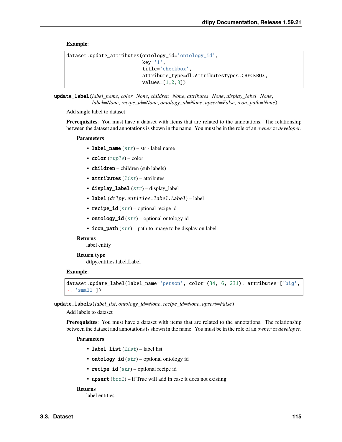# **Example**:

```
dataset.update_attributes(ontology_id='ontology_id',
                          key='1',title='checkbox',
                          attribute_type=dl.AttributesTypes.CHECKBOX,
                          values=[1,2,3])
```
update\_label(*label\_name*, *color=None*, *children=None*, *attributes=None*, *display\_label=None*, *label=None*, *recipe\_id=None*, *ontology\_id=None*, *upsert=False*, *icon\_path=None*)

Add single label to dataset

**Prerequisites**: You must have a dataset with items that are related to the annotations. The relationship between the dataset and annotations is shown in the name. You must be in the role of an *owner* or *developer*.

### **Parameters**

- label\_name  $(str)$  $(str)$  $(str)$  str label name
- $color(tuple) color$  $color(tuple) color$  $color(tuple) color$
- children children (sub labels)
- attributes  $(list)$  $(list)$  $(list)$  attributes
- display\_label  $(str)$  $(str)$  $(str)$  display label
- label (dtlpy.entities.label.Label) label
- recipe\_id  $(str)$  $(str)$  $(str)$  optional recipe id
- ontology\_id  $(str)$  $(str)$  $(str)$  optional ontology id
- icon\_path  $(str)$  $(str)$  $(str)$  path to image to be display on label

#### **Returns**

label entity

# **Return type**

dtlpy.entities.label.Label

#### **Example**:

```
dataset.update_label(label_name='person', color=(34, 6, 231), attributes=['big',
ightharpoonup 'small'])
```
update\_labels(*label\_list*, *ontology\_id=None*, *recipe\_id=None*, *upsert=False*)

Add labels to dataset

**Prerequisites**: You must have a dataset with items that are related to the annotations. The relationship between the dataset and annotations is shown in the name. You must be in the role of an *owner* or *developer*.

#### **Parameters**

- label\_[list](https://docs.python.org/3/library/stdtypes.html#list) (list) label list
- ontology\_id  $(str)$  $(str)$  $(str)$  optional ontology id
- recipe\_id  $(str)$  $(str)$  $(str)$  optional recipe id
- upsert  $(bool)$  $(bool)$  $(bool)$  if True will add in case it does not existing

# **Returns**

label entities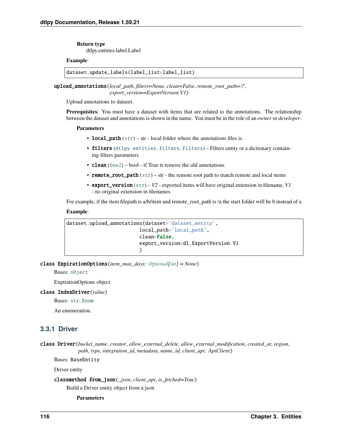**Return type** dtlpy.entities.label.Label

# **Example**:

dataset.update\_labels(label\_list=label\_list)

upload\_annotations(*local\_path*, *filters=None*, *clean=False*, *remote\_root\_path='/'*, *export\_version=ExportVersion.V1*)

Upload annotations to dataset.

**Prerequisites**: You must have a dataset with items that are related to the annotations. The relationship between the dataset and annotations is shown in the name. You must be in the role of an *owner* or *developer*.

### **Parameters**

- local\_path  $(str)$  $(str)$  $(str)$  str local folder where the annotations files is.
- filters ([dtlpy.entities.filters.Filters](#page-139-0)) Filters entity or a dictionary containing filters parameters
- **clean**  $(bool)$  $(bool)$  $(bool)$  bool if True it remove the old annotations
- remote\_root\_path  $(str)$  $(str)$  $(str)$  str the remote root path to match remote and local items
- export\_version ([str](https://docs.python.org/3/library/stdtypes.html#str)) *V2* exported items will have original extension in filename, *V1* - no original extension in filenames

For example, if the item filepath is a/b/item and remote\_root\_path is /a the start folder will be b instead of a

# **Example**:

```
dataset.upload_annotations(dataset='dataset_entity',
                         local_path='local_path',
                         clean=False,
                         export_version=dl.ExportVersion.V1
                         )
```
class ExpirationOptions(*item\_max\_days: [Optional](https://docs.python.org/3/library/typing.html#typing.Optional)[\[int\]](https://docs.python.org/3/library/functions.html#int) = None*)

Bases: [object](https://docs.python.org/3/library/functions.html#object)

ExpirationOptions object

# class IndexDriver(*value*)

Bases: [str](https://docs.python.org/3/library/stdtypes.html#str), [Enum](https://docs.python.org/3/library/enum.html#enum.Enum)

An enumeration.

# **3.3.1 Driver**

class Driver(*bucket\_name*, *creator*, *allow\_external\_delete*, *allow\_external\_modification*, *created\_at*, *region*, *path*, *type*, *integration\_id*, *metadata*, *name*, *id*, *client\_api: ApiClient*)

Bases: BaseEntity

Driver entity

classmethod from\_json(*\_json*, *client\_api*, *is\_fetched=True*)

Build a Driver entity object from a json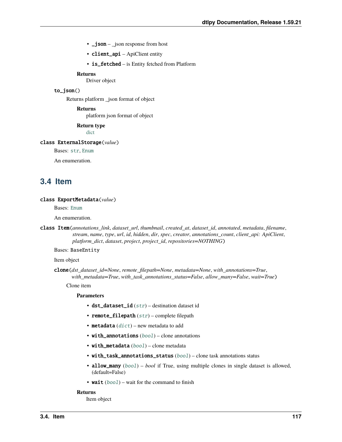- $\mathbf{\underline{-j}}$ son  $\mathbf{\underline{-j}}$ son response from host
- client\_api ApiClient entity
- is\_fetched is Entity fetched from Platform

Driver object

# to\_json()

Returns platform \_json format of object

**Returns**

platform json format of object

**Return type**

[dict](https://docs.python.org/3/library/stdtypes.html#dict)

# class ExternalStorage(*value*)

Bases: [str](https://docs.python.org/3/library/stdtypes.html#str), [Enum](https://docs.python.org/3/library/enum.html#enum.Enum)

An enumeration.

# **3.4 Item**

# class ExportMetadata(*value*)

Bases: [Enum](https://docs.python.org/3/library/enum.html#enum.Enum)

An enumeration.

<span id="page-120-0"></span>class Item(*annotations\_link*, *dataset\_url*, *thumbnail*, *created\_at*, *dataset\_id*, *annotated*, *metadata*, *filename*, *stream*, *name*, *type*, *url*, *id*, *hidden*, *dir*, *spec*, *creator*, *annotations\_count*, *client\_api: ApiClient*, *platform\_dict*, *dataset*, *project*, *project\_id*, *repositories=NOTHING*)

Bases: BaseEntity

Item object

clone(*dst\_dataset\_id=None*, *remote\_filepath=None*, *metadata=None*, *with\_annotations=True*, *with\_metadata=True*, *with\_task\_annotations\_status=False*, *allow\_many=False*, *wait=True*)

Clone item

#### **Parameters**

- dst\_dataset\_id  $(str)$  $(str)$  $(str)$  destination dataset id
- remote\_filepath ([str](https://docs.python.org/3/library/stdtypes.html#str)) complete filepath
- metadata  $(dict)$  $(dict)$  $(dict)$  new metadata to add
- with\_annotations ([bool](https://docs.python.org/3/library/functions.html#bool)) clone annotations
- with\_metadata ([bool](https://docs.python.org/3/library/functions.html#bool)) clone metadata
- with\_task\_annotations\_status ([bool](https://docs.python.org/3/library/functions.html#bool)) clone task annotations status
- allow\_many ([bool](https://docs.python.org/3/library/functions.html#bool)) *bool* if True, using multiple clones in single dataset is allowed, (default=False)
- wait  $(bool)$  $(bool)$  $(bool)$  wait for the command to finish

### **Returns**

Item object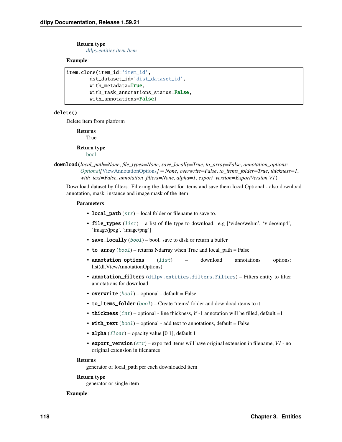# **Return type**

*[dtlpy.entities.item.Item](#page-120-0)*

# **Example**:

```
item.clone(item_id='item_id',
        dst_dataset_id='dist_dataset_id',
        with_metadata=True,
       with_task_annotations_status=False,
        with_annotations=False)
```
# delete()

Delete item from platform

**Returns** True

### **Return type** [bool](https://docs.python.org/3/library/functions.html#bool)

# download(*local\_path=None*, *file\_types=None*, *save\_locally=True*, *to\_array=False*, *annotation\_options: [Optional\[](https://docs.python.org/3/library/typing.html#typing.Optional)*[ViewAnnotationOptions](#page-129-0)*] = None*, *overwrite=False*, *to\_items\_folder=True*, *thickness=1*, *with\_text=False*, *annotation\_filters=None*, *alpha=1*, *export\_version=ExportVersion.V1*)

Download dataset by filters. Filtering the dataset for items and save them local Optional - also download annotation, mask, instance and image mask of the item

# **Parameters**

- local\_path  $(str)$  $(str)$  $(str)$  local folder or filename to save to.
- file\_types  $(list) a$  $(list) a$  $(list) a$  list of file type to download. e.g ['video/webm', 'video/mp4', 'image/jpeg', 'image/png']
- save\_locally  $(bool)$  $(bool)$  $(bool)$  bool. save to disk or return a buffer
- to\_array  $(boo1)$  returns Ndarray when True and local path = False
- **annotation\_options** ([list](https://docs.python.org/3/library/stdtypes.html#list)) download annotations options: list(dl.ViewAnnotationOptions)
- annotation\_filters ([dtlpy.entities.filters.Filters](#page-139-0)) Filters entity to filter annotations for download
- overwrite  $(bool)$  $(bool)$  $(bool)$  optional default = False
- to\_items\_folder ([bool](https://docs.python.org/3/library/functions.html#bool)) Create 'items' folder and download items to it
- thickness  $(int)$  $(int)$  $(int)$  optional line thickness, if -1 annotation will be filled, default =1
- with\_text  $(bool)$  $(bool)$  $(bool)$  optional add text to annotations, default = False
- alpha  $(fload)$  opacity value [0 1], default 1
- export\_version ([str](https://docs.python.org/3/library/stdtypes.html#str)) exported items will have original extension in filename, *V1* no original extension in filenames

# **Returns**

generator of local\_path per each downloaded item

# **Return type**

generator or single item

# **Example**: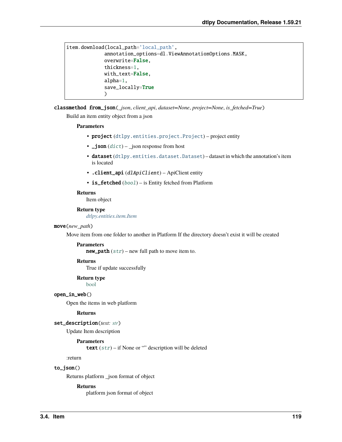```
item.download(local_path='local_path',
             annotation_options=dl.ViewAnnotationOptions.MASK,
             overwrite=False,
             thickness=1,
             with_text=False,
             alpha=1,
             save_locally=True
             )
```
classmethod from\_json(*\_json*, *client\_api*, *dataset=None*, *project=None*, *is\_fetched=True*) Build an item entity object from a json

# **Parameters**

- project ([dtlpy.entities.project.Project](#page-107-1)) project entity
- $\Box$ json ([dict](https://docs.python.org/3/library/stdtypes.html#dict))  $\Box$ json response from host
- dataset ([dtlpy.entities.dataset.Dataset](#page-110-1)) dataset in which the annotation's item is located
- . client\_api (dlApiClient) ApiClient entity
- is\_fetched ([bool](https://docs.python.org/3/library/functions.html#bool)) is Entity fetched from Platform

### **Returns**

Item object

# **Return type**

*[dtlpy.entities.item.Item](#page-120-0)*

# move(*new\_path*)

Move item from one folder to another in Platform If the directory doesn't exist it will be created

#### **Parameters**

**new\_path**  $(str)$  $(str)$  $(str)$  – new full path to move item to.

### **Returns**

True if update successfully

# **Return type**

[bool](https://docs.python.org/3/library/functions.html#bool)

# open\_in\_web()

Open the items in web platform

# **Returns**

# set\_description(*text: [str](https://docs.python.org/3/library/stdtypes.html#str)*)

Update Item description

# **Parameters**

text  $(str)$  $(str)$  $(str)$  – if None or "" description will be deleted

:return

# to\_json()

Returns platform \_json format of object

### **Returns**

platform json format of object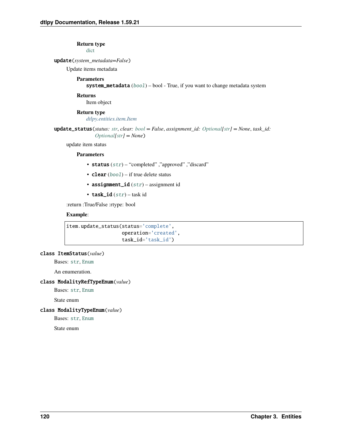# **Return type**

[dict](https://docs.python.org/3/library/stdtypes.html#dict)

# update(*system\_metadata=False*)

Update items metadata

# **Parameters**

system\_metadata ([bool](https://docs.python.org/3/library/functions.html#bool)) – bool - True, if you want to change metadata system

# **Returns**

Item object

# **Return type**

*[dtlpy.entities.item.Item](#page-120-0)*

update\_status(*status: [str](https://docs.python.org/3/library/stdtypes.html#str)*, *clear: [bool](https://docs.python.org/3/library/functions.html#bool) = False*, *assignment\_id: [Optional](https://docs.python.org/3/library/typing.html#typing.Optional)[\[str\]](https://docs.python.org/3/library/stdtypes.html#str) = None*, *task\_id: [Optional](https://docs.python.org/3/library/typing.html#typing.Optional)[\[str\]](https://docs.python.org/3/library/stdtypes.html#str) = None*)

update item status

# **Parameters**

- status  $(str)$  $(str)$  $(str)$  "completed", "approved", "discard"
- **clear**  $(bool)$  $(bool)$  $(bool)$  if true delete status
- assignment\_id  $(str)$  $(str)$  $(str)$  assignment id
- task\_id  $(str)$  $(str)$  $(str)$  task id

:return :True/False :rtype: bool

# **Example**:

```
item.update_status(status='complete',
                   operation='created',
                   task_id='task_id')
```
# class ItemStatus(*value*)

Bases: [str](https://docs.python.org/3/library/stdtypes.html#str), [Enum](https://docs.python.org/3/library/enum.html#enum.Enum)

An enumeration.

# class ModalityRefTypeEnum(*value*)

Bases: [str](https://docs.python.org/3/library/stdtypes.html#str), [Enum](https://docs.python.org/3/library/enum.html#enum.Enum)

State enum

# class ModalityTypeEnum(*value*)

Bases: [str](https://docs.python.org/3/library/stdtypes.html#str), [Enum](https://docs.python.org/3/library/enum.html#enum.Enum)

State enum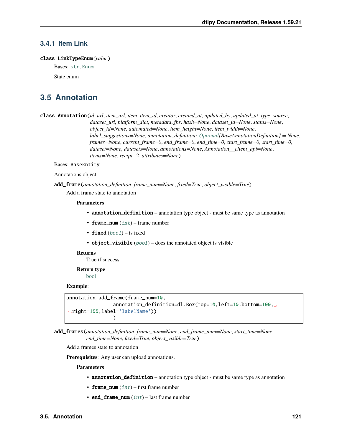# **3.4.1 Item Link**

# class LinkTypeEnum(*value*)

Bases: [str](https://docs.python.org/3/library/stdtypes.html#str), [Enum](https://docs.python.org/3/library/enum.html#enum.Enum)

State enum

# **3.5 Annotation**

<span id="page-124-0"></span>class Annotation(*id*, *url*, *item\_url*, *item*, *item\_id*, *creator*, *created\_at*, *updated\_by*, *updated\_at*, *type*, *source*, *dataset\_url*, *platform\_dict*, *metadata*, *fps*, *hash=None*, *dataset\_id=None*, *status=None*, *object\_id=None*, *automated=None*, *item\_height=None*, *item\_width=None*, *label\_suggestions=None*, *annotation\_definition: [Optional\[](https://docs.python.org/3/library/typing.html#typing.Optional)BaseAnnotationDefinition] = None*, *frames=None*, *current\_frame=0*, *end\_frame=0*, *end\_time=0*, *start\_frame=0*, *start\_time=0*, *dataset=None*, *datasets=None*, *annotations=None*, *Annotation\_\_client\_api=None*, *items=None*, *recipe\_2\_attributes=None*)

#### Bases: BaseEntity

Annotations object

add\_frame(*annotation\_definition*, *frame\_num=None*, *fixed=True*, *object\_visible=True*)

Add a frame state to annotation

#### **Parameters**

- **annotation\_definition** annotation type object must be same type as annotation
- frame\_num  $(int)$  $(int)$  $(int)$  frame number
- fixed  $(bool)$  $(bool)$  $(bool)$  is fixed
- object\_visible  $(bool)$  $(bool)$  $(bool)$  does the annotated object is visible

#### **Returns**

True if success

**Return type** [bool](https://docs.python.org/3/library/functions.html#bool)

# **Example**:

```
annotation.add_frame(frame_num=10,
                annotation_definition=dl.Box(top=10,left=10,bottom=100,␣
˓→right=100,label='labelName'))
                )
```
add\_frames(*annotation\_definition*, *frame\_num=None*, *end\_frame\_num=None*, *start\_time=None*, *end\_time=None*, *fixed=True*, *object\_visible=True*)

Add a frames state to annotation

**Prerequisites**: Any user can upload annotations.

- annotation\_definition annotation type object must be same type as annotation
- frame\_num  $(int)$  $(int)$  $(int)$  first frame number
- end\_frame\_num  $(int)$  $(int)$  $(int)$  last frame number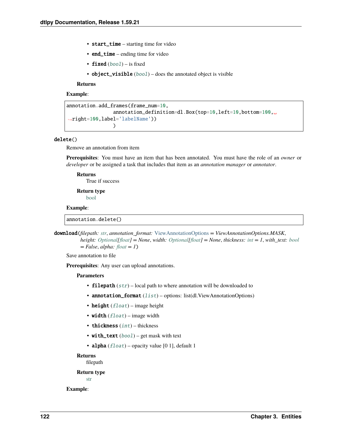- start\_time starting time for video
- end\_time ending time for video
- fixed  $(bool)$  $(bool)$  $(bool)$  is fixed
- object\_visible  $(bool)$  $(bool)$  $(bool)$  does the annotated object is visible

# **Example**:

```
annotation.add_frames(frame_num=10,
                annotation_definition=dl.Box(top=10,left=10,bottom=100,␣
˓→right=100,label='labelName'))
                )
```
# delete()

Remove an annotation from item

**Prerequisites**: You must have an item that has been annotated. You must have the role of an *owner* or *developer* or be assigned a task that includes that item as an *annotation manager* or *annotator*.

# **Returns**

True if success

**Return type** [bool](https://docs.python.org/3/library/functions.html#bool)

#### **Example**:

annotation.delete()

download(*filepath: [str](https://docs.python.org/3/library/stdtypes.html#str)*, *annotation\_format:* [ViewAnnotationOptions](#page-129-0) *= ViewAnnotationOptions.MASK*, *height: [Optional\[](https://docs.python.org/3/library/typing.html#typing.Optional)[float\]](https://docs.python.org/3/library/functions.html#float) = None*, *width: [Optional](https://docs.python.org/3/library/typing.html#typing.Optional)[\[float\]](https://docs.python.org/3/library/functions.html#float) = None*, *thickness: [int](https://docs.python.org/3/library/functions.html#int) = 1*, *with\_text: [bool](https://docs.python.org/3/library/functions.html#bool) = False*, *alpha: [float](https://docs.python.org/3/library/functions.html#float) = 1*)

Save annotation to file

**Prerequisites**: Any user can upload annotations.

# **Parameters**

- filepath  $(str)$  $(str)$  $(str)$  local path to where annotation will be downloaded to
- annotation\_format ([list](https://docs.python.org/3/library/stdtypes.html#list)) options: list(dl.ViewAnnotationOptions)
- height  $(f$ *loat* $) image height$
- width  $(fload)$  image width
- thickness  $(int)$  $(int)$  $(int)$  thickness
- with\_text  $(bood)$  get mask with text
- alpha  $(fload)$  opacity value [0 1], default 1

# **Returns**

filepath

#### **Return type**

[str](https://docs.python.org/3/library/stdtypes.html#str)

**Example**: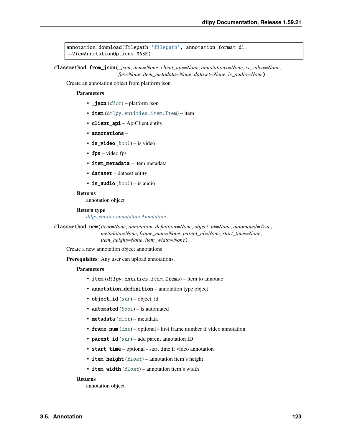```
annotation.download(filepath='filepath', annotation_format=dl.
˓→ViewAnnotationOptions.MASK)
```
classmethod from\_json(*\_json*, *item=None*, *client\_api=None*, *annotations=None*, *is\_video=None*, *fps=None*, *item\_metadata=None*, *dataset=None*, *is\_audio=None*)

Create an annotation object from platform json

### **Parameters**

- $\bigcup$  **son** ([dict](https://docs.python.org/3/library/stdtypes.html#dict)) platform json
- item ([dtlpy.entities.item.Item](#page-120-0)) item
- client\_api ApiClient entity
- annotations –
- is\_video  $(bool)$  $(bool)$  $(bool)$  is video
- fps video fps
- item\_metadata item metadata
- dataset dataset entity
- is\_audio  $(bool)$  $(bool)$  $(bool)$  is audio

# **Returns**

annotation object

#### **Return type**

*[dtlpy.entities.annotation.Annotation](#page-124-0)*

classmethod new(*item=None*, *annotation\_definition=None*, *object\_id=None*, *automated=True*, *metadata=None*, *frame\_num=None*, *parent\_id=None*, *start\_time=None*, *item\_height=None*, *item\_width=None*)

Create a new annotation object annotations

**Prerequisites**: Any user can upload annotations.

# **Parameters**

- item (dtlpy.entities.item.Items) item to annotate
- annotation\_definition annotation type object
- object\_id  $(str)$  $(str)$  $(str)$  object\_id
- automated  $(bool)$  $(bool)$  $(bool)$  is automated
- metadata  $(dict)$  $(dict)$  $(dict)$  metadata
- frame\_num  $(int)$  $(int)$  $(int)$  optional first frame number if video annotation
- parent\_id  $(str)$  $(str)$  $(str)$  add parent annotation ID
- start\_time optional start time if video annotation
- item\_height  $(fload)$  annotation item's height
- item\_width  $(fload)$  annotation item's width

#### **Returns**

annotation object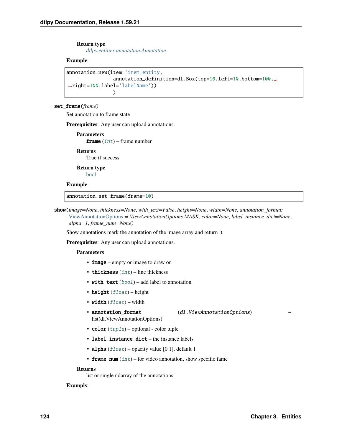### **Return type**

*[dtlpy.entities.annotation.Annotation](#page-124-0)*

### **Example**:

```
annotation.new(item='item_entity,
                annotation_definition=dl.Box(top=10,left=10,bottom=100,␣
˓→right=100,label='labelName'))
                )
```
# set\_frame(*frame*)

Set annotation to frame state

**Prerequisites**: Any user can upload annotations.

```
Parameters
   frame int) – frame number
```
**Returns** True if success

**Return type** [bool](https://docs.python.org/3/library/functions.html#bool)

# **Example**:

annotation.set\_frame(frame=10)

show(*image=None*, *thickness=None*, *with\_text=False*, *height=None*, *width=None*, *annotation\_format:* [ViewAnnotationOptions](#page-129-0) *= ViewAnnotationOptions.MASK*, *color=None*, *label\_instance\_dict=None*, *alpha=1*, *frame\_num=None*)

Show annotations mark the annotation of the image array and return it

**Prerequisites**: Any user can upload annotations.

#### **Parameters**

- **image** empty or image to draw on
- thickness  $(int)$  $(int)$  $(int)$  line thickness
- with\_text  $(bool)$  $(bool)$  $(bool)$  add label to annotation
- height  $(fload)$  height
- width  $(fload)$  width
- annotation\_format (dl.ViewAnnotationOptions) list(dl.ViewAnnotationOptions)
- $color(tuple)$  $color(tuple)$  $color(tuple)$  optional color tuple
- label\_instance\_dict the instance labels
- alpha  $(fload)$  opacity value [0 1], default 1
- **frame\_num**  $(int)$  $(int)$  $(int)$  for video annotation, show specific fame

# **Returns**

list or single ndarray of the annotations

### **Exampls**: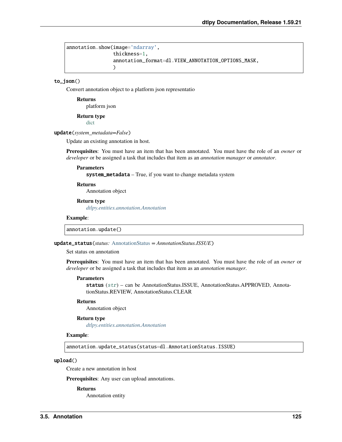```
annotation.show(image='ndarray',
                thickness=1,
                annotation_format=dl.VIEW_ANNOTATION_OPTIONS_MASK,
                )
```
### to\_json()

Convert annotation object to a platform json representatio

**Returns** platform json

**Return type**

[dict](https://docs.python.org/3/library/stdtypes.html#dict)

#### update(*system\_metadata=False*)

Update an existing annotation in host.

**Prerequisites**: You must have an item that has been annotated. You must have the role of an *owner* or *developer* or be assigned a task that includes that item as an *annotation manager* or *annotator*.

#### **Parameters**

system\_metadata – True, if you want to change metadata system

# **Returns**

Annotation object

# **Return type**

*[dtlpy.entities.annotation.Annotation](#page-124-0)*

#### **Example**:

annotation.update()

#### update\_status(*status:* [AnnotationStatus](#page-129-1) *= AnnotationStatus.ISSUE*)

Set status on annotation

**Prerequisites**: You must have an item that has been annotated. You must have the role of an *owner* or *developer* or be assigned a task that includes that item as an *annotation manager*.

#### **Parameters**

status ([str](https://docs.python.org/3/library/stdtypes.html#str)) – can be AnnotationStatus.ISSUE, AnnotationStatus.APPROVED, AnnotationStatus.REVIEW, AnnotationStatus.CLEAR

#### **Returns**

Annotation object

# **Return type**

*[dtlpy.entities.annotation.Annotation](#page-124-0)*

#### **Example**:

annotation.update\_status(status=dl.AnnotationStatus.ISSUE)

# upload()

Create a new annotation in host

**Prerequisites**: Any user can upload annotations.

#### **Returns**

Annotation entity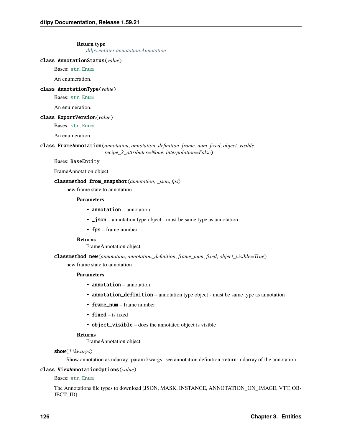#### **Return type**

*[dtlpy.entities.annotation.Annotation](#page-124-0)*

### <span id="page-129-1"></span>class AnnotationStatus(*value*)

Bases: [str](https://docs.python.org/3/library/stdtypes.html#str), [Enum](https://docs.python.org/3/library/enum.html#enum.Enum)

An enumeration.

# class AnnotationType(*value*)

Bases: [str](https://docs.python.org/3/library/stdtypes.html#str), [Enum](https://docs.python.org/3/library/enum.html#enum.Enum)

An enumeration.

### class ExportVersion(*value*)

Bases: [str](https://docs.python.org/3/library/stdtypes.html#str), [Enum](https://docs.python.org/3/library/enum.html#enum.Enum)

An enumeration.

# class FrameAnnotation(*annotation*, *annotation\_definition*, *frame\_num*, *fixed*, *object\_visible*, *recipe\_2\_attributes=None*, *interpolation=False*)

Bases: BaseEntity

FrameAnnotation object

# classmethod from\_snapshot(*annotation*, *\_json*, *fps*)

new frame state to annotation

# **Parameters**

- annotation annotation
- $\Box$  json annotation type object must be same type as annotation
- fps frame number

# **Returns**

FrameAnnotation object

classmethod new(*annotation*, *annotation\_definition*, *frame\_num*, *fixed*, *object\_visible=True*)

new frame state to annotation

#### **Parameters**

- **annotation** annotation
- annotation\_definition annotation type object must be same type as annotation
- frame\_num frame number
- fixed is fixed
- object\_visible does the annotated object is visible

# **Returns**

FrameAnnotation object

# show(*\*\*kwargs*)

Show annotation as ndarray :param kwargs: see annotation definition :return: ndarray of the annotation

# <span id="page-129-0"></span>class ViewAnnotationOptions(*value*)

Bases: [str](https://docs.python.org/3/library/stdtypes.html#str), [Enum](https://docs.python.org/3/library/enum.html#enum.Enum)

The Annotations file types to download (JSON, MASK, INSTANCE, ANNOTATION\_ON\_IMAGE, VTT, OB-JECT\_ID).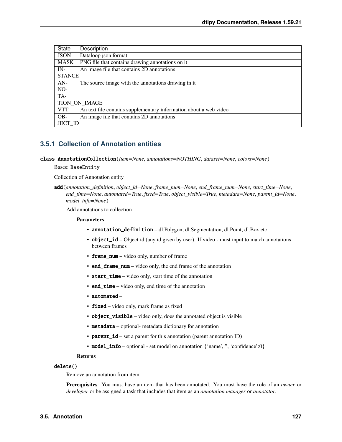| State         | Description                                                       |
|---------------|-------------------------------------------------------------------|
| <b>JSON</b>   | Dataloop json format                                              |
| <b>MASK</b>   | PNG file that contains drawing annotations on it                  |
| $IN-$         | An image file that contains 2D annotations                        |
| <b>STANCE</b> |                                                                   |
| $AN-$         | The source image with the annotations drawing in it.              |
| $NO-$         |                                                                   |
| TA-           |                                                                   |
| TION ON IMAGE |                                                                   |
| VTT           | An text file contains supplementary information about a web video |
| $OB-$         | An image file that contains 2D annotations                        |
| JECT ID       |                                                                   |

# **3.5.1 Collection of Annotation entities**

class AnnotationCollection(*item=None*, *annotations=NOTHING*, *dataset=None*, *colors=None*)

Bases: BaseEntity

Collection of Annotation entity

Add annotations to collection

### **Parameters**

- annotation\_definition dl.Polygon, dl.Segmentation, dl.Point, dl.Box etc
- **object\_id** Object id (any id given by user). If video must input to match annotations between frames
- frame\_num video only, number of frame
- end\_frame\_num video only, the end frame of the annotation
- start\_time video only, start time of the annotation
- end\_time video only, end time of the annotation
- automated –
- fixed video only, mark frame as fixed
- object\_visible video only, does the annotated object is visible
- metadata optional- metadata dictionary for annotation
- **parent\_id** set a parent for this annotation (parent annotation ID)
- model\_info optional set model on annotation {'name',:", 'confidence':0}

# **Returns**

# delete()

Remove an annotation from item

**Prerequisites**: You must have an item that has been annotated. You must have the role of an *owner* or *developer* or be assigned a task that includes that item as an *annotation manager* or *annotator*.

add(*annotation\_definition*, *object\_id=None*, *frame\_num=None*, *end\_frame\_num=None*, *start\_time=None*, *end\_time=None*, *automated=True*, *fixed=True*, *object\_visible=True*, *metadata=None*, *parent\_id=None*, *model\_info=None*)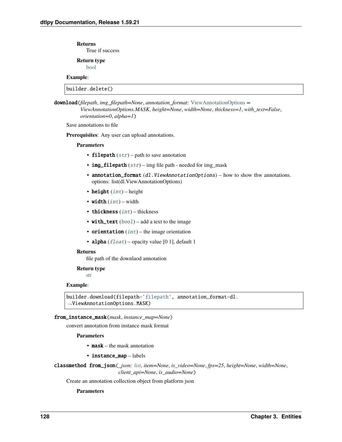True if success

**Return type** [bool](https://docs.python.org/3/library/functions.html#bool)

# **Example**:

builder.delete()

download(*filepath*, *img\_filepath=None*, *annotation\_format:* [ViewAnnotationOptions](#page-129-0) *= ViewAnnotationOptions.MASK*, *height=None*, *width=None*, *thickness=1*, *with\_text=False*, *orientation=0*, *alpha=1*)

Save annotations to file

**Prerequisites**: Any user can upload annotations.

### **Parameters**

- filepath  $(str)$  $(str)$  $(str)$  path to save annotation
- img\_filepath  $(str)$  $(str)$  $(str)$  img file path needed for img\_mask
- annotation\_format  $(dl.Vi$ ewAnnotationOptions) how to show thw annotations. options: list(dl.ViewAnnotationOptions)
- height  $(int)$  $(int)$  $(int)$  height
- width  $(int)$  $(int)$  $(int)$  width
- thickness  $(int)$  $(int)$  $(int)$  thickness
- with\_text ([bool](https://docs.python.org/3/library/functions.html#bool)) add a text to the image
- orientation  $(int)$  $(int)$  $(int)$  the image orientation
- alpha  $(fload)$  opacity value [0 1], default 1

#### **Returns**

file path of the downlaod annotation

#### **Return type**

[str](https://docs.python.org/3/library/stdtypes.html#str)

# **Example**:

```
builder.download(filepath='filepath', annotation_format=dl.
˓→ViewAnnotationOptions.MASK)
```
#### from\_instance\_mask(*mask*, *instance\_map=None*)

convert annotation from instance mask format

### **Parameters**

- mask the mask annotation
- instance\_map labels

```
classmethod from_json(_json: list, item=None, is_video=None, fps=25, height=None, width=None,
                         client_api=None, is_audio=None)
```
Create an annotation collection object from platform json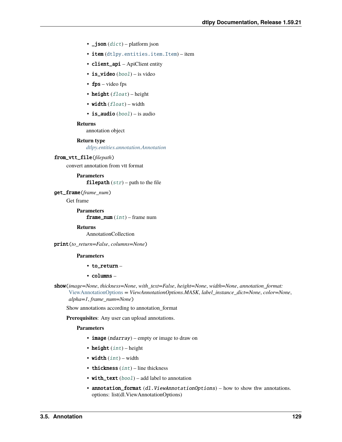- $\bigcup$  json  $(dict)$  $(dict)$  $(dict)$  platform json
- item ([dtlpy.entities.item.Item](#page-120-0)) item
- client\_api ApiClient entity
- is\_video ([bool](https://docs.python.org/3/library/functions.html#bool)) is video
- fps video fps
- height  $(fload)$  height
- width  $(fload)$  width
- is\_audio  $(bool)$  $(bool)$  $(bool)$  is audio

annotation object

#### **Return type**

*[dtlpy.entities.annotation.Annotation](#page-124-0)*

# from\_vtt\_file(*filepath*)

convert annotation from vtt format

**Parameters** filepath  $(str)$  $(str)$  $(str)$  – path to the file

get\_frame(*frame\_num*)

Get frame

**Parameters frame\_num**  $(int)$  $(int)$  $(int)$  – frame num

### **Returns**

AnnotationCollection

print(*to\_return=False*, *columns=None*)

#### **Parameters**

- $\cdot$  to return –
- columns –

show(*image=None*, *thickness=None*, *with\_text=False*, *height=None*, *width=None*, *annotation\_format:* [ViewAnnotationOptions](#page-129-0) *= ViewAnnotationOptions.MASK*, *label\_instance\_dict=None*, *color=None*,

*alpha=1*, *frame\_num=None*)

Show annotations according to annotation\_format

**Prerequisites**: Any user can upload annotations.

- **image** (*ndarray*) empty or image to draw on
- height  $(int)$  $(int)$  $(int)$  height
- width  $(int)$  $(int)$  $(int)$  width
- thickness  $(int)$  $(int)$  $(int)$  line thickness
- with\_text  $(bool)$  $(bool)$  $(bool)$  add label to annotation
- annotation\_format  $(dl.ViewAnnotationOptionS)$  how to show thw annotations. options: list(dl.ViewAnnotationOptions)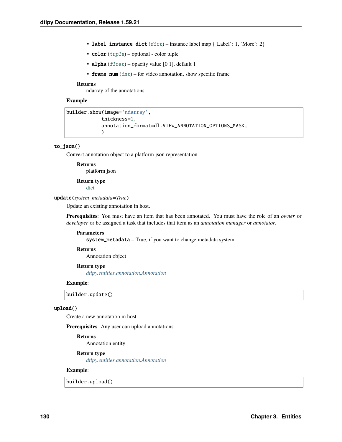- label\_instance\_[dict](https://docs.python.org/3/library/stdtypes.html#dict)  $(dict)$  instance label map  $\{ 'Label': 1, 'More': 2 \}$
- $color(tuple)$  $color(tuple)$  $color(tuple)$  optional color tuple
- alpha  $(f$ loat) opacity value [0 1], default 1
- **frame\_num**  $(int)$  $(int)$  $(int)$  for video annotation, show specific frame

ndarray of the annotations

# **Example**:

```
builder.show(image='ndarray',
            thickness=1,
            annotation_format=dl.VIEW_ANNOTATION_OPTIONS_MASK,
            )
```
# to\_json()

Convert annotation object to a platform json representation

#### **Returns**

platform json

# **Return type**

[dict](https://docs.python.org/3/library/stdtypes.html#dict)

### update(*system\_metadata=True*)

Update an existing annotation in host.

**Prerequisites**: You must have an item that has been annotated. You must have the role of an *owner* or *developer* or be assigned a task that includes that item as an *annotation manager* or *annotator*.

#### **Parameters**

system\_metadata – True, if you want to change metadata system

#### **Returns**

Annotation object

# **Return type**

*[dtlpy.entities.annotation.Annotation](#page-124-0)*

#### **Example**:

builder.update()

#### upload()

Create a new annotation in host

**Prerequisites**: Any user can upload annotations.

# **Returns**

Annotation entity

# **Return type**

*[dtlpy.entities.annotation.Annotation](#page-124-0)*

# **Example**:

builder.upload()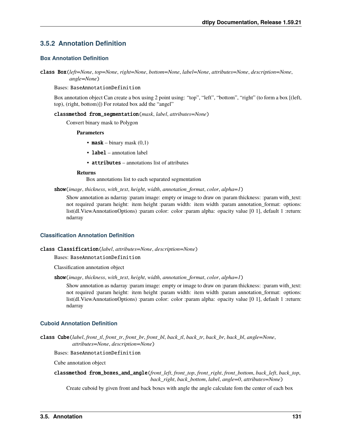# **3.5.2 Annotation Definition**

# **Box Annotation Definition**

```
class Box(left=None, top=None, right=None, bottom=None, label=None, attributes=None, description=None,
           angle=None)
```
Bases: BaseAnnotationDefinition

Box annotation object Can create a box using 2 point using: "top", "left", "bottom", "right" (to form a box [(left, top), (right, bottom)]) For rotated box add the "angel"

classmethod from\_segmentation(*mask*, *label*, *attributes=None*)

Convert binary mask to Polygon

#### **Parameters**

- mask binary mask  $(0,1)$
- label annotation label
- attributes annotations list of attributes

#### **Returns**

Box annotations list to each separated segmentation

show(*image*, *thickness*, *with\_text*, *height*, *width*, *annotation\_format*, *color*, *alpha=1*)

Show annotation as ndarray :param image: empty or image to draw on :param thickness: :param with\_text: not required :param height: item height :param width: item width :param annotation\_format: options: list(dl.ViewAnnotationOptions) :param color: color :param alpha: opacity value [0 1], default 1 :return: ndarray

# **Classification Annotation Definition**

# class Classification(*label*, *attributes=None*, *description=None*)

#### Bases: BaseAnnotationDefinition

Classification annotation object

show(*image*, *thickness*, *with\_text*, *height*, *width*, *annotation\_format*, *color*, *alpha=1*)

Show annotation as ndarray :param image: empty or image to draw on :param thickness: :param with\_text: not required :param height: item height :param width: item width :param annotation format: options: list(dl.ViewAnnotationOptions) :param color: color :param alpha: opacity value [0 1], default 1 :return: ndarray

# **Cuboid Annotation Definition**

class Cube(*label*, *front\_tl*, *front\_tr*, *front\_br*, *front\_bl*, *back\_tl*, *back\_tr*, *back\_br*, *back\_bl*, *angle=None*, *attributes=None*, *description=None*)

Bases: BaseAnnotationDefinition

Cube annotation object

classmethod from\_boxes\_and\_angle(*front\_left*, *front\_top*, *front\_right*, *front\_bottom*, *back\_left*, *back\_top*, *back\_right*, *back\_bottom*, *label*, *angle=0*, *attributes=None*)

Create cuboid by given front and back boxes with angle the angle calculate fom the center of each box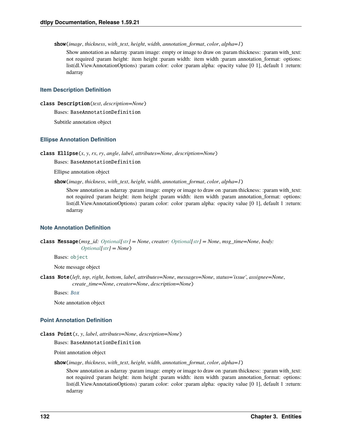show(*image*, *thickness*, *with\_text*, *height*, *width*, *annotation\_format*, *color*, *alpha=1*)

Show annotation as ndarray :param image: empty or image to draw on :param thickness: :param with\_text: not required :param height: item height :param width: item width :param annotation format: options: list(dl.ViewAnnotationOptions) :param color: color :param alpha: opacity value [0 1], default 1 :return: ndarray

# **Item Description Definition**

class Description(*text*, *description=None*)

Bases: BaseAnnotationDefinition

Subtitle annotation object

#### **Ellipse Annotation Definition**

class Ellipse(*x*, *y*, *rx*, *ry*, *angle*, *label*, *attributes=None*, *description=None*)

Bases: BaseAnnotationDefinition

Ellipse annotation object

show(*image*, *thickness*, *with\_text*, *height*, *width*, *annotation\_format*, *color*, *alpha=1*)

Show annotation as ndarray :param image: empty or image to draw on :param thickness: :param with\_text: not required :param height: item height :param width: item width :param annotation\_format: options: list(dl.ViewAnnotationOptions) :param color: color :param alpha: opacity value [0 1], default 1 :return: ndarray

# **Note Annotation Definition**

```
class Message(msg_id: Optional[str] = None, creator: Optional[str] = None, msg_time=None, body:
                Optional[str] = None)
```
Bases: [object](https://docs.python.org/3/library/functions.html#object)

Note message object

class Note(*left*, *top*, *right*, *bottom*, *label*, *attributes=None*, *messages=None*, *status='issue'*, *assignee=None*, *create\_time=None*, *creator=None*, *description=None*)

Bases: [Box](#page-134-0)

Note annotation object

# **Point Annotation Definition**

```
class Point(x, y, label, attributes=None, description=None)
```
Bases: BaseAnnotationDefinition

Point annotation object

show(*image*, *thickness*, *with\_text*, *height*, *width*, *annotation\_format*, *color*, *alpha=1*)

Show annotation as ndarray :param image: empty or image to draw on :param thickness: :param with\_text: not required :param height: item height :param width: item width :param annotation\_format: options: list(dl.ViewAnnotationOptions) :param color: color :param alpha: opacity value [0 1], default 1 :return: ndarray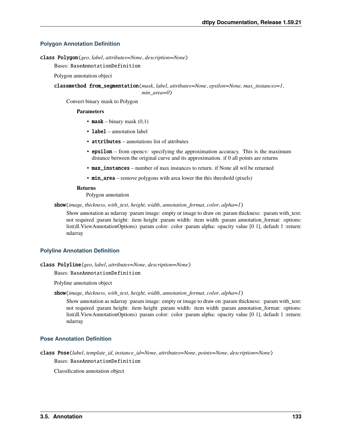# **Polygon Annotation Definition**

class Polygon(*geo*, *label*, *attributes=None*, *description=None*)

Bases: BaseAnnotationDefinition

Polygon annotation object

classmethod from\_segmentation(*mask*, *label*, *attributes=None*, *epsilon=None*, *max\_instances=1*, *min\_area=0*)

Convert binary mask to Polygon

#### **Parameters**

- **mask** binary mask  $(0,1)$
- label annotation label
- attributes annotations list of attributes
- epsilon from opency: specifying the approximation accuracy. This is the maximum distance between the original curve and its approximation. if 0 all points are returns
- max\_instances number of max instances to return. if None all wil be returned
- **min\_area** remove polygons with area lower thn this threshold (pixels)

#### **Returns**

Polygon annotation

show(*image*, *thickness*, *with\_text*, *height*, *width*, *annotation\_format*, *color*, *alpha=1*)

Show annotation as ndarray :param image: empty or image to draw on :param thickness: :param with\_text: not required :param height: item height :param width: item width :param annotation\_format: options: list(dl.ViewAnnotationOptions) :param color: color :param alpha: opacity value [0 1], default 1 :return: ndarray

# **Polyline Annotation Definition**

# class Polyline(*geo*, *label*, *attributes=None*, *description=None*)

Bases: BaseAnnotationDefinition

Polyline annotation object

#### show(*image*, *thickness*, *with\_text*, *height*, *width*, *annotation\_format*, *color*, *alpha=1*)

Show annotation as ndarray :param image: empty or image to draw on :param thickness: :param with\_text: not required :param height: item height :param width: item width :param annotation format: options: list(dl.ViewAnnotationOptions) :param color: color :param alpha: opacity value [0 1], default 1 :return: ndarray

# **Pose Annotation Definition**

class Pose(*label*, *template\_id*, *instance\_id=None*, *attributes=None*, *points=None*, *description=None*) Bases: BaseAnnotationDefinition

Classification annotation object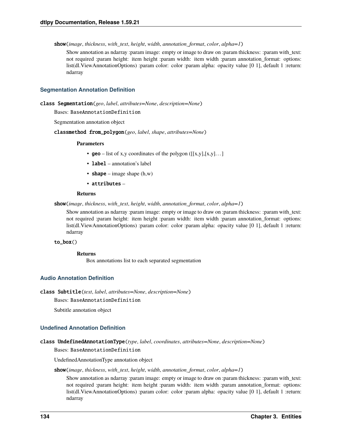show(*image*, *thickness*, *with\_text*, *height*, *width*, *annotation\_format*, *color*, *alpha=1*)

Show annotation as ndarray :param image: empty or image to draw on :param thickness: :param with\_text: not required :param height: item height :param width: item width :param annotation format: options: list(dl.ViewAnnotationOptions) :param color: color :param alpha: opacity value [0 1], default 1 :return: ndarray

# **Segmentation Annotation Definition**

```
class Segmentation(geo, label, attributes=None, description=None)
```
Bases: BaseAnnotationDefinition

Segmentation annotation object

classmethod from\_polygon(*geo*, *label*, *shape*, *attributes=None*)

#### **Parameters**

- geo list of x,y coordinates of the polygon  $([[x,y],[x,y]]...]$
- label annotation's label
- shape image shape  $(h, w)$
- attributes –

# **Returns**

show(*image*, *thickness*, *with\_text*, *height*, *width*, *annotation\_format*, *color*, *alpha=1*)

Show annotation as ndarray :param image: empty or image to draw on :param thickness: :param with\_text: not required :param height: item height :param width: item width :param annotation format: options: list(dl.ViewAnnotationOptions) :param color: color :param alpha: opacity value [0 1], default 1 :return: ndarray

#### to\_box()

**Returns**

Box annotations list to each separated segmentation

# **Audio Annotation Definition**

class Subtitle(*text*, *label*, *attributes=None*, *description=None*)

Bases: BaseAnnotationDefinition

Subtitle annotation object

# **Undefined Annotation Definition**

# class UndefinedAnnotationType(*type*, *label*, *coordinates*, *attributes=None*, *description=None*)

Bases: BaseAnnotationDefinition

UndefinedAnnotationType annotation object

# show(*image*, *thickness*, *with\_text*, *height*, *width*, *annotation\_format*, *color*, *alpha=1*)

Show annotation as ndarray :param image: empty or image to draw on :param thickness: :param with\_text: not required :param height: item height :param width: item width :param annotation\_format: options: list(dl.ViewAnnotationOptions) :param color: color :param alpha: opacity value [0 1], default 1 :return: ndarray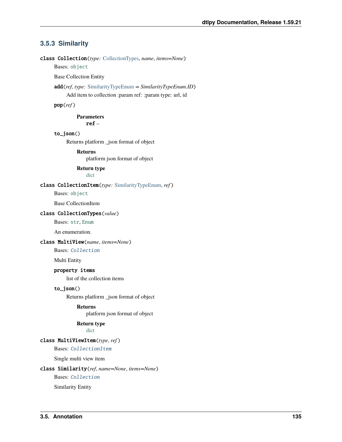# **3.5.3 Similarity**

<span id="page-138-1"></span>class Collection(*type:* [CollectionTypes,](#page-138-0) *name*, *items=None*)

Bases: [object](https://docs.python.org/3/library/functions.html#object)

Base Collection Entity

add(*ref*, *type:* [SimilarityTypeEnum](#page-139-1) *= SimilarityTypeEnum.ID*)

Add item to collection :param ref: :param type: url, id

pop(*ref* )

**Parameters** ref –

to\_json()

Returns platform \_json format of object

# **Returns**

platform json format of object

### **Return type** [dict](https://docs.python.org/3/library/stdtypes.html#dict)

# <span id="page-138-2"></span>class CollectionItem(*type:* [SimilarityTypeEnum,](#page-139-1) *ref* )

Bases: [object](https://docs.python.org/3/library/functions.html#object)

Base CollectionItem

#### <span id="page-138-0"></span>class CollectionTypes(*value*)

Bases: [str](https://docs.python.org/3/library/stdtypes.html#str), [Enum](https://docs.python.org/3/library/enum.html#enum.Enum)

An enumeration.

# class MultiView(*name*, *items=None*)

Bases: [Collection](#page-138-1)

Multi Entity

# property items

list of the collection items

# to\_json()

Returns platform \_json format of object

# **Returns**

platform json format of object

# **Return type**

[dict](https://docs.python.org/3/library/stdtypes.html#dict)

# class MultiViewItem(*type*, *ref* )

Bases: [CollectionItem](#page-138-2)

Single multi view item

# class Similarity(*ref*, *name=None*, *items=None*)

Bases: [Collection](#page-138-1)

Similarity Entity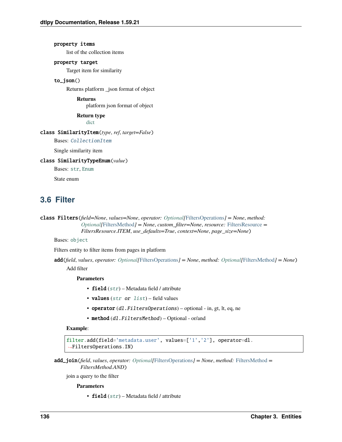property items list of the collection items property target

Target item for similarity

# to\_json()

Returns platform \_json format of object

**Returns** platform json format of object

**Return type** [dict](https://docs.python.org/3/library/stdtypes.html#dict)

#### class SimilarityItem(*type*, *ref*, *target=False*)

Bases: [CollectionItem](#page-138-2)

Single similarity item

<span id="page-139-1"></span>class SimilarityTypeEnum(*value*)

Bases: [str](https://docs.python.org/3/library/stdtypes.html#str), [Enum](https://docs.python.org/3/library/enum.html#enum.Enum)

State enum

# **3.6 Filter**

```
class Filters(field=None, values=None, operator: Optional[FiltersOperations] = None, method:
                 Optional[FiltersMethod] = None, custom_filter=None, resource: FiltersResource =
                 FiltersResource.ITEM, use_defaults=True, context=None, page_size=None)
```
Bases: [object](https://docs.python.org/3/library/functions.html#object)

Filters entity to filter items from pages in platform

add(*field*, *values*, *operator: [Optional\[](https://docs.python.org/3/library/typing.html#typing.Optional)*[FiltersOperations](#page-141-0)*] = None*, *method: [Optional\[](https://docs.python.org/3/library/typing.html#typing.Optional)*[FiltersMethod](#page-141-1)*] = None*) Add filter

**Parameters**

- field  $(str)$  $(str)$  $(str)$  Metadata field / attribute
- values  $(str \text{ or } list)$  $(str \text{ or } list)$  $(str \text{ or } list)$  $(str \text{ or } list)$  $(str \text{ or } list)$  field values
- operator  $(dl. FiltersOperations)$  optional in, gt, lt, eq, ne
- method (dl.FiltersMethod) Optional or/and

### **Example**:

```
filter.add(field='metadata.user', values=['1','2'], operator=dl.
˓→FiltersOperations.IN)
```

```
add_join(field, values, operator: Optional[FiltersOperations] = None, method: FiltersMethod =
           FiltersMethod.AND)
```
join a query to the filter

# **Parameters**

• field  $(str)$  $(str)$  $(str)$  – Metadata field / attribute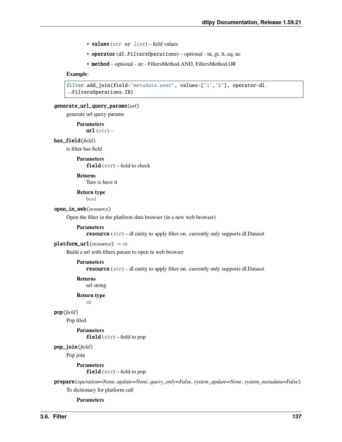- values  $(str \text{ or } list)$  $(str \text{ or } list)$  $(str \text{ or } list)$  $(str \text{ or } list)$  $(str \text{ or } list)$  field values
- operator (dl.FiltersOperations) optional in, gt, lt, eq, ne
- method optional str FiltersMethod.AND, FiltersMethod.OR

# **Example**:

```
filter.add_join(field='metadata.user', values=['1','2'], operator=dl.
˓→FiltersOperations.IN)
```
# generate\_url\_query\_params(*url*)

generate url query params

### **Parameters**

 $url (str) url (str) url (str) -$ 

### has\_field(*field*)

is filter has field

#### **Parameters**

field  $(str)$  $(str)$  $(str)$  – field to check

# **Returns**

Ture is have it

**Return type** [bool](https://docs.python.org/3/library/functions.html#bool)

# open\_in\_web(*resource*)

Open the filter in the platform data browser (in a new web browser)

### **Parameters**

resource ([str](https://docs.python.org/3/library/stdtypes.html#str)) – dl entity to apply filter on. currently only supports dl.Dataset

#### platform\_url(*resource*) → [str](https://docs.python.org/3/library/stdtypes.html#str)

Build a url with filters param to open in web browser

### **Parameters**

resource ([str](https://docs.python.org/3/library/stdtypes.html#str)) – dl entity to apply filter on. currently only supports dl.Dataset

**Returns**

url string

# **Return type**

[str](https://docs.python.org/3/library/stdtypes.html#str)

# pop(*field*)

Pop filed

# **Parameters** field  $(str)$  $(str)$  $(str)$  – field to pop

# pop\_join(*field*)

Pop join

#### **Parameters**

**field**  $(str)$  $(str)$  $(str)$  – field to pop

prepare(*operation=None*, *update=None*, *query\_only=False*, *system\_update=None*, *system\_metadata=False*) To dictionary for platform call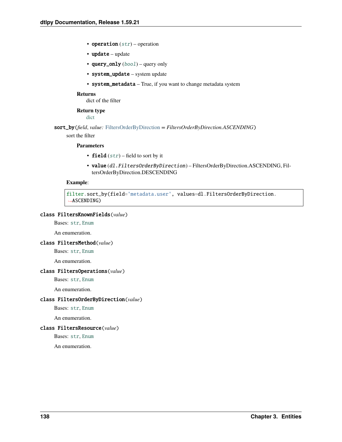- operation  $(str)$  $(str)$  $(str)$  operation
- update update
- query\_only ([bool](https://docs.python.org/3/library/functions.html#bool)) query only
- system\_update system update
- system\_metadata True, if you want to change metadata system

dict of the filter

# **Return type**

[dict](https://docs.python.org/3/library/stdtypes.html#dict)

sort\_by(*field*, *value:* [FiltersOrderByDirection](#page-141-3) *= FiltersOrderByDirection.ASCENDING*)

sort the filter

### **Parameters**

- field  $(str)$  $(str)$  $(str)$  field to sort by it
- value (dl.FiltersOrderByDirection) FiltersOrderByDirection.ASCENDING, FiltersOrderByDirection.DESCENDING

### **Example**:

```
filter.sort_by(field='metadata.user', values=dl.FiltersOrderByDirection.
˓→ASCENDING)
```
# class FiltersKnownFields(*value*)

Bases: [str](https://docs.python.org/3/library/stdtypes.html#str), [Enum](https://docs.python.org/3/library/enum.html#enum.Enum)

An enumeration.

# <span id="page-141-1"></span>class FiltersMethod(*value*)

Bases: [str](https://docs.python.org/3/library/stdtypes.html#str), [Enum](https://docs.python.org/3/library/enum.html#enum.Enum)

An enumeration.

#### <span id="page-141-0"></span>class FiltersOperations(*value*)

Bases: [str](https://docs.python.org/3/library/stdtypes.html#str), [Enum](https://docs.python.org/3/library/enum.html#enum.Enum)

An enumeration.

# <span id="page-141-3"></span>class FiltersOrderByDirection(*value*)

Bases: [str](https://docs.python.org/3/library/stdtypes.html#str), [Enum](https://docs.python.org/3/library/enum.html#enum.Enum)

An enumeration.

# <span id="page-141-2"></span>class FiltersResource(*value*)

Bases: [str](https://docs.python.org/3/library/stdtypes.html#str), [Enum](https://docs.python.org/3/library/enum.html#enum.Enum)

An enumeration.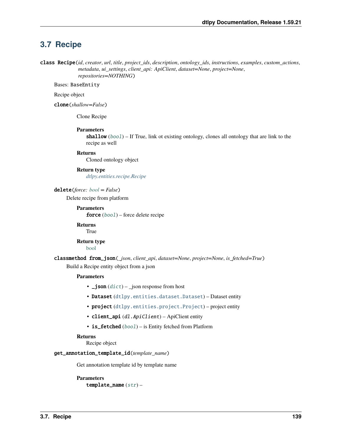# **3.7 Recipe**

<span id="page-142-0"></span>class Recipe(*id*, *creator*, *url*, *title*, *project\_ids*, *description*, *ontology\_ids*, *instructions*, *examples*, *custom\_actions*, *metadata*, *ui\_settings*, *client\_api: ApiClient*, *dataset=None*, *project=None*, *repositories=NOTHING*)

Bases: BaseEntity

Recipe object

clone(*shallow=False*)

Clone Recipe

### **Parameters**

shallow ([bool](https://docs.python.org/3/library/functions.html#bool)) – If True, link ot existing ontology, clones all ontology that are link to the recipe as well

#### **Returns**

Cloned ontology object

# **Return type**

*[dtlpy.entities.recipe.Recipe](#page-142-0)*

delete(*force: [bool](https://docs.python.org/3/library/functions.html#bool) = False*)

Delete recipe from platform

**Parameters force**  $(bool)$  $(bool)$  $(bool)$  – force delete recipe

**Returns** True

**Return type** [bool](https://docs.python.org/3/library/functions.html#bool)

classmethod from\_json(*\_json*, *client\_api*, *dataset=None*, *project=None*, *is\_fetched=True*) Build a Recipe entity object from a json

# **Parameters**

- $\Box$ json ([dict](https://docs.python.org/3/library/stdtypes.html#dict))  $\Box$ json response from host
- Dataset ([dtlpy.entities.dataset.Dataset](#page-110-1)) Dataset entity
- project ([dtlpy.entities.project.Project](#page-107-1)) project entity
- client\_api (dl.ApiClient) ApiClient entity
- is\_fetched ([bool](https://docs.python.org/3/library/functions.html#bool)) is Entity fetched from Platform

### **Returns**

Recipe object

# get\_annotation\_template\_id(*template\_name*)

Get annotation template id by template name

**Parameters** template\_name  $(str)$  $(str)$  $(str)$  –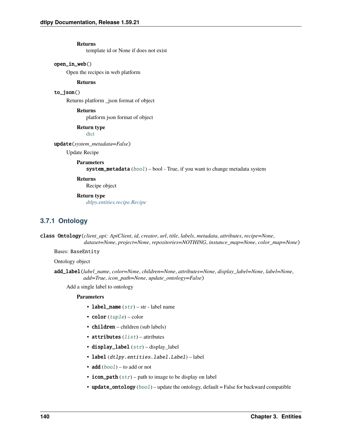template id or None if does not exist

# open\_in\_web()

Open the recipes in web platform

#### **Returns**

# to\_json()

Returns platform \_json format of object

# **Returns**

platform json format of object

# **Return type**

[dict](https://docs.python.org/3/library/stdtypes.html#dict)

# update(*system\_metadata=False*)

Update Recipe

# **Parameters**

system\_metadata ([bool](https://docs.python.org/3/library/functions.html#bool)) – bool - True, if you want to change metadata system

### **Returns**

Recipe object

# **Return type**

*[dtlpy.entities.recipe.Recipe](#page-142-0)*

# **3.7.1 Ontology**

class Ontology(*client\_api: ApiClient*, *id*, *creator*, *url*, *title*, *labels*, *metadata*, *attributes*, *recipe=None*, *dataset=None*, *project=None*, *repositories=NOTHING*, *instance\_map=None*, *color\_map=None*)

# Bases: BaseEntity

Ontology object

add\_label(*label\_name*, *color=None*, *children=None*, *attributes=None*, *display\_label=None*, *label=None*, *add=True*, *icon\_path=None*, *update\_ontology=False*)

Add a single label to ontology

- label\_name  $(str)$  $(str)$  $(str)$  str label name
- $color(tuple) color$  $color(tuple) color$  $color(tuple) color$
- children children (sub labels)
- attributes  $(list)$  $(list)$  $(list)$  attributes
- display\_label ([str](https://docs.python.org/3/library/stdtypes.html#str)) display\_label
- label (dtlpy.entities.label.Label) label
- add  $(bool)$  $(bool)$  $(bool)$  to add or not
- icon\_path  $(str)$  $(str)$  $(str)$  path to image to be display on label
- update\_ontology ([bool](https://docs.python.org/3/library/functions.html#bool)) update the ontology, default = False for backward compatible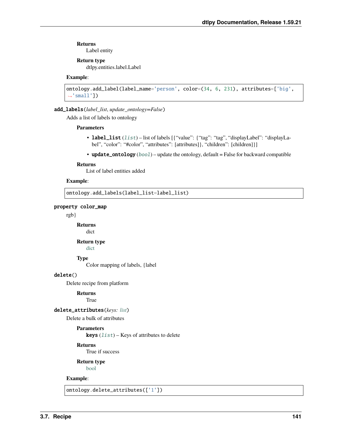Label entity

#### **Return type**

dtlpy.entities.label.Label

## **Example**:

```
ontology.add_label(label_name='person', color=(34, 6, 231), attributes=['big',
\rightarrow'small'])
```
#### add\_labels(*label\_list*, *update\_ontology=False*)

Adds a list of labels to ontology

#### **Parameters**

- label\_[list](https://docs.python.org/3/library/stdtypes.html#list) (list) list of labels [{"value": {"tag": "tag", "displayLabel": "displayLabel", "color": "#color", "attributes": [attributes]}, "children": [children]}]
- update\_ontology  $(bool)$  $(bool)$  $(bool)$  update the ontology, default = False for backward compatible

#### **Returns**

List of label entities added

#### **Example**:

ontology.add\_labels(label\_list=label\_list)

Color mapping of labels, {label

#### property color\_map

rgb}

**Returns** dict

#### **Return type**

[dict](https://docs.python.org/3/library/stdtypes.html#dict)

**Type**

delete()

Delete recipe from platform

#### **Returns**

True

## delete\_attributes(*keys: [list](https://docs.python.org/3/library/stdtypes.html#list)*)

Delete a bulk of attributes

## **Parameters**

**keys**  $(list)$  $(list)$  $(list)$  – Keys of attributes to delete

## **Returns**

True if success

**Return type** [bool](https://docs.python.org/3/library/functions.html#bool)

## **Example**:

ontology.delete\_attributes(['1'])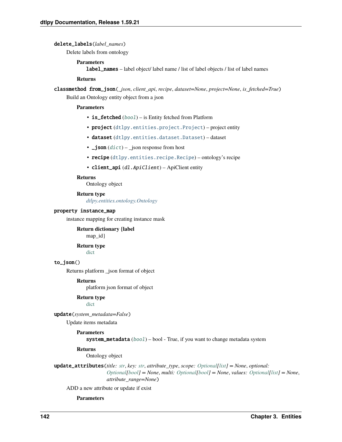#### delete\_labels(*label\_names*)

Delete labels from ontology

#### **Parameters**

label\_names – label object/ label name / list of label objects / list of label names

#### **Returns**

classmethod from\_json(*\_json*, *client\_api*, *recipe*, *dataset=None*, *project=None*, *is\_fetched=True*) Build an Ontology entity object from a json

#### **Parameters**

- is\_fetched ([bool](https://docs.python.org/3/library/functions.html#bool)) is Entity fetched from Platform
- project ([dtlpy.entities.project.Project](#page-107-0)) project entity
- dataset ([dtlpy.entities.dataset.Dataset](#page-110-0)) dataset
- $\Box$ json ([dict](https://docs.python.org/3/library/stdtypes.html#dict))  $\Box$ json response from host
- recipe ([dtlpy.entities.recipe.Recipe](#page-142-0)) ontology's recipe
- client\_api (dl.ApiClient) ApiClient entity

#### **Returns**

Ontology object

#### **Return type**

*[dtlpy.entities.ontology.Ontology](#page-143-0)*

## property instance\_map

instance mapping for creating instance mask

**Return dictionary {label** map\_id}

## **Return type**

[dict](https://docs.python.org/3/library/stdtypes.html#dict)

## to\_json()

Returns platform \_json format of object

#### **Returns**

platform json format of object

**Return type**

[dict](https://docs.python.org/3/library/stdtypes.html#dict)

update(*system\_metadata=False*)

Update items metadata

## **Parameters**

system\_metadata ([bool](https://docs.python.org/3/library/functions.html#bool)) – bool - True, if you want to change metadata system

### **Returns**

Ontology object

update\_attributes(*title: [str](https://docs.python.org/3/library/stdtypes.html#str)*, *key: [str](https://docs.python.org/3/library/stdtypes.html#str)*, *attribute\_type*, *scope: [Optional\[](https://docs.python.org/3/library/typing.html#typing.Optional)[list\]](https://docs.python.org/3/library/stdtypes.html#list) = None*, *optional: [Optional](https://docs.python.org/3/library/typing.html#typing.Optional)[\[bool\]](https://docs.python.org/3/library/functions.html#bool) = None*, *multi: [Optional\[](https://docs.python.org/3/library/typing.html#typing.Optional)[bool\]](https://docs.python.org/3/library/functions.html#bool) = None*, *values: [Optional\[](https://docs.python.org/3/library/typing.html#typing.Optional)[list\]](https://docs.python.org/3/library/stdtypes.html#list) = None*,

*attribute\_range=None*)

ADD a new attribute or update if exist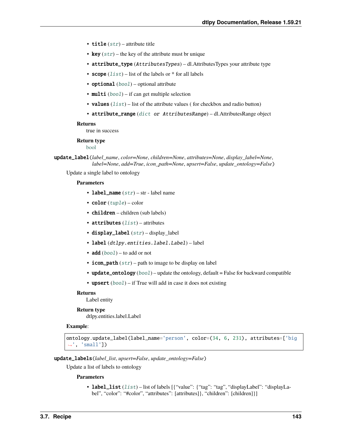- title  $(str)$  $(str)$  $(str)$  attribute title
- key  $(str)$  $(str)$  $(str)$  the key of the attribute must br unique
- attribute\_type (AttributesTypes) dl.AttributesTypes your attribute type
- scope  $(list)$  $(list)$  $(list)$  list of the labels or  $*$  for all labels
- optional  $(bool)$  $(bool)$  $(bool)$  optional attribute
- multi  $(bool)$  $(bool)$  $(bool)$  if can get multiple selection
- values  $(list)$  $(list)$  $(list)$  list of the attribute values (for checkbox and radio button)
- attribute\_range ([dict](https://docs.python.org/3/library/stdtypes.html#dict) or AttributesRange) dl.AttributesRange object

true in success

## **Return type**

[bool](https://docs.python.org/3/library/functions.html#bool)

update\_label(*label\_name*, *color=None*, *children=None*, *attributes=None*, *display\_label=None*, *label=None*, *add=True*, *icon\_path=None*, *upsert=False*, *update\_ontology=False*)

Update a single label to ontology

#### **Parameters**

- label\_name  $(str)$  $(str)$  $(str)$  str label name
- $color(tuple) color$  $color(tuple) color$  $color(tuple) color$
- children children (sub labels)
- attributes  $(list)$  $(list)$  $(list)$  attributes
- display\_label ([str](https://docs.python.org/3/library/stdtypes.html#str)) display\_label
- label (dtlpy.entities.label.Label) label
- **add**  $(boo1)$  to add or not
- icon\_path  $(str)$  $(str)$  $(str)$  path to image to be display on label
- update\_ontology ([bool](https://docs.python.org/3/library/functions.html#bool)) update the ontology, default = False for backward compatible
- upsert  $(bool)$  $(bool)$  $(bool)$  if True will add in case it does not existing

#### **Returns**

Label entity

#### **Return type**

dtlpy.entities.label.Label

#### **Example**:

```
ontology.update_label(label_name='person', color=(34, 6, 231), attributes=['big
\rightarrow', 'small'])
```
update\_labels(*label\_list*, *upsert=False*, *update\_ontology=False*)

Update a list of labels to ontology

#### **Parameters**

• label\_[list](https://docs.python.org/3/library/stdtypes.html#list) (list) – list of labels [{"value": {"tag": "tag", "displayLabel": "displayLabel", "color": "#color", "attributes": [attributes]}, "children": [children]}]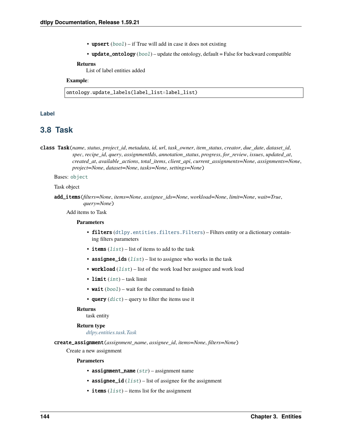- upsert  $(bool)$  $(bool)$  $(bool)$  if True will add in case it does not existing
- update\_ontology  $(bool)$  $(bool)$  $(bool)$  update the ontology, default = False for backward compatible

List of label entities added

### **Example**:

ontology.update\_labels(label\_list=label\_list)

### **Label**

## **3.8 Task**

<span id="page-147-0"></span>class Task(*name*, *status*, *project\_id*, *metadata*, *id*, *url*, *task\_owner*, *item\_status*, *creator*, *due\_date*, *dataset\_id*, *spec*, *recipe\_id*, *query*, *assignmentIds*, *annotation\_status*, *progress*, *for\_review*, *issues*, *updated\_at*, *created\_at*, *available\_actions*, *total\_items*, *client\_api*, *current\_assignments=None*, *assignments=None*, *project=None*, *dataset=None*, *tasks=None*, *settings=None*)

Bases: [object](https://docs.python.org/3/library/functions.html#object)

Task object

add\_items(*filters=None*, *items=None*, *assignee\_ids=None*, *workload=None*, *limit=None*, *wait=True*, *query=None*)

Add items to Task

#### **Parameters**

- filters ([dtlpy.entities.filters.Filters](#page-139-0)) Filters entity or a dictionary containing filters parameters
- items  $(list)$  $(list)$  $(list)$  list of items to add to the task
- assignee\_ids  $(list)$  $(list)$  $(list)$  list to assignee who works in the task
- workload  $(list)$  $(list)$  $(list)$  list of the work load ber assignee and work load
- limit  $(int)$  $(int)$  $(int)$  task limit
- wait  $(bool)$  $(bool)$  $(bool)$  wait for the command to finish
- query  $(dict)$  $(dict)$  $(dict)$  query to filter the items use it

#### **Returns**

task entity

#### **Return type**

*[dtlpy.entities.task.Task](#page-147-0)*

create\_assignment(*assignment\_name*, *assignee\_id*, *items=None*, *filters=None*)

Create a new assignment

- assignment\_name  $(str)$  $(str)$  $(str)$  assignment name
- assignee\_id  $(list)$  $(list)$  $(list)$  list of assignee for the assignment
- items  $(list)$  $(list)$  $(list)$  items list for the assignment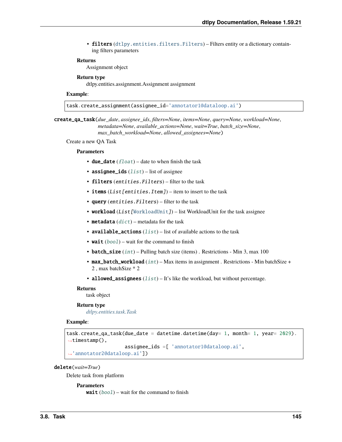• filters ([dtlpy.entities.filters.Filters](#page-139-0)) – Filters entity or a dictionary containing filters parameters

#### **Returns**

Assignment object

#### **Return type**

dtlpy.entities.assignment.Assignment assignment

#### **Example**:

task.create\_assignment(assignee\_id='annotator1@dataloop.ai')

create\_qa\_task(*due\_date*, *assignee\_ids*, *filters=None*, *items=None*, *query=None*, *workload=None*, *metadata=None*, *available\_actions=None*, *wait=True*, *batch\_size=None*, *max\_batch\_workload=None*, *allowed\_assignees=None*)

Create a new QA Task

#### **Parameters**

- due\_date  $(fload)$  date to when finish the task
- assignee\_ids  $(list)$  $(list)$  $(list)$  list of assignee
- filters (entities. Filters) filter to the task
- items  $(List[entities].Item]) item to insert to the task$
- query (entities. Filters) filter to the task
- workload (List [[WorkloadUnit](#page-152-0)]) list WorkloadUnit for the task assignee
- metadata  $(dict)$  $(dict)$  $(dict)$  metadata for the task
- available\_actions  $(list)$  $(list)$  $(list)$  list of available actions to the task
- wait  $(bool)$  $(bool)$  $(bool)$  wait for the command to finish
- batch\_size  $(int)$  $(int)$  $(int)$  Pulling batch size (items). Restrictions Min 3, max 100
- max\_batch\_workload  $(int)$  $(int)$  $(int)$  Max items in assignment . Restrictions Min batchSize + 2 , max batchSize \* 2
- allowed\_assignees  $(list) It's like the workload, but without percentage.$  $(list) It's like the workload, but without percentage.$  $(list) It's like the workload, but without percentage.$

#### **Returns**

task object

#### **Return type**

*[dtlpy.entities.task.Task](#page-147-0)*

## **Example**:

```
task.create_qa_task(due_date = datetime.datetime(day= 1, month= 1, year= 2029).
\rightarrowtimestamp(),
                     assignee_ids =[ 'annotator1@dataloop.ai',
  'annotator2@dataloop.ai'])
```
#### delete(*wait=True*)

Delete task from platform

#### **Parameters**

wait  $(bool)$  $(bool)$  $(bool)$  – wait for the command to finish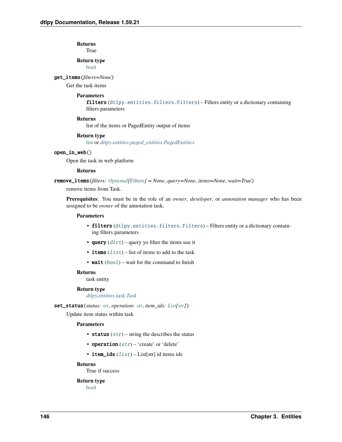**Returns** True

**Return type**

[bool](https://docs.python.org/3/library/functions.html#bool)

get\_items(*filters=None*)

Get the task items

#### **Parameters**

filters ([dtlpy.entities.filters.Filters](#page-139-0)) – Filters entity or a dictionary containing filters parameters

#### **Returns**

list of the items or PagedEntity output of items

#### **Return type**

[list](https://docs.python.org/3/library/stdtypes.html#list) or *[dtlpy.entities.paged\\_entities.PagedEntities](#page-169-0)*

#### open\_in\_web()

Open the task in web platform

#### **Returns**

remove\_items(*filters: [Optional\[](https://docs.python.org/3/library/typing.html#typing.Optional)*[Filters](#page-139-0)*] = None*, *query=None*, *items=None*, *wait=True*)

remove items from Task.

**Prerequisites**: You must be in the role of an *owner*, *developer*, or *annotation manager* who has been assigned to be *owner* of the annotation task.

#### **Parameters**

- filters ([dtlpy.entities.filters.Filters](#page-139-0)) Filters entity or a dictionary containing filters parameters
- query  $(dict)$  $(dict)$  $(dict)$  query yo filter the items use it
- items  $(list)$  $(list)$  $(list)$  list of items to add to the task
- wait  $(bool)$  $(bool)$  $(bool)$  wait for the command to finish

#### **Returns**

task entity

#### **Return type**

*[dtlpy.entities.task.Task](#page-147-0)*

#### set\_status(*status: [str](https://docs.python.org/3/library/stdtypes.html#str)*, *operation: [str](https://docs.python.org/3/library/stdtypes.html#str)*, *item\_ids: [List](https://docs.python.org/3/library/typing.html#typing.List)[\[str\]](https://docs.python.org/3/library/stdtypes.html#str)*)

Update item status within task

#### **Parameters**

- status  $(str)$  $(str)$  $(str)$  string the describes the status
- operation  $(str)$  $(str)$  $(str)$  'create' or 'delete'
- item\_ids  $(list)$  $(list)$  $(list)$  List[str] id items ids

#### **Returns**

True if success

#### **Return type**

[bool](https://docs.python.org/3/library/functions.html#bool)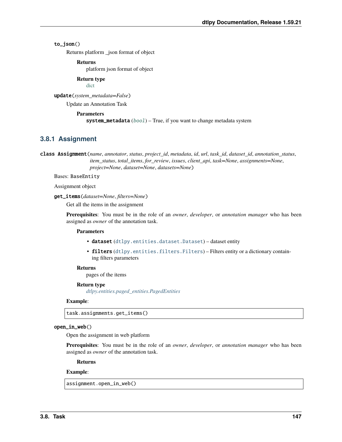## to\_json()

Returns platform \_json format of object

**Returns**

platform json format of object

**Return type** [dict](https://docs.python.org/3/library/stdtypes.html#dict)

update(*system\_metadata=False*)

Update an Annotation Task

#### **Parameters**

**system\_metadata**  $(boo1)$  – True, if you want to change metadata system

## **3.8.1 Assignment**

<span id="page-150-0"></span>class Assignment(*name*, *annotator*, *status*, *project\_id*, *metadata*, *id*, *url*, *task\_id*, *dataset\_id*, *annotation\_status*, *item\_status*, *total\_items*, *for\_review*, *issues*, *client\_api*, *task=None*, *assignments=None*, *project=None*, *dataset=None*, *datasets=None*)

Bases: BaseEntity

Assignment object

get\_items(*dataset=None*, *filters=None*)

Get all the items in the assignment

**Prerequisites**: You must be in the role of an *owner*, *developer*, or *annotation manager* who has been assigned as *owner* of the annotation task.

#### **Parameters**

- dataset ([dtlpy.entities.dataset.Dataset](#page-110-0)) dataset entity
- filters ([dtlpy.entities.filters.Filters](#page-139-0)) Filters entity or a dictionary containing filters parameters

#### **Returns**

pages of the items

#### **Return type**

*[dtlpy.entities.paged\\_entities.PagedEntities](#page-169-0)*

#### **Example**:

task.assignments.get\_items()

#### open\_in\_web()

Open the assignment in web platform

**Prerequisites**: You must be in the role of an *owner*, *developer*, or *annotation manager* who has been assigned as *owner* of the annotation task.

**Returns**

#### **Example**:

assignment.open\_in\_web()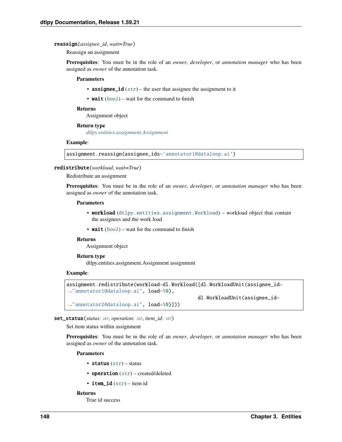#### reassign(*assignee\_id*, *wait=True*)

Reassign an assignment

**Prerequisites**: You must be in the role of an *owner*, *developer*, or *annotation manager* who has been assigned as *owner* of the annotation task.

#### **Parameters**

- assignee\_id  $(str)$  $(str)$  $(str)$  the user that assignee the assignment to it
- wait  $(bool)$  $(bool)$  $(bool)$  wait for the command to finish

#### **Returns**

Assignment object

#### **Return type**

*[dtlpy.entities.assignment.Assignment](#page-150-0)*

#### **Example**:

assignment.reassign(assignee\_ids='annotator1@dataloop.ai')

#### redistribute(*workload*, *wait=True*)

#### Redistribute an assignment

**Prerequisites**: You must be in the role of an *owner*, *developer*, or *annotation manager* who has been assigned as *owner* of the annotation task.

#### **Parameters**

- workload ([dtlpy.entities.assignment.Workload](#page-152-1)) workload object that contain the assignees and the work load
- wait  $(bool)$  $(bool)$  $(bool)$  wait for the command to finish

### **Returns**

Assignment object

#### **Return type**

dtlpy.entities.assignment.Assignment assignment

#### **Example**:

```
assignment.redistribute(workload=dl.Workload([dl.WorkloadUnit(assignee_id=
˓→"annotator1@dataloop.ai", load=50),
                                             dl.WorkloadUnit(assignee_id=
˓→"annotator2@dataloop.ai", load=50)]))
```
#### set\_status(*status: [str](https://docs.python.org/3/library/stdtypes.html#str)*, *operation: [str](https://docs.python.org/3/library/stdtypes.html#str)*, *item\_id: [str](https://docs.python.org/3/library/stdtypes.html#str)*)

Set item status within assignment

**Prerequisites**: You must be in the role of an *owner*, *developer*, or *annotation manager* who has been assigned as *owner* of the annotation task.

#### **Parameters**

- status  $(str)$  $(str)$  $(str)$  status
- operation  $(str)$  $(str)$  $(str)$  created/deleted
- item\_id  $(str)$  $(str)$  $(str)$  item id

#### **Returns**

True id success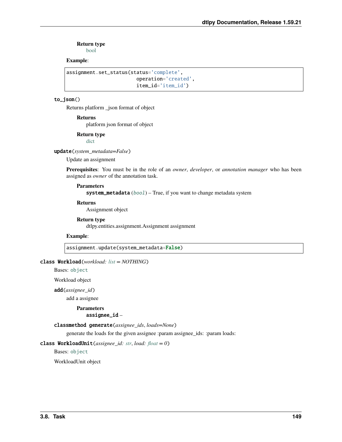**Return type**

[bool](https://docs.python.org/3/library/functions.html#bool)

### **Example**:

```
assignment.set_status(status='complete',
                        operation='created',
                        item_id='item_id')
```
### to\_json()

Returns platform \_json format of object

**Returns**

platform json format of object

**Return type**

[dict](https://docs.python.org/3/library/stdtypes.html#dict)

update(*system\_metadata=False*)

Update an assignment

**Prerequisites**: You must be in the role of an *owner*, *developer*, or *annotation manager* who has been assigned as *owner* of the annotation task.

#### **Parameters**

system\_metadata ([bool](https://docs.python.org/3/library/functions.html#bool)) - True, if you want to change metadata system

#### **Returns**

Assignment object

#### **Return type** dtlpy.entities.assignment.Assignment assignment

**Example**:

assignment.update(system\_metadata=False)

## <span id="page-152-1"></span>class Workload(*workload: [list](https://docs.python.org/3/library/stdtypes.html#list) = NOTHING*)

Bases: [object](https://docs.python.org/3/library/functions.html#object)

Workload object

add(*assignee\_id*)

add a assignee

#### **Parameters** assignee\_id –

classmethod generate(*assignee\_ids*, *loads=None*)

generate the loads for the given assignee :param assignee\_ids: :param loads:

### <span id="page-152-0"></span>class WorkloadUnit(*assignee\_id: [str](https://docs.python.org/3/library/stdtypes.html#str)*, *load: [float](https://docs.python.org/3/library/functions.html#float) = 0*)

Bases: [object](https://docs.python.org/3/library/functions.html#object)

WorkloadUnit object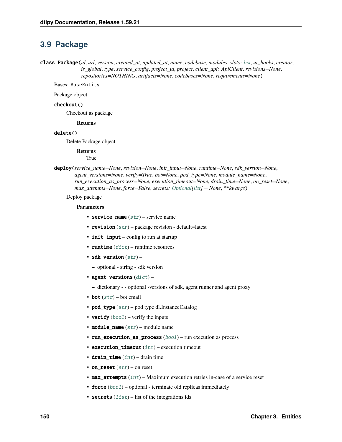## **3.9 Package**

<span id="page-153-0"></span>class Package(*id*, *url*, *version*, *created\_at*, *updated\_at*, *name*, *codebase*, *modules*, *slots: [list](https://docs.python.org/3/library/stdtypes.html#list)*, *ui\_hooks*, *creator*, *is\_global*, *type*, *service\_config*, *project\_id*, *project*, *client\_api: ApiClient*, *revisions=None*, *repositories=NOTHING*, *artifacts=None*, *codebases=None*, *requirements=None*)

Bases: BaseEntity

Package object

#### checkout()

Checkout as package

**Returns**

#### delete()

Delete Package object

#### **Returns**

True

deploy(*service\_name=None*, *revision=None*, *init\_input=None*, *runtime=None*, *sdk\_version=None*, *agent\_versions=None*, *verify=True*, *bot=None*, *pod\_type=None*, *module\_name=None*, *run\_execution\_as\_process=None*, *execution\_timeout=None*, *drain\_time=None*, *on\_reset=None*, *max\_attempts=None*, *force=False*, *secrets: [Optional](https://docs.python.org/3/library/typing.html#typing.Optional)[\[list\]](https://docs.python.org/3/library/stdtypes.html#list) = None*, *\*\*kwargs*)

Deploy package

- service\_name  $(str)$  $(str)$  $(str)$  service name
- revision  $(str)$  $(str)$  $(str)$  package revision default=latest
- init\_input config to run at startup
- **runtime**  $(dict)$  $(dict)$  $(dict)$  runtime resources
- sdk\_version  $(str)$  $(str)$  $(str)$ 
	- **–** optional string sdk version
- agent\_versions  $(dict)$  $(dict)$  $(dict)$ 
	- **–** dictionary - optional -versions of sdk, agent runner and agent proxy
- bot  $(str)$  $(str)$  $(str)$  bot email
- pod\_type  $(str)$  $(str)$  $(str)$  pod type dl.InstanceCatalog
- verify  $(bool)$  $(bool)$  $(bool)$  verify the inputs
- module\_name  $(str)$  $(str)$  $(str)$  module name
- run\_execution\_as\_process ([bool](https://docs.python.org/3/library/functions.html#bool)) run execution as process
- execution\_timeout  $(int)$  $(int)$  $(int)$  execution timeout
- drain\_time  $(int)$  $(int)$  $(int)$  drain time
- on\_reset  $(str)$  $(str)$  $(str)$  on reset
- max\_attempts ([int](https://docs.python.org/3/library/functions.html#int)) Maximum execution retries in-case of a service reset
- force  $(bool)$  $(bool)$  $(bool)$  optional terminate old replicas immediately
- secrets  $(list)$  $(list)$  $(list)$  list of the integrations ids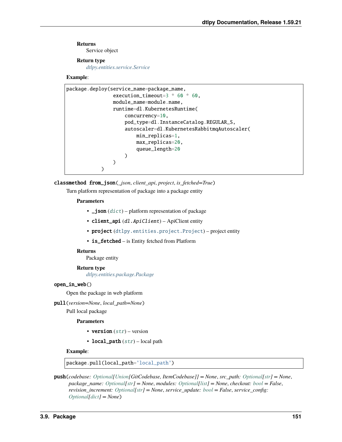Service object

## **Return type**

*[dtlpy.entities.service.Service](#page-159-0)*

## **Example**:

```
package.deploy(service_name=package_name,
                execution_timeout=3 * 60 * 60,
                module_name=module.name,
                runtime=dl.KubernetesRuntime(
                    concurrency=10,
                    pod_type=dl.InstanceCatalog.REGULAR_S,
                    autoscaler=dl.KubernetesRabbitmqAutoscaler(
                        min_replicas=1,
                        max_replicas=20,
                        queue_length=20
                    )
                )
            )
```
classmethod from\_json(*\_json*, *client\_api*, *project*, *is\_fetched=True*)

Turn platform representation of package into a package entity

## **Parameters**

- $\bigcup$  json  $(dict)$  $(dict)$  $(dict)$  platform representation of package
- client\_api (dl.ApiClient) ApiClient entity
- project ([dtlpy.entities.project.Project](#page-107-0)) project entity
- is\_fetched is Entity fetched from Platform

#### **Returns**

Package entity

#### **Return type**

*[dtlpy.entities.package.Package](#page-153-0)*

#### open\_in\_web()

Open the package in web platform

pull(*version=None*, *local\_path=None*)

#### Pull local package

#### **Parameters**

- version  $(str)$  $(str)$  $(str)$  version
- local\_path  $(str)$  $(str)$  $(str)$  local path

#### **Example**:

package.pull(local\_path='local\_path')

push(*codebase: [Optional](https://docs.python.org/3/library/typing.html#typing.Optional)[\[Union\[](https://docs.python.org/3/library/typing.html#typing.Union)GitCodebase, ItemCodebase]] = None*, *src\_path: [Optional\[](https://docs.python.org/3/library/typing.html#typing.Optional)[str\]](https://docs.python.org/3/library/stdtypes.html#str) = None*, *package\_name: [Optional](https://docs.python.org/3/library/typing.html#typing.Optional)[\[str\]](https://docs.python.org/3/library/stdtypes.html#str) = None*, *modules: [Optional\[](https://docs.python.org/3/library/typing.html#typing.Optional)[list\]](https://docs.python.org/3/library/stdtypes.html#list) = None*, *checkout: [bool](https://docs.python.org/3/library/functions.html#bool) = False*, *revision\_increment: [Optional\[](https://docs.python.org/3/library/typing.html#typing.Optional)[str\]](https://docs.python.org/3/library/stdtypes.html#str) = None*, *service\_update: [bool](https://docs.python.org/3/library/functions.html#bool) = False*, *service\_config: [Optional](https://docs.python.org/3/library/typing.html#typing.Optional)[\[dict\]](https://docs.python.org/3/library/stdtypes.html#dict) = None*)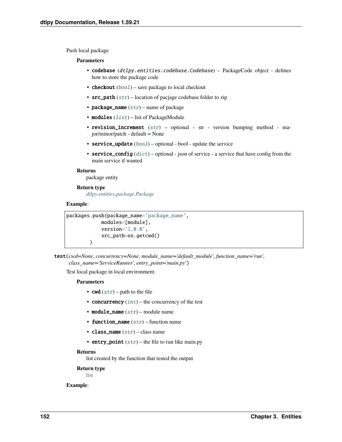Push local package

#### **Parameters**

- codebase (dtlpy.entities.codebase.Codebase) PackageCode object defines how to store the package code
- checkout  $(bool)$  $(bool)$  $(bool)$  save package to local checkout
- $src\_path(str)$  $src\_path(str)$  $src\_path(str)$  location of pacjage codebase folder to zip
- package\_name  $(str)$  $(str)$  $(str)$  name of package
- modules  $(list)$  $(list)$  $(list)$  list of PackageModule
- revision\_increment  $(str)$  $(str)$  $(str)$  optional str version bumping method major/minor/patch - default = None
- service\_update  $(bool)$  $(bool)$  $(bool)$  optional bool update the service
- service\_config  $(dict)$  $(dict)$  $(dict)$  optional json of service a service that have config from the main service if wanted

#### **Returns**

package entity

### **Return type**

*[dtlpy.entities.package.Package](#page-153-0)*

## **Example**:

```
packages.push(package_name='package_name',
            modules=[module],
            version='1.0.0',
            src_path=os.getcwd()
        )
```
test(*cwd=None*, *concurrency=None*, *module\_name='default\_module'*, *function\_name='run'*, *class\_name='ServiceRunner'*, *entry\_point='main.py'*)

Test local package in local environment.

## **Parameters**

- **cwd**  $(str)$  $(str)$  $(str)$  path to the file
- concurrency  $(int)$  $(int)$  $(int)$  the concurrency of the test
- module\_name  $(str)$  $(str)$  $(str)$  module name
- function\_name  $(str)$  $(str)$  $(str)$  function name
- class\_name  $(str)$  $(str)$  $(str)$  class name
- entry\_point  $(str)$  $(str)$  $(str)$  the file to run like main.py

#### **Returns**

list created by the function that tested the output

## **Return type**

[list](https://docs.python.org/3/library/stdtypes.html#list)

#### **Example**: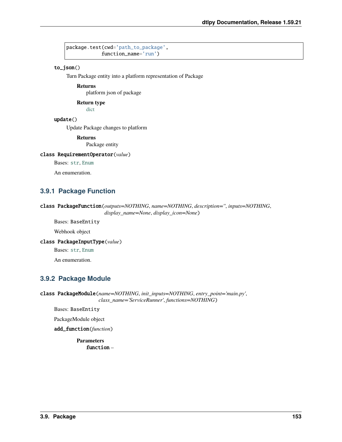package.test(cwd='path\_to\_package', function\_name='run')

## to\_json()

Turn Package entity into a platform representation of Package

## **Returns**

platform json of package

#### **Return type**

[dict](https://docs.python.org/3/library/stdtypes.html#dict)

## update()

Update Package changes to platform

**Returns**

Package entity

### class RequirementOperator(*value*)

Bases: [str](https://docs.python.org/3/library/stdtypes.html#str), [Enum](https://docs.python.org/3/library/enum.html#enum.Enum)

An enumeration.

## **3.9.1 Package Function**

```
class PackageFunction(outputs=NOTHING, name=NOTHING, description='', inputs=NOTHING,
                       display_name=None, display_icon=None)
```
Bases: BaseEntity

Webhook object

## class PackageInputType(*value*)

Bases: [str](https://docs.python.org/3/library/stdtypes.html#str), [Enum](https://docs.python.org/3/library/enum.html#enum.Enum)

An enumeration.

## **3.9.2 Package Module**

class PackageModule(*name=NOTHING*, *init\_inputs=NOTHING*, *entry\_point='main.py'*, *class\_name='ServiceRunner'*, *functions=NOTHING*)

Bases: BaseEntity

PackageModule object

#### add\_function(*function*)

**Parameters** function –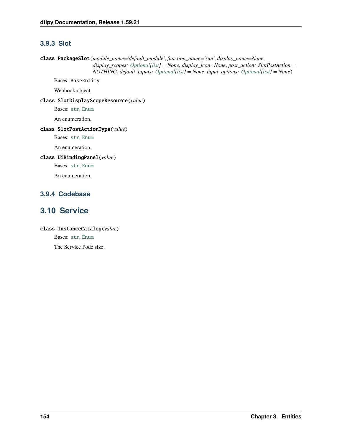## **3.9.3 Slot**

```
class PackageSlot(module_name='default_module', function_name='run', display_name=None,
                     display_scopes: Optional[list] = None, display_icon=None, post_action: SlotPostAction =
                     NOTHING, default_inputs: Optional[list] = None, input_options: Optional[list] = None)
     Bases: BaseEntity
```
Webhook object

class SlotDisplayScopeResource(*value*)

Bases: [str](https://docs.python.org/3/library/stdtypes.html#str), [Enum](https://docs.python.org/3/library/enum.html#enum.Enum)

An enumeration.

## class SlotPostActionType(*value*)

Bases: [str](https://docs.python.org/3/library/stdtypes.html#str), [Enum](https://docs.python.org/3/library/enum.html#enum.Enum)

An enumeration.

## class UiBindingPanel(*value*)

Bases: [str](https://docs.python.org/3/library/stdtypes.html#str), [Enum](https://docs.python.org/3/library/enum.html#enum.Enum)

An enumeration.

## **3.9.4 Codebase**

## **3.10 Service**

## class InstanceCatalog(*value*)

Bases: [str](https://docs.python.org/3/library/stdtypes.html#str), [Enum](https://docs.python.org/3/library/enum.html#enum.Enum)

The Service Pode size.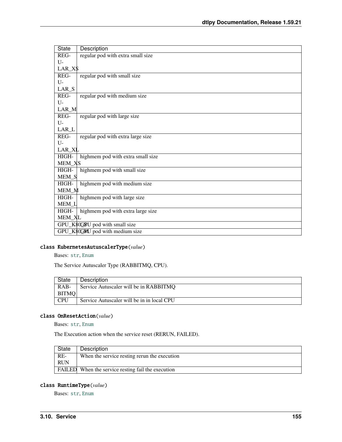| <b>State</b>                     | Description                       |  |  |
|----------------------------------|-----------------------------------|--|--|
| REG-                             | regular pod with extra small size |  |  |
| $U-$                             |                                   |  |  |
|                                  | $LAR_X$ \$                        |  |  |
| REG-                             | regular pod with small size       |  |  |
| $U -$                            |                                   |  |  |
| LAR <sub>S</sub>                 |                                   |  |  |
| REG-                             | regular pod with medium size      |  |  |
| $U$ -                            |                                   |  |  |
| LAR_M                            |                                   |  |  |
| REG-                             | regular pod with large size       |  |  |
| $U$ -                            |                                   |  |  |
| $LAR_L$                          |                                   |  |  |
| REG-                             | regular pod with extra large size |  |  |
| $U$ -                            |                                   |  |  |
| LAR_XL                           |                                   |  |  |
| HIGH-                            | highmem pod with extra small size |  |  |
| MEM_XS                           |                                   |  |  |
| HIGH-                            | highmem pod with small size       |  |  |
| MEM_S                            |                                   |  |  |
| HIGH-                            | highmem pod with medium size      |  |  |
| MEM_M                            |                                   |  |  |
| HIGH-                            | highmem pod with large size       |  |  |
| MEM_L                            |                                   |  |  |
| HIGH-                            | highmem pod with extra large size |  |  |
| <b>MEM_XL</b>                    |                                   |  |  |
| GPU_K 80G BU pod with small size |                                   |  |  |
|                                  | GPU_K\$0GMU pod with medium size  |  |  |

## class KubernetesAutuscalerType(*value*)

Bases: [str](https://docs.python.org/3/library/stdtypes.html#str), [Enum](https://docs.python.org/3/library/enum.html#enum.Enum)

The Service Autuscaler Type (RABBITMQ, CPU).

| State        | Description                                |
|--------------|--------------------------------------------|
| $RAB-$       | Service Autuscaler will be in RABBITMO     |
| <b>BITMO</b> |                                            |
| <b>CPU</b>   | Service Autuscaler will be in in local CPU |

## <span id="page-158-0"></span>class OnResetAction(*value*)

Bases: [str](https://docs.python.org/3/library/stdtypes.html#str), [Enum](https://docs.python.org/3/library/enum.html#enum.Enum)

The Execution action when the service reset (RERUN, FAILED).

| State      | Description                                               |
|------------|-----------------------------------------------------------|
| RE-        | When the service resting rerun the execution              |
| <b>RUN</b> |                                                           |
|            | <b>FAILED</b> When the service resting fail the execution |

## class RuntimeType(*value*)

Bases: [str](https://docs.python.org/3/library/stdtypes.html#str), [Enum](https://docs.python.org/3/library/enum.html#enum.Enum)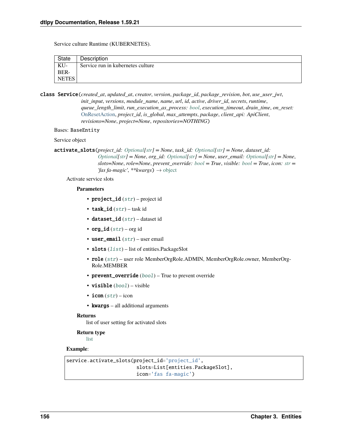Service culture Runtime (KUBERNETES).

| State        | Description                       |
|--------------|-----------------------------------|
| KU-          | Service run in kubernetes culture |
| BER-         |                                   |
| <b>NETES</b> |                                   |

<span id="page-159-0"></span>class Service(*created\_at*, *updated\_at*, *creator*, *version*, *package\_id*, *package\_revision*, *bot*, *use\_user\_jwt*, *init\_input*, *versions*, *module\_name*, *name*, *url*, *id*, *active*, *driver\_id*, *secrets*, *runtime*, *queue\_length\_limit*, *run\_execution\_as\_process: [bool](https://docs.python.org/3/library/functions.html#bool)*, *execution\_timeout*, *drain\_time*, *on\_reset:* [OnResetAction,](#page-158-0) *project\_id*, *is\_global*, *max\_attempts*, *package*, *client\_api: ApiClient*, *revisions=None*, *project=None*, *repositories=NOTHING*)

#### Bases: BaseEntity

Service object

activate\_slots(*project\_id: [Optional\[](https://docs.python.org/3/library/typing.html#typing.Optional)[str\]](https://docs.python.org/3/library/stdtypes.html#str) = None*, *task\_id: [Optional](https://docs.python.org/3/library/typing.html#typing.Optional)[\[str\]](https://docs.python.org/3/library/stdtypes.html#str) = None*, *dataset\_id: [Optional\[](https://docs.python.org/3/library/typing.html#typing.Optional)[str\]](https://docs.python.org/3/library/stdtypes.html#str) = None*, *org\_id: [Optional](https://docs.python.org/3/library/typing.html#typing.Optional)[\[str\]](https://docs.python.org/3/library/stdtypes.html#str) = None*, *user\_email: [Optional](https://docs.python.org/3/library/typing.html#typing.Optional)[\[str\]](https://docs.python.org/3/library/stdtypes.html#str) = None*, *slots=None*, *role=None*, *prevent\_override: [bool](https://docs.python.org/3/library/functions.html#bool) = True*, *visible: [bool](https://docs.python.org/3/library/functions.html#bool) = True*, *icon: [str](https://docs.python.org/3/library/stdtypes.html#str) = 'fas fa-magic'*, *\*\*kwargs*) → [object](https://docs.python.org/3/library/functions.html#object)

Activate service slots

#### **Parameters**

- project\_id ([str](https://docs.python.org/3/library/stdtypes.html#str)) project id
- task\_id  $(str)$  $(str)$  $(str)$  task id
- dataset\_id  $(str)$  $(str)$  $(str)$  dataset id
- org\_id  $(str)$  $(str)$  $(str)$  org id
- user\_email  $(str)$  $(str)$  $(str)$  user email
- slots  $(list)$  $(list)$  $(list)$  list of entities. PackageSlot
- role ([str](https://docs.python.org/3/library/stdtypes.html#str)) user role MemberOrgRole.ADMIN, MemberOrgRole.owner, MemberOrg-Role.MEMBER
- prevent\_override ([bool](https://docs.python.org/3/library/functions.html#bool)) True to prevent override
- visible ([bool](https://docs.python.org/3/library/functions.html#bool)) visible
- icon  $(str)$  $(str)$  $(str)$  icon
- **kwargs** all additional arguments

#### **Returns**

list of user setting for activated slots

#### **Return type**

[list](https://docs.python.org/3/library/stdtypes.html#list)

# **Example**:

```
service.activate_slots(project_id='project_id',
                        slots=List[entities.PackageSlot],
                        icon='fas fa-magic')
```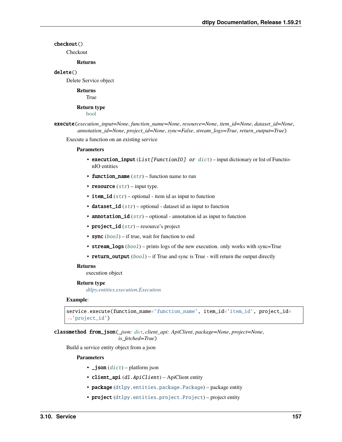## checkout()

**Checkout** 

## **Returns**

#### delete()

Delete Service object

**Returns** True

#### **Return type**

[bool](https://docs.python.org/3/library/functions.html#bool)

```
execute(execution_input=None, function_name=None, resource=None, item_id=None, dataset_id=None,
         annotation_id=None, project_id=None, sync=False, stream_logs=True, return_output=True)
```
Execute a function on an existing service

#### **Parameters**

- execution\_input (List [FunctionIO] or [dict](https://docs.python.org/3/library/stdtypes.html#dict)) input dictionary or list of FunctionIO entities
- function\_name  $(str)$  $(str)$  $(str)$  function name to run
- resource  $(str)$  $(str)$  $(str)$  input type.
- item\_id  $(str)$  $(str)$  $(str)$  optional item id as input to function
- dataset\_id  $(str)$  $(str)$  $(str)$  optional dataset id as input to function
- **annotation\_id**  $(str)$  $(str)$  $(str)$  optional annotation id as input to function
- project\_id  $(str)$  $(str)$  $(str)$  resource's project
- sync  $(bool)$  $(bool)$  $(bool)$  if true, wait for function to end
- stream\_logs ([bool](https://docs.python.org/3/library/functions.html#bool)) prints logs of the new execution. only works with sync=True
- return\_output ([bool](https://docs.python.org/3/library/functions.html#bool)) if True and sync is True will return the output directly

#### **Returns**

execution object

#### **Return type**

*[dtlpy.entities.execution.Execution](#page-165-0)*

#### **Example**:

```
service.execute(function_name='function_name', item_id='item_id', project_id=
˓→'project_id')
```
classmethod from\_json(*\_json: [dict](https://docs.python.org/3/library/stdtypes.html#dict)*, *client\_api: ApiClient*, *package=None*, *project=None*, *is\_fetched=True*)

Build a service entity object from a json

- $\bigcup$  **json**  $(\text{dict})$  $(\text{dict})$  $(\text{dict})$  platform json
- client\_api (dl.ApiClient) ApiClient entity
- package ([dtlpy.entities.package.Package](#page-153-0)) package entity
- project ([dtlpy.entities.project.Project](#page-107-0)) project entity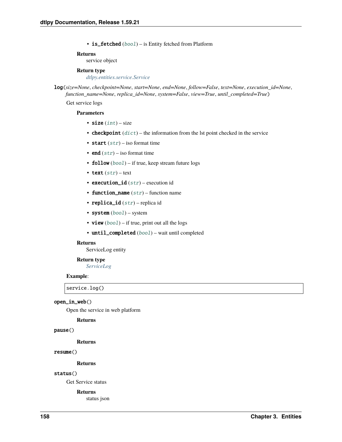• is\_fetched ([bool](https://docs.python.org/3/library/functions.html#bool)) – is Entity fetched from Platform

#### **Returns**

service object

### **Return type**

*[dtlpy.entities.service.Service](#page-159-0)*

log(*size=None*, *checkpoint=None*, *start=None*, *end=None*, *follow=False*, *text=None*, *execution\_id=None*, *function\_name=None*, *replica\_id=None*, *system=False*, *view=True*, *until\_completed=True*)

Get service logs

#### **Parameters**

- size  $(int)$  $(int)$  $(int)$  size
- **checkpoint**  $(dict)$  $(dict)$  $(dict)$  the information from the lst point checked in the service
- start  $(str)$  $(str)$  $(str)$  iso format time
- end  $(str)$  $(str)$  $(str)$  iso format time
- **follow**  $(bool)$  $(bool)$  $(bool)$  if true, keep stream future logs
- text  $(str)$  $(str)$  $(str)$  text
- execution\_id  $(str)$  $(str)$  $(str)$  execution id
- function\_name  $(str)$  $(str)$  $(str)$  function name
- replica\_id  $(str)$  $(str)$  $(str)$  replica id
- system  $(bool)$  $(bool)$  $(bool)$  system
- view  $(bool)$  $(bool)$  $(bool)$  if true, print out all the logs
- until\_completed ([bool](https://docs.python.org/3/library/functions.html#bool)) wait until completed

#### **Returns**

ServiceLog entity

#### **Return type**

*[ServiceLog](#page-81-0)*

#### **Example**:

service.log()

#### open\_in\_web()

Open the service in web platform

#### **Returns**

#### pause()

**Returns**

#### resume()

**Returns**

#### status()

Get Service status

#### **Returns**

status json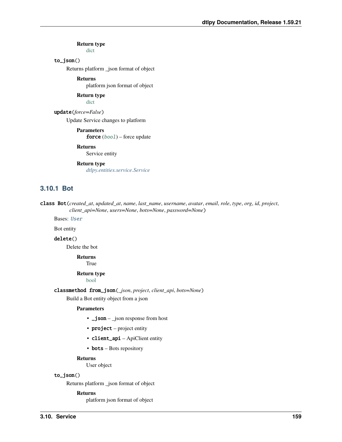**Return type** [dict](https://docs.python.org/3/library/stdtypes.html#dict)

## to\_json()

Returns platform \_json format of object

**Returns**

platform json format of object

**Return type** [dict](https://docs.python.org/3/library/stdtypes.html#dict)

#### update(*force=False*)

Update Service changes to platform

**Parameters force**  $(bool)$  $(bool)$  $(bool)$  – force update

#### **Returns**

Service entity

## **Return type**

*[dtlpy.entities.service.Service](#page-159-0)*

## **3.10.1 Bot**

class Bot(*created\_at*, *updated\_at*, *name*, *last\_name*, *username*, *avatar*, *email*, *role*, *type*, *org*, *id*, *project*, *client\_api=None*, *users=None*, *bots=None*, *password=None*)

Bases: [User](#page-110-1)

Bot entity

## delete()

Delete the bot

**Returns True** 

#### **Return type**

[bool](https://docs.python.org/3/library/functions.html#bool)

classmethod from\_json(*\_json*, *project*, *client\_api*, *bots=None*)

Build a Bot entity object from a json

#### **Parameters**

- \_json \_json response from host
- project project entity
- client\_api ApiClient entity
- **bots** Bots repository

#### **Returns**

User object

## to\_json()

Returns platform \_json format of object

#### **Returns**

platform json format of object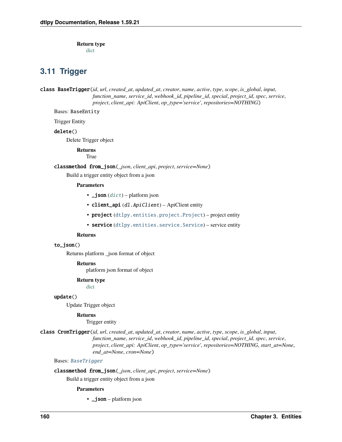**Return type**

[dict](https://docs.python.org/3/library/stdtypes.html#dict)

## **3.11 Trigger**

<span id="page-163-0"></span>class BaseTrigger(*id*, *url*, *created\_at*, *updated\_at*, *creator*, *name*, *active*, *type*, *scope*, *is\_global*, *input*, *function\_name*, *service\_id*, *webhook\_id*, *pipeline\_id*, *special*, *project\_id*, *spec*, *service*, *project*, *client\_api: ApiClient*, *op\_type='service'*, *repositories=NOTHING*)

Bases: BaseEntity

Trigger Entity

## delete()

Delete Trigger object

**Returns**

True

classmethod from\_json(*\_json*, *client\_api*, *project*, *service=None*) Build a trigger entity object from a json

### **Parameters**

- $\bigcup$  json  $(dict)$  $(dict)$  $(dict)$  platform json
- client\_api (dl. ApiClient) ApiClient entity
- project ([dtlpy.entities.project.Project](#page-107-0)) project entity
- service ([dtlpy.entities.service.Service](#page-159-0)) service entity

#### **Returns**

## to\_json()

Returns platform \_json format of object

#### **Returns**

platform json format of object

#### **Return type**

[dict](https://docs.python.org/3/library/stdtypes.html#dict)

#### update()

Update Trigger object

## **Returns**

Trigger entity

class CronTrigger(*id*, *url*, *created\_at*, *updated\_at*, *creator*, *name*, *active*, *type*, *scope*, *is\_global*, *input*, *function\_name*, *service\_id*, *webhook\_id*, *pipeline\_id*, *special*, *project\_id*, *spec*, *service*, *project*, *client\_api: ApiClient*, *op\_type='service'*, *repositories=NOTHING*, *start\_at=None*, *end\_at=None*, *cron=None*)

Bases: [BaseTrigger](#page-163-0)

#### classmethod from\_json(*\_json*, *client\_api*, *project*, *service=None*)

Build a trigger entity object from a json

#### **Parameters**

• \_**json** – platform json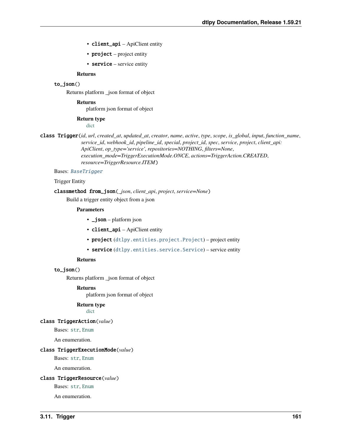- client\_api ApiClient entity
- **project** project entity
- service service entity

#### to\_json()

Returns platform \_json format of object

#### **Returns**

platform json format of object

**Return type**

[dict](https://docs.python.org/3/library/stdtypes.html#dict)

class Trigger(*id*, *url*, *created\_at*, *updated\_at*, *creator*, *name*, *active*, *type*, *scope*, *is\_global*, *input*, *function\_name*, *service\_id*, *webhook\_id*, *pipeline\_id*, *special*, *project\_id*, *spec*, *service*, *project*, *client\_api: ApiClient*, *op\_type='service'*, *repositories=NOTHING*, *filters=None*, *execution\_mode=TriggerExecutionMode.ONCE*, *actions=TriggerAction.CREATED*, *resource=TriggerResource.ITEM*)

#### Bases: [BaseTrigger](#page-163-0)

#### Trigger Entity

## classmethod from\_json(*\_json*, *client\_api*, *project*, *service=None*)

Build a trigger entity object from a json

#### **Parameters**

- \_**json** platform json
- client\_api ApiClient entity
- project ([dtlpy.entities.project.Project](#page-107-0)) project entity
- service ([dtlpy.entities.service.Service](#page-159-0)) service entity

#### **Returns**

to\_json()

Returns platform \_json format of object

#### **Returns**

platform json format of object

#### **Return type**

[dict](https://docs.python.org/3/library/stdtypes.html#dict)

#### class TriggerAction(*value*)

Bases: [str](https://docs.python.org/3/library/stdtypes.html#str), [Enum](https://docs.python.org/3/library/enum.html#enum.Enum)

An enumeration.

#### class TriggerExecutionMode(*value*)

Bases: [str](https://docs.python.org/3/library/stdtypes.html#str), [Enum](https://docs.python.org/3/library/enum.html#enum.Enum)

An enumeration.

#### class TriggerResource(*value*)

Bases: [str](https://docs.python.org/3/library/stdtypes.html#str), [Enum](https://docs.python.org/3/library/enum.html#enum.Enum)

An enumeration.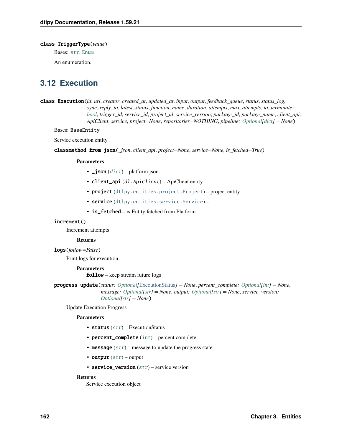#### class TriggerType(*value*)

Bases: [str](https://docs.python.org/3/library/stdtypes.html#str), [Enum](https://docs.python.org/3/library/enum.html#enum.Enum)

An enumeration.

## **3.12 Execution**

<span id="page-165-0"></span>class Execution(*id*, *url*, *creator*, *created\_at*, *updated\_at*, *input*, *output*, *feedback\_queue*, *status*, *status\_log*, *sync\_reply\_to*, *latest\_status*, *function\_name*, *duration*, *attempts*, *max\_attempts*, *to\_terminate: [bool](https://docs.python.org/3/library/functions.html#bool)*, *trigger\_id*, *service\_id*, *project\_id*, *service\_version*, *package\_id*, *package\_name*, *client\_api: ApiClient*, *service*, *project=None*, *repositories=NOTHING*, *pipeline: [Optional](https://docs.python.org/3/library/typing.html#typing.Optional)[\[dict\]](https://docs.python.org/3/library/stdtypes.html#dict) = None*)

Bases: BaseEntity

Service execution entity

classmethod from\_json(*\_json*, *client\_api*, *project=None*, *service=None*, *is\_fetched=True*)

#### **Parameters**

- $\bigcup$  json  $(dict)$  $(dict)$  $(dict)$  platform json
- client\_api (dl.ApiClient) ApiClient entity
- project ([dtlpy.entities.project.Project](#page-107-0)) project entity
- service ([dtlpy.entities.service.Service](#page-159-0)) -
- is\_fetched is Entity fetched from Platform

## increment()

Increment attempts

#### **Returns**

logs(*follow=False*)

Print logs for execution

## **Parameters**

follow – keep stream future logs

progress\_update(*status: [Optional\[](https://docs.python.org/3/library/typing.html#typing.Optional)*[ExecutionStatus](#page-166-0)*] = None*, *percent\_complete: [Optional](https://docs.python.org/3/library/typing.html#typing.Optional)[\[int\]](https://docs.python.org/3/library/functions.html#int) = None*, *message: [Optional\[](https://docs.python.org/3/library/typing.html#typing.Optional)[str\]](https://docs.python.org/3/library/stdtypes.html#str) = None*, *output: [Optional\[](https://docs.python.org/3/library/typing.html#typing.Optional)[str\]](https://docs.python.org/3/library/stdtypes.html#str) = None*, *service\_version: [Optional\[](https://docs.python.org/3/library/typing.html#typing.Optional)[str\]](https://docs.python.org/3/library/stdtypes.html#str) = None*)

Update Execution Progress

#### **Parameters**

- status  $(str)$  $(str)$  $(str)$  ExecutionStatus
- percent\_complete  $(int)$  $(int)$  $(int)$  percent complete
- message  $(str)$  $(str)$  $(str)$  message to update the progress state
- output  $(str)$  $(str)$  $(str)$  output
- service\_version  $(str)$  $(str)$  $(str)$  service version

### **Returns**

Service execution object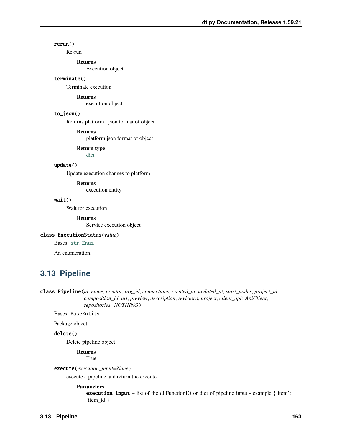## rerun()

Re-run

**Returns**

Execution object

## terminate()

Terminate execution

#### **Returns**

execution object

## to\_json()

Returns platform \_json format of object

## **Returns**

platform json format of object

#### **Return type**

[dict](https://docs.python.org/3/library/stdtypes.html#dict)

## update()

Update execution changes to platform

#### **Returns**

execution entity

#### wait()

Wait for execution

## **Returns**

Service execution object

## <span id="page-166-0"></span>class ExecutionStatus(*value*)

Bases: [str](https://docs.python.org/3/library/stdtypes.html#str), [Enum](https://docs.python.org/3/library/enum.html#enum.Enum)

An enumeration.

## **3.13 Pipeline**

<span id="page-166-1"></span>class Pipeline(*id*, *name*, *creator*, *org\_id*, *connections*, *created\_at*, *updated\_at*, *start\_nodes*, *project\_id*, *composition\_id*, *url*, *preview*, *description*, *revisions*, *project*, *client\_api: ApiClient*, *repositories=NOTHING*)

## Bases: BaseEntity

Package object

#### delete()

Delete pipeline object

#### **Returns**

True

## execute(*execution\_input=None*)

execute a pipeline and return the execute

#### **Parameters**

execution\_input – list of the dl.FunctionIO or dict of pipeline input - example {'item': 'item\_id'}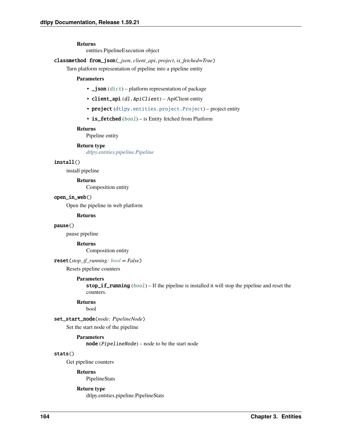entities.PipelineExecution object

classmethod from\_json(*\_json*, *client\_api*, *project*, *is\_fetched=True*)

Turn platform representation of pipeline into a pipeline entity

#### **Parameters**

- $\text{\_}j$ son ([dict](https://docs.python.org/3/library/stdtypes.html#dict)) platform representation of package
- client\_api (dl.ApiClient) ApiClient entity
- project ([dtlpy.entities.project.Project](#page-107-0)) project entity
- is\_fetched ([bool](https://docs.python.org/3/library/functions.html#bool)) is Entity fetched from Platform

#### **Returns**

Pipeline entity

**Return type**

*[dtlpy.entities.pipeline.Pipeline](#page-166-1)*

## install()

install pipeline

### **Returns**

Composition entity

#### open\_in\_web()

Open the pipeline in web platform

### **Returns**

#### pause()

pause pipeline

#### **Returns**

Composition entity

#### reset(*stop\_if\_running: [bool](https://docs.python.org/3/library/functions.html#bool) = False*)

Resets pipeline counters

#### **Parameters**

stop\_if\_running  $(bool)$  $(bool)$  $(bool)$  – If the pipeline is installed it will stop the pipeline and reset the counters.

#### **Returns**

bool

## set\_start\_node(*node: PipelineNode*)

Set the start node of the pipeline

#### **Parameters**

node (PipelineNode) – node to be the start node

#### stats()

Get pipeline counters

#### **Returns**

PipelineStats

#### **Return type**

dtlpy.entities.pipeline.PipelineStats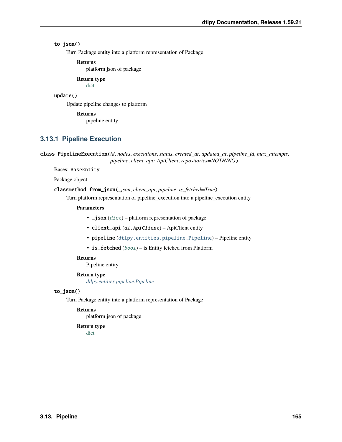## to\_json()

Turn Package entity into a platform representation of Package

#### **Returns**

platform json of package

## **Return type**

[dict](https://docs.python.org/3/library/stdtypes.html#dict)

## update()

Update pipeline changes to platform

#### **Returns**

pipeline entity

## **3.13.1 Pipeline Execution**

class PipelineExecution(*id*, *nodes*, *executions*, *status*, *created\_at*, *updated\_at*, *pipeline\_id*, *max\_attempts*, *pipeline*, *client\_api: ApiClient*, *repositories=NOTHING*)

Bases: BaseEntity

Package object

#### classmethod from\_json(*\_json*, *client\_api*, *pipeline*, *is\_fetched=True*)

Turn platform representation of pipeline\_execution into a pipeline\_execution entity

#### **Parameters**

- $\bigcup$  json  $(dict)$  $(dict)$  $(dict)$  platform representation of package
- client\_api (dl. ApiClient) ApiClient entity
- pipeline ([dtlpy.entities.pipeline.Pipeline](#page-166-1)) Pipeline entity
- is\_fetched ([bool](https://docs.python.org/3/library/functions.html#bool)) is Entity fetched from Platform

#### **Returns**

Pipeline entity

## **Return type**

*[dtlpy.entities.pipeline.Pipeline](#page-166-1)*

#### to\_json()

Turn Package entity into a platform representation of Package

#### **Returns**

platform json of package

### **Return type**

[dict](https://docs.python.org/3/library/stdtypes.html#dict)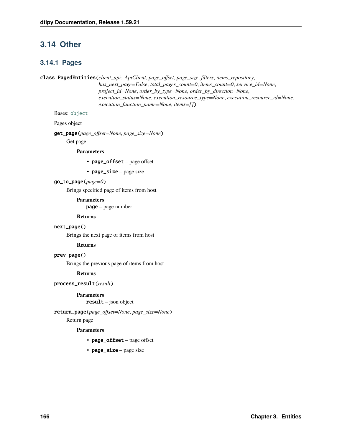## **3.14 Other**

## **3.14.1 Pages**

<span id="page-169-0"></span>class PagedEntities(*client\_api: ApiClient*, *page\_offset*, *page\_size*, *filters*, *items\_repository*,

*has\_next\_page=False*, *total\_pages\_count=0*, *items\_count=0*, *service\_id=None*, *project\_id=None*, *order\_by\_type=None*, *order\_by\_direction=None*, *execution\_status=None*, *execution\_resource\_type=None*, *execution\_resource\_id=None*, *execution\_function\_name=None*, *items=[]*)

## Bases: [object](https://docs.python.org/3/library/functions.html#object)

Pages object

get\_page(*page\_offset=None*, *page\_size=None*)

Get page

#### **Parameters**

- page\_offset page offset
- page\_size page size

#### go\_to\_page(*page=0*)

Brings specified page of items from host

#### **Parameters**

page – page number

#### **Returns**

#### next\_page()

Brings the next page of items from host

#### **Returns**

#### prev\_page()

Brings the previous page of items from host

#### **Returns**

## process\_result(*result*)

**Parameters**

result – json object

## return\_page(*page\_offset=None*, *page\_size=None*)

Return page

- page\_offset page offset
- page\_size page size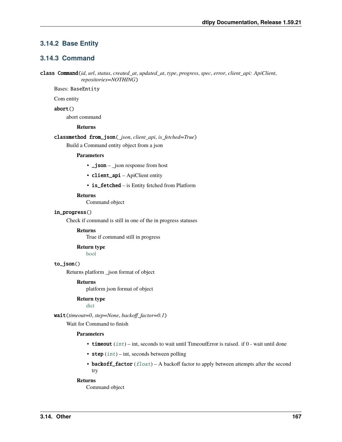## **3.14.2 Base Entity**

## **3.14.3 Command**

class Command(*id*, *url*, *status*, *created\_at*, *updated\_at*, *type*, *progress*, *spec*, *error*, *client\_api: ApiClient*, *repositories=NOTHING*)

Bases: BaseEntity

Com entity

abort()

abort command

### **Returns**

classmethod from\_json(*\_json*, *client\_api*, *is\_fetched=True*)

Build a Command entity object from a json

#### **Parameters**

- \_json \_json response from host
- client\_api ApiClient entity
- is\_fetched is Entity fetched from Platform

#### **Returns**

Command object

#### in\_progress()

Check if command is still in one of the in progress statuses

#### **Returns**

True if command still in progress

#### **Return type** [bool](https://docs.python.org/3/library/functions.html#bool)

## to\_json()

Returns platform \_json format of object

#### **Returns**

platform json format of object

**Return type**

[dict](https://docs.python.org/3/library/stdtypes.html#dict)

wait(*timeout=0*, *step=None*, *backoff\_factor=0.1*)

Wait for Command to finish

#### **Parameters**

- timeout  $(int)$  $(int)$  $(int)$  int, seconds to wait until TimeoutError is raised. if  $0$  wait until done
- step  $(int)$  $(int)$  $(int)$  int, seconds between polling
- backoff\_factor  $(fload)$  A backoff factor to apply between attempts after the second try

## **Returns**

Command object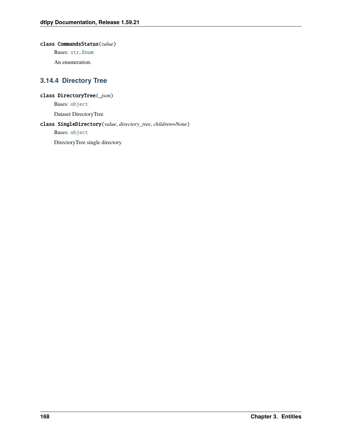## class CommandsStatus(*value*)

Bases: [str](https://docs.python.org/3/library/stdtypes.html#str), [Enum](https://docs.python.org/3/library/enum.html#enum.Enum)

An enumeration.

## **3.14.4 Directory Tree**

## class DirectoryTree(*\_json*)

Bases: [object](https://docs.python.org/3/library/functions.html#object)

Dataset DirectoryTree

## class SingleDirectory(*value*, *directory\_tree*, *children=None*)

Bases: [object](https://docs.python.org/3/library/functions.html#object)

DirectoryTree single directory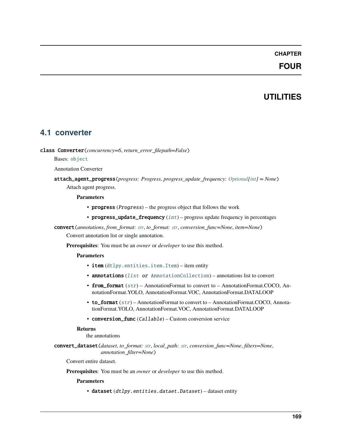## **CHAPTER**

## **FOUR**

## **UTILITIES**

## **4.1 converter**

class Converter(*concurrency=6*, *return\_error\_filepath=False*)

Bases: [object](https://docs.python.org/3/library/functions.html#object)

Annotation Converter

attach\_agent\_progress(*progress: Progress*, *progress\_update\_frequency: [Optional](https://docs.python.org/3/library/typing.html#typing.Optional)[\[int\]](https://docs.python.org/3/library/functions.html#int) = None*) Attach agent progress.

#### **Parameters**

- progress (Progress) the progress object that follows the work
- progress\_update\_frequency  $(int)$  $(int)$  $(int)$  progress update frequency in percentages

convert(*annotations*, *from\_format: [str](https://docs.python.org/3/library/stdtypes.html#str)*, *to\_format: [str](https://docs.python.org/3/library/stdtypes.html#str)*, *conversion\_func=None*, *item=None*)

Convert annotation list or single annotation.

**Prerequisites**: You must be an *owner* or *developer* to use this method.

#### **Parameters**

- item ([dtlpy.entities.item.Item](#page-120-0)) item entity
- annotations ([list](https://docs.python.org/3/library/stdtypes.html#list) or [AnnotationCollection](#page-130-0)) annotations list to convert
- **from\_format** ([str](https://docs.python.org/3/library/stdtypes.html#str)) AnnotationFormat to convert to AnnotationFormat.COCO, AnnotationFormat.YOLO, AnnotationFormat.VOC, AnnotationFormat.DATALOOP
- to\_format ([str](https://docs.python.org/3/library/stdtypes.html#str)) AnnotationFormat to convert to AnnotationFormat.COCO, AnnotationFormat.YOLO, AnnotationFormat.VOC, AnnotationFormat.DATALOOP
- conversion\_func (Callable) Custom conversion service

### **Returns**

the annotations

convert\_dataset(*dataset*, *to\_format: [str](https://docs.python.org/3/library/stdtypes.html#str)*, *local\_path: [str](https://docs.python.org/3/library/stdtypes.html#str)*, *conversion\_func=None*, *filters=None*, *annotation\_filter=None*)

Convert entire dataset.

**Prerequisites**: You must be an *owner* or *developer* to use this method.

**Parameters**

• dataset (dtlpy.entities.dataet.Dataset) – dataset entity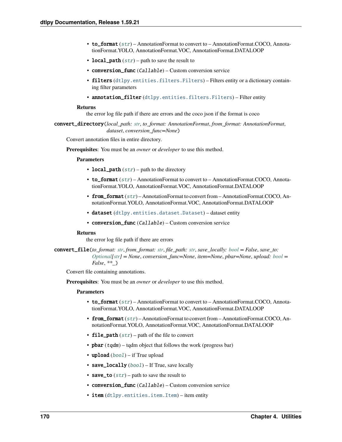- to\_format ([str](https://docs.python.org/3/library/stdtypes.html#str)) AnnotationFormat to convert to AnnotationFormat.COCO, AnnotationFormat.YOLO, AnnotationFormat.VOC, AnnotationFormat.DATALOOP
- local\_path  $(str)$  $(str)$  $(str)$  path to save the result to
- conversion\_func (Callable) Custom conversion service
- filters ([dtlpy.entities.filters.Filters](#page-139-0)) Filters entity or a dictionary containing filter parameters
- annotation\_filter ([dtlpy.entities.filters.Filters](#page-139-0)) Filter entity

the error log file path if there are errors and the coco json if the format is coco

convert\_directory(*local\_path: [str](https://docs.python.org/3/library/stdtypes.html#str)*, *to\_format: AnnotationFormat*, *from\_format: AnnotationFormat*, *dataset*, *conversion\_func=None*)

Convert annotation files in entire directory.

**Prerequisites**: You must be an *owner* or *developer* to use this method.

#### **Parameters**

- local\_path  $(str)$  $(str)$  $(str)$  path to the directory
- to\_format ([str](https://docs.python.org/3/library/stdtypes.html#str)) AnnotationFormat to convert to AnnotationFormat.COCO, AnnotationFormat.YOLO, AnnotationFormat.VOC, AnnotationFormat.DATALOOP
- from\_format ([str](https://docs.python.org/3/library/stdtypes.html#str)) AnnotationFormat to convert from AnnotationFormat.COCO, AnnotationFormat.YOLO, AnnotationFormat.VOC, AnnotationFormat.DATALOOP
- dataset ([dtlpy.entities.dataset.Dataset](#page-110-0)) dataset entity
- conversion\_func (Callable) Custom conversion service

#### **Returns**

the error log file path if there are errors

convert\_file(*to\_format: [str](https://docs.python.org/3/library/stdtypes.html#str)*, *from\_format: [str](https://docs.python.org/3/library/stdtypes.html#str)*, *file\_path: [str](https://docs.python.org/3/library/stdtypes.html#str)*, *save\_locally: [bool](https://docs.python.org/3/library/functions.html#bool) = False*, *save\_to: [Optional](https://docs.python.org/3/library/typing.html#typing.Optional)[\[str\]](https://docs.python.org/3/library/stdtypes.html#str) = None*, *conversion\_func=None*, *item=None*, *pbar=None*, *upload: [bool](https://docs.python.org/3/library/functions.html#bool) = False*, *\*\*\_*)

Convert file containing annotations.

**Prerequisites**: You must be an *owner* or *developer* to use this method.

- to\_format ([str](https://docs.python.org/3/library/stdtypes.html#str)) AnnotationFormat to convert to AnnotationFormat.COCO, AnnotationFormat.YOLO, AnnotationFormat.VOC, AnnotationFormat.DATALOOP
- from\_format ([str](https://docs.python.org/3/library/stdtypes.html#str)) AnnotationFormat to convert from AnnotationFormat.COCO, AnnotationFormat.YOLO, AnnotationFormat.VOC, AnnotationFormat.DATALOOP
- file\_path  $(str)$  $(str)$  $(str)$  path of the file to convert
- **pbar**  $(tqdm)$  tqdm object that follows the work (progress bar)
- upload  $(bool)$  $(bool)$  $(bool)$  if True upload
- save\_locally ([bool](https://docs.python.org/3/library/functions.html#bool)) If True, save locally
- save\_to  $(str)$  $(str)$  $(str)$  path to save the result to
- **conversion\_func** (Callable) Custom conversion service
- item ([dtlpy.entities.item.Item](#page-120-0)) item entity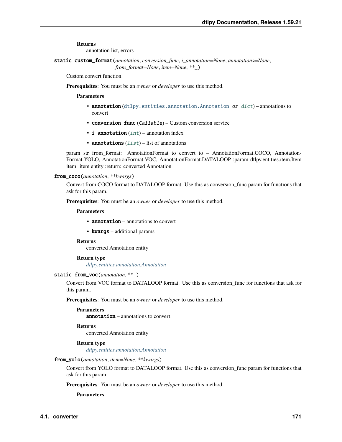annotation list, errors

static custom\_format(*annotation*, *conversion\_func*, *i\_annotation=None*, *annotations=None*, *from\_format=None*, *item=None*, *\*\*\_*)

Custom convert function.

**Prerequisites**: You must be an *owner* or *developer* to use this method.

**Parameters**

- annotation ([dtlpy.entities.annotation.Annotation](#page-124-0) or [dict](https://docs.python.org/3/library/stdtypes.html#dict)) annotations to convert
- conversion\_func (Callable) Custom conversion service
- $\cdot$  **i\_annotation** ([int](https://docs.python.org/3/library/functions.html#int)) annotation index
- annotations  $(list)$  $(list)$  $(list)$  list of annotations

param str from\_format: AnnotationFormat to convert to – AnnotationFormat.COCO, Annotation-Format.YOLO, AnnotationFormat.VOC, AnnotationFormat.DATALOOP :param dtlpy.entities.item.Item item: item entity :return: converted Annotation

#### from\_coco(*annotation*, *\*\*kwargs*)

Convert from COCO format to DATALOOP format. Use this as conversion\_func param for functions that ask for this param.

**Prerequisites**: You must be an *owner* or *developer* to use this method.

## **Parameters**

- **annotation** annotations to convert
- kwargs additional params

#### **Returns**

converted Annotation entity

#### **Return type**

*[dtlpy.entities.annotation.Annotation](#page-124-0)*

#### static from\_voc(*annotation*, *\*\*\_*)

Convert from VOC format to DATALOOP format. Use this as conversion\_func for functions that ask for this param.

**Prerequisites**: You must be an *owner* or *developer* to use this method.

### **Parameters**

annotation – annotations to convert

#### **Returns**

converted Annotation entity

#### **Return type**

*[dtlpy.entities.annotation.Annotation](#page-124-0)*

#### from\_yolo(*annotation*, *item=None*, *\*\*kwargs*)

Convert from YOLO format to DATALOOP format. Use this as conversion\_func param for functions that ask for this param.

**Prerequisites**: You must be an *owner* or *developer* to use this method.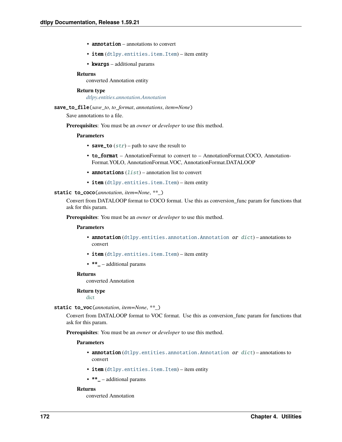- annotation annotations to convert
- item ([dtlpy.entities.item.Item](#page-120-0)) item entity
- kwargs additional params

converted Annotation entity

#### **Return type**

*[dtlpy.entities.annotation.Annotation](#page-124-0)*

save\_to\_file(*save\_to*, *to\_format*, *annotations*, *item=None*)

Save annotations to a file.

**Prerequisites**: You must be an *owner* or *developer* to use this method.

#### **Parameters**

- save\_to  $(str)$  $(str)$  $(str)$  path to save the result to
- to\_format AnnotationFormat to convert to AnnotationFormat.COCO, Annotation-Format.YOLO, AnnotationFormat.VOC, AnnotationFormat.DATALOOP
- annotations  $(list)$  $(list)$  $(list)$  annotation list to convert
- item ([dtlpy.entities.item.Item](#page-120-0)) item entity

### static to\_coco(*annotation*, *item=None*, *\*\*\_*)

Convert from DATALOOP format to COCO format. Use this as conversion\_func param for functions that ask for this param.

**Prerequisites**: You must be an *owner* or *developer* to use this method.

#### **Parameters**

- **annotation** ([dtlpy.entities.annotation.Annotation](#page-124-0) or [dict](https://docs.python.org/3/library/stdtypes.html#dict)) annotations to convert
- item ([dtlpy.entities.item.Item](#page-120-0)) item entity
- $\bullet$  \*\*\_ additional params

#### **Returns**

converted Annotation

## **Return type**

[dict](https://docs.python.org/3/library/stdtypes.html#dict)

#### static to\_voc(*annotation*, *item=None*, *\*\*\_*)

Convert from DATALOOP format to VOC format. Use this as conversion\_func param for functions that ask for this param.

**Prerequisites**: You must be an *owner* or *developer* to use this method.

#### **Parameters**

- annotation ([dtlpy.entities.annotation.Annotation](#page-124-0) or [dict](https://docs.python.org/3/library/stdtypes.html#dict)) annotations to convert
- item ([dtlpy.entities.item.Item](#page-120-0)) item entity
- $\bullet$  \*\*\_ additional params

#### **Returns**

converted Annotation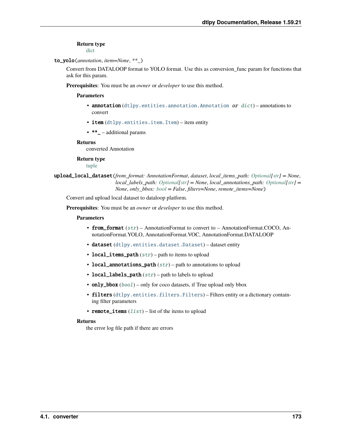#### **Return type**

[dict](https://docs.python.org/3/library/stdtypes.html#dict)

#### to\_yolo(*annotation*, *item=None*, *\*\*\_*)

Convert from DATALOOP format to YOLO format. Use this as conversion\_func param for functions that ask for this param.

**Prerequisites**: You must be an *owner* or *developer* to use this method.

#### **Parameters**

- **annotation** ([dtlpy.entities.annotation.Annotation](#page-124-0) or  $dict$ ) annotations to convert
- item ([dtlpy.entities.item.Item](#page-120-0)) item entity
- \*\*\_ additional params

#### **Returns**

converted Annotation

#### **Return type**

[tuple](https://docs.python.org/3/library/stdtypes.html#tuple)

upload\_local\_dataset(*from\_format: AnnotationFormat*, *dataset*, *local\_items\_path: [Optional](https://docs.python.org/3/library/typing.html#typing.Optional)[\[str\]](https://docs.python.org/3/library/stdtypes.html#str) = None*, *local labels path: [Optional\[](https://docs.python.org/3/library/typing.html#typing.Optional)[str\]](https://docs.python.org/3/library/stdtypes.html#str)* = *None*, *local annotations path: Optional[str]* = *None*, *only\_bbox: [bool](https://docs.python.org/3/library/functions.html#bool) = False*, *filters=None*, *remote\_items=None*)

Convert and upload local dataset to dataloop platform.

**Prerequisites**: You must be an *owner* or *developer* to use this method.

#### **Parameters**

- from\_format ([str](https://docs.python.org/3/library/stdtypes.html#str)) AnnotationFormat to convert to AnnotationFormat.COCO, AnnotationFormat.YOLO, AnnotationFormat.VOC, AnnotationFormat.DATALOOP
- dataset ([dtlpy.entities.dataset.Dataset](#page-110-0)) dataset entity
- local\_items\_path  $(str)$  $(str)$  $(str)$  path to items to upload
- local\_annotations\_path  $(str)$  $(str)$  $(str)$  path to annotations to upload
- local\_labels\_path  $(str)$  $(str)$  $(str)$  path to labels to upload
- only\_bbox  $(bool)$  $(bool)$  $(bool)$  only for coco datasets, if True upload only bbox
- filters ([dtlpy.entities.filters.Filters](#page-139-0)) Filters entity or a dictionary containing filter parameters
- remote\_items  $(list)$  $(list)$  $(list)$  list of the items to upload

#### **Returns**

the error log file path if there are errors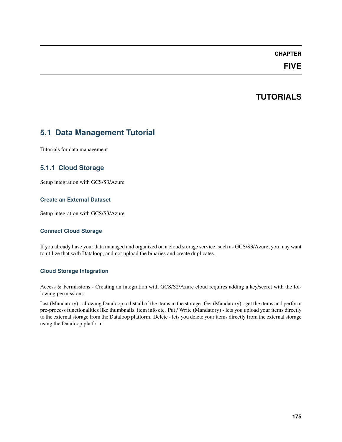## **CHAPTER**

## **FIVE**

## **TUTORIALS**

## **5.1 Data Management Tutorial**

Tutorials for data management

## **5.1.1 Cloud Storage**

Setup integration with GCS/S3/Azure

## **Create an External Dataset**

Setup integration with GCS/S3/Azure

## **Connect Cloud Storage**

If you already have your data managed and organized on a cloud storage service, such as GCS/S3/Azure, you may want to utilize that with Dataloop, and not upload the binaries and create duplicates.

## **Cloud Storage Integration**

Access & Permissions - Creating an integration with GCS/S2/Azure cloud requires adding a key/secret with the following permissions:

List (Mandatory) - allowing Dataloop to list all of the items in the storage. Get (Mandatory) - get the items and perform pre-process functionalities like thumbnails, item info etc. Put / Write (Mandatory) - lets you upload your items directly to the external storage from the Dataloop platform. Delete - lets you delete your items directly from the external storage using the Dataloop platform.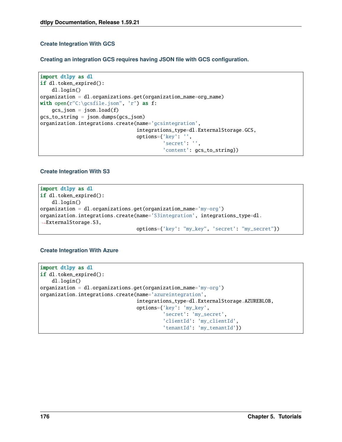## **Create Integration With GCS**

**Creating an integration GCS requires having JSON file with GCS configuration.**

```
import dtlpy as dl
if dl.token_expired():
   dl.login()
organization = dl.organizations.get(organization_name=org_name)
with open(r''C: \gcsfile.json", 'r') as f:
    gcs_json = json.load(f)gcs_to_string = json.dumps(gcs_json)
organization.integrations.create(name='gcsintegration',
                                 integrations_type=dl.ExternalStorage.GCS,
                                 options={'key': '',
                                           'secret': '',
                                           'content': gcs_to_string})
```
## **Create Integration With S3**

import dtlpy as dl if dl.token\_expired(): dl.login() organization = dl.organizations.get(organization\_name='my-org') organization.integrations.create(name='S3integration', integrations\_type=dl. ˓<sup>→</sup>ExternalStorage.S3, options={'key': "my\_key", 'secret': "my\_secret"})

## **Create Integration With Azure**

```
import dtlpy as dl
if dl.token_expired():
   dl.login()
organization = dl.organizations.get(organization_name='my-org')
organization.integrations.create(name='azureintegration',
                                 integrations_type=dl.ExternalStorage.AZUREBLOB,
                                 options={'key': 'my_key',
                                           'secret': 'my_secret',
                                           'clientId': 'my_clientId',
                                           'tenantId': 'my_tenantId'})
```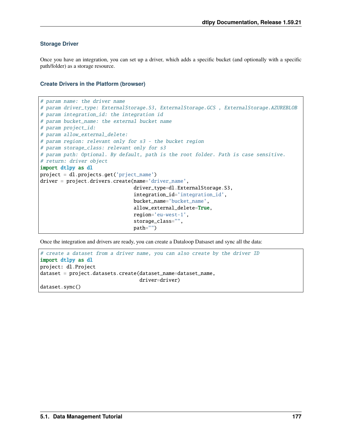#### **Storage Driver**

Once you have an integration, you can set up a driver, which adds a specific bucket (and optionally with a specific path/folder) as a storage resource.

#### **Create Drivers in the Platform (browser)**

```
# param name: the driver name
# param driver_type: ExternalStorage.S3, ExternalStorage.GCS, ExternalStorage.AZUREBLOB
# param integration_id: the integration id
# param bucket_name: the external bucket name
# param project_id:
# param allow_external_delete:
# param region: relevant only for s3 - the bucket region
# param storage_class: relevant only for s3
# param path: Optional. By default, path is the root folder. Path is case sensitive.
# return: driver object
import dtlpy as dl
project = dl.projects.get('prject_name')
driver = project.drivers.create(name='driver_name',
                                driver_type=dl.ExternalStorage.S3,
                                integration_id='integration_id',
                                bucket_name='bucket_name',
                                allow_external_delete=True,
                                region='eu-west-1',
                                storage_class="",
                                path="")
```
Once the integration and drivers are ready, you can create a Dataloop Datsaset and sync all the data:

```
# create a dataset from a driver name, you can also create by the driver ID
import dtlpy as dl
project: dl.Project
dataset = project.datasets.create(dataset_name=dataset_name,
                                  driver=driver)
dataset.sync()
```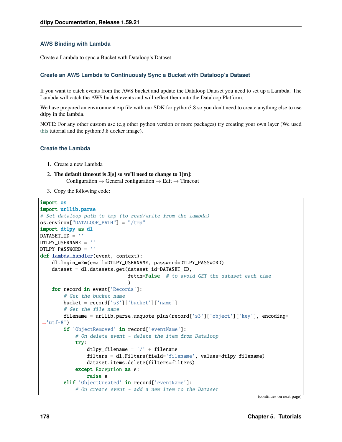#### **AWS Binding with Lambda**

Create a Lambda to sync a Bucket with Dataloop's Dataset

## **Create an AWS Lambda to Continuously Sync a Bucket with Dataloop's Dataset**

If you want to catch events from the AWS bucket and update the Dataloop Dataset you need to set up a Lambda. The Lambda will catch the AWS bucket events and will reflect them into the Dataloop Platform.

We have prepared an environment zip file with our SDK for python3.8 so you don't need to create anything else to use dtlpy in the lambda.

NOTE: For any other custom use (e.g other python version or more packages) try creating your own layer (We used [this](https://www.geeksforgeeks.org/how-to-install-python-packages-for-aws-lambda-layers) tutorial and the python:3.8 docker image).

#### **Create the Lambda**

- 1. Create a new Lambda
- 2. **The default timeout is 3[s] so we'll need to change to 1[m]:** Configuration  $\rightarrow$  General configuration  $\rightarrow$  Edit  $\rightarrow$  Timeout
- 3. Copy the following code:

```
import os
import urllib.parse
# Set dataloop path to tmp (to read/write from the lambda)
os.environ["DATALOOP_PATH"] = "/tmp"
import dtlpy as dl
DATASET ID = ''DTLPY_USERNAME = ''
DTLPY_PASSWORD = ''
def lambda_handler(event, context):
   dl.login_m2m(email=DTLPY_USERNAME, password=DTLPY_PASSWORD)
    dataset = dl.datasets.get(dataset_id=DATASET_ID,
                              fetch=False # to avoid GET the dataset each time
                              )
   for record in event['Records']:
        # Get the bucket name
        bucket = record['s3']['bucket']['name']
        # Get the file name
        filename = urllib.parse.unquote_plus(record['s3']['object']['key'], encoding=
\rightarrow'utf-8')
        if 'ObjectRemoved' in record['eventName']:
            # On delete event - delete the item from Dataloop
            try:
                dtlpy_filename = '/ + filename
                filters = dl.Filters(field='filename', values=dtlpy_filename)
                dataset.items.delete(filters=filters)
            except Exception as e:
                raise e
        elif 'ObjectCreated' in record['eventName']:
            # On create event - add a new item to the Dataset
```
(continues on next page)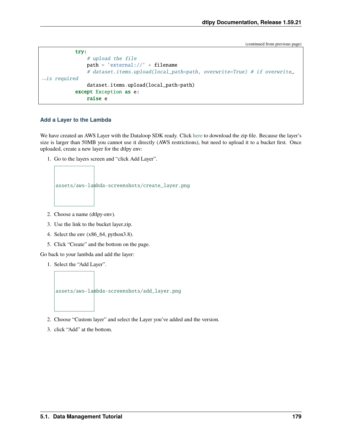(continued from previous page)

```
try:
                # upload the file
                path = 'external://' + filename# dataset.items.upload(local_path=path, overwrite=True) # if overwrite␣
\leftrightarrowis required
                dataset.items.upload(local_path=path)
            except Exception as e:
                raise e
```
#### **Add a Layer to the Lambda**

We have created an AWS Layer with the Dataloop SDK ready. Click [here](https://storage.googleapis.com/dtlpy/aws-python3.8-lambda-layer/layer.zip) to download the zip file. Because the layer's size is larger than 50MB you cannot use it directly (AWS restrictions), but need to upload it to a bucket first. Once uploaded, create a new layer for the dtlpy env:

1. Go to the layers screen and "click Add Layer".



- 2. Choose a name (dtlpy-env).
- 3. Use the link to the bucket layer.zip.
- 4. Select the env (x86\_64, python3.8).
- 5. Click "Create" and the bottom on the page.

Go back to your lambda and add the layer:

1. Select the "Add Layer".



- 2. Choose "Custom layer" and select the Layer you've added and the version.
- 3. click "Add" at the bottom.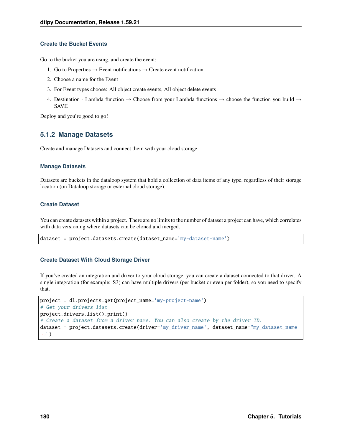## **Create the Bucket Events**

Go to the bucket you are using, and create the event:

- 1. Go to Properties  $\rightarrow$  Event notifications  $\rightarrow$  Create event notification
- 2. Choose a name for the Event
- 3. For Event types choose: All object create events, All object delete events
- 4. Destination Lambda function  $\rightarrow$  Choose from your Lambda functions  $\rightarrow$  choose the function you build  $\rightarrow$ SAVE

Deploy and you're good to go!

# **5.1.2 Manage Datasets**

Create and manage Datasets and connect them with your cloud storage

#### **Manage Datasets**

Datasets are buckets in the dataloop system that hold a collection of data items of any type, regardless of their storage location (on Dataloop storage or external cloud storage).

## **Create Dataset**

You can create datasets within a project. There are no limits to the number of dataset a project can have, which correlates with data versioning where datasets can be cloned and merged.

```
dataset = project.datasets.create(dataset_name='my-dataset-name')
```
## **Create Dataset With Cloud Storage Driver**

If you've created an integration and driver to your cloud storage, you can create a dataset connected to that driver. A single integration (for example: S3) can have multiple drivers (per bucket or even per folder), so you need to specify that.

```
project = dl.projects.get(project_name='my-project-name')
# Get your drivers list
project.drivers.list().print()
# Create a dataset from a driver name. You can also create by the driver ID.
dataset = project.datasets.create(driver='my_driver_name', dataset_name='my_dataset_name
˓→")
```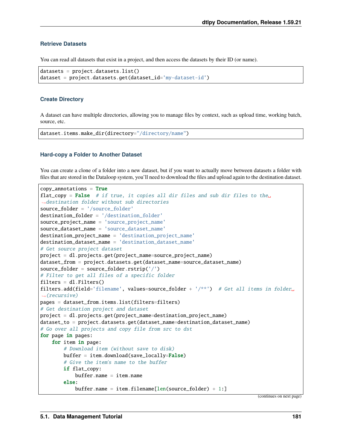# **Retrieve Datasets**

You can read all datasets that exist in a project, and then access the datasets by their ID (or name).

```
datasets = project.datasets.list()
dataset = project.datasets.get(dataset_id='my-dataset-id')
```
#### **Create Directory**

A dataset can have multiple directories, allowing you to manage files by context, such as upload time, working batch, source, etc.

```
dataset.items.make_dir(directory="/directory/name")
```
#### **Hard-copy a Folder to Another Dataset**

You can create a clone of a folder into a new dataset, but if you want to actually move between datasets a folder with files that are stored in the Dataloop system, you'll need to download the files and upload again to the destination dataset.

```
copy<sub>-</sub>annotations = Trueflat_copy = False # if true, it copies all dir files and sub dir files to the
˓→destination folder without sub directories
source_folder = '/source_folder'
destination_folder = '/destination_folder'
source_project_name = 'source_project_name'
source_dataset_name = 'source_dataset_name'
destination_project_name = 'destination_project_name'
destination_dataset_name = 'destination_dataset_name'
# Get source project dataset
project = dl.projects.get(project_name=source_project_name)
dataset_from = project.datasets.get(dataset_name=source_dataset_name)
source_folder = source_folder.rstrip('/')
# Filter to get all files of a specific folder
filters = dl. Filters()filters.add(field='filename', values=source_folder + '/**') # Get all items in folder
ightharpoonup(recursive)
pages = dataset_from.items.list(filters=filters)
# Get destination project and dataset
project = dl.projects.get(project_name=destination_project_name)
dataset_to = project.datasets.get(dataset_name=destination_dataset_name)
# Go over all projects and copy file from src to dst
for page in pages:
    for item in page:
        # Download item (without save to disk)
        buffer = item.download(save_locally=False)
        # Give the item's name to the buffer
        if flat_copy:
            buffer.name = item.nameelse:
            buffer.name = item.filename\lceil len(source_folder) + 1: \rceil
```
(continues on next page)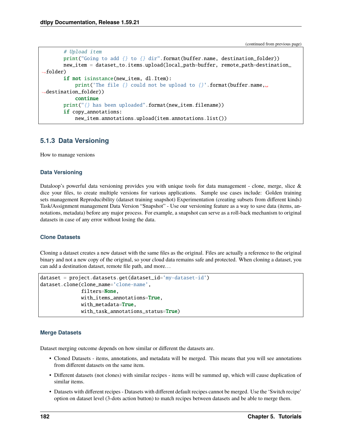(continued from previous page)

```
# Upload item
       print("Going to add {} to {} dir".format(buffer.name, destination_folder))
       new_item = dataset_to.items.upload(local_path=buffer, remote_path=destination_
\rightarrowfolder)
       if not isinstance(new_item, dl.Item):
            print('The file {} could not be upload to {}'.format(buffer.name,\Box˓→destination_folder))
            continue
       print("{} has been uploaded".format(new_item.filename))
       if copy_annotations:
            new_item.annotations.upload(item.annotations.list())
```
# **5.1.3 Data Versioning**

How to manage versions

#### **Data Versioning**

Dataloop's powerful data versioning provides you with unique tools for data management - clone, merge, slice & dice your files, to create multiple versions for various applications. Sample use cases include: Golden training sets management Reproducibility (dataset training snapshot) Experimentation (creating subsets from different kinds) Task/Assignment management Data Version "Snapshot" - Use our versioning feature as a way to save data (items, annotations, metadata) before any major process. For example, a snapshot can serve as a roll-back mechanism to original datasets in case of any error without losing the data.

#### **Clone Datasets**

Cloning a dataset creates a new dataset with the same files as the original. Files are actually a reference to the original binary and not a new copy of the original, so your cloud data remains safe and protected. When cloning a dataset, you can add a destination dataset, remote file path, and more. . .

```
dataset = project.datasets.get(dataset_id='my-dataset-id')
dataset.clone(clone_name='clone-name',
              filters=None,
              with_items_annotations=True,
              with_metadata=True,
              with_task_annotations_status=True)
```
## **Merge Datasets**

Dataset merging outcome depends on how similar or different the datasets are.

- Cloned Datasets items, annotations, and metadata will be merged. This means that you will see annotations from different datasets on the same item.
- Different datasets (not clones) with similar recipes items will be summed up, which will cause duplication of similar items.
- Datasets with different recipes Datasets with different default recipes cannot be merged. Use the 'Switch recipe' option on dataset level (3-dots action button) to match recipes between datasets and be able to merge them.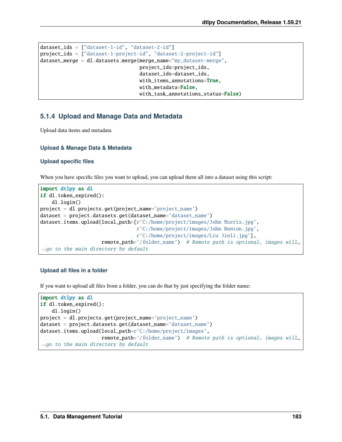```
dataset_ids = ["dataset-1-id", "dataset-2-id"]
project_ids = ["dataset-1-project-id", "dataset-2-project-id"]
dataset_merge = dl.datasets.merge(merge_name="my_dataset-merge",
                                  project_ids=project_ids,
                                  dataset_ids=dataset_ids,
                                  with_items_annotations=True,
                                  with_metadata=False,
                                  with_task_annotations_status=False)
```
# **5.1.4 Upload and Manage Data and Metadata**

Upload data items and metadata

# **Upload & Manage Data & Metadata**

## **Upload specific files**

When you have specific files you want to upload, you can upload them all into a dataset using this script:

```
import dtlpy as dl
if dl.token_expired():
   dl.login()
project = dl.projects.get(project_name='project_name')
dataset = project.datasets.get(dataset_name='dataset_name')
dataset.items.upload(local_path=[r'C:/home/project/images/John Morris.jpg',
                                 r'C:/home/project/images/John Benton.jpg',
                                 r'C:/home/project/images/Liu Jinli.jpg'],
                     remote_path='/folder_name') # Remote path is optional, images will␣
˓→go to the main directory by default
```
## **Upload all files in a folder**

If you want to upload all files from a folder, you can do that by just specifying the folder name:

```
import dtlpy as dl
if dl.token_expired():
    dl.login()
project = dl.projects.get(project_name='project_name')
dataset = project.datasets.get(dataset_name='dataset_name')
dataset.items.upload(local_path=r'C:/home/project/images',
                     remote_path='/folder_name') # Remote path is optional, images will␣
\rightarrowgo to the main directory by default
```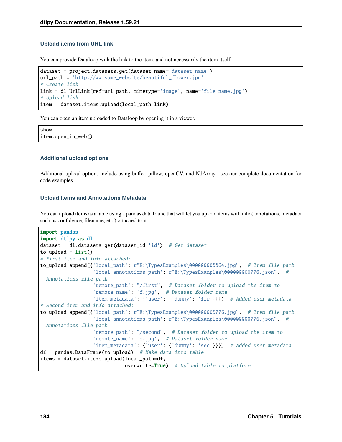## **Upload items from URL link**

You can provide Dataloop with the link to the item, and not necessarily the item itself.

```
dataset = project.datasets.get(dataset_name='dataset_name')
url_path = 'http://ww.some_website/beautiful_flower.jpg'
# Create link
link = dl.UrlLink(ref=url_path, mimetype='image', name='file_name.jpg')
# Upload link
item = dataset.items.upload(local_path=link)
```
You can open an item uploaded to Dataloop by opening it in a viewer.

show item.open\_in\_web()

## **Additional upload options**

Additional upload options include using buffer, pillow, openCV, and NdArray - see our complete documentation for code examples.

#### **Upload Items and Annotations Metadata**

You can upload items as a table using a pandas data frame that will let you upload items with info (annotations, metadata such as confidence, filename, etc.) attached to it.

```
import pandas
import dtlpy as dl
dataset = dl.datasets.get(dataset_id='id') # Get dataset
to\_upload = list()# First item and info attached:
to_upload.append({'local_path': r"E:\TypesExamples\000000000064.jpg", # Item file path
                  'local_annotations_path': r"E:\TypesExamples\000000000776.json", #
˓→Annotations file path
                  'remote_path': "/first", # Dataset folder to upload the item to
                  'remote_name': 'f.jpg', # Dataset folder name
                  'item_metadata': {'user': {'dummy': 'fir'}}}) # Added user metadata
# Second item and info attached:
to_upload.append({'local_path': r"E:\TypesExamples\000000000776.jpg", # Item file path
                  'local_annotations_path': r"E:\TypesExamples\000000000776.json", #
˓→Annotations file path
                  'remote_path': "/second", # Dataset folder to upload the item to
                  'remote_name': 's.jpg', # Dataset folder name
                  'item_metadata': {'user': {'dummy': 'sec'}}}) # Added user metadata
df = pandas. DataFrame(to_upload) # Make data into table
items = dataset.items.upload(local_path=df,
                            overwrite=True) # Upload table to platform
```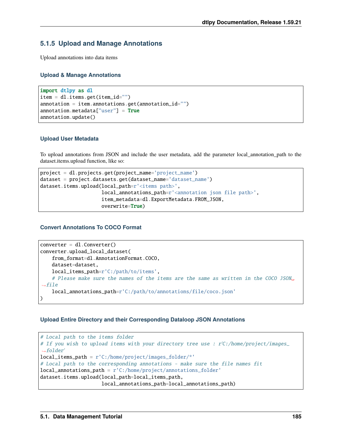# **5.1.5 Upload and Manage Annotations**

Upload annotations into data items

# **Upload & Manage Annotations**

```
import dtlpy as dl
item = dl.items.get(item_id="")
annotation = item.annotation.get(annotation_id="")annotation .<i>metadata</i>["user"] = <b>True</b>annotation.update()
```
# **Upload User Metadata**

To upload annotations from JSON and include the user metadata, add the parameter local\_annotation\_path to the dataset.items.upload function, like so:

```
project = dl.projects.get(project_name='project_name')
dataset = project.datasets.get(dataset_name='dataset_name')
dataset.items.upload(local_path=r'<items path>',
                     local_annotations_path=r'<annotation json file path>',
                     item_metadata=dl.ExportMetadata.FROM_JSON,
                     overwrite=True)
```
# **Convert Annotations To COCO Format**

```
converter = dl.Gonverter()converter.upload_local_dataset(
    from_format=dl.AnnotationFormat.COCO,
    dataset=dataset,
    local_items_path=r'C:/path/to/items',
    # Please make sure the names of the items are the same as written in the COCO JSON<sub>1</sub></sub>
ightharpoonupfile
    local_annotations_path=r'C:/path/to/annotations/file/coco.json'
)
```
# **Upload Entire Directory and their Corresponding Dataloop JSON Annotations**

```
# Local path to the items folder
# If you wish to upload items with your directory tree use : r'C:/home/project/images_
ightharpoonupfolder'
local_items_path = r'C:/home/project/images_folder/*'
# Local path to the corresponding annotations - make sure the file names fit
local_annotations_path = r'C:/home/project/annotations_folder'
dataset.items.upload(local_path=local_items_path,
                     local_annotations_path=local_annotations_path)
```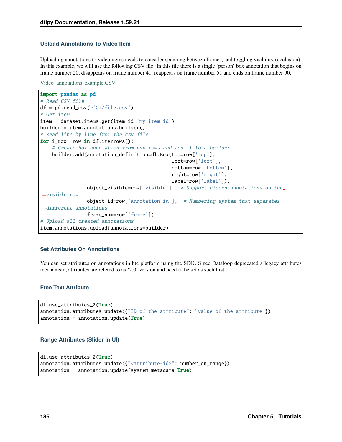## **Upload Annotations To Video Item**

Uploading annotations to video items needs to consider spanning between frames, and toggling visibility (occlusion). In this example, we will use the following CSV file. In this file there is a single 'person' box annotation that begins on frame number 20, disappears on frame number 41, reappears on frame number 51 and ends on frame number 90.

[Video\\_annotations\\_example.CSV](https://cdn.document360.io/53f32fe9-1937-4652-8526-90c1bc78d3f8/Images/Documentation/video_annotation_example.csv)

```
import pandas as pd
# Read CSV file
df = pd.read_csv(r'C://file.csv')# Get item
item = dataset.items.get(item_id='my_item_id')
builder = item.annotation.html# Read line by line from the csv file
for i_row, row in df.iterrows():
    # Create box annotation from csv rows and add it to a builder
    builder.add(annotation_definition=dl.Box(top=row['top'],
                                             left=row['left'],
                                             bottom=row['bottom'],
                                             right=row['right'],
                                             label=row['label']),
                object_visible=row['visible'], # Support hidden annotations on the␣
\rightarrowvisible row
                object_id=row['annotation id'], # Numbering system that separates␣
˓→different annotations
                frame_num=row['frame'])
# Upload all created annotations
item.annotations.upload(annotations=builder)
```
## **Set Attributes On Annotations**

You can set attributes on annotations in hte platform using the SDK. Since Dataloop deprecated a legacy attributes mechanism, attributes are refered to as '2.0' version and need to be set as such first.

## **Free Text Attribute**

```
dl.use_attributes_2(True)
annotation.attributes.update({"ID of the attribute": "value of the attribute"})
annotation = annotation.update(True)
```
#### **Range Attributes (Slider in UI)**

```
dl.use_attributes_2(True)
annotation.attributes.update({"<attribute-id>": number_on_range})
annotation = annotation.update(system_matrix = True)
```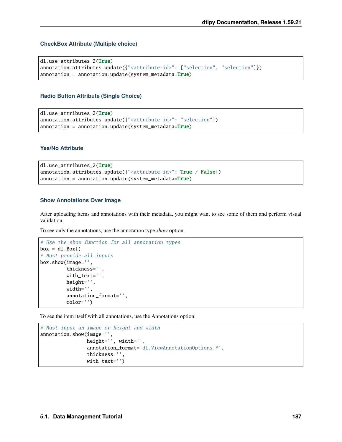## **CheckBox Attribute (Multiple choice)**

dl.use\_attributes\_2(True) annotation.attributes.update({"<attribute-id>": ["selection", "selection"]})  $annotation = annotation.update(system_matrix = True)$ 

## **Radio Button Attribute (Single Choice)**

```
dl.use_attributes_2(True)
annotation.attributes.update({"<attribute-id>": "selection"})
annotation = annotation.update(system_matrix = True)
```
## **Yes/No Attribute**

```
dl.use_attributes_2(True)
annotation.attributes.update({"<attribute-id>": True / False})
annotation = annotation.update(system_matrix = True)
```
#### **Show Annotations Over Image**

After uploading items and annotations with their metadata, you might want to see some of them and perform visual validation.

To see only the annotations, use the annotation type *show* option.

```
# Use the show function for all annotation types
box = d1.Box()# Must provide all inputs
box.show(image='',
         thickness='',
         with_text='',
         height='',
         width='',
         annotation_format='',
         color='')
```
To see the item itself with all annotations, use the Annotations option.

```
# Must input an image or height and width
annotation.show(image='',
                height='', width='',
                annotation_format='dl.ViewAnnotationOptions.*',
                thickness='',
                with_text='')
```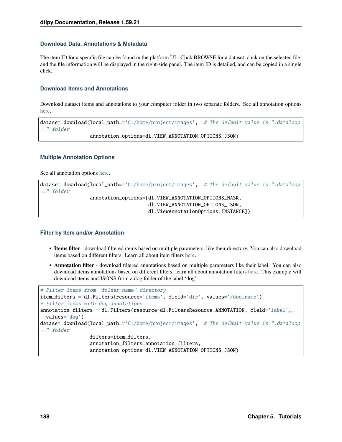#### **Download Data, Annotations & Metadata**

The item ID for a specific file can be found in the platform UI - Click BROWSE for a dataset, click on the selected file, and the file information will be displayed in the right-side panel. The item ID is detailed, and can be copied in a single click.

#### **Download Items and Annotations**

Download dataset items and annotations to your computer folder in two separate folders. See all annotation options [here.](https://dataloop.ai/docs/sdk-download#annotation-options)

```
dataset.download(local_path=r'C:/home/project/images', # The default value is ".dataloop
ightharpoonup" folder
                  annotation_options=dl.VIEW_ANNOTATION_OPTIONS_JSON)
```
#### **Multiple Annotation Options**

See all annotation options [here.](https://dataloop.ai/docs/sdk-download#annotation-options)

```
dataset.download(local_path=r'C:/home/project/images', # The default value is ".dataloop
˓→" folder
                 annotation_options=[dl.VIEW_ANNOTATION_OPTIONS_MASK,
                                     dl.VIEW_ANNOTATION_OPTIONS_JSON,
                                     dl.ViewAnnotationOptions.INSTANCE])
```
#### **Filter by Item and/or Annotation**

- **Items filter** download filtered items based on multiple parameters, like their directory. You can also download items based on different filters. Learn all about item filters [here.](https://dataloop.ai/docs/sdk-sort-filter)
- **Annotation filter** download filtered annotations based on multiple parameters like their label. You can also download items annotations based on different filters, learn all about annotation filters [here.](https://dataloop.ai/docs/sdk-sort-filter-annotation) This example will download items and JSONS from a dog folder of the label 'dog'.

```
# Filter items from "folder_name" directory
item_filters = dl.Filters(resource='items', field='dir', values='/dog_name')
# Filter items with dog annotations
annotation_filters = dl.Filters(resource=dl.FiltersResource.ANNOTATION, field='label',␣
\rightarrowvalues='dog')
dataset.download(local_path=r'C:/home/project/images', # The default value is ".dataloop
ightharpoonup" folder
                  filters=item_filters,
                  annotation_filters=annotation_filters,
                  annotation_options=dl.VIEW_ANNOTATION_OPTIONS_JSON)
```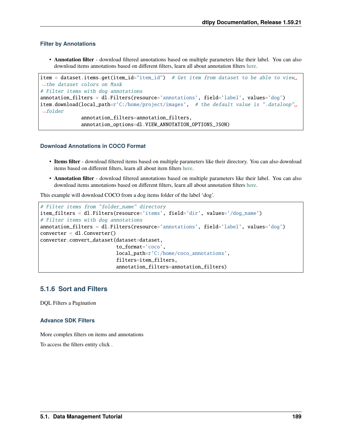#### **Filter by Annotations**

• **Annotation filter** - download filtered annotations based on multiple parameters like their label. You can also download items annotations based on different filters, learn all about annotation filters [here.](https://dataloop.ai/docs/sdk-sort-filter-annotation)

```
item = dataset.items.get(item_id="item_id") # Get item from dataset to be able to view.
˓→the dataset colors on Mask
# Filter items with dog annotations
annotation_filters = dl.Filters(resource='annotations', field='label', values='dog')
item.download(local_path=r'C:/home/project/images', # the default value is ".dataloop",
ightharpoonupfolder
              annotation_filters=annotation_filters,
              annotation_options=dl.VIEW_ANNOTATION_OPTIONS_JSON)
```
#### **Download Annotations in COCO Format**

- **Items filter** download filtered items based on multiple parameters like their directory. You can also download items based on different filters, learn all about item filters [here.](https://dataloop.ai/docs/sdk-sort-filter)
- **Annotation filter** download filtered annotations based on multiple parameters like their label. You can also download items annotations based on different filters, learn all about annotation filters [here.](https://dataloop.ai/docs/sdk-sort-filter-annotation)

This example will download COCO from a dog items folder of the label 'dog'.

```
# Filter items from "folder_name" directory
item_filters = dl.Filters(resource='items', field='dir', values='/dog_name')
# Filter items with dog annotations
annotation_filters = dl.Filters(resource='annotations', field='label', values='dog')
converter = dl.Gonverter()converter.convert_dataset(dataset=dataset,
                          to_format='coco',
                          local_path=r'C:/home/coco_annotations',
                          filters=item_filters,
                          annotation_filters=annotation_filters)
```
# **5.1.6 Sort and Filters**

DQL Filters a Pagination

# **Advance SDK Filters**

More complex filters on items and annotations

To access the filters entity click .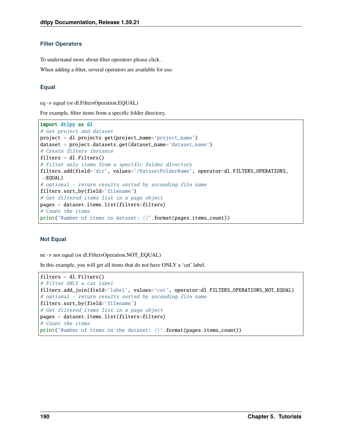#### **Filter Operators**

To understand more about filter operators please click .

When adding a filter, several operators are available for use:

# **Equal**

eq -> equal (or dl.FiltersOperation.EQUAL)

For example, filter items from a specific folder directory.

```
import dtlpy as dl
# Get project and dataset
project = dl.projects.get(project_name='project_name')
dataset = project.datasets.get(dataset_name='dataset_name')
# Create filters instance
filters = dl. Filters()# Filter only items from a specific folder directory
filters.add(field='dir', values='/DatasetFolderName', operator=dl.FILTERS_OPERATIONS_
\rightarrowEQUAL)
# optional - return results sorted by ascending file name
filters.sort_by(field='filename')
# Get filtered items list in a page object
pages = dataset.items.list(filters=filters)
# Count the items
print('Number of items in dataset: {}'.format(pages.items_count))
```
## **Not Equal**

ne -> not equal (or dl.FiltersOperation.NOT\_EQUAL)

In this example, you will get all items that do not have ONLY a 'cat' label.

```
filters = dl. Filters()# Filter ONLY a cat label
filters.add_join(field='label', values='cat', operator=dl.FILTERS_OPERATIONS_NOT_EQUAL)
# optional - return results sorted by ascending file name
filters.sort_by(field='filename')
# Get filtered items list in a page object
pages = dataset.items.list(filters=filters)
# Count the items
print('Number of items in the dataset: {}'.format(pages.items_count))
```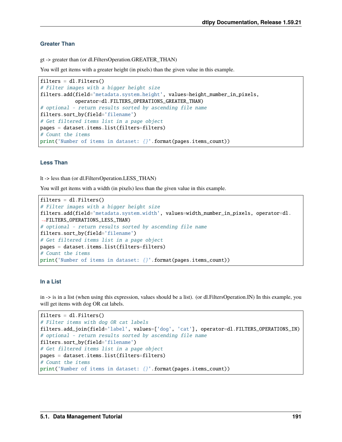# **Greater Than**

gt -> greater than (or dl.FiltersOperation.GREATER\_THAN)

You will get items with a greater height (in pixels) than the given value in this example.

```
filters = dl. Filters()# Filter images with a bigger height size
filters.add(field='metadata.system.height', values=height_number_in_pixels,
            operator=dl.FILTERS_OPERATIONS_GREATER_THAN)
# optional - return results sorted by ascending file name
filters.sort_by(field='filename')
# Get filtered items list in a page object
pages = dataset.items.list(filters=filters)
# Count the items
print('Number of items in dataset: {}'.format(pages.items_count))
```
# **Less Than**

lt -> less than (or dl.FiltersOperation.LESS\_THAN)

You will get items with a width (in pixels) less than the given value in this example.

```
filters = dl. Filters()# Filter images with a bigger height size
filters.add(field='metadata.system.width', values=width_number_in_pixels, operator=dl.
˓→FILTERS_OPERATIONS_LESS_THAN)
# optional - return results sorted by ascending file name
filters.sort_by(field='filename')
# Get filtered items list in a page object
pages = dataset.items.list(filters=filters)
# Count the items
print('Number of items in dataset: {}'.format(pages.items_count))
```
## **In a List**

in -> is in a list (when using this expression, values should be a list). (or dl.FiltersOperation.IN) In this example, you will get items with dog OR cat labels.

```
filters = dl. Filters()# Filter items with dog OR cat labels
filters.add_join(field='label', values=['dog', 'cat'], operator=dl.FILTERS_OPERATIONS_IN)
# optional - return results sorted by ascending file name
filters.sort_by(field='filename')
# Get filtered items list in a page object
pages = dataset.items.list(filters=filters)
# Count the items
print('Number of items in dataset: {}'.format(pages.items_count))
```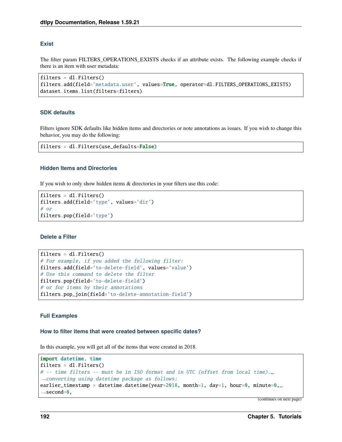## **Exist**

The filter param FILTERS OPERATIONS EXISTS checks if an attribute exists. The following example checks if there is an item with user metadata:

```
filters = dl. Filters()filters.add(field='metadata.user', values=True, operator=dl.FILTERS_OPERATIONS_EXISTS)
dataset.items.list(filters=filters)
```
#### **SDK defaults**

Filters ignore SDK defaults like hidden items and directories or note annotations as issues. If you wish to change this behavior, you may do the following:

```
filters = dl.Filters(use_defaults=False)
```
#### **Hidden Items and Directories**

If you wish to only show hidden items & directories in your filters use this code:

```
filters = dl. Filters()filters.add(field='type', values='dir')
# or
filters.pop(field='type')
```
#### **Delete a Filter**

```
filters = dl. Filters()# For example, if you added the following filter:
filters.add(field='to-delete-field', values='value')
# Use this command to delete the filter
filters.pop(field='to-delete-field')
# or for items by their annotations
filters.pop_join(field='to-delete-annotation-field')
```
#### **Full Examples**

#### **How to filter items that were created between specific dates?**

In this example, you will get all of the items that were created in 2018.

```
import datetime, time
filters = dl. Filters()# -- time filters -- must be in ISO format and in UTC (offset from local time).␣
˓→converting using datetime package as follows:
earlier_timestamp = datetime.datetime(year=2018, month=1, day=1, hour=0, minute=0,.
\rightarrowsecond=0.
```
(continues on next page)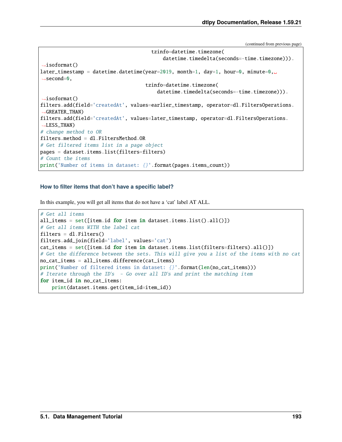(continued from previous page)

```
tzinfo=datetime.timezone(
                                             datetime.timedelta(seconds=-time.timezone))).
˓→isoformat()
later_timestamp = datetime.datetime(year=2019, month=1, day=1, hour=0, minute=0,
\rightarrowsecond=0,
                                      tzinfo=datetime.timezone(
                                          datetime.timedelta(seconds=-time.timezone))).
\rightarrowisoformat()
filters.add(field='createdAt', values=earlier_timestamp, operator=dl.FiltersOperations.
\rightarrowGREATER_THAN)
filters.add(field='createdAt', values=later_timestamp, operator=dl.FiltersOperations.
\rightarrowLESS_THAN)
# change method to OR
filters.method = dl.FiltersMethod.OR
# Get filtered items list in a page object
pages = dataset.items.list(filters=filters)
# Count the items
print('Number of items in dataset: {}'.format(pages.items_count))
```
#### **How to filter items that don't have a specific label?**

In this example, you will get all items that do not have a 'cat' label AT ALL.

```
# Get all items
all_items = set([item.id for item in dataset.items.list().all())# Get all items WITH the label cat
filters = dl.Filters()
filters.add_join(field='label', values='cat')
cat_ items = set([item.id for item in dataset.items.list(filters=filters).all()])
# Get the difference between the sets. This will give you a list of the items with no cat
no_cat_items = all_items.difference(cat_items)
print('Number of filtered items in dataset: {}'.format(len(no_cat_items)))
# Iterate through the ID's - Go over all ID's and print the matching item
for item_id in no_cat_items:
   print(dataset.items.get(item_id=item_id))
```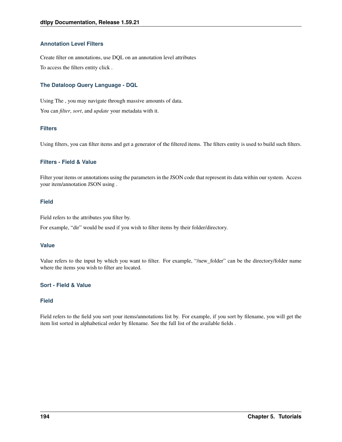# **Annotation Level Filters**

Create filter on annotations, use DQL on an annotation level attributes To access the filters entity click .

# **The Dataloop Query Language - DQL**

Using The , you may navigate through massive amounts of data. You can *filter*, *sort*, and *update* your metadata with it.

# **Filters**

Using filters, you can filter items and get a generator of the filtered items. The filters entity is used to build such filters.

# **Filters - Field & Value**

Filter your items or annotations using the parameters in the JSON code that represent its data within our system. Access your item/annotation JSON using .

## **Field**

Field refers to the attributes you filter by.

For example, "dir" would be used if you wish to filter items by their folder/directory.

# **Value**

Value refers to the input by which you want to filter. For example, "/new\_folder" can be the directory/folder name where the items you wish to filter are located.

# **Sort - Field & Value**

# **Field**

Field refers to the field you sort your items/annotations list by. For example, if you sort by filename, you will get the item list sorted in alphabetical order by filename. See the full list of the available fields .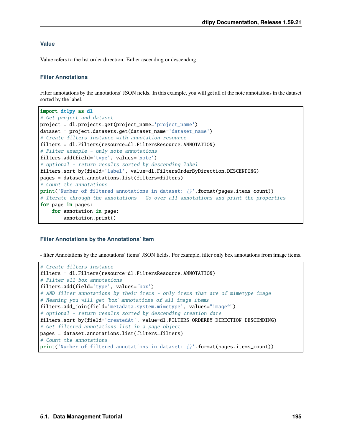## **Value**

Value refers to the list order direction. Either ascending or descending.

#### **Filter Annotations**

Filter annotations by the annotations' JSON fields. In this example, you will get all of the note annotations in the dataset sorted by the label.

```
import dtlpy as dl
# Get project and dataset
project = dl.projects.get(project_name='project_name')
dataset = project.datasets.get(dataset_name='dataset_name')
# Create filters instance with annotation resource
filters = dl.Filters(resource=dl.FiltersResource.ANNOTATION)
# Filter example - only note annotations
filters.add(field='type', values='note')
# optional - return results sorted by descending label
filters.sort_by(field='label', value=dl.FiltersOrderByDirection.DESCENDING)
pages = dataset.annotations.list(filters=filters)
# Count the annotations
print('Number of filtered annotations in dataset: {}'.format(pages.items_count))
# Iterate through the annotations - Go over all annotations and print the properties
for page in pages:
    for annotation in page:
        annotation.print()
```
#### **Filter Annotations by the Annotations' Item**

- filter Annotations by the annotations' items' JSON fields. For example, filter only box annotations from image items.

```
# Create filters instance
filters = dl.Filters(resource=dl.FiltersResource.ANNOTATION)
# Filter all box annotations
filters.add(field='type', values='box')
# AND filter annotations by their items - only items that are of mimetype image
# Meaning you will get 'box' annotations of all image items
filters.add_join(field='metadata.system.mimetype', values="image*")
# optional - return results sorted by descending creation date
filters.sort_by(field='createdAt', value=dl.FILTERS_ORDERBY_DIRECTION_DESCENDING)
# Get filtered annotations list in a page object
pages = dataset.annotations.list(filters=filters)
# Count the annotations
print('Number of filtered annotations in dataset: {}'.format(pages.items_count))
```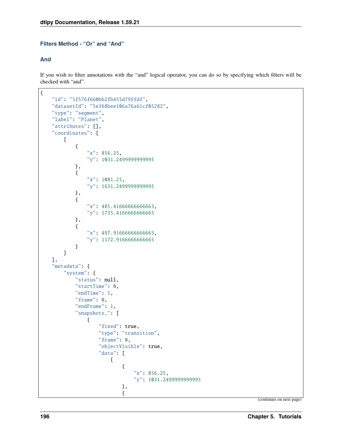# **Filters Method - "Or" and "And"**

## **And**

If you wish to filter annotations with the "and" logical operator, you can do so by specifying which filters will be checked with "and".

```
{
   "id": "5f576f660bb2fb455d79ffdf",
   "datasetId": "5e368bee106a76a61cf05282",
   "type": "segment",
   "label": "Planet",
   "attributes": [],
   "coordinates": [
        \Gamma{
                "x": 856.25,
                "y": 1031.2499999999995
            },
            {
                "x": 1081.25,
                "y": 1631.2499999999995
            },
            {
                "x": 485.41666666666663,
                "y": 1735.4166666666665
            },
            {
                "x": 497.91666666666663,
                "y": 1172.9166666666665
            }
        ]
   ],
    "metadata": {
        "system": {
            "status": null,
            "startTime": 0,
            "endTime": 1,
            "frame": 0,
            "endFrame": 1,
            "snapshots_": [
                {
                     "fixed": true,
                     "type": "transition",
                     "frame": 0,
                     "objectVisible": true,
                     "data": [
                         \Gamma{
                                 "x": 856.25,
                                 "y": 1031.2499999999995
                             },
                             {
```
(continues on next page)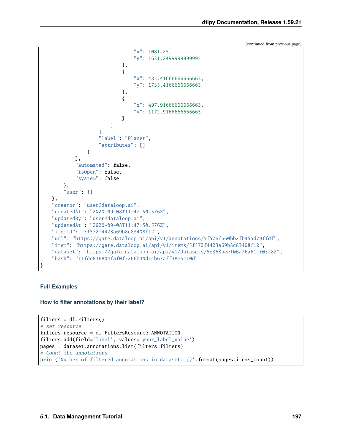(continued from previous page)

```
"x": 1081.25,
                                "y": 1631.2499999999995
                            },
                            {
                                "x": 485.41666666666663,
                                "y": 1735.4166666666665
                            },
                            {
                                "x": 497.91666666666663,
                                "y": 1172.9166666666665
                            }
                        ]
                    ],
                    "label": "Planet",
                    "attributes": []
                }
            ],
            "automated": false,
            "isOpen": false,
            "system": false
       },
        "user": {}
   },
   "creator": "user@dataloop.ai",
   "createdAt": "2020-09-08T11:47:50.576Z",
   "updatedBy": "user@dataloop.ai",
   "updatedAt": "2020-09-08T11:47:50.576Z",
   "itemId": "5f572f4423a69b8c83408f12",
    "url": "https://gate.dataloop.ai/api/v1/annotations/5f576f660bb2fb455d79ffdf",
   "item": "https://gate.dataloop.ai/api/v1/items/5f572f4423a69b8c83408f12",
   "dataset": "https://gate.dataloop.ai/api/v1/datasets/5e368bee106a76a61cf05282",
    "hash": "11fdc816804faf0f7266b40d1cb67aff38e5c10d"
}
```
# **Full Examples**

**How to filter annotations by their label?**

```
filters = dl. Filters()# set resource
filters.resource = dl.FiltersResource.ANNOTATION
filters.add(field='label', values='your_label_value')
pages = dataset.annotations.list(filters=filters)
# Count the annotations
print('Number of filtered annotations in dataset: {}'.format(pages.items_count))
```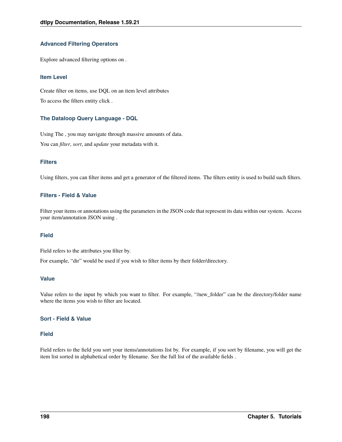## **Advanced Filtering Operators**

Explore advanced filtering options on .

#### **Item Level**

Create filter on items, use DQL on an item level attributes To access the filters entity click .

# **The Dataloop Query Language - DQL**

Using The , you may navigate through massive amounts of data. You can *filter*, *sort*, and *update* your metadata with it.

## **Filters**

Using filters, you can filter items and get a generator of the filtered items. The filters entity is used to build such filters.

## **Filters - Field & Value**

Filter your items or annotations using the parameters in the JSON code that represent its data within our system. Access your item/annotation JSON using .

## **Field**

Field refers to the attributes you filter by.

For example, "dir" would be used if you wish to filter items by their folder/directory.

#### **Value**

Value refers to the input by which you want to filter. For example, "/new\_folder" can be the directory/folder name where the items you wish to filter are located.

#### **Sort - Field & Value**

#### **Field**

Field refers to the field you sort your items/annotations list by. For example, if you sort by filename, you will get the item list sorted in alphabetical order by filename. See the full list of the available fields .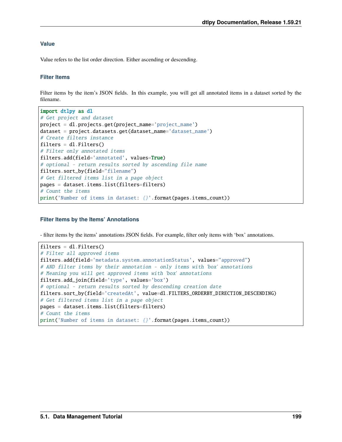## **Value**

Value refers to the list order direction. Either ascending or descending.

#### **Filter Items**

Filter items by the item's JSON fields. In this example, you will get all annotated items in a dataset sorted by the filename.

```
import dtlpy as dl
# Get project and dataset
project = dl.projects.get(project_name='project_name')
dataset = project.datasets.get(dataset_name='dataset_name')
# Create filters instance
filters = dl. Filters()# Filter only annotated items
filters.add(field='annotated', values=True)
# optional - return results sorted by ascending file name
filters.sort_by(field="filename")
# Get filtered items list in a page object
pages = dataset.items.list(filters=filters)
# Count the items
print('Number of items in dataset: {}'.format(pages.items_count))
```
#### **Filter Items by the Items' Annotations**

- filter items by the items' annotations JSON fields. For example, filter only items with 'box' annotations.

```
filters = dl. Filters()# Filter all approved items
filters.add(field='metadata.system.annotationStatus', values="approved")
# AND filter items by their annotation - only items with 'box' annotations
# Meaning you will get approved items with 'box' annotations
filters.add_join(field='type', values='box')
# optional - return results sorted by descending creation date
filters.sort_by(field='createdAt', value=dl.FILTERS_ORDERBY_DIRECTION_DESCENDING)
# Get filtered items list in a page object
pages = dataset.items.list(filters=filters)
# Count the items
print('Number of items in dataset: {}'.format(pages.items_count))
```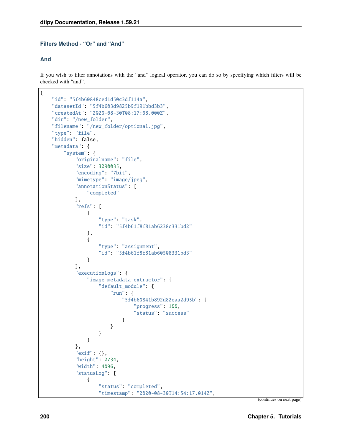# **Filters Method - "Or" and "And"**

## **And**

If you wish to filter annotations with the "and" logical operator, you can do so by specifying which filters will be checked with "and".

```
{
   "id": "5f4b60848ced1d50c3df114a",
   "datasetId": "5f4b603d9825b9f191bbd3b3",
   "createdAt": "2020-08-30T08:17:08.000Z",
   "dir": "/new_folder",
   "filename": "/new_folder/optional.jpg",
    "type": "file",
   "hidden": false,
   "metadata": {
        "system": {
            "originalname": "file",
            "size": 3290035,
            "encoding": "7bit",
            "mimetype": "image/jpeg",
            "annotationStatus": [
                "completed"
            ],
            "refs": [
                {
                    "type": "task",
                    "id": "5f4b61f8f81ab6238c331bd2"
                },
                {
                    "type": "assignment",
                    "id": "5f4b61f8f81ab60508331bd3"
                }
            ],
            "executionLogs": {
                "image-metadata-extractor": {
                    "default_module": {
                        "run": {
                            "5f4b60841b892d82eaa2d95b": {
                                 "progress": 100,
                                 "status": "success"
                            }
                        }
                    }
                }
            },
            "exif": {},
            "height": 2734,
            "width": 4096,
            "statusLog": [
                {
                    "status": "completed",
                    "timestamp": "2020-08-30T14:54:17.014Z",
```
(continues on next page)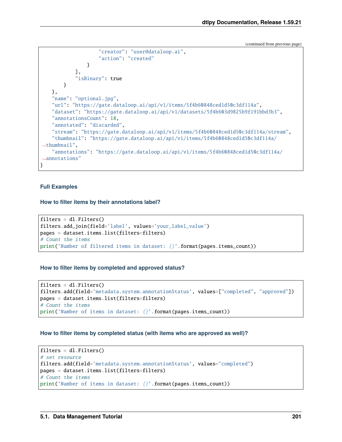(continued from previous page)

```
"creator": "user@dataloop.ai",
                    "action": "created"
                }
            ],
            "isBinary": true
        }
    },
    "name": "optional.jpg",
    "url": "https://gate.dataloop.ai/api/v1/items/5f4b60848ced1d50c3df114a",
    "dataset": "https://gate.dataloop.ai/api/v1/datasets/5f4b603d9825b9f191bbd3b3",
    "annotationsCount": 18,
    "annotated": "discarded",
    "stream": "https://gate.dataloop.ai/api/v1/items/5f4b60848ced1d50c3df114a/stream",
    "thumbnail": "https://gate.dataloop.ai/api/v1/items/5f4b60848ced1d50c3df114a/
\rightarrowthumbnail",
    "annotations": "https://gate.dataloop.ai/api/v1/items/5f4b60848ced1d50c3df114a/
˓→annotations"
}
```
#### **Full Examples**

**How to filter items by their annotations label?**

```
filters = dl. Filters()filters.add_join(field='label', values='your_label_value')
pages = dataset.items.list(filters=filters)
# Count the items
print('Number of filtered items in dataset: {}'.format(pages.items_count))
```
#### **How to filter items by completed and approved status?**

```
filters = dl. Filters()filters.add(field='metadata.system.annotationStatus', values=["completed", "approved"])
pages = dataset.items.list(filters=filters)
# Count the items
print('Number of items in dataset: {}'.format(pages.items_count))
```
#### **How to filter items by completed status (with items who are approved as well)?**

```
filters = dl. Filters()# set resource
filters.add(field='metadata.system.annotationStatus', values="completed")
pages = dataset.items.list(filters=filters)
# Count the items
print('Number of items in dataset: {}'.format(pages.items_count))
```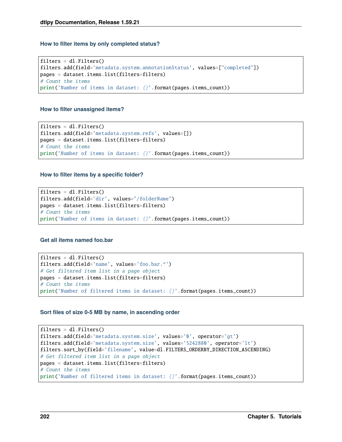#### **How to filter items by only completed status?**

```
filters = dl. Filters()filters.add(field='metadata.system.annotationStatus', values=["completed"])
pages = dataset.items.list(filters=filters)
# Count the items
print('Number of items in dataset: {}'.format(pages.items_count))
```
#### **How to filter unassigned items?**

```
filters = dl. Filters()filters.add(field='metadata.system.refs', values=[])
pages = dataset.items.list(filters=filters)
# Count the items
print('Number of items in dataset: {}'.format(pages.items_count))
```
#### **How to filter items by a specific folder?**

```
filters = dl. Filters()filters.add(field='dir', values="/folderName")
pages = dataset.items.list(filters=filters)
# Count the items
print('Number of items in dataset: {}'.format(pages.items_count))
```
#### **Get all items named foo.bar**

```
filters = dl. Filters()filters.add(field='name', values='foo.bar.*')
# Get filtered item list in a page object
pages = dataset.items.list(filters=filters)
# Count the items
print('Number of filtered items in dataset: {}'.format(pages.items_count))
```
## **Sort files of size 0-5 MB by name, in ascending order**

```
filters = dl. Filters()filters.add(field='metadata.system.size', values='0', operator='gt')
filters.add(field='metadata.system.size', values='5242880', operator='lt')
filters.sort_by(field='filename', value=dl.FILTERS_ORDERBY_DIRECTION_ASCENDING)
# Get filtered item list in a page object
pages = dataset.items.list(filters=filters)
# Count the items
print('Number of filtered items in dataset: {}'.format(pages.items_count))
```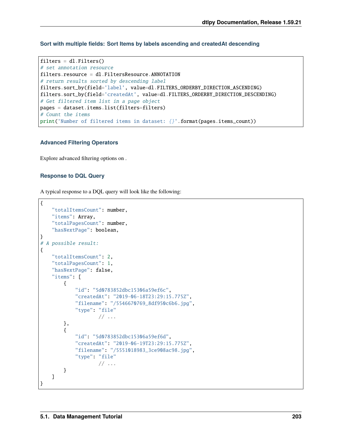**Sort with multiple fields: Sort Items by labels ascending and createdAt descending**

```
filters = dl. Filters()# set annotation resource
filters.resource = dl.FiltersResource.ANNOTATION
# return results sorted by descending label
filters.sort_by(field='label', value=dl.FILTERS_ORDERBY_DIRECTION_ASCENDING)
filters.sort_by(field='createdAt', value=dl.FILTERS_ORDERBY_DIRECTION_DESCENDING)
# Get filtered item list in a page object
pages = dataset.items.list(filters=filters)
# Count the items
print('Number of filtered items in dataset: {}'.format(pages.items_count))
```
#### **Advanced Filtering Operators**

Explore advanced filtering options on .

#### **Response to DQL Query**

A typical response to a DQL query will look like the following:

```
{
    "totalItemsCount": number,
    "items": Array,
    "totalPagesCount": number,
    "hasNextPage": boolean,
}
# A possible result:
{
    "totalItemsCount": 2,
    "totalPagesCount": 1,
    "hasNextPage": false,
    "items": [
        {
            "id": "5d0783852dbc15306a59ef6c",
            "createdAt": "2019-06-18T23:29:15.775Z",
            "filename": "/5546670769_8df950c6b6.jpg",
            "type": "file"
                    // \dots},
        {
            "id": "5d0783852dbc15306a59ef6d",
            "createdAt": "2019-06-19T23:29:15.775Z",
            "filename": "/5551018983_3ce908ac98.jpg",
            "type": "file"
                    // ...
        }
    ]
}
```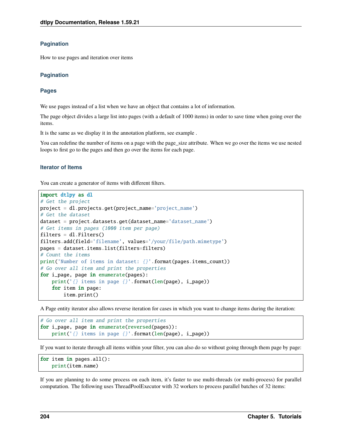## **Pagination**

How to use pages and iteration over items

#### **Pagination**

#### **Pages**

We use pages instead of a list when we have an object that contains a lot of information.

The page object divides a large list into pages (with a default of 1000 items) in order to save time when going over the items.

It is the same as we display it in the annotation platform, see example .

You can redefine the number of items on a page with the page\_size attribute. When we go over the items we use nested loops to first go to the pages and then go over the items for each page.

#### **Iterator of Items**

You can create a generator of items with different filters.

```
import dtlpy as dl
# Get the project
project = dl.projects.get(project_name='project_name')
# Get the dataset
dataset = project.datasets.get(dataset_name='dataset_name')
# Get items in pages (1000 item per page)
filters = dl. Filters()filters.add(field='filename', values='/your/file/path.mimetype')
pages = dataset.items.list(filters=filters)
# Count the items
print('Number of items in dataset: {}'.format(pages.items_count))
# Go over all item and print the properties
for i_page, page in enumerate(pages):
   print('{} items in page {}'.format(len(page), i_page))
    for item in page:
        item.print()
```
A Page entity iterator also allows reverse iteration for cases in which you want to change items during the iteration:

```
# Go over all item and print the properties
for i_page, page in enumerate(reversed(pages)):
   print('{} items in page {}'.format(len(page), i_page))
```
If you want to iterate through all items within your filter, you can also do so without going through them page by page:

```
for item in pages.all():
   print(item.name)
```
If you are planning to do some process on each item, it's faster to use multi-threads (or multi-process) for parallel computation. The following uses ThreadPoolExecutor with 32 workers to process parallel batches of 32 items: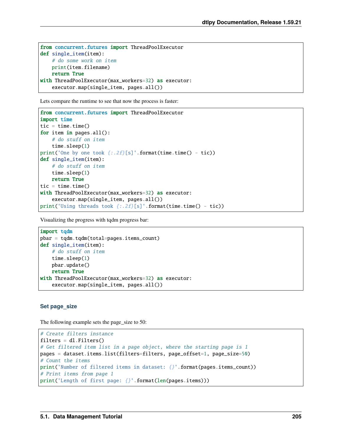```
from concurrent.futures import ThreadPoolExecutor
def single_item(item):
    # do some work on item
   print(item.filename)
   return True
with ThreadPoolExecutor(max_workers=32) as executor:
   executor.map(single_item, pages.all())
```
Lets compare the runtime to see that now the process is faster:

```
from concurrent.futures import ThreadPoolExecutor
import time
tic = time.time()for item in pages.all():
    # do stuff on item
   time.sleep(1)
print('One by one took {:.2f}[s]'.format(time.time() - tic))
def single_item(item):
    # do stuff on item
   time.sleep(1)
   return True
tic = time.time()
with ThreadPoolExecutor(max_workers=32) as executor:
    executor.map(single_item, pages.all())
print('Using threads took \{f: 2f\}[s]'.format(time.time() - tic))
```
Visualizing the progress with tqdm progress bar:

```
import todm
pbar = tqdm.tqdm(total=pages.items_count)
def single_item(item):
   # do stuff on item
   time.sleep(1)
   pbar.update()
   return True
with ThreadPoolExecutor(max_workers=32) as executor:
   executor.map(single_item, pages.all())
```
## **Set page\_size**

The following example sets the page\_size to 50:

```
# Create filters instance
filters = dl. Filters()# Get filtered item list in a page object, where the starting page is 1
pages = dataset.items.list(filters=filters, page_offset=1, page_size=50)
# Count the items
print('Number of filtered items in dataset: {}'.format(pages.items_count))
# Print items from page 1
print('Length of first page: {}'.format(len(pages.items)))
```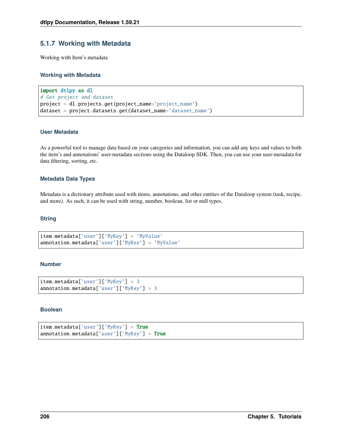# **5.1.7 Working with Metadata**

Working with Item's metadata

## **Working with Metadata**

```
import dtlpy as dl
# Get project and dataset
project = dl.projects.get(project_name='project_name')
dataset = project.datasets.get(dataset_name='dataset_name')
```
## **User Metadata**

As a powerful tool to manage data based on your categories and information, you can add any keys and values to both the item's and annotations' user-metadata sections using the Dataloop SDK. Then, you can use your user-metadata for data filtering, sorting, etc.

## **Metadata Data Types**

Metadata is a dictionary attribute used with items, annotations, and other entities of the Dataloop system (task, recipe, and more). As such, it can be used with string, number, boolean, list or null types.

#### **String**

```
item.metadata['user']['MyKey'] = 'MyValue'
annotation.metadata['user']['MyKey'] = 'MyValue'
```
## **Number**

```
item.metadata['user']['MyKey'] = 3
annotation.metadata['user']['MyKey'] = 3
```
## **Boolean**

```
item.metadata['user']['MyKey'] = True
annotation.metadata['user']['MyKey'] = True
```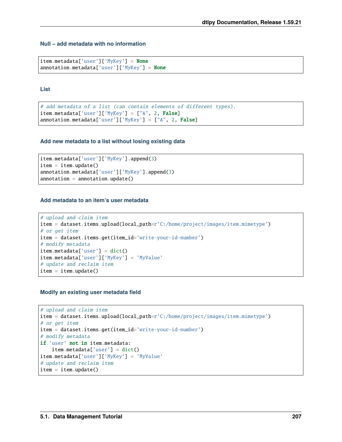# **Null – add metadata with no information**

```
item.metadata['user']['MyKey'] = None
annotation.metadata['user']['MyKey'] = None
```
**List**

```
# add metadata of a list (can contain elements of different types).
item . \text{metadata['user']['MyKey'] = ['A'', 2, False]annotation.metadata['user']['MyKey'] = ["A", 2, False]
```
## **Add new metadata to a list without losing existing data**

```
item.metadata['user']['MyKey'].append(3)
item = item.update()
annotation.metadata['user']['MyKey'].append(3)
annotation = annotation.update()
```
#### **Add metadata to an item's user metadata**

```
# upload and claim item
item = dataset.items.upload(local_path=r'C:/home/project/images/item.mimetype')
# or get item
item = dataset.items.get(item_id='write-your-id-number')
# modify metadata
item.metadata['user'] = dict()
item.metadata['user']['MyKey'] = 'MyValue'
# update and reclaim item
item = item.update()
```
#### **Modify an existing user metadata field**

```
# upload and claim item
item = dataset.items.upload(local_path=r'C:/home/project/images/item.mimetype')
# or get item
item = dataset.items.get(item_id='write-your-id-number')
# modify metadata
if 'user' not in item.metadata:
   item.metadata['user'] = dict()
item.metadata['user']['MyKey'] = 'MyValue'
# update and reclaim item
item = item.update()
```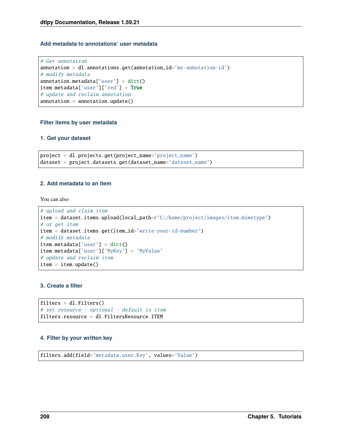# **Add metadata to annotations' user metadata**

```
# Get annotation
annotation = dl.annotations.get(annotation_id='my-annotation-id')
# modify metadata
annotation.metadata['user'] = dict()item.metadata['user']['red'] = True
# update and reclaim annotation
annotation = annotation.update()
```
#### **Filter items by user metadata**

#### **1. Get your dataset**

```
project = dl.projects.get(project_name='project_name')
dataset = project.datasets.get(dataset_name='dataset_name')
```
#### **2. Add metadata to an item**

You can also

```
# upload and claim item
item = dataset.items.upload(local_path=r'C:/home/project/images/item.mimetype')
# or get item
item = dataset.items.get(item_id='write-your-id-number')
# modify metadata
item.metadata['user'] = dict()
item.metadata['user']['MyKey'] = 'MyValue'
# update and reclaim item
item = item.update()
```
# **3. Create a filter**

```
filters = dl. Filters()# set resource - optional - default is item
filters.resource = dl.FiltersResource.ITEM
```
#### **4. Filter by your written key**

filters.add(field='metadata.user.Key', values='Value')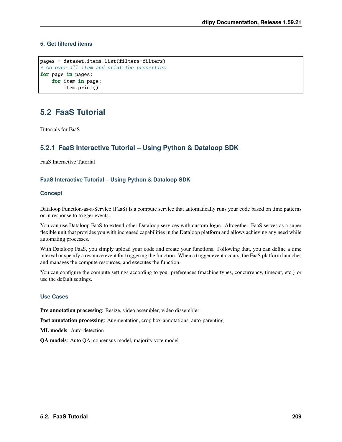# **5. Get filtered items**

```
pages = dataset.items.list(filters=filters)
# Go over all item and print the properties
for page in pages:
    for item in page:
        item.print()
```
# **5.2 FaaS Tutorial**

Tutorials for FaaS

# **5.2.1 FaaS Interactive Tutorial – Using Python & Dataloop SDK**

FaaS Interactive Tutorial

# **FaaS Interactive Tutorial – Using Python & Dataloop SDK**

#### **Concept**

Dataloop Function-as-a-Service (FaaS) is a compute service that automatically runs your code based on time patterns or in response to trigger events.

You can use Dataloop FaaS to extend other Dataloop services with custom logic. Altogether, FaaS serves as a super flexible unit that provides you with increased capabilities in the Dataloop platform and allows achieving any need while automating processes.

With Dataloop FaaS, you simply upload your code and create your functions. Following that, you can define a time interval or specify a resource event for triggering the function. When a trigger event occurs, the FaaS platform launches and manages the compute resources, and executes the function.

You can configure the compute settings according to your preferences (machine types, concurrency, timeout, etc.) or use the default settings.

## **Use Cases**

**Pre annotation processing**: Resize, video assembler, video dissembler

**Post annotation processing**: Augmentation, crop box-annotations, auto-parenting

**ML models**: Auto-detection

**QA models**: Auto QA, consensus model, majority vote model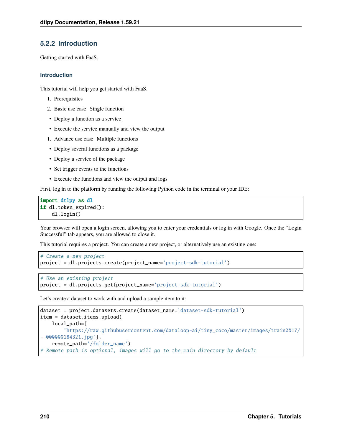# **5.2.2 Introduction**

Getting started with FaaS.

## **Introduction**

This tutorial will help you get started with FaaS.

- 1. Prerequisites
- 2. Basic use case: Single function
- Deploy a function as a service
- Execute the service manually and view the output
- 1. Advance use case: Multiple functions
- Deploy several functions as a package
- Deploy a service of the package
- Set trigger events to the functions
- Execute the functions and view the output and logs

First, log in to the platform by running the following Python code in the terminal or your IDE:

```
import dtlpy as dl
if dl.token_expired():
    dl.login()
```
Your browser will open a login screen, allowing you to enter your credentials or log in with Google. Once the "Login Successful" tab appears, you are allowed to close it.

This tutorial requires a project. You can create a new project, or alternatively use an existing one:

```
# Create a new project
project = dl.projects.create(project_name='project-sdk-tutorial')
```

```
# Use an existing project
project = dl.projects.get(project_name='project-sdk-tutorial')
```
Let's create a dataset to work with and upload a sample item to it:

```
dataset = project.datasets.create(dataset_name='dataset-sdk-tutorial')
item = dataset.items.upload(
   local_path=[
        'https://raw.githubusercontent.com/dataloop-ai/tiny_coco/master/images/train2017/
˓→000000184321.jpg'],
   remote_path='/folder_name')
# Remote path is optional, images will go to the main directory by default
```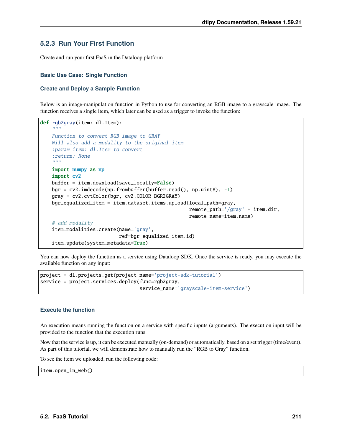# **5.2.3 Run Your First Function**

Create and run your first FaaS in the Dataloop platform

## **Basic Use Case: Single Function**

#### **Create and Deploy a Sample Function**

Below is an image-manipulation function in Python to use for converting an RGB image to a grayscale image. The function receives a single item, which later can be used as a trigger to invoke the function:

```
def rgb2gray(item: dl.Item):
    " ""Function to convert RGB image to GRAY
   Will also add a modality to the original item
    :param item: dl.Item to convert
    :return: None
    "''"''"import numpy as np
   import cv2
   buffer = item.download(save\_locally=False)bgr = cv2. imdecode(np.frombuffer(buffer.read(), np.uint8), -1)
   gray = cv2.cvtColor(bgr, cv2.COLOR_BGR2GRAY)
   bgr_equalized_item = item.dataset.items.upload(local_path=gray,
                                                    remote_path='/gray' + item.dir,
                                                    remote_name=item.name)
   # add modality
   item.modalities.create(name='gray',
                           ref=bgr_equalized_item.id)
   item.update(system_metadata=True)
```
You can now deploy the function as a service using Dataloop SDK. Once the service is ready, you may execute the available function on any input:

```
project = dl.projects.get(project_name='project-sdk-tutorial')
service = project.services.deploy(func=rgb2gray,
                                  service_name='grayscale-item-service')
```
## **Execute the function**

An execution means running the function on a service with specific inputs (arguments). The execution input will be provided to the function that the execution runs.

Now that the service is up, it can be executed manually (on-demand) or automatically, based on a set trigger (time/event). As part of this tutorial, we will demonstrate how to manually run the "RGB to Gray" function.

To see the item we uploaded, run the following code:

item.open\_in\_web()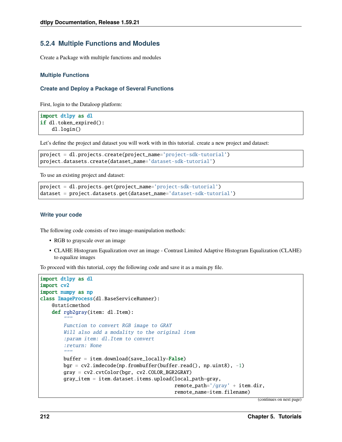# **5.2.4 Multiple Functions and Modules**

Create a Package with multiple functions and modules

## **Multiple Functions**

#### **Create and Deploy a Package of Several Functions**

First, login to the Dataloop platform:

```
import dtlpy as dl
if dl.token_expired():
    dl.login()
```
Let's define the project and dataset you will work with in this tutorial. create a new project and dataset:

```
project = dl.projects.create(project_name='project-sdk-tutorial')
project.datasets.create(dataset_name='dataset-sdk-tutorial')
```
To use an existing project and dataset:

```
project = dl.projects.get(project_name='project-sdk-tutorial')
dataset = project.datasets.get(dataset_name='dataset-sdk-tutorial')
```
#### **Write your code**

The following code consists of two image-manipulation methods:

- RGB to grayscale over an image
- CLAHE Histogram Equalization over an image Contrast Limited Adaptive Histogram Equalization (CLAHE) to equalize images

To proceed with this tutorial, copy the following code and save it as a main.py file.

```
import dtlpy as dl
import cv2
import numpy as np
class ImageProcess(dl.BaseServiceRunner):
   @staticmethod
    def rgb2gray(item: dl.Item):
        """
        Function to convert RGB image to GRAY
        Will also add a modality to the original item
        :param item: dl.Item to convert
        :return: None
        "'''"buffer = item.download(save_locally=False)
        bgr = cv2. imdecode(np.frombuffer(buffer.read(), np.uint8), -1)
        gray = cv2.cvtColor(bgr, cv2.COLOR_BGR2GRAY)
        gray_item = item.dataset.items.upload(local_path=gray,
                                               remote_path='/gray' + item.dim.
                                               remote_name=item.filename)
```
(continues on next page)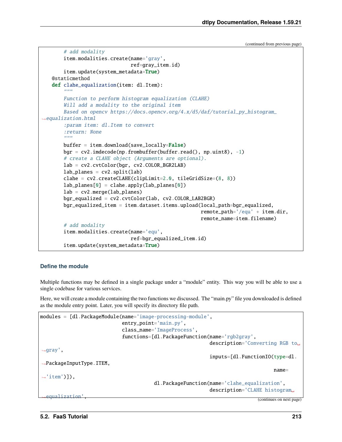```
# add modality
       item.modalities.create(name='gray',
                               ref=gray_item.id)
       item.update(system_metadata=True)
   @staticmethod
   def clahe_equalization(item: dl.Item):
       "'''"Function to perform histogram equalization (CLAHE)
       Will add a modality to the original item
       Based on opencv https://docs.opencv.org/4.x/d5/daf/tutorial_py_histogram_
ightharpoonupequalization.html
       :param item: dl.Item to convert
       :return: None
       "''"buffer = item.download(save\_locally=False)bgr = cv2.imdecode(np.frombuffer(buffer.read(), np.uint8), -1)
       # create a CLAHE object (Arguments are optional).
       lab = cv2.cvtColor(bgr, cv2.COLOR_BGR2LAB)
       lab\_planes = cv2.split(lab)clahe = cv2.createCLAHE(clipLimit=2.0, tileGridSize=(8, 8))
       lab\_planes[0] = clahe.appendy(lab_planes[0])lab = cv2.merge(lab_planes)
       bgr\_equalized = cv2.cvtColor(lab, cv2.COLOR_LAB2BGR)bgr_equalized_item = item.dataset.items.upload(local_path=bgr_equalized,
                                                        remote_path='/equ' + item.dir,
                                                        remote_name=item.filename)
       # add modality
       item.modalities.create(name='equ',
                               ref=bgr_equalized_item.id)
       item.update(system_metadata=True)
```
#### **Define the module**

Multiple functions may be defined in a single package under a "module" entity. This way you will be able to use a single codebase for various services.

Here, we will create a module containing the two functions we discussed. The "main.py" file you downloaded is defined as the module entry point. Later, you will specify its directory file path.

```
modules = [dl.PackageModule(name='image-processing-module',
                               entry_point='main.py',
                               class_name='ImageProcess',
                               functions=[dl.PackageFunction(name='rgb2gray',
                                                                description='Converting RGB to␣
\rightarrowgray',
                                                                inputs=[dl.FunctionIO(type=dl.
˓→PackageInputType.ITEM,
                                                                                         name=
\rightarrow'item')]),
                                           dl.PackageFunction(name='clahe_equalization',
                                                                description='CLAHE histogram␣
  equalization<sup>'</sup>
```
(continues on next page)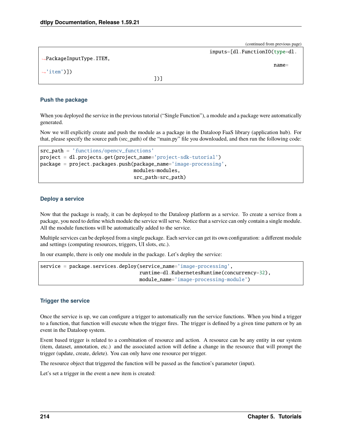|                                      | $\sim$ $\sim$ $\sim$           |
|--------------------------------------|--------------------------------|
|                                      | inputs=[dl.FunctionI0(type=dl. |
| $\rightarrow$ PackageInputType.ITEM, |                                |
|                                      | $name =$                       |
| $\rightarrow$ 'item')])              |                                |
|                                      | וו                             |

## **Push the package**

When you deployed the service in the previous tutorial ("Single Function"), a module and a package were automatically generated.

Now we will explicitly create and push the module as a package in the Dataloop FaaS library (application hub). For that, please specify the source path (src\_path) of the "main.py" file you downloaded, and then run the following code:

```
src_path = 'functions/opencv_functions'
project = dl.projects.get(project_name='project-sdk-tutorial')
package = project.packages.push(package_name='image-processing',
                                modules=modules,
                                src_path=src_path)
```
#### **Deploy a service**

Now that the package is ready, it can be deployed to the Dataloop platform as a service. To create a service from a package, you need to define which module the service will serve. Notice that a service can only contain a single module. All the module functions will be automatically added to the service.

Multiple services can be deployed from a single package. Each service can get its own configuration: a different module and settings (computing resources, triggers, UI slots, etc.).

In our example, there is only one module in the package. Let's deploy the service:

```
service = package.services.deploy(service_name='image-processing',
                                  runtime=dl.KubernetesRuntime(concurrency=32),
                                  module_name='image-processing-module')
```
## **Trigger the service**

Once the service is up, we can configure a trigger to automatically run the service functions. When you bind a trigger to a function, that function will execute when the trigger fires. The trigger is defined by a given time pattern or by an event in the Dataloop system.

Event based trigger is related to a combination of resource and action. A resource can be any entity in our system (item, dataset, annotation, etc.) and the associated action will define a change in the resource that will prompt the trigger (update, create, delete). You can only have one resource per trigger.

The resource object that triggered the function will be passed as the function's parameter (input).

Let's set a trigger in the event a new item is created: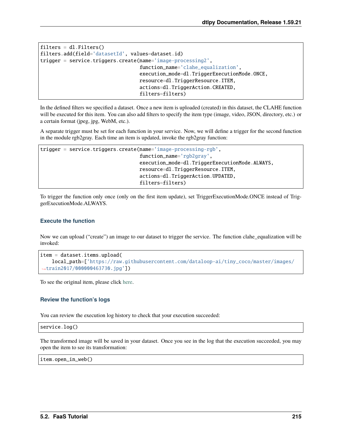```
filters = dl. Filters()filters.add(field='datasetId', values=dataset.id)
trigger = service.triggers.create(name='image-processing2',
                                  function_name='clahe_equalization',
                                  execution_mode=dl.TriggerExecutionMode.ONCE,
                                  resource=dl.TriggerResource.ITEM,
                                  actions=dl.TriggerAction.CREATED,
                                  filters=filters)
```
In the defined filters we specified a dataset. Once a new item is uploaded (created) in this dataset, the CLAHE function will be executed for this item. You can also add filters to specify the item type (image, video, JSON, directory, etc.) or a certain format (jpeg, jpg, WebM, etc.).

A separate trigger must be set for each function in your service. Now, we will define a trigger for the second function in the module rgb2gray. Each time an item is updated, invoke the rgb2gray function:

```
trigger = service.triggers.create(name='image-processing-rgb',
                                  function_name='rgb2gray',
                                  execution_mode=dl.TriggerExecutionMode.ALWAYS,
                                  resource=dl.TriggerResource.ITEM,
                                  actions=dl.TriggerAction.UPDATED,
                                  filters=filters)
```
To trigger the function only once (only on the first item update), set TriggerExecutionMode.ONCE instead of TriggerExecutionMode.ALWAYS.

## **Execute the function**

Now we can upload ("create") an image to our dataset to trigger the service. The function clahe\_equalization will be invoked:

```
item = dataset.items.upload(
   local_path=['https://raw.githubusercontent.com/dataloop-ai/tiny_coco/master/images/
˓→train2017/000000463730.jpg'])
```
To see the original item, please click [here.](https://raw.githubusercontent.com/dataloop-ai/tiny_coco/master/images/train2017/000000463730.jpg)

## **Review the function's logs**

You can review the execution log history to check that your execution succeeded:

service.log()

The transformed image will be saved in your dataset. Once you see in the log that the execution succeeded, you may open the item to see its transformation:

item.open\_in\_web()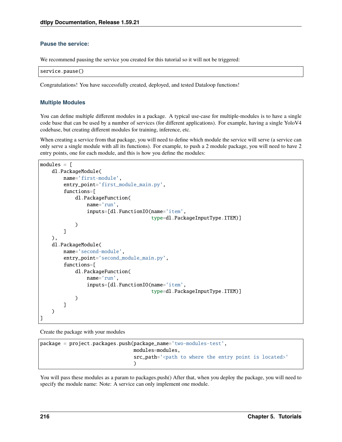## **Pause the service:**

We recommend pausing the service you created for this tutorial so it will not be triggered:

|  |  |  | service.pause() |
|--|--|--|-----------------|
|--|--|--|-----------------|

Congratulations! You have successfully created, deployed, and tested Dataloop functions!

#### **Multiple Modules**

You can define multiple different modules in a package. A typical use-case for multiple-modules is to have a single code base that can be used by a number of services (for different applications). For example, having a single YoloV4 codebase, but creating different modules for training, inference, etc.

When creating a service from that package, you will need to define which module the service will serve (a service can only serve a single module with all its functions). For example, to push a 2 module package, you will need to have 2 entry points, one for each module, and this is how you define the modules:

```
modules = [
    dl.PackageModule(
        name='first-module',
        entry_point='first_module_main.py',
        functions=[
            dl.PackageFunction(
                name='run',
                inputs=[dl.FunctionIO(name='item',
                                       type=dl.PackageInputType.ITEM)]
            )
        ]
    ),
    dl.PackageModule(
        name='second-module',
        entry_point='second_module_main.py',
        functions=[
            dl.PackageFunction(
                name='run',
                inputs=[dl.FunctionIO(name='item',
                                       type=dl.PackageInputType.ITEM)]
            )
        ]
    )
]
```
Create the package with your modules

```
package = project.packages.push(package_name='two-modules-test',
                                modules=modules,
                                src_path='<path to where the entry point is located>'
                                )
```
You will pass these modules as a param to packages.push() After that, when you deploy the package, you will need to specify the module name: Note: A service can only implement one module.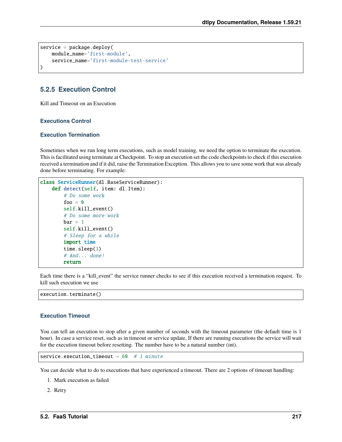```
service = package.deploy(
   module_name='first-module',
   service_name='first-module-test-service'
)
```
# **5.2.5 Execution Control**

Kill and Timeout on an Execution

## **Executions Control**

## **Execution Termination**

Sometimes when we run long term executions, such as model training, we need the option to terminate the execution. This is facilitated using terminate at Checkpoint. To stop an execution set the code checkpoints to check if this execution received a termination and if it did, raise the Termination Exception. This allows you to save some work that was already done before terminating. For example:

```
class ServiceRunner(dl.BaseServiceRunner):
   def detect(self, item: dl.Item):
        # Do some work
        foo = 0self.kill_event()
        # Do some more work
       bar = 1self.kill_event()
        # Sleep for a while
        import time
        time.sleep(1)
        # And... done!
        return
```
Each time there is a "kill\_event" the service runner checks to see if this execution received a termination request. To kill such execution we use

execution.terminate()

## **Execution Timeout**

You can tell an execution to stop after a given number of seconds with the timeout parameter (the default time is 1 hour). In case a service reset, such as in timeout or service update, If there are running executions the service will wait for the execution timeout before resetting. The number have to be a natural number (int).

service.execution\_timeout =  $60$  # 1 minute

You can decide what to do to executions that have experienced a timeout. There are 2 options of timeout handling:

- 1. Mark execution as failed
- 2. Retry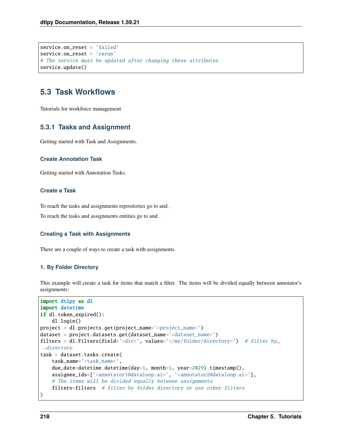```
service.on reset = 'failed'
service.on_reset = 'rerun'
# The service must be updated after changing these attributes
service.update()
```
# **5.3 Task Workflows**

Tutorials for workforce management

## **5.3.1 Tasks and Assignment**

Getting started with Task and Assignments.

#### **Create Annotation Task**

Getting started with Annotation Tasks.

## **Create a Task**

To reach the tasks and assignments repositories go to and .

To reach the tasks and assignments entities go to and .

## **Creating a Task with Assignments**

There are a couple of ways to create a task with assignments.

## **1. By Folder Directory**

This example will create a task for items that match a filter. The items will be divided equally between annotator's assignments:

```
import dtlpy as dl
import datetime
if dl.token_expired():
   dl.login()
project = dl.projects.get(project_name='<project_name>')
dataset = project.datasets.get(dataset_name='<dataset_name>')
filters = dl.Filters(field='<dir>', values='</my/folder/directory>') # filter by
\rightarrowdirectory
task = dataset.tasks.create(
   task_name='<task_name>',
   due_date=datetime.datetime(day=1, month=1, year=2029).timestamp(),
   assignee_ids=['<annotator1@dataloop.ai>', '<annotator2@dataloop.ai>'],
    # The items will be divided equally between assignments
    filters=filters # filter by folder directory or use other filters
)
```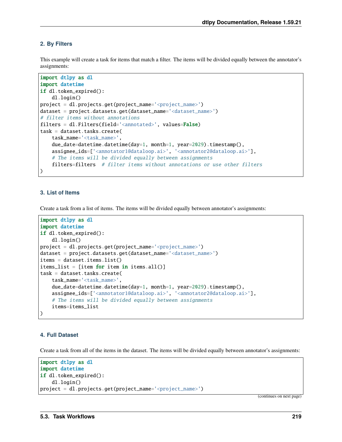## **2. By Filters**

This example will create a task for items that match a filter. The items will be divided equally between the annotator's assignments:

```
import dtlpy as dl
import datetime
if dl.token_expired():
   dl.login()
project = dl.projects.get(project_name='<project_name>')
dataset = project.datasets.get(dataset_name='<dataset_name>')
# filter items without annotations
filters = dl.Filters(field='<annotated>', values=False)
task = dataset.tasks.create(
    task_name='<task_name>',
    due_date=datetime.datetime(day=1, month=1, year=2029).timestamp(),
   assignee_ids=['<annotator1@dataloop.ai>', '<annotator2@dataloop.ai>'],
    # The items will be divided equally between assignments
    filters=filters # filter items without annotations or use other filters
)
```
#### **3. List of Items**

Create a task from a list of items. The items will be divided equally between annotator's assignments:

```
import dtlpy as dl
import datetime
if dl.token_expired():
   dl.login()
project = dl.projects.get(project_name='<project_name>')
dataset = project.datasets.get(dataset_name='<dataset_name>')
items = dataset.items.list()
items_list = \lceilitem for item in items.all()]
task = dataset.tasks.create(
   task_name='<task_name>',
   due_date=datetime.datetime(day=1, month=1, year=2029).timestamp(),
   assignee_ids=['<annotator1@dataloop.ai>', '<annotator2@dataloop.ai>'],
    # The items will be divided equally between assignments
    items=items_list
)
```
#### **4. Full Dataset**

Create a task from all of the items in the dataset. The items will be divided equally between annotator's assignments:

```
import dtlpy as dl
import datetime
if dl.token_expired():
   dl.login()
project = dl.projects.get(project_name='<project_name>')
```
(continues on next page)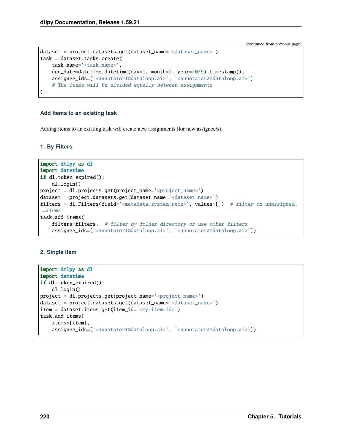```
dataset = project.datasets.get(dataset_name='<dataset_name>')
task = dataset.tasks.create(
   task_name='<task_name>',
   due_date=datetime.datetime(day=1, month=1, year=2029).timestamp(),
   assignee_ids=['<annotator1@dataloop.ai>', '<annotator2@dataloop.ai>']
    # The items will be divided equally between assignments
)
```
### **Add items to an existing task**

Adding items to an existing task will create new assignments (for new assignee/s).

**1. By Filters**

```
import dtlpy as dl
import datetime
if dl.token_expired():
    dl.login()
project = dl.projects.get(project_name='<project_name>')
dataset = project.datasets.get(dataset_name='<dataset_name>')
filters = dl.Filters(field='<metadata.system.refs>', values=[]) # filter on unassigned
ightharpoonupitems
task.add_items(
    filters=filters, # filter by folder directory or use other filters
    assignee_ids=['<annotator1@dataloop.ai>', '<annotator2@dataloop.ai>'])
```
## **2. Single Item**

```
import dtlpy as dl
import datetime
if dl.token_expired():
   dl.login()
project = dl.projects.get(project_name='<project_name>')
dataset = project.datasets.get(dataset_name='<dataset_name>')
item = dataset.items.get(item_id='<my-item-id>')
task.add_items(
   items=[item],
   assignee_ids=['<annotator1@dataloop.ai>', '<annotator2@dataloop.ai>'])
```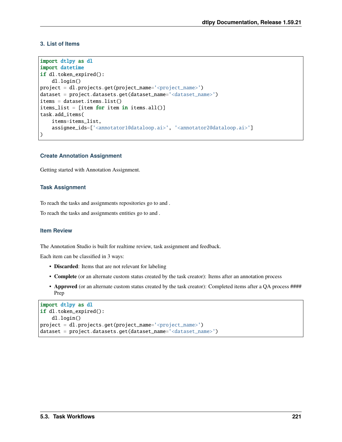## **3. List of Items**

```
import dtlpy as dl
import datetime
if dl.token_expired():
   dl.login()
project = dl.projects.get(project_name='<project_name>')
dataset = project.datasets.get(dataset_name='<dataset_name>')
items = dataset.items.list()
items_list = [item for item in items.all()]
task.add_items(
   items=items_list,
    assignee_ids=['<annotator1@dataloop.ai>', '<annotator2@dataloop.ai>']
)
```
## **Create Annotation Assignment**

Getting started with Annotation Assignment.

#### **Task Assignment**

To reach the tasks and assignments repositories go to and .

To reach the tasks and assignments entities go to and .

## **Item Review**

The Annotation Studio is built for realtime review, task assignment and feedback.

Each item can be classified in 3 ways:

- **Discarded**: Items that are not relevant for labeling
- **Complete** (or an alternate custom status created by the task creator): Items after an annotation process
- **Approved** (or an alternate custom status created by the task creator): Completed items after a QA process #### Prep

```
import dtlpy as dl
if dl.token_expired():
   dl.login()
project = dl.projects.get(project_name='<project_name>')
dataset = project.datasets.get(dataset_name='<dataset_name>')
```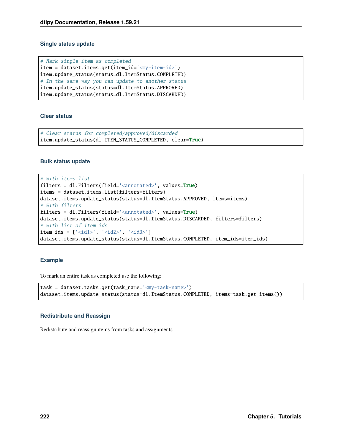### **Single status update**

# Mark single item as completed item = dataset.items.get(item\_id='<my-item-id>') item.update\_status(status=dl.ItemStatus.COMPLETED) # In the same way you can update to another status item.update\_status(status=dl.ItemStatus.APPROVED) item.update\_status(status=dl.ItemStatus.DISCARDED)

#### **Clear status**

# Clear status for completed/approved/discarded item.update\_status(dl.ITEM\_STATUS\_COMPLETED, clear=True)

#### **Bulk status update**

```
# With items list
filters = dl.Filters(field='<annotated>', values=True)
items = dataset.items.list(filters=filters)
dataset.items.update_status(status=dl.ItemStatus.APPROVED, items=items)
# With filters
filters = dl.Filters(field='<annotated>', values=True)
dataset.items.update_status(status=dl.ItemStatus.DISCARDED, filters=filters)
# With list of item ids
item\_ids = ['<id1>', '<id2>', '<id3>']dataset.items.update_status(status=dl.ItemStatus.COMPLETED, item_ids=item_ids)
```
## **Example**

To mark an entire task as completed use the following:

```
task = dataset.tasks.get(task_name='<my-task-name>')
dataset.items.update_status(status=dl.ItemStatus.COMPLETED, items=task.get_items())
```
## **Redistribute and Reassign**

Redistribute and reassign items from tasks and assignments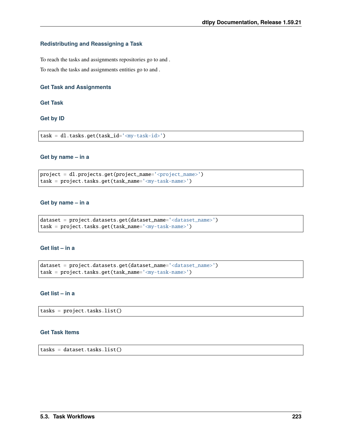## **Redistributing and Reassigning a Task**

To reach the tasks and assignments repositories go to and .

To reach the tasks and assignments entities go to and .

## **Get Task and Assignments**

**Get Task**

**Get by ID**

task = dl.tasks.get(task\_id='<my-task-id>')

### **Get by name – in a**

project = dl.projects.get(project\_name='<project\_name>') task = project.tasks.get(task\_name='<my-task-name>')

#### **Get by name – in a**

```
dataset = project.datasets.get(dataset_name='<dataset_name>')
task = project.tasks.get(task_name='<my-task-name>')
```
## **Get list – in a**

dataset = project.datasets.get(dataset\_name='<dataset\_name>') task = project.tasks.get(task\_name='<my-task-name>')

#### **Get list – in a**

tasks = project.tasks.list()

## **Get Task Items**

tasks = dataset.tasks.list()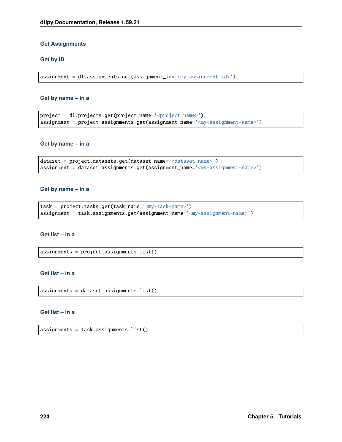### **Get Assignments**

#### **Get by ID**

assignment = dl.assignments.get(assignment\_id='<my-assignment-id>')

#### **Get by name – in a**

```
project = dl.projects.get(project_name='<project_name>')
assignment = project.assignments.get(assignment_name='<my-assignment-name>')
```
#### **Get by name – in a**

```
dataset = project.datasets.get(dataset_name='<dataset_name>')
assignment = dataset.assignments.get(assignment_name='<my-assignment-name>')
```
#### **Get by name – in a**

```
task = project.tasks.get(task_name='<my-task-name>')
assignment = task.assignments.get(assignment_name='<my-assignment-name>')
```
#### **Get list – in a**

assignments = project.assignments.list()

## **Get list – in a**

assignments = dataset.assignments.list()

#### **Get list – in a**

 $assignments = task.assignments. list()$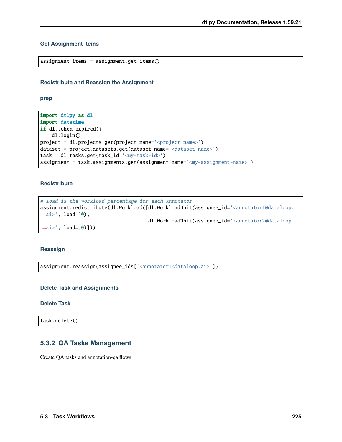## **Get Assignment Items**

```
assignment_items = assignment.get_items()
```
## **Redistribute and Reassign the Assignment**

**prep**

```
import dtlpy as dl
import datetime
if dl.token_expired():
    dl.login()
project = dl.projects.get(project_name='<project_name>')
dataset = project.datasets.get(dataset_name='<dataset_name>')
task = dl.tasks.get(task_id='<my-task-id>')
assignment = task.assignments.get(assignment_name='<my-assignment-name>')
```
#### **Redistribute**

```
# load is the workload percentage for each annotator
assignment.redistribute(dl.Workload([dl.WorkloadUnit(assignee_id='<annotator1@dataloop.
\leftrightarrowai>', load=50),
                                       dl.WorkloadUnit(assignee_id='<annotator2@dataloop.
```
 $\rightarrow$ ai>', load=50)]))

## **Reassign**

assignment.reassign(assignee\_ids['<annotator1@dataloop.ai>'])

#### **Delete Task and Assignments**

## **Delete Task**

task.delete()

# **5.3.2 QA Tasks Management**

Create QA tasks and annotation-qa flows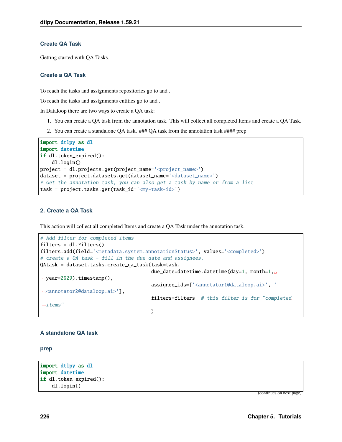## **Create QA Task**

Getting started with QA Tasks.

## **Create a QA Task**

To reach the tasks and assignments repositories go to and .

To reach the tasks and assignments entities go to and .

In Dataloop there are two ways to create a QA task:

- 1. You can create a QA task from the annotation task. This will collect all completed Items and create a QA Task.
- 2. You can create a standalone QA task. ### QA task from the annotation task #### prep

```
import dtlpy as dl
import datetime
if dl.token_expired():
   dl.login()
project = dl.projects.get(project_name='<project_name>')
dataset = project.datasets.get(dataset_name='<dataset_name>')
# Get the annotation task, you can also get a task by name or from a list
task = project.tasks.get(task_id='<my-task-id>')
```
#### **2. Create a QA Task**

This action will collect all completed Items and create a QA Task under the annotation task.

```
# Add filter for completed items
filters = dl. Filters()filters.add(field='<metadata.system.annotationStatus>', values='<completed>')
# create a QA task - fill in the due date and assignees.
QAtask = dataset.tasks.create_qa_task(task=task,
                                       due_date=datetime.datetime(day=1, month=1,␣
˓→year=2029).timestamp(),
                                       assignee_ids=['<annotator1@dataloop.ai>', '
˓→<annotator2@dataloop.ai>'],
                                       filters=filters # this filter is for "completed␣
ightharpoonupitems"
                                       )
```
## **A standalone QA task**

**prep**

```
import dtlpy as dl
import datetime
if dl.token_expired():
    dl.login()
```
(continues on next page)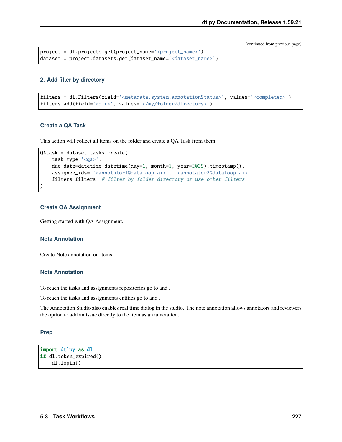```
project = dl.projects.get(project_name='<project_name>')
dataset = project.datasets.get(dataset_name='<dataset_name>')
```
#### **2. Add filter by directory**

```
filters = dl.Filters(field='<metadata.system.annotationStatus>', values='<completed>')
filters.add(field='<dir>', values='</my/folder/directory>')
```
#### **Create a QA Task**

This action will collect all items on the folder and create a QA Task from them.

```
QAtask = dataset.tasks.create(
   task_type='<qa>',
   due_date=datetime.datetime(day=1, month=1, year=2029).timestamp(),
   assignee_ids=['<annotator1@dataloop.ai>', '<annotator2@dataloop.ai>'],
    filters=filters # filter by folder directory or use other filters
)
```
#### **Create QA Assignment**

Getting started with QA Assignment.

#### **Note Annotation**

Create Note annotation on items

#### **Note Annotation**

To reach the tasks and assignments repositories go to and .

To reach the tasks and assignments entities go to and .

The Annotation Studio also enables real time dialog in the studio. The note annotation allows annotators and reviewers the option to add an issue directly to the item as an annotation.

#### **Prep**

```
import dtlpy as dl
if dl.token_expired():
    dl.login()
```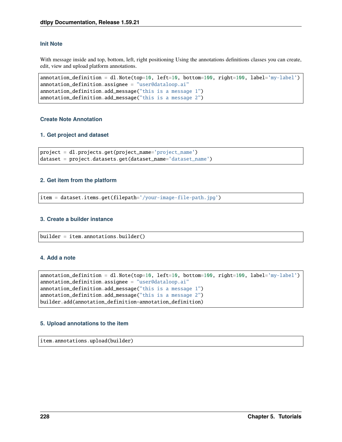## **Init Note**

With message inside and top, bottom, left, right positioning Using the annotations definitions classes you can create, edit, view and upload platform annotations.

```
annotation_definition = dl.Note(top=10, left=10, bottom=100, right=100, label='my-label')
annotation_definition.assignee = "user@dataloop.ai"
annotation_definition.add_message("this is a message 1")
annotation_definition.add_message("this is a message 2")
```
### **Create Note Annotation**

## **1. Get project and dataset**

```
project = dl.projects.get(project_name='project_name')
dataset = project.datasets.get(dataset_name='dataset_name')
```
#### **2. Get item from the platform**

item = dataset.items.get(filepath='/your-image-file-path.jpg')

#### **3. Create a builder instance**

```
builder = item.annotations.builder()
```
#### **4. Add a note**

```
annotation_definition = dl.Note(top=10, left=10, bottom=100, right=100, label='my-label')
annotation_definition.assignee = "user@dataloop.ai"
annotation_definition.add_message("this is a message 1")
annotation_definition.add_message("this is a message 2")
builder.add(annotation_definition=annotation_definition)
```
## **5. Upload annotations to the item**

item.annotations.upload(builder)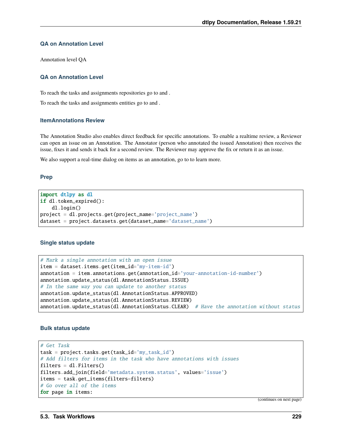## **QA on Annotation Level**

Annotation level QA

## **QA on Annotation Level**

To reach the tasks and assignments repositories go to and .

To reach the tasks and assignments entities go to and .

#### **ItemAnnotations Review**

The Annotation Studio also enables direct feedback for specific annotations. To enable a realtime review, a Reviewer can open an issue on an Annotation. The Annotator (person who annotated the issued Annotation) then receives the issue, fixes it and sends it back for a second review. The Reviewer may approve the fix or return it as an issue.

We also support a real-time dialog on items as an annotation, go to to learn more.

#### **Prep**

import dtlpy as dl if dl.token\_expired(): dl.login() project = dl.projects.get(project\_name='project\_name') dataset = project.datasets.get(dataset\_name='dataset\_name')

## **Single status update**

```
# Mark a single annotation with an open issue
item = dataset.items.get(item_id='my-item-id')
annotation = item.annotations.get(annotation_id='your-annotation-id-number')
annotation.update_status(dl.AnnotationStatus.ISSUE)
# In the same way you can update to another status
annotation.update_status(dl.AnnotationStatus.APPROVED)
annotation.update_status(dl.AnnotationStatus.REVIEW)
annotation.update\_status(dl.AnnotationStatus.CLEAR) # Have the annotation without status
```
## **Bulk status update**

```
# Get Task
task = project.tasks.get(task_id='my_task_id')
# Add filters for items in the task who have annotations with issues
filters = dl. Filters()filters.add_join(field='metadata.system.status', values='issue')
items = task.get_items(filters=filters)
# Go over all of the items
for page in items:
```
(continues on next page)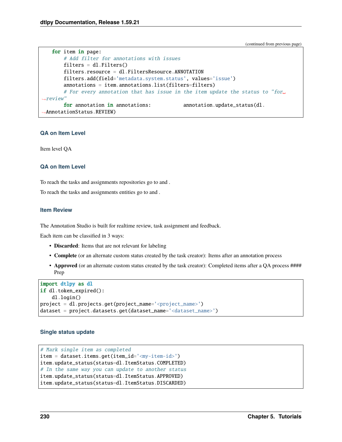```
for item in page:
       # Add filter for annotations with issues
       filters = dl. Filters()filters.resource = dl.FiltersResource.ANNOTATION
       filters.add(field='metadata.system.status', values='issue')
       annotations = item.annotations.list(filters=filters)
       # For every annotation that has issue in the item update the status to "for␣
˓→review"
       for annotation in annotations: annotation.update_status(dl.
˓→AnnotationStatus.REVIEW)
```
## **QA on Item Level**

Item level QA

## **QA on Item Level**

To reach the tasks and assignments repositories go to and .

To reach the tasks and assignments entities go to and .

#### **Item Review**

The Annotation Studio is built for realtime review, task assignment and feedback.

Each item can be classified in 3 ways:

- **Discarded**: Items that are not relevant for labeling
- **Complete** (or an alternate custom status created by the task creator): Items after an annotation process
- **Approved** (or an alternate custom status created by the task creator): Completed items after a QA process #### Prep

```
import dtlpy as dl
if dl.token_expired():
    dl.login()
project = dl.projects.get(project_name='<project_name>')
dataset = project.datasets.get(dataset_name='<dataset_name>')
```
## **Single status update**

```
# Mark single item as completed
item = dataset.items.get(item_id='<my-item-id>')
item.update_status(status=dl.ItemStatus.COMPLETED)
# In the same way you can update to another status
item.update_status(status=dl.ItemStatus.APPROVED)
item.update_status(status=dl.ItemStatus.DISCARDED)
```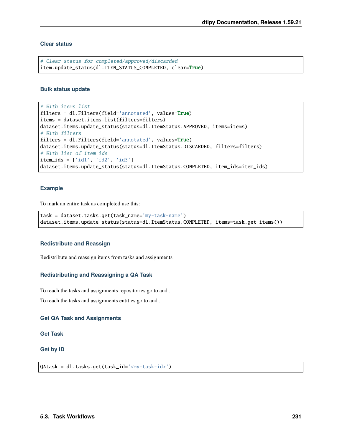## **Clear status**

```
# Clear status for completed/approved/discarded
item.update_status(dl.ITEM_STATUS_COMPLETED, clear=True)
```
#### **Bulk status update**

```
# With items list
filters = dl.Filters(field='annotated', values=True)
items = dataset.items.list(filters=filters)
dataset.items.update_status(status=dl.ItemStatus.APPROVED, items=items)
# With filters
filters = dl.Filters(field='annotated', values=True)
dataset.items.update_status(status=dl.ItemStatus.DISCARDED, filters=filters)
# With list of item ids
item\_ids = ['id1', 'id2', 'id3']dataset.items.update_status(status=dl.ItemStatus.COMPLETED, item_ids=item_ids)
```
## **Example**

To mark an entire task as completed use this:

```
task = dataset.tasks.get(task_name='my-task-name')
dataset.items.update_status(status=dl.ItemStatus.COMPLETED, items=task.get_items())
```
## **Redistribute and Reassign**

Redistribute and reassign items from tasks and assignments

## **Redistributing and Reassigning a QA Task**

To reach the tasks and assignments repositories go to and .

To reach the tasks and assignments entities go to and .

#### **Get QA Task and Assignments**

#### **Get Task**

## **Get by ID**

QAtask = dl.tasks.get(task\_id='<my-task-id>')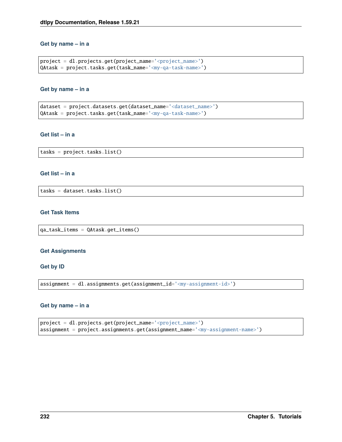#### **Get by name – in a**

```
project = dl.projects.get(project_name='<project_name>')
QAtask = project.tasks.get(task_name='<my-qa-task-name>')
```
#### **Get by name – in a**

```
dataset = project.datasets.get(dataset_name='<dataset_name>')
QAtask = project.tasks.get(task_name='<my-qa-task-name>')
```
## **Get list – in a**

tasks = project.tasks.list()

## **Get list – in a**

tasks = dataset.tasks.list()

## **Get Task Items**

qa\_task\_items = QAtask.get\_items()

#### **Get Assignments**

#### **Get by ID**

assignment = dl.assignments.get(assignment\_id='<my-assignment-id>')

#### **Get by name – in a**

```
project = dl.projects.get(project_name='<project_name>')
assignment = project.assignments.get(assignment_name='<my-assignment-name>')
```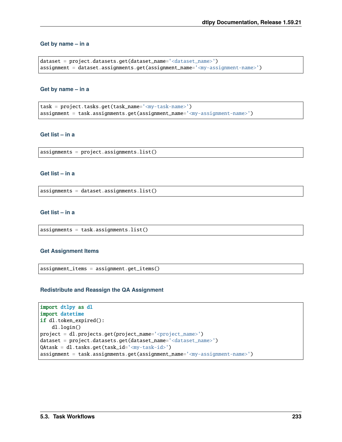#### **Get by name – in a**

```
dataset = project.datasets.get(dataset_name='<dataset_name>')
assignment = dataset.assignments.get(assignment_name='<my-assignment-name>')
```
#### **Get by name – in a**

```
task = project.tasks.get(task_name='<my-task-name>')
assignment = task.assignments.get(assignment_name='<my-assignment-name>')
```
## **Get list – in a**

assignments = project.assignments.list()

## **Get list – in a**

assignments = dataset.assignments.list()

#### **Get list – in a**

assignments = task.assignments.list()

#### **Get Assignment Items**

assignment\_items = assignment.get\_items()

#### **Redistribute and Reassign the QA Assignment**

```
import dtlpy as dl
import datetime
if dl.token_expired():
    dl.login()
project = dl.projects.get(project_name='<project_name>')
dataset = project.datasets.get(dataset_name='<dataset_name>')
QAtask = dl.tasks.get(task_id='<my-task-id>')
assignment = task.assignments.get(assignment_name='<my-assignment-name>')
```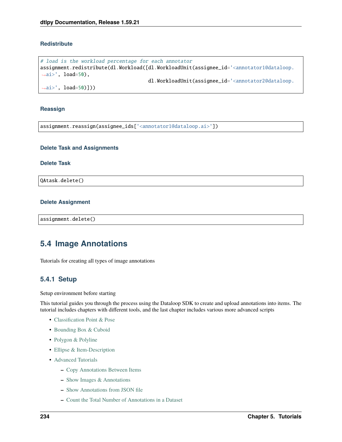## **Redistribute**

```
# load is the workload percentage for each annotator
assignment.redistribute(dl.Workload([dl.WorkloadUnit(assignee_id='<annotator1@dataloop.
\leftrightarrowai>', load=50),
                                          dl.WorkloadUnit(assignee_id='<annotator2@dataloop.
\leftrightarrowai>', load=50)]))
```
#### **Reassign**

assignment.reassign(assignee\_ids['<annotator1@dataloop.ai>'])

#### **Delete Task and Assignments**

#### **Delete Task**

QAtask.delete()

#### **Delete Assignment**

assignment.delete()

# **5.4 Image Annotations**

Tutorials for creating all types of image annotations

## **5.4.1 Setup**

Setup environment before starting

This tutorial guides you through the process using the Dataloop SDK to create and upload annotations into items. The tutorial includes chapters with different tools, and the last chapter includes various more advanced scripts

- [Classification Point & Pose](../classification_point_and_pose/chapter.md)
- [Bounding Box & Cuboid](../bounding_box_and_cuboid/chapter.md)
- [Polygon & Polyline](../polygon_and_polyline/chapter.md)
- [Ellipse & Item-Description](../ellipse_and_item_description/chapter.md)
- [Advanced Tutorials](../advance_tutorials/chapter.md)
	- **–** [Copy Annotations Between Items](../advance_tutorials/chapter.md#copy-annotations-between-items)
	- **–** [Show Images & Annotations](../advance_tutorials/chapter.md#show-images--annotations)
	- **–** [Show Annotations from JSON file](../advance_tutorials/chapter.md#show-annotations-from-json-file-dataloop-format)
	- **–** [Count the Total Number of Annotations in a Dataset](../advance_tutorials/chapter.md#count-total-number-of-annotations)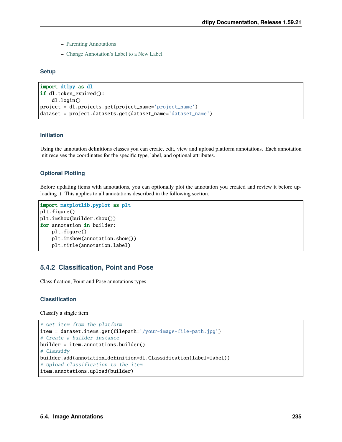- **–** [Parenting Annotations](../advance_tutorials/chapter.md#parenting-annotations)
- **–** [Change Annotation's Label to a New Label](../advance_tutorials/chapter.md#change-annotations-label)

#### **Setup**

```
import dtlpy as dl
if dl.token_expired():
   dl.login()
project = dl.projects.get(project_name='project_name')
dataset = project.datasets.get(dataset_name='dataset_name')
```
## **Initiation**

Using the annotation definitions classes you can create, edit, view and upload platform annotations. Each annotation init receives the coordinates for the specific type, label, and optional attributes.

## **Optional Plotting**

Before updating items with annotations, you can optionally plot the annotation you created and review it before uploading it. This applies to all annotations described in the following section.

```
import matplotlib.pyplot as plt
plt.figure()
plt.imshow(builder.show())
for annotation in builder:
   plt.figure()
   plt.imshow(annotation.show())
   plt.title(annotation.label)
```
# **5.4.2 Classification, Point and Pose**

Classification, Point and Pose annotations types

#### **Classification**

Classify a single item

```
# Get item from the platform
item = dataset.items.get(filepath='/your-image-file-path.jpg')
# Create a builder instance
builder = item.annotation.html# Classify
builder.add(annotation_definition=dl.Classification(label=label))
# Upload classification to the item
item.annotations.upload(builder)
```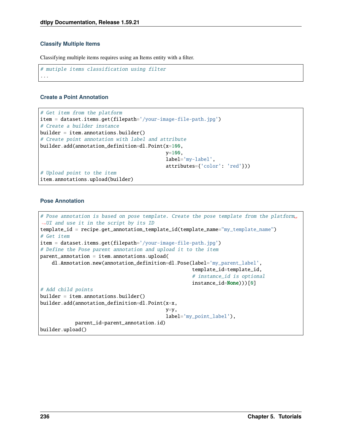## **Classify Multiple Items**

Classifying multiple items requires using an Items entity with a filter.

```
# mutiple items classification using filter
...
```
## **Create a Point Annotation**

```
# Get item from the platform
item = dataset.items.get(filepath='/your-image-file-path.jpg')
# Create a builder instance
builder = item.annotation.1# Create point annotation with label and attribute
builder.add(annotation_definition=dl.Point(x=100,
                                          y=100,
                                          label='my-label',
                                          attributes={'color': 'red'}))
# Upload point to the item
item.annotations.upload(builder)
```
#### **Pose Annotation**

```
# Pose annotation is based on pose template. Create the pose template from the platform␣
˓→UI and use it in the script by its ID
template_id = recipe.get_annotation_template_id(template_name="my_template_name")
# Get item
item = dataset.items.get(filepath='/your-image-file-path.jpg')
# Define the Pose parent annotation and upload it to the item
parent\_annotation = item.annotation.
   dl.Annotation.new(annotation_definition=dl.Pose(label='my_parent_label',
                                                    template_id=template_id,
                                                    # instance_id is optional
                                                    instance_id=None)))[0]
# Add child points
builder = item.annotation , builder()builder.add(annotation_definition=dl.Point(x=x,
                                           y=y,
                                           label='my_point_label'),
           parent_id=parent_annotation.id)
builder.upload()
```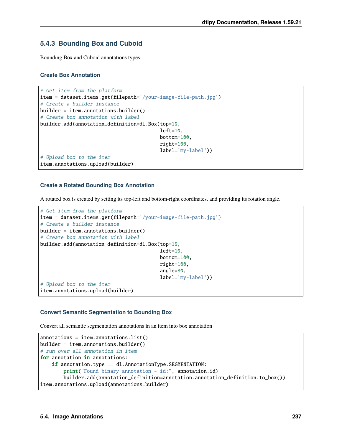# **5.4.3 Bounding Box and Cuboid**

Bounding Box and Cuboid annotations types

## **Create Box Annotation**

```
# Get item from the platform
item = dataset.items.get(filepath='/your-image-file-path.jpg')
# Create a builder instance
builder = item.annotation.html# Create box annotation with label
builder.add(annotation_definition=dl.Box(top=10,
                                         left=10,
                                         bottom=100,
                                         right=100,
                                         label='my-label'))
# Upload box to the item
item.annotations.upload(builder)
```
## **Create a Rotated Bounding Box Annotation**

A rotated box is created by setting its top-left and bottom-right coordinates, and providing its rotation angle.

```
# Get item from the platform
item = dataset.items.get(filepath='/your-image-file-path.jpg')
# Create a builder instance
builder = item.annotations.builder()
# Create box annotation with label
builder.add(annotation_definition=dl.Box(top=10,
                                          left=10.
                                          bottom=100,
                                          right=100,
                                          angle=80,
                                          label='my-label'))
# Upload box to the item
item.annotations.upload(builder)
```
## **Convert Semantic Segmentation to Bounding Box**

Convert all semantic segmentation annotations in an item into box annotation

```
annotations = item.annotations.list()
builder = item.annotation.1# run over all annotation in item
for annotation in annotations:
   if annotation.type == dl.AnnotationType.SEGMENTATION:
       print("Found binary annotation - id:", annotation.id)
       builder.add(annotation_definition=annotation.annotation_definition.to_box())
item.annotations.upload(annotations=builder)
```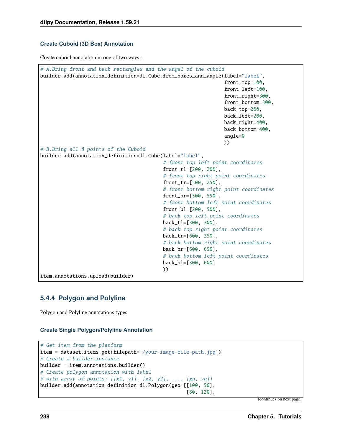## **Create Cuboid (3D Box) Annotation**

Create cuboid annotation in one of two ways :

```
# A.Bring front and back rectangles and the angel of the cuboid
builder.add(annotation_definition=dl.Cube.from_boxes_and_angle(label="label",
                                                                front_top=100,
                                                                front_left=100,
                                                                front_right=300,
                                                                front_bottom=300,
                                                                back_top=200,
                                                                back_left=200,
                                                                back_right=400,
                                                                back_bottom=400,
                                                                angle=0
                                                                ))
# B.Bring all 8 points of the Cuboid
builder.add(annotation_definition=dl.Cube(label="label",
                                           # front top left point coordinates
                                           front_tl=[200, 200],
                                           # front top right point coordinates
                                           front_tr=[500, 250],
                                           # front bottom right point coordinates
                                           front_br=[500, 550],
                                           # front bottom left point coordinates
                                           front_bl=[200, 500],
                                           # back top left point coordinates
                                          back_tl=[300, 300],
                                           # back top right point coordinates
                                          back_tr=[600, 350],
                                           # back bottom right point coordinates
                                          back_br=[600, 650],
                                           # back bottom left point coordinates
                                          back_bl=[300, 600]
                                          ))
item.annotations.upload(builder)
```
# **5.4.4 Polygon and Polyline**

Polygon and Polyline annotations types

## **Create Single Polygon/Polyline Annotation**

```
# Get item from the platform
item = dataset.items.get(filepath='/your-image-file-path.jpg')
# Create a builder instance
builder = item.annotation.1# Create polygon annotation with label
# with array of points: [[x1, y1], [x2, y2], ..., [xn, yn]]builder.add(annotation_definition=dl.Polygon(geo=[[100, 50],
                                                 [80, 120],
```
(continues on next page)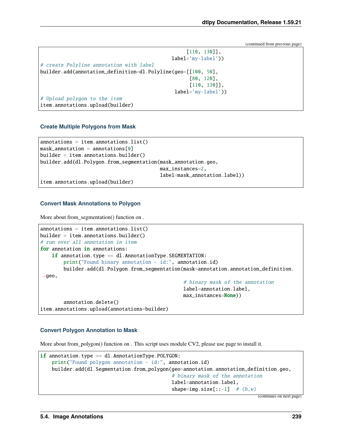```
[110, 130]],
                                              label='my-label'))
# create Polyline annotation with label
builder.add(annotation_definition=dl.Polyline(geo=[[100, 50],
                                                    [80, 120],
                                                    [110, 130]],
                                               label='my-label'))
# Upload polygon to the item
item.annotations.upload(builder)
```
#### **Create Multiple Polygons from Mask**

```
annotations = item.annotation.s.mask annotation = annotations [0]
builder = item.annotation.1builder.add(dl.Polygon.from_segmentation(mask_annotation.geo,
                                      max_instances=2,
                                      label=mask_annotation.label))
```
item.annotations.upload(builder)

#### **Convert Mask Annotations to Polygon**

More about from\_segmentation() function on .

```
annotations = item.annotation. list()builder = item.annotation.1# run over all annotation in item
for annotation in annotations:
   if annotation.type == dl.AnnotationType.SEGMENTATION:
        print("Found binary annotation - id:", annotation.id)
        builder.add(dl.Polygon.from_segmentation(mask=annotation.annotation_definition.
\rightarrowgeo,
                                                 # binary mask of the annotation
                                                 label=annotation.label,
                                                 max_instances=None))
        annotation.delete()
item.annotations.upload(annotations=builder)
```
#### **Convert Polygon Annotation to Mask**

More about from\_polygon() function on . This script uses module CV2, please use page to install it.

```
if annotation.type == dl.AnnotationType.POLYGON:
   print("Found polygon annotation - id:", annotation.id)
   builder.add(dl.Segmentation.from_polygon(geo=annotation.annotation_definition.geo,
                                             # binary mask of the annotation
                                             label=annotation.label,
                                             shape=img.size[::-1] # (h,w)
```
(continues on next page)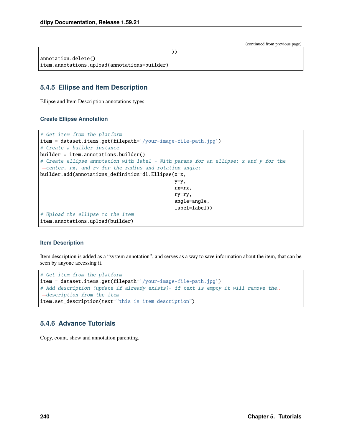| annotation.delete()                          |  |
|----------------------------------------------|--|
| item.annotations.upload(annotations=builder) |  |

# **5.4.5 Ellipse and Item Description**

Ellipse and Item Description annotations types

## **Create Ellipse Annotation**

```
# Get item from the platform
item = dataset.items.get(filepath='/your-image-file-path.jpg')
# Create a builder instance
builder = item.annotation.1# Create ellipse annotation with label - With params for an ellipse; x and y for the␣
˓→center, rx, and ry for the radius and rotation angle:
builder.add(annotations_definition=dl.Ellipse(x=x,
                                             y=y,
                                             rx=rx,
                                             ry=ry,
                                             angle=angle,
                                             label=label))
# Upload the ellipse to the item
item.annotations.upload(builder)
```
## **Item Description**

Item description is added as a "system annotation", and serves as a way to save information about the item, that can be seen by anyone accessing it.

```
# Get item from the platform
item = dataset.items.get(filepath='/your-image-file-path.jpg')
# Add description (update if already exists)- if text is empty it will remove the␣
˓→description from the item
item.set_description(text="this is item description")
```
# **5.4.6 Advance Tutorials**

Copy, count, show and annotation parenting.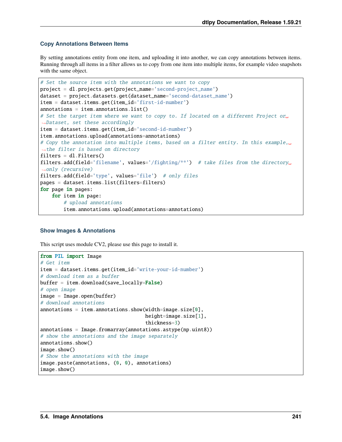## **Copy Annotations Between Items**

By setting annotations entity from one item, and uploading it into another, we can copy annotations between items. Running through all items in a filter allows us to copy from one item into multiple items, for example video snapshots with the same object.

```
# Set the source item with the annotations we want to copy
project = dl.projects.get(project_name='second-project_name')
dataset = project.datasets.get(dataset_name='second-dataset_name')
item = dataset.items.get(item_id='first-id-number')
annotations = item.annotation.
# Set the target item where we want to copy to. If located on a different Project or␣
˓→Dataset, set these accordingly
item = dataset.items.get(item_id='second-id-number')
item.annotations.upload(annotations=annotations)
# Copy the annotation into multiple items, based on a filter entity. In this example,␣
˓→the filter is based on directory
filters = dl. Filters()filters.add(field='filename', values='/fighting/**') # take files from the directory␣
˓→only (recursive)
filters.add(field='type', values='file') # only files
pages = dataset.items.list(filters=filters)
for page in pages:
    for item in page:
        # upload annotations
        item.annotations.upload(annotations=annotations)
```
#### **Show Images & Annotations**

This script uses module CV2, please use this page to install it.

```
from PIL import Image
# Get item
item = dataset.items.get(item_id='write-your-id-number')
# download item as a buffer
buffer = item.download(save_locally=False)
# open image
image = Image.open(bluffer)# download annotations
annotations = item.annotations.show(width=image.size[0],
                                    height=image.size[1],
                                    thickness=3)
annotations = Image. from array(annotations.astype(np.uint8))# show the annotations and the image separately
annotations.show()
image.show()
# Show the annotations with the image
image.paste(annotations, (0, 0), annotations)
image.show()
```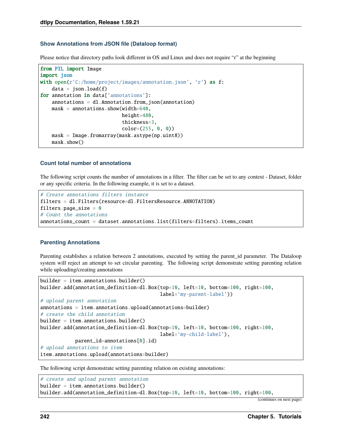### **Show Annotations from JSON file (Dataloop format)**

Please notice that directory paths look different in OS and Linux and does not require "r" at the beginning

```
from PIL import Image
import json
with open(r'C:/home/project/images/annotation.json', 'r') as f:
    data = json.load(f)for annotation in data['annotations']:
    annotations = d1. Annotation. from<sub>1</sub>son(annotation)
    mask = annotations.show(width=640,height=480,
                             thickness=3,
                             color=(255, 0, 0))
    mask = Image.fromarray(mask.astype(np.uint8))
    mask.show()
```
#### **Count total number of annotations**

The following script counts the number of annotations in a filter. The filter can be set to any context - Dataset, folder or any specific criteria. In the following example, it is set to a dataset.

```
# Create annotations filters instance
filters = dl.Filters(resource=dl.FiltersResource.ANNOTATION)
filters.page size = 0# Count the annotations
annotations_count = dataset.annotations.list(filters=filters).items_count
```
#### **Parenting Annotations**

Parenting establishes a relation between 2 annotations, executed by setting the parent\_id parameter. The Dataloop system will reject an attempt to set circular parenting. The following script demonstrate setting parenting relation while uploading/creating annotations

```
builder = item.annotations.builder()
builder.add(annotation_definition=dl.Box(top=10, left=10, bottom=100, right=100,
                                         label='my-parent-label'))
# upload parent annotation
annotations = item.annotations.upload(annotations=builder)
# create the child annotation
builder = item.annotations.builder()builder.add(annotation_definition=dl.Box(top=10, left=10, bottom=100, right=100,
                                         label='my-child-label'),
            parent_id=annotations[0].id)
# upload annotations to item
item.annotations.upload(annotations=builder)
```
The following script demonstrate setting parenting relation on existing annotations:

```
# create and upload parent annotation
builder = item.annotation.1builder.add(annotation_definition=dl.Box(top=10, left=10, bottom=100, right=100,
```

```
(continues on next page)
```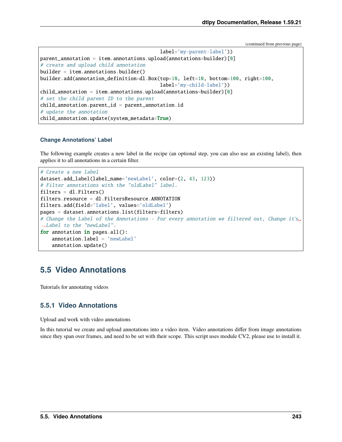```
label='my-parent-label'))
parent_annotation = item.annotations.upload(annotations=builder)[0]
# create and upload child annotation
builder = item.annotation.builder.add(annotation_definition=dl.Box(top=10, left=10, bottom=100, right=100,
                                          label='my-child-label'))
child<sub>-</sub>annotation = item.annotations.upload(annotations=builder)[0]
# set the child parent ID to the parent
child<sub>-</sub>annotation.parent_id = parent_annotation.id
# update the annotation
child_annotation.update(system_metadata=True)
```
#### **Change Annotations' Label**

The following example creates a new label in the recipe (an optional step, you can also use an existing label), then applies it to all annotations in a certain filter.

```
# Create a new label
dataset.add_label(label_name='newLabel', color=(2, 43, 123))
# Filter annotations with the "oldLabel" label.
filters = dl. Filters()filters.resource = dl.FiltersResource.ANNOTATION
filters.add(field='label', values='oldLabel')
pages = dataset.annotations.list(filters=filters)
# Change the Label of the Annotations - For every annotation we filtered out, Change it's␣
˓→Label to the "newLabel".
for annotation in pages.all():
    annotation.label = 'newLabel'
    annotation.update()
```
# **5.5 Video Annotations**

Tutorials for annotating videos

# **5.5.1 Video Annotations**

Upload and work with video annotations

In this tutorial we create and upload annotations into a video item. Video annotations differ from image annotations since they span over frames, and need to be set with their scope. This script uses module CV2, please use to install it.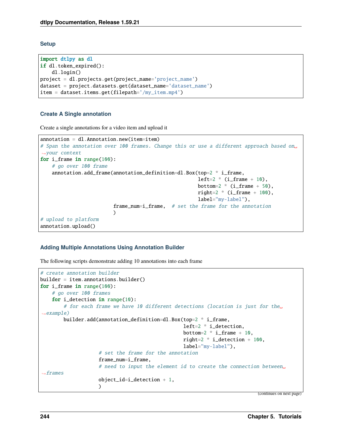**Setup**

```
import dtlpy as dl
if dl.token_expired():
   dl.login()
project = dl.projects.get(project_name='project_name')
dataset = project.datasets.get(dataset_name='dataset_name')
item = dataset.items.get(filepath='/my_item.mp4')
```
## **Create A Single annotation**

Create a single annotations for a video item and upload it

```
annotation = d1. Annotation.new(item=item)
# Span the annotation over 100 frames. Change this or use a different approach based on␣
˓→your context
for i_frame in range(100):
    # go over 100 frame
    annotation.add_frame(annotation_definition=dl.Box(top=2 * i_frame,
                                                         left=2 * (i_{\texttt{frame}} + 10),bottom=2 * (i_frame + 50),
                                                         right=2 * (i_{\text{frame}} + 100),
                                                         label="my-label"),
                          frame_num=i_frame, # set the frame for the annotation
                          )
# upload to platform
annotation.upload()
```
## **Adding Multiple Annotations Using Annotation Builder**

The following scripts demonstrate adding 10 annotations into each frame

```
# create annotation builder
builder = item.annotations.builder()
for i_frame in range(100):
    # go over 100 frames
    for i_detection in range(10):
        # for each frame we have 10 different detections (location is just for the␣
\rightarrowexample)
        builder.add(annotation_definition=dl.Box(top=2 * i_frame,
                                                     left=2 * i_detection,
                                                     bottom=2 * i_frame + 10,
                                                     right=2 * i_detection + 100,
                                                     label="my-label"),
                     # set the frame for the annotation
                     frame_num=i_frame,
                     # need to input the element id to create the connection between␣
ightharpoonupframes
                     object_id=i_detection + 1,
                     \lambda(continues on next page)
```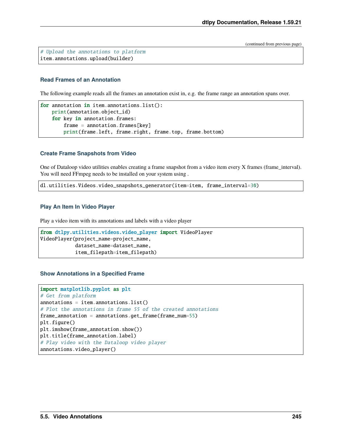# Upload the annotations to platform item.annotations.upload(builder)

## **Read Frames of an Annotation**

The following example reads all the frames an annotation exist in, e.g. the frame range an annotation spans over.

```
for annotation in item.annotations.list():
   print(annotation.object_id)
   for key in annotation.frames:
        frame = annotation.frames[key]print(frame.left, frame.right, frame.top, frame.bottom)
```
#### **Create Frame Snapshots from Video**

One of Dataloop video utilities enables creating a frame snapshot from a video item every X frames (frame\_interval). You will need FFmpeg needs to be installed on your system using .

dl.utilities.Videos.video\_snapshots\_generator(item=item, frame\_interval=30)

## **Play An Item In Video Player**

Play a video item with its annotations and labels with a video player

```
from dtlpy.utilities.videos.video_player import VideoPlayer
VideoPlayer(project_name=project_name,
            dataset_name=dataset_name,
            item_filepath=item_filepath)
```
#### **Show Annotations in a Specified Frame**

```
import matplotlib.pyplot as plt
# Get from platform
annotations = item.annotation. list()# Plot the annotations in frame 55 of the created annotations
frame_annotation = annotations.get_frame(frame_num=55)
plt.figure()
plt.imshow(frame_annotation.show())
plt.title(frame_annotation.label)
# Play video with the Dataloop video player
annotations.video_player()
```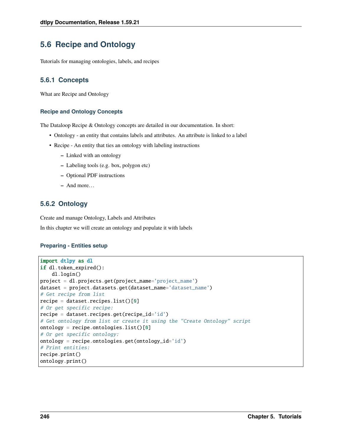# **5.6 Recipe and Ontology**

Tutorials for managing ontologies, labels, and recipes

# **5.6.1 Concepts**

What are Recipe and Ontology

#### **Recipe and Ontology Concepts**

The Dataloop Recipe & Ontology concepts are detailed in our documentation. In short:

- Ontology an entity that contains labels and attributes. An attribute is linked to a label
- Recipe An entity that ties an ontology with labeling instructions
	- **–** Linked with an ontology
	- **–** Labeling tools (e.g. box, polygon etc)
	- **–** Optional PDF instructions
	- **–** And more. . .

# **5.6.2 Ontology**

Create and manage Ontology, Labels and Attributes

In this chapter we will create an ontology and populate it with labels

#### **Preparing - Entities setup**

```
import dtlpy as dl
if dl.token_expired():
    dl.login()
project = dl.projects.get(project_name='project_name')
dataset = project.datasets.get(dataset_name='dataset_name')
# Get recipe from list
recipe = dataset.recipes.list()[0]
# Or get specific recipe:
recipe = dataset.recipes.get(recipe_id='id')
# Get ontology from list or create it using the "Create Ontology" script
ontology = recipe.ontologies.list()[0]
# Or get specific ontology:
ontology = recipe.ontologies.get(ontology_id='id')
# Print entities:
recipe.print()
ontology.print()
```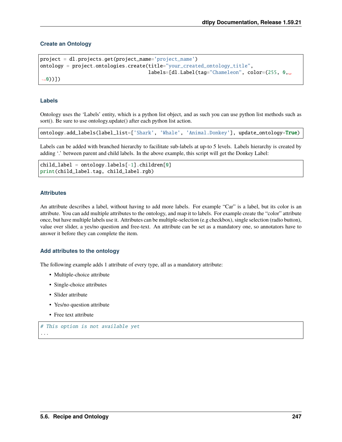## **Create an Ontology**

```
project = dl.projects.get(project_name='project_name')
ontology = project.ontologies.create(title="your_created_ontology_title",
                                     labels=[dl.Label(tag="Chameleon", color=(255, 0,␣
˓→0))])
```
#### **Labels**

Ontology uses the 'Labels' entity, which is a python list object, and as such you can use python list methods such as sort(). Be sure to use ontology.update() after each python list action.

ontology.add\_labels(label\_list=['Shark', 'Whale', 'Animal.Donkey'], update\_ontology=True)

Labels can be added with branched hierarchy to facilitate sub-labels at up-to 5 levels. Labels hierarchy is created by adding '.' between parent and child labels. In the above example, this script will get the Donkey Label:

```
child_label = ontology.labels[-1].children[0]
print(child_label.tag, child_label.rgb)
```
#### **Attributes**

An attribute describes a label, without having to add more labels. For example "Car" is a label, but its color is an attribute. You can add multiple attributes to the ontology, and map it to labels. For example create the "color" attribute once, but have multiple labels use it. Attributes can be multiple-selection (e.g checkbox), single selection (radio button), value over slider, a yes/no question and free-text. An attribute can be set as a mandatory one, so annotators have to answer it before they can complete the item.

#### **Add attributes to the ontology**

The following example adds 1 attribute of every type, all as a mandatory attribute:

- Multiple-choice attribute
- Single-choice attributes
- Slider attribute
- Yes/no question attribute
- Free text attribute

```
# This option is not available yet
 ...
```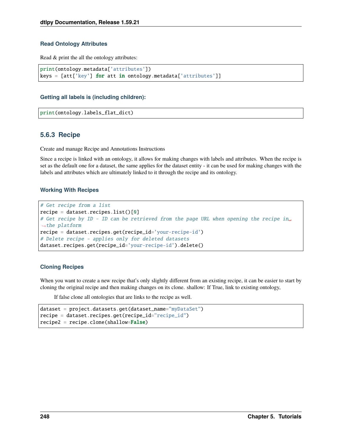### **Read Ontology Attributes**

Read & print the all the ontology attributes:

```
print(ontology.metadata['attributes'])
keys = [att['key'] for att in ontology.metadata['attributes']
```
## **Getting all labels is (including children):**

```
print(ontology.labels_flat_dict)
```
## **5.6.3 Recipe**

Create and manage Recipe and Annotations Instructions

Since a recipe is linked with an ontology, it allows for making changes with labels and attributes. When the recipe is set as the default one for a dataset, the same applies for the dataset entity - it can be used for making changes with the labels and attributes which are ultimately linked to it through the recipe and its ontology.

## **Working With Recipes**

```
# Get recipe from a list
recipe = dataset.recipesulist()[0]# Get recipe by ID - ID can be retrieved from the page URL when opening the recipe in␣
ightharpoonupthe platform
recipe = dataset.recipes.get(recipe_id='your-recipe-id')
# Delete recipe - applies only for deleted datasets
dataset.recipes.get(recipe_id='your-recipe-id').delete()
```
## **Cloning Recipes**

When you want to create a new recipe that's only slightly different from an existing recipe, it can be easier to start by cloning the original recipe and then making changes on its clone. shallow: If True, link to existing ontology,

If false clone all ontologies that are links to the recipe as well.

```
dataset = project.datasets.get(dataset_name="myDataSet")
recipe = dataset.recipes.get(recipe_id="recipe_id")
recipe2 = recipe.close(shallow=False)
```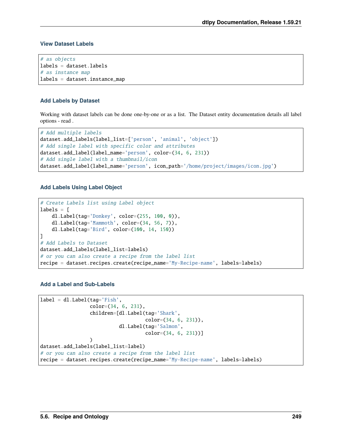#### **View Dataset Labels**

```
# as objects
labels = dataset.labels
# as instance map
labels = dataset.instance_map
```
#### **Add Labels by Dataset**

Working with dataset labels can be done one-by-one or as a list. The Dataset entity documentation details all label options - read .

```
# Add multiple labels
dataset.add_labels(label_list=['person', 'animal', 'object'])
# Add single label with specific color and attributes
dataset.add_label(label_name='person', color=(34, 6, 231))
# Add single label with a thumbnail/icon
dataset.add_label(label_name='person', icon_path='/home/project/images/icon.jpg')
```
#### **Add Labels Using Label Object**

```
# Create Labels list using Label object
labels = [dl.Label(tag='Donkey', color=(255, 100, 0)),
    dl.Label(tag='Mammoth', color=(34, 56, 7)),
    dl.Label(tag='Bird', color=(100, 14, 150))
]
# Add Labels to Dataset
dataset.add_labels(label_list=labels)
# or you can also create a recipe from the label list
recipe = dataset.recipes.create(recipe_name='My-Recipe-name', labels=labels)
```
#### **Add a Label and Sub-Labels**

```
label = dl.Label(tag='Fish',
                 color=(34, 6, 231),
                 children=[dl.Label(tag='Shark',
                                    color=(34, 6, 231)),
                           dl.Label(tag='Salmon',
                                    color=(34, 6, 231))]
                 )
dataset.add_labels(label_list=label)
# or you can also create a recipe from the label list
recipe = dataset.recipes.create(recipe_name='My-Recipe-name', labels=labels)
```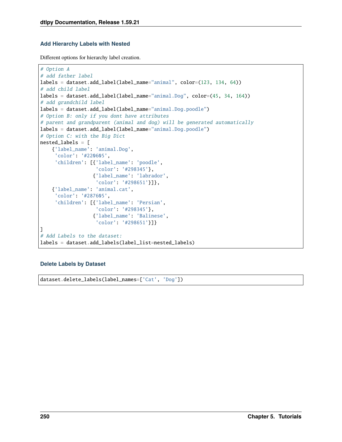#### **Add Hierarchy Labels with Nested**

Different options for hierarchy label creation.

```
# Option A
# add father label
labels = dataset.add_label(label_name="animal", color=(123, 134, 64))
# add child label
labels = dataset.add_label(label_name="animal.Dog", color=(45, 34, 164))
# add grandchild label
labels = dataset.add_label(label_name="animal.Dog.poodle")
# Option B: only if you dont have attributes
# parent and grandparent (animal and dog) will be generated automatically
labels = dataset.add_label(label_name="animal.Dog.poodle")
# Option C: with the Big Dict
nested_labels = [
    {'label_name': 'animal.Dog',
     'color': '#220605',
     'children': [{'label_name': 'poodle',
                   'color': '#298345'},
                  {'label_name': 'labrador',
                   'color': '#298651'}]},
    {'label_name': 'animal.cat',
     'color': '#287605',
     'children': [{'label_name': 'Persian',
                   'color': '#298345'},
                  {'label_name': 'Balinese',
                   'color': '#298651'}]}
]
# Add Labels to the dataset:
labels = dataset.add_labels(label_list=nested_labels)
```
### **Delete Labels by Dataset**

dataset.delete\_labels(label\_names=['Cat', 'Dog'])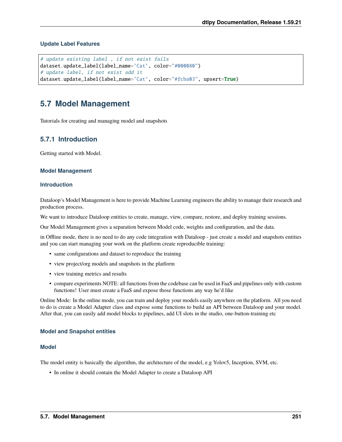#### **Update Label Features**

```
# update existing label , if not exist fails
dataset.update_label(label_name='Cat', color="#000080")
# update label, if not exist add it
dataset.update_label(label_name='Cat', color="#fcba03", upsert=True)
```
# **5.7 Model Management**

Tutorials for creating and managing model and snapshots

### **5.7.1 Introduction**

Getting started with Model.

#### **Model Management**

#### **Introduction**

Dataloop's Model Management is here to provide Machine Learning engineers the ability to manage their research and production process.

We want to introduce Dataloop entities to create, manage, view, compare, restore, and deploy training sessions.

Our Model Management gives a separation between Model code, weights and configuration, and the data.

in Offline mode, there is no need to do any code integration with Dataloop - just create a model and snapshots entities and you can start managing your work on the platform create reproducible training:

- same configurations and dataset to reproduce the training
- view project/org models and snapshots in the platform
- view training metrics and results
- compare experiments NOTE: all functions from the codebase can be used in FaaS and pipelines only with custom functions! User must create a FaaS and expose those functions any way he'd like

Online Mode: In the online mode, you can train and deploy your models easily anywhere on the platform. All you need to do is create a Model Adapter class and expose some functions to build an API between Dataloop and your model. After that, you can easily add model blocks to pipelines, add UI slots in the studio, one-button-training etc

#### **Model and Snapshot entities**

#### **Model**

The model entity is basically the algorithm, the architecture of the model, e.g Yolov5, Inception, SVM, etc.

• In online it should contain the Model Adapter to create a Dataloop API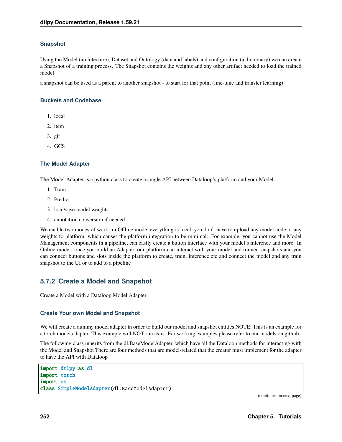#### **Snapshot**

Using the Model (architecture), Dataset and Ontology (data and labels) and configuration (a dictionary) we can create a Snapshot of a training process. The Snapshot contains the weights and any other artifact needed to load the trained model

a snapshot can be used as a parent to another snapshot - to start for that point (fine-tune and transfer learning)

#### **Buckets and Codebase**

- 1. local
- 2. item
- 3. git
- 4. GCS

#### **The Model Adapter**

The Model Adapter is a python class to create a single API between Dataloop's platform and your Model

- 1. Train
- 2. Predict
- 3. load/save model weights
- 4. annotation conversion if needed

We enable two modes of work: in Offline mode, everything is local, you don't have to upload any model code or any weights to platform, which causes the platform integration to be minimal. For example, you cannot use the Model Management components in a pipeline, can easily create a button interface with your model's inference and more. In Online mode - once you build an Adapter, our platform can interact with your model and trained snapshots and you can connect buttons and slots inside the platform to create, train, inference etc and connect the model and any train snapshot to the UI or to add to a pipeline

### **5.7.2 Create a Model and Snapshot**

Create a Model with a Dataloop Model Adapter

#### **Create Your own Model and Snapshot**

We will create a dummy model adapter in order to build our model and snapshot entities NOTE: This is an example for a torch model adapter. This example will NOT run as-is. For working examples please refer to our models on github

The following class inherits from the dl.BaseModelAdapter, which have all the Dataloop methods for interacting with the Model and Snapshot There are four methods that are model-related that the creator must implement for the adapter to have the API with Dataloop

```
import dtlpy as dl
import torch
import os
class SimpleModelAdapter(dl.BaseModelAdapter):
```
(continues on next page)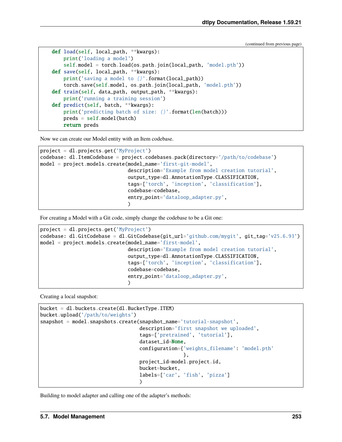(continued from previous page)

```
def load(self, local_path, **kwargs):
    print('loading a model')
    self.model = torch.load(os.path.join(local_path, 'model.pth'))
def save(self, local_path, **kwargs):
    print('saving a model to \{}'.format(local_path))
    torch.save(self.model, os.path.join(local_path, 'model.pth'))
def train(self, data_path, output_path, **kwargs):
   print('running a training session')
def predict(self, batch, **kwargs):
    print('predicting batch of size: \{ \}'.format(len(batch)))
    preds = self.model(batch)
    return preds
```
Now we can create our Model entity with an Item codebase.

```
project = dl.projects.get('MyProject')
codebase: dl.ItemCodebase = project.codebases.pack(directory='/path/to/codebase')
model = project.models.create(model_name='first-git-model',
                               description='Example from model creation tutorial',
                               output_type=dl.AnnotationType.CLASSIFICATION,
                               tags=['torch', 'inception', 'classification'],
                               codebase=codebase,
                               entry_point='dataloop_adapter.py',
                               \mathcal{L}
```
For creating a Model with a Git code, simply change the codebase to be a Git one:

```
project = dl.projects.get('MyProject')
codebase: dl.GitCodebase = dl.GitCodebase(git_url='github.com/mygit', git_tag='v25.6.93')
model = project.models.create(model_name='first-model',
                              description='Example from model creation tutorial',
                              output_type=dl.AnnotationType.CLASSIFICATION,
                              tags=['torch', 'inception', 'classification'],
                              codebase=codebase,
                              entry_point='dataloop_adapter.py',
                              )
```
Creating a local snapshot:

```
bucket = dl.buckets.create(dl.BucketType.ITEM)
bucket.upload('/path/to/weights')
snapshot = model.snapshots.create(snapshot_name='tutorial-snapshot',
                                   description='first snapshot we uploaded',
                                   tags=['pretrained', 'tutorial'],
                                   dataset_id=None,
                                   configuration={'weights_filename': 'model.pth'
                                                  },
                                   project_id=model.project.id,
                                   bucket=bucket,
                                   labels=['car', 'fish', 'pizza']
                                   \lambda
```
Building to model adapter and calling one of the adapter's methods: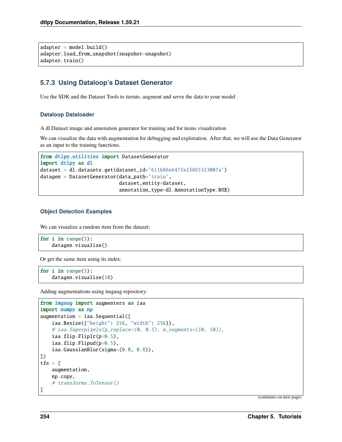$ad$ adapter = model.build() adapter.load\_from\_snapshot(snapshot=snapshot) adapter.train()

### **5.7.3 Using Dataloop's Dataset Generator**

Use the SDK and the Dataset Tools to iterate, augment and serve the data to your model

#### **Dataloop Dataloader**

A dl.Dataset image and annotation generator for training and for items visualization

We can visualize the data with augmentation for debugging and exploration. After that, we will use the Data Generator as an input to the training functions.

```
from dtlpy.utilities import DatasetGenerator
import dtlpy as dl
dataset = dl.datasets.get(dataset_id='611b86e647fe2f865323007a')
datagen = DatasetGenerator(data_path='train',
                           dataset_entity=dataset,
                           annotation_type=dl.AnnotationType.BOX)
```
#### **Object Detection Examples**

We can visualize a random item from the dataset:

```
for i in range(5):
   datagen.visualize()
```
Or get the same item using its index:

```
for i in range(5):
    datagen.visualize(10)
```
Adding augmentations using imgaug repository:

```
from imgaug import augmenters as iaa
import numpy as np
augmentation = iaa. Sequential([iaa.Resize({"height": 256, "width": 256}),
    # iaa.Superpixels(p_replace=(0, 0.5), n_segments=(10, 50)),
   iaa.flip.Fliplr(p=0.5),
   iaa.flip.Flipud(p=0.5),
   iaa.GaussianBlur(sigma=(0.0, 0.8)),
])
tfs = [
   augmentation,
   np.copy,
    # transforms.ToTensor()
]
```
(continues on next page)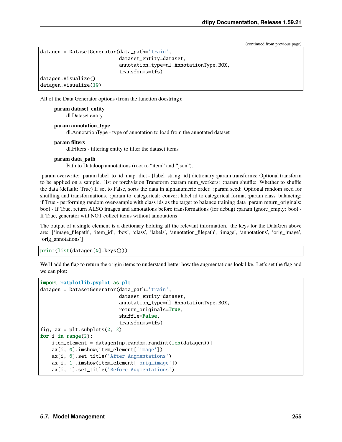(continued from previous page)

```
datagen = DatasetGenerator(data_path='train',
                           dataset_entity=dataset,
                           annotation_type=dl.AnnotationType.BOX,
                           transforms=tfs)
datagen.visualize()
datagen.visualize(10)
```
All of the Data Generator options (from the function docstring):

**param dataset\_entity**

dl.Dataset entity

**param annotation\_type**

dl.AnnotationType - type of annotation to load from the annotated dataset

#### **param filters**

dl.Filters - filtering entity to filter the dataset items

#### **param data\_path**

Path to Dataloop annotations (root to "item" and "json").

:param overwrite: :param label\_to\_id\_map: dict - {label\_string: id} dictionary :param transforms: Optional transform to be applied on a sample. list or torchvision.Transform :param num\_workers: :param shuffle: Whether to shuffle the data (default: True) If set to False, sorts the data in alphanumeric order. :param seed: Optional random seed for shuffling and transformations. :param to\_categorical: convert label id to categorical format :param class\_balancing: if True - performing random over-sample with class ids as the target to balance training data :param return\_originals: bool - If True, return ALSO images and annotations before transformations (for debug) :param ignore\_empty: bool - If True, generator will NOT collect items without annotations

The output of a single element is a dictionary holding all the relevant information. the keys for the DataGen above are: ['image\_filepath', 'item\_id', 'box', 'class', 'labels', 'annotation\_filepath', 'image', 'annotations', 'orig\_image', 'orig\_annotations']

print(list(datagen[0].keys()))

We'll add the flag to return the origin items to understand better how the augmentations look like. Let's set the flag and we can plot:

```
import matplotlib.pyplot as plt
datagen = DatasetGenerator(data_path='train',
                            dataset_entity=dataset,
                            annotation_type=dl.AnnotationType.BOX,
                            return_originals=True,
                            shuffle=False,
                            transforms=tfs)
fig, ax = plt.subplots(2, 2)for i in range(2):
    item\_element = datagen[np.random.randn].random.Fandint(len(datagen))]ax[i, 0].imshow(item_element['image'])
    ax[i, 0].set_title('After Augmentations')
    ax[i, 1].imshow(item_element['orig_image'])
    ax[i, 1].set_title('Before Augmentations')
```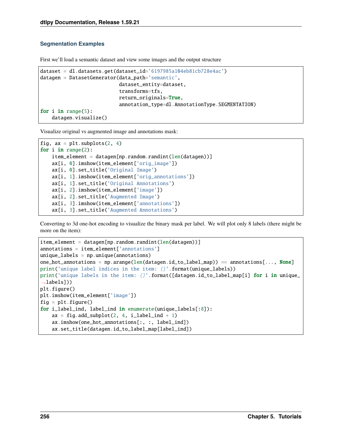#### **Segmentation Examples**

First we'll load a semantic dataset and view some images and the output structure

```
dataset = dl.datasets.get(dataset_id='6197985a104eb81cb728e4ac')
datagen = DatasetGenerator(data_path='semantic',
                           dataset_entity=dataset,
                           transforms=tfs,
                           return_originals=True,
                           annotation_type=dl.AnnotationType.SEGMENTATION)
for i in range(5):
   datagen.visualize()
```
Visualize original vs augmented image and annotations mask:

```
fig, ax = plt.subplots(2, 4)for i in range(2):
    item_element = datagen[np.random.randint(len(datagen))]
    ax[i, 0].imshow(item_element['orig_image'])
   ax[i, 0].set_title('Original Image')
    ax[i, 1].imshow(item_element['orig_annotations'])
   ax[i, 1].set_title('Original Annotations')
   ax[i, 2].imshow(item_element['image'])
   ax[i, 2].set_title('Augmented Image')
    ax[i, 3].imshow(item_element['annotations'])
    ax[i, 3].set_title('Augmented Annotations')
```
Converting to 3d one-hot encoding to visualize the binary mask per label. We will plot only 8 labels (there might be more on the item):

```
item_element = datagen[np.random.randint(len(datagen))]
annotations = item_element['annotations']
unique_labels = np.unique(annotations)one_hot_annotations = np.arange(len(datagen.id_to_labels_map)) == annotation.[..., None]
print('unique label indices in the item: \{ .format(unique_labels))
print('unique labels in the item: \{}'.format([datagen.id_to_label_map[i] for i in unique_
\rightarrowlabels]))
plt.figure()
plt.imshow(item_element['image'])
fig = plt.figure()for i_label_ind, label_ind in enumerate(unique_labels[:8]):
    ax = fig.add\_subplot(2, 4, i\_label\_ind + 1)ax.imshow(one_hot_annotations[:, :, label_ind])
    ax.set_title(datagen.id_to_label_map[label_ind])
```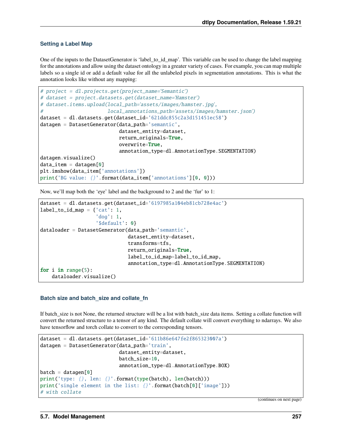#### **Setting a Label Map**

One of the inputs to the DatasetGenerator is 'label\_to\_id\_map'. This variable can be used to change the label mapping for the annotations and allow using the dataset ontology in a greater variety of cases. For example, you can map multiple labels so a single id or add a default value for all the unlabeled pixels in segmentation annotations. This is what the annotation looks like without any mapping:

```
# project = dl.projects.get(project_name='Semantic')
# dataset = project.datasets.get(dataset_name='Hamster')
# dataset.items.upload(local_path='assets/images/hamster.jpg',
                       local<sub>-</sub>annotations_path='assets/images/hamster.json')
dataset = dl.datasets.get(dataset_id='621ddc855c2a3d151451ec58')
datagen = DatasetGenerator(data_path='semantic',
                            dataset_entity=dataset,
                            return_originals=True,
                            overwrite=True,
                            annotation_type=dl.AnnotationType.SEGMENTATION)
datagen.visualize()
data_item = datagen[0]plt.imshow(data_item['annotations'])
print('BG value: {}'.format(data_item['annotations'][0, 0]))
```
Now, we'll map both the 'eye' label and the background to 2 and the 'fur' to 1:

```
dataset = dl.datasets.get(dataset_id='6197985a104eb81cb728e4ac')
label_to_idmap = {'cat': 1}'dog': 1,
                   '$default': 0}
dataloader = DatasetGenerator(data_path='semantic',
                              dataset_entity=dataset,
                              transforms=tfs,
                              return_originals=True,
                              label_to_id_map=label_to_id_map,
                              annotation_type=dl.AnnotationType.SEGMENTATION)
for i in range(5):
    dataloader.visualize()
```
#### **Batch size and batch\_size and collate\_fn**

If batch size is not None, the returned structure will be a list with batch size data items. Setting a collate function will convert the returned structure to a tensor of any kind. The default collate will convert everything to ndarrays. We also have tensorflow and torch collate to convert to the corresponding tensors.

```
dataset = dl.datasets.get(dataset_id='611b86e647fe2f865323007a')
datagen = DatasetGenerator(data_path='train',
                           dataset_entity=dataset,
                           batch_size=10,
                           annotation_type=dl.AnnotationType.BOX)
batch = datagen[0]print('type: {}, len: {}'.format(type(batch), len(batch)))
print('single element in the list: \{}'.format(batch[0]['image']))
# with collate
```
(continues on next page)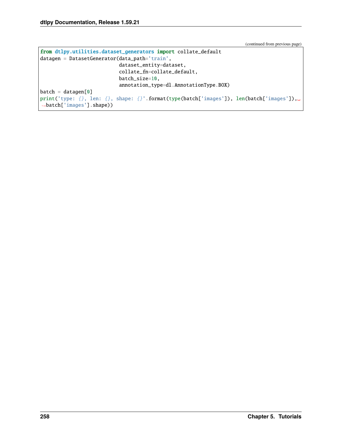(continued from previous page)

```
from dtlpy.utilities.dataset_generators import collate_default
datagen = DatasetGenerator(data_path='train',
                           dataset_entity=dataset,
                           collate_fn=collate_default,
                           batch_size=10,
                           annotation_type=dl.AnnotationType.BOX)
batch = datagen[0]
print('type: {}, len: {}, shape: {}'.format(type(batch['images']), len(batch['images']),
˓→batch['images'].shape))
```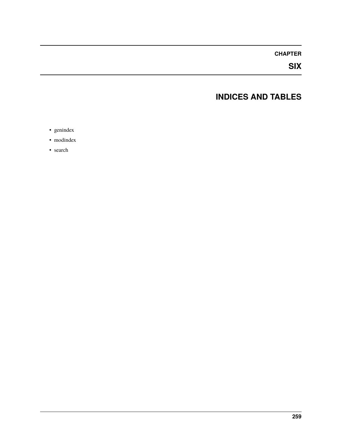### **CHAPTER**

**SIX**

# **INDICES AND TABLES**

- genindex
- modindex
- search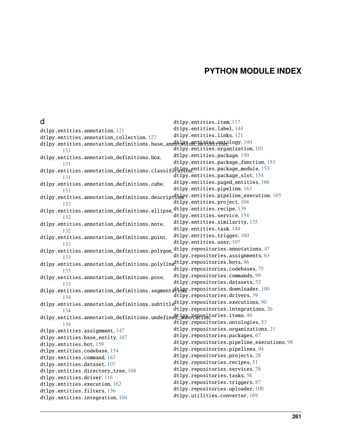### **PYTHON MODULE INDEX**

dtlpy.entities.item, [117](#page-120-0)

### d

dtlpy.entities.annotation, [121](#page-124-0) dtlpy.entities.annotation\_collection, [127](#page-130-0) dtlpy.entities.annotation\_definitions.base\_annotation\_definition, [140](#page-143-0) [131](#page-134-0) dtlpy.entities.annotation\_definitions.box, [131](#page-134-1) dtlpy.entities.annotation\_definitions.classifi<sup>ct</sup>athXn<sup>entities.package\_module,[153](#page-156-1)</sup> [131](#page-134-2) dtlpy.entities.annotation\_definitions.cube, [131](#page-134-3) dtlpy.entities.annotation\_definitions.descript<sup>d</sup>tlpy.entities.pipeline\_execution,[165](#page-168-0) [132](#page-135-0) dtlpy.entities.annotation\_definitions.ellipse, dtlpy.entities.recipe, [139](#page-142-0) [132](#page-135-1) dtlpy.entities.annotation\_definitions.note, [132](#page-135-2) dtlpy.entities.annotation\_definitions.point, [132](#page-135-3) dtlpy.entities.annotation\_definitions.polygon, ${\tt dt}$ lpy.repositories.annotations, $47$ [133](#page-136-0) dtlpy.entities.annotation\_definitions.polyline<sup>dtlpy.repositories.bots,[86](#page-89-0)</sup> [133](#page-136-1) dtlpy.entities.annotation\_definitions.pose, [133](#page-136-2) <code>dtlpy.entities.annotation\_definitions.segmentation</code> .repositories.downloader, $100$ [134](#page-137-0) <code>dtlpy.entities.an</code>notation\_definitions.subtitl $\epsilon_i^{\tt dt1}$ py.repositories.executions, $90$ [134](#page-137-1) dtlpy.entities.annotation\_definitions.undefined  $\frac{1}{2}$ nnotation, cries.items, $40$ [134](#page-137-2) dtlpy.entities.assignment, [147](#page-150-0) dtlpy.entities.base\_entity, [167](#page-170-0) dtlpy.entities.bot, [159](#page-162-0) dtlpy.entities.codebase, [154](#page-157-0) dtlpy.entities.command, [167](#page-170-1) dtlpy.entities.dataset, [107](#page-110-0) dtlpy.entities.directory\_tree, [168](#page-171-0) dtlpy.entities.driver, [116](#page-119-0) dtlpy.entities.execution, [162](#page-165-0) dtlpy.entities.filters, [136](#page-139-0) dtlpy.entities.integration, [104](#page-107-0) dtlpy.entities.label, [144](#page-147-0) dtlpy.entities.links, [121](#page-124-1) dtlpy.entities.organization, [101](#page-104-0) dtlpy.entities.package, [150](#page-153-0) dtlpy.entities.package\_function, [153](#page-156-0) dtlpy.entities.package\_slot, [154](#page-157-1) dtlpy.entities.paged\_entities, [166](#page-169-0) dtlpy.entities.pipeline, [163](#page-166-0) dtlpy.entities.project, [104](#page-107-1) dtlpy.entities.service, [154](#page-157-2) dtlpy.entities.similarity, [135](#page-138-0) dtlpy.entities.task, [144](#page-147-1) dtlpy.entities.trigger, [160](#page-163-0) dtlpy.entities.user, [107](#page-110-1) dtlpy.repositories.assignments, [63](#page-66-0) dtlpy.repositories.codebases, [75](#page-78-0) dtlpy.repositories.commands, [99](#page-102-0) dtlpy.repositories.datasets, [32](#page-35-0) dtlpy.repositories.drivers, [39](#page-42-0) dtlpy.repositories.integrations, [26](#page-29-0) dtlpy.repositories.ontologies, [53](#page-56-0) dtlpy.repositories.organizations, [21](#page-24-0) dtlpy.repositories.packages, [67](#page-70-0) dtlpy.repositories.pipeline\_executions, [98](#page-101-0) dtlpy.repositories.pipelines, [94](#page-97-0) dtlpy.repositories.projects, [28](#page-31-0) dtlpy.repositories.recipes, [51](#page-54-0) dtlpy.repositories.services, [78](#page-81-0) dtlpy.repositories.tasks, [56](#page-59-0) dtlpy.repositories.triggers, [87](#page-90-0) dtlpy.repositories.uploader, [100](#page-103-1) dtlpy.utilities.converter, [169](#page-172-0)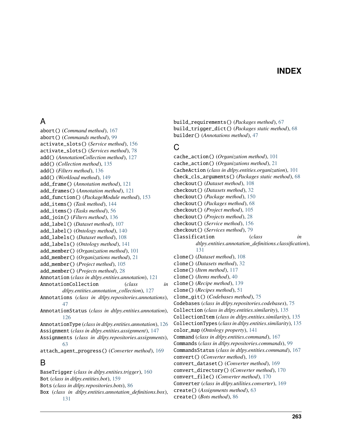## **INDEX**

### A

abort() (*Command method*), [167](#page-170-2) abort() (*Commands method*), [99](#page-102-1) activate\_slots() (*Service method*), [156](#page-159-0) activate\_slots() (*Services method*), [78](#page-81-1) add() (*AnnotationCollection method*), [127](#page-130-1) add() (*Collection method*), [135](#page-138-1) add() (*Filters method*), [136](#page-139-1) add() (*Workload method*), [149](#page-152-0) add\_frame() (*Annotation method*), [121](#page-124-2) add\_frames() (*Annotation method*), [121](#page-124-2) add\_function() (*PackageModule method*), [153](#page-156-2) add\_items() (*Task method*), [144](#page-147-2) add\_items() (*Tasks method*), [56](#page-59-1) add\_join() (*Filters method*), [136](#page-139-1) add\_label() (*Dataset method*), [107](#page-110-2) add\_label() (*Ontology method*), [140](#page-143-1) add\_labels() (*Dataset method*), [108](#page-111-0) add\_labels() (*Ontology method*), [141](#page-144-0) add\_member() (*Organization method*), [101](#page-104-1) add\_member() (*Organizations method*), [21](#page-24-1) add\_member() (*Project method*), [105](#page-108-0) add\_member() (*Projects method*), [28](#page-31-1) Annotation (*class in dtlpy.entities.annotation*), [121](#page-124-2) AnnotationCollection (*class in dtlpy.entities.annotation\_collection*), [127](#page-130-1) Annotations (*class in dtlpy.repositories.annotations*), [47](#page-50-1) AnnotationStatus (*class in dtlpy.entities.annotation*), [126](#page-129-0) AnnotationType (*class in dtlpy.entities.annotation*), [126](#page-129-0) Assignment (*class in dtlpy.entities.assignment*), [147](#page-150-1) Assignments (*class in dtlpy.repositories.assignments*), [63](#page-66-1) attach\_agent\_progress() (*Converter method*), [169](#page-172-1) B BaseTrigger (*class in dtlpy.entities.trigger*), [160](#page-163-1)

Bot (*class in dtlpy.entities.bot*), [159](#page-162-1) Bots (*class in dtlpy.repositories.bots*), [86](#page-89-1) Box (*class in dtlpy.entities.annotation\_definitions.box*), [131](#page-134-4)

build\_requirements() (*Packages method*), [67](#page-70-1) build\_trigger\_dict() (*Packages static method*), [68](#page-71-0) builder() (*Annotations method*), [47](#page-50-1)

### C

cache\_action() (*Organization method*), [101](#page-104-1) cache\_action() (*Organizations method*), [21](#page-24-1) CacheAction (*class in dtlpy.entities.organization*), [101](#page-104-1) check\_cls\_arguments() (*Packages static method*), [68](#page-71-0) checkout() (*Dataset method*), [108](#page-111-0) checkout() (*Datasets method*), [32](#page-35-1) checkout() (*Package method*), [150](#page-153-1) checkout() (*Packages method*), [68](#page-71-0) checkout() (*Project method*), [105](#page-108-0) checkout() (*Projects method*), [28](#page-31-1) checkout() (*Service method*), [156](#page-159-0) checkout() (*Services method*), [79](#page-82-0) Classification (*class in dtlpy.entities.annotation\_definitions.classification*), [131](#page-134-4) clone() (*Dataset method*), [108](#page-111-0) clone() (*Datasets method*), [32](#page-35-1) clone() (*Item method*), [117](#page-120-1) clone() (*Items method*), [40](#page-43-1) clone() (*Recipe method*), [139](#page-142-1) clone() (*Recipes method*), [51](#page-54-1) clone\_git() (*Codebases method*), [75](#page-78-1) Codebases (*class in dtlpy.repositories.codebases*), [75](#page-78-1) Collection (*class in dtlpy.entities.similarity*), [135](#page-138-1) CollectionItem (*class in dtlpy.entities.similarity*), [135](#page-138-1) CollectionTypes (*class in dtlpy.entities.similarity*), [135](#page-138-1) color\_map (*Ontology property*), [141](#page-144-0) Command (*class in dtlpy.entities.command*), [167](#page-170-2) Commands (*class in dtlpy.repositories.commands*), [99](#page-102-1) CommandsStatus (*class in dtlpy.entities.command*), [167](#page-170-2) convert() (*Converter method*), [169](#page-172-1) convert\_dataset() (*Converter method*), [169](#page-172-1) convert\_directory() (*Converter method*), [170](#page-173-0) convert\_file() (*Converter method*), [170](#page-173-0) Converter (*class in dtlpy.utilities.converter*), [169](#page-172-1) create() (*Assignments method*), [63](#page-66-1) create() (*Bots method*), [86](#page-89-1)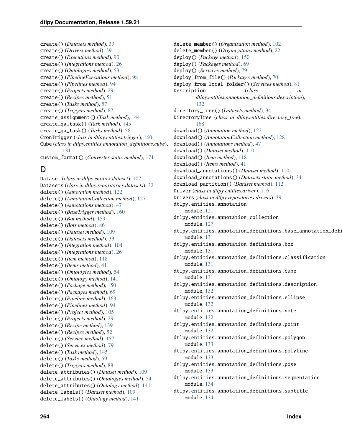create() (*Datasets method*), [33](#page-36-0) create() (*Drivers method*), [39](#page-42-1) create() (*Executions method*), [90](#page-93-1) create() (*Integrations method*), [26](#page-29-1) create() (*Ontologies method*), [53](#page-56-1) create() (*PipelineExecutions method*), [98](#page-101-1) create() (*Pipelines method*), [94](#page-97-1) create() (*Projects method*), [29](#page-32-0) create() (*Recipes method*), [51](#page-54-1) create() (*Tasks method*), [57](#page-60-0) create() (*Triggers method*), [87](#page-90-1) create\_assignment() (*Task method*), [144](#page-147-2) create\_qa\_task() (*Task method*), [145](#page-148-0) create\_qa\_task() (*Tasks method*), [58](#page-61-0) CronTrigger (*class in dtlpy.entities.trigger*), [160](#page-163-1) Cube (*class in dtlpy.entities.annotation\_definitions.cube*), [131](#page-134-4) custom\_format() (*Converter static method*), [171](#page-174-0)

# D

Dataset (*class in dtlpy.entities.dataset*), [107](#page-110-2) Datasets (*class in dtlpy.repositories.datasets*), [32](#page-35-1) delete() (*Annotation method*), [122](#page-125-0) delete() (*AnnotationCollection method*), [127](#page-130-1) delete() (*Annotations method*), [47](#page-50-1) delete() (*BaseTrigger method*), [160](#page-163-1) delete() (*Bot method*), [159](#page-162-1) delete() (*Bots method*), [86](#page-89-1) delete() (*Dataset method*), [109](#page-112-0) delete() (*Datasets method*), [33](#page-36-0) delete() (*Integration method*), [104](#page-107-2) delete() (*Integrations method*), [26](#page-29-1) delete() (*Item method*), [118](#page-121-0) delete() (*Items method*), [41](#page-44-0) delete() (*Ontologies method*), [54](#page-57-0) delete() (*Ontology method*), [141](#page-144-0) delete() (*Package method*), [150](#page-153-1) delete() (*Packages method*), [69](#page-72-0) delete() (*Pipeline method*), [163](#page-166-1) delete() (*Pipelines method*), [94](#page-97-1) delete() (*Project method*), [105](#page-108-0) delete() (*Projects method*), [29](#page-32-0) delete() (*Recipe method*), [139](#page-142-1) delete() (*Recipes method*), [52](#page-55-0) delete() (*Service method*), [157](#page-160-0) delete() (*Services method*), [79](#page-82-0) delete() (*Task method*), [145](#page-148-0) delete() (*Tasks method*), [59](#page-62-0) delete() (*Triggers method*), [88](#page-91-0) delete\_attributes() (*Dataset method*), [109](#page-112-0) delete\_attributes() (*Ontologies method*), [54](#page-57-0) delete\_attributes() (*Ontology method*), [141](#page-144-0) delete\_labels() (*Dataset method*), [109](#page-112-0) delete\_labels() (*Ontology method*), [141](#page-144-0)

delete\_member() (*Organization method*), [102](#page-105-0) delete\_member() (*Organizations method*), [22](#page-25-0) deploy() (*Package method*), [150](#page-153-1) deploy() (*Packages method*), [69](#page-72-0) deploy() (*Services method*), [79](#page-82-0) deploy\_from\_file() (*Packages method*), [70](#page-73-0) deploy\_from\_local\_folder() (*Services method*), [81](#page-84-0) Description (*class in dtlpy.entities.annotation\_definitions.description*), [132](#page-135-4) directory\_tree() (*Datasets method*), [34](#page-37-0) DirectoryTree (*class in dtlpy.entities.directory\_tree*), [168](#page-171-1) download() (*Annotation method*), [122](#page-125-0) download() (*AnnotationCollection method*), [128](#page-131-0) download() (*Annotations method*), [47](#page-50-1) download() (*Dataset method*), [110](#page-113-0) download() (*Item method*), [118](#page-121-0) download() (*Items method*), [41](#page-44-0) download\_annotations() (*Dataset method*), [110](#page-113-0) download\_annotations() (*Datasets static method*), [34](#page-37-0) download\_partition() (*Dataset method*), [112](#page-115-0) Driver (*class in dtlpy.entities.driver*), [116](#page-119-1) Drivers (*class in dtlpy.repositories.drivers*), [39](#page-42-1) dtlpy.entities.annotation module, [121](#page-124-2) dtlpy.entities.annotation\_collection module, [127](#page-130-1) dtlpy.entities.annotation\_definitions.base\_annotation\_definitions module, [131](#page-134-4) dtlpy.entities.annotation\_definitions.box module, [131](#page-134-4) dtlpy.entities.annotation\_definitions.classification module, [131](#page-134-4) dtlpy.entities.annotation\_definitions.cube module, [131](#page-134-4) dtlpy.entities.annotation\_definitions.description module, [132](#page-135-4) dtlpy.entities.annotation\_definitions.ellipse module, [132](#page-135-4) dtlpy.entities.annotation\_definitions.note module, [132](#page-135-4) dtlpy.entities.annotation\_definitions.point module, [132](#page-135-4) dtlpy.entities.annotation\_definitions.polygon module, [133](#page-136-3) dtlpy.entities.annotation\_definitions.polyline module, [133](#page-136-3) dtlpy.entities.annotation\_definitions.pose module, [133](#page-136-3) dtlpy.entities.annotation\_definitions.segmentation module, [134](#page-137-3) dtlpy.entities.annotation\_definitions.subtitle module, [134](#page-137-3)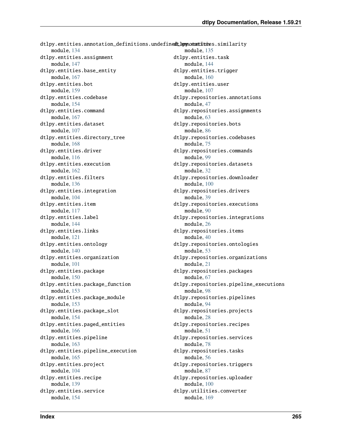dtlpy.entities.annotation\_definitions.undefinedtherynotattiones.similarity module, [134](#page-137-3) dtlpy.entities.assignment module, [147](#page-150-1) dtlpy.entities.base\_entity module, [167](#page-170-2) dtlpy.entities.bot module, [159](#page-162-1) dtlpy.entities.codebase module, [154](#page-157-3) dtlpy.entities.command module, [167](#page-170-2) dtlpy.entities.dataset module, [107](#page-110-2) dtlpy.entities.directory\_tree module, [168](#page-171-1) dtlpy.entities.driver module, [116](#page-119-1) dtlpy.entities.execution module, [162](#page-165-1) dtlpy.entities.filters module, [136](#page-139-1) dtlpy.entities.integration module, [104](#page-107-2) dtlpy.entities.item module, [117](#page-120-1) dtlpy.entities.label module, [144](#page-147-2) dtlpy.entities.links module, [121](#page-124-2) dtlpy.entities.ontology module, [140](#page-143-1) dtlpy.entities.organization module, [101](#page-104-1) dtlpy.entities.package module, [150](#page-153-1) dtlpy.entities.package\_function module, [153](#page-156-2) dtlpy.entities.package\_module module, [153](#page-156-2) dtlpy.entities.package\_slot module, [154](#page-157-3) dtlpy.entities.paged\_entities module, [166](#page-169-1) dtlpy.entities.pipeline module, [163](#page-166-1) dtlpy.entities.pipeline\_execution module, [165](#page-168-1) dtlpy.entities.project module, [104](#page-107-2) dtlpy.entities.recipe module, [139](#page-142-1) dtlpy.entities.service module, [154](#page-157-3) module, [135](#page-138-1) module, [169](#page-172-1)

dtlpy.entities.task module, [144](#page-147-2) dtlpy.entities.trigger module, [160](#page-163-1) dtlpy.entities.user module, [107](#page-110-2) dtlpy.repositories.annotations module, [47](#page-50-1) dtlpy.repositories.assignments module, [63](#page-66-1) dtlpy.repositories.bots module, [86](#page-89-1) dtlpy.repositories.codebases module, [75](#page-78-1) dtlpy.repositories.commands module, [99](#page-102-1) dtlpy.repositories.datasets module, [32](#page-35-1) dtlpy.repositories.downloader module, [100](#page-103-2) dtlpy.repositories.drivers module, [39](#page-42-1) dtlpy.repositories.executions module, [90](#page-93-1) dtlpy.repositories.integrations module, [26](#page-29-1) dtlpy.repositories.items module, [40](#page-43-1) dtlpy.repositories.ontologies module, [53](#page-56-1) dtlpy.repositories.organizations module, [21](#page-24-1) dtlpy.repositories.packages module, [67](#page-70-1) dtlpy.repositories.pipeline\_executions module, [98](#page-101-1) dtlpy.repositories.pipelines module, [94](#page-97-1) dtlpy.repositories.projects module, [28](#page-31-1) dtlpy.repositories.recipes module, [51](#page-54-1) dtlpy.repositories.services module, [78](#page-81-1) dtlpy.repositories.tasks module, [56](#page-59-1) dtlpy.repositories.triggers module, [87](#page-90-1) dtlpy.repositories.uploader module, [100](#page-103-2) dtlpy.utilities.converter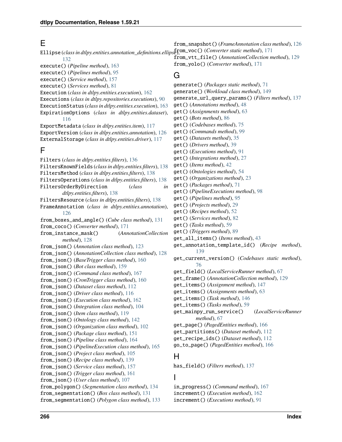### E

Ellipse (*class in dtlpy.entities.annotation\_definitions.ellipse*), from\_voc() (*Converter static method*), [171](#page-174-0) [132](#page-135-4) execute() (*Pipeline method*), [163](#page-166-1) execute() (*Pipelines method*), [95](#page-98-0) execute() (*Service method*), [157](#page-160-0) execute() (*Services method*), [81](#page-84-0) Execution (*class in dtlpy.entities.execution*), [162](#page-165-1) Executions (*class in dtlpy.repositories.executions*), [90](#page-93-1) ExecutionStatus (*class in dtlpy.entities.execution*), [163](#page-166-1) ExpirationOptions (*class in dtlpy.entities.dataset*), [116](#page-119-1) ExportMetadata (*class in dtlpy.entities.item*), [117](#page-120-1) ExportVersion (*class in dtlpy.entities.annotation*), [126](#page-129-0) ExternalStorage (*class in dtlpy.entities.driver*), [117](#page-120-1) F Filters (*class in dtlpy.entities.filters*), [136](#page-139-1) FiltersKnownFields (*class in dtlpy.entities.filters*), [138](#page-141-0) FiltersMethod (*class in dtlpy.entities.filters*), [138](#page-141-0) FiltersOperations (*class in dtlpy.entities.filters*), [138](#page-141-0) FiltersOrderByDirection (*class in dtlpy.entities.filters*), [138](#page-141-0) FiltersResource (*class in dtlpy.entities.filters*), [138](#page-141-0) FrameAnnotation (*class in dtlpy.entities.annotation*), [126](#page-129-0) from\_boxes\_and\_angle() (*Cube class method*), [131](#page-134-4) from\_coco() (*Converter method*), [171](#page-174-0) from\_instance\_mask() (*AnnotationCollection method*), [128](#page-131-0) from\_json() (*Annotation class method*), [123](#page-126-0) from\_json() (*AnnotationCollection class method*), [128](#page-131-0) from\_json() (*BaseTrigger class method*), [160](#page-163-1) from\_json() (*Bot class method*), [159](#page-162-1) from\_json() (*Command class method*), [167](#page-170-2) from\_json() (*CronTrigger class method*), [160](#page-163-1) from\_json() (*Dataset class method*), [112](#page-115-0) from\_json() (*Driver class method*), [116](#page-119-1) from\_json() (*Execution class method*), [162](#page-165-1) from\_json() (*Integration class method*), [104](#page-107-2) from\_json() (*Item class method*), [119](#page-122-0) from\_json() (*Ontology class method*), [142](#page-145-0) from\_json() (*Organization class method*), [102](#page-105-0) from\_json() (*Package class method*), [151](#page-154-0) from\_json() (*Pipeline class method*), [164](#page-167-0) from\_json() (*PipelineExecution class method*), [165](#page-168-1) from\_json() (*Project class method*), [105](#page-108-0) from\_json() (*Recipe class method*), [139](#page-142-1) from\_json() (*Service class method*), [157](#page-160-0) from\_json() (*Trigger class method*), [161](#page-164-0) from\_json() (*User class method*), [107](#page-110-2) from\_polygon() (*Segmentation class method*), [134](#page-137-3) from\_segmentation() (*Box class method*), [131](#page-134-4) from\_snapshot() (*FrameAnnotation class method*), [126](#page-129-0) from\_vtt\_file() (*AnnotationCollection method*), [129](#page-132-0) from\_yolo() (*Converter method*), [171](#page-174-0) G generate() (*Packages static method*), [71](#page-74-0) generate() (*Workload class method*), [149](#page-152-0) generate\_url\_query\_params() (*Filters method*), [137](#page-140-0) get() (*Annotations method*), [48](#page-51-0) get() (*Assignments method*), [63](#page-66-1) get() (*Bots method*), [86](#page-89-1) get() (*Codebases method*), [75](#page-78-1) get() (*Commands method*), [99](#page-102-1) get() (*Datasets method*), [35](#page-38-0) get() (*Drivers method*), [39](#page-42-1) get() (*Executions method*), [91](#page-94-0) get() (*Integrations method*), [27](#page-30-0) get() (*Items method*), [42](#page-45-0) get() (*Ontologies method*), [54](#page-57-0) get() (*Organizations method*), [23](#page-26-0) get() (*Packages method*), [71](#page-74-0) get() (*PipelineExecutions method*), [98](#page-101-1) get() (*Pipelines method*), [95](#page-98-0) get() (*Projects method*), [29](#page-32-0) get() (*Recipes method*), [52](#page-55-0) get() (*Services method*), [82](#page-85-0) get() (*Tasks method*), [59](#page-62-0) get() (*Triggers method*), [89](#page-92-0) get\_all\_items() (*Items method*), [43](#page-46-0) get\_annotation\_template\_id() (*Recipe method*), [139](#page-142-1) get\_current\_version() (*Codebases static method*), [76](#page-79-0) get\_field() (*LocalServiceRunner method*), [67](#page-70-1) get\_frame() (*AnnotationCollection method*), [129](#page-132-0) get\_items() (*Assignment method*), [147](#page-150-1) get\_items() (*Assignments method*), [63](#page-66-1) get\_items() (*Task method*), [146](#page-149-0) get\_items() (*Tasks method*), [59](#page-62-0) get\_mainpy\_run\_service() (*LocalServiceRunner method*), [67](#page-70-1) get\_page() (*PagedEntities method*), [166](#page-169-1) get\_partitions() (*Dataset method*), [112](#page-115-0) get\_recipe\_ids() (*Dataset method*), [112](#page-115-0) go\_to\_page() (*PagedEntities method*), [166](#page-169-1) H has\_field() (*Filters method*), [137](#page-140-0) I in\_progress() (*Command method*), [167](#page-170-2) increment() (*Execution method*), [162](#page-165-1)

from\_segmentation() (*Polygon class method*), [133](#page-136-3)

increment() (*Executions method*), [91](#page-94-0)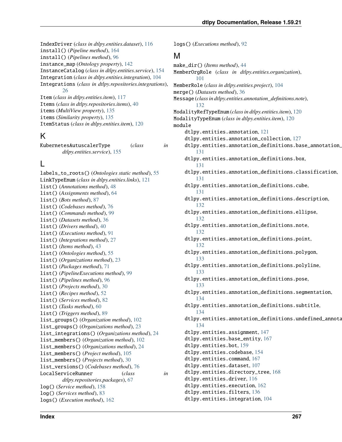IndexDriver (*class in dtlpy.entities.dataset*), [116](#page-119-1) install() (*Pipeline method*), [164](#page-167-0) install() (*Pipelines method*), [96](#page-99-0) instance\_map (*Ontology property*), [142](#page-145-0) InstanceCatalog (*class in dtlpy.entities.service*), [154](#page-157-3) Integration (*class in dtlpy.entities.integration*), [104](#page-107-2) Integrations (*class in dtlpy.repositories.integrations*), [26](#page-29-1) Item (*class in dtlpy.entities.item*), [117](#page-120-1) Items (*class in dtlpy.repositories.items*), [40](#page-43-1) items (*MultiView property*), [135](#page-138-1) items (*Similarity property*), [135](#page-138-1) ItemStatus (*class in dtlpy.entities.item*), [120](#page-123-0)

# K

KubernetesAutuscalerType (*class in dtlpy.entities.service*), [155](#page-158-0)

# L

labels\_to\_roots() (*Ontologies static method*), [55](#page-58-0) LinkTypeEnum (*class in dtlpy.entities.links*), [121](#page-124-2) list() (*Annotations method*), [48](#page-51-0) list() (*Assignments method*), [64](#page-67-0) list() (*Bots method*), [87](#page-90-1) list() (*Codebases method*), [76](#page-79-0) list() (*Commands method*), [99](#page-102-1) list() (*Datasets method*), [36](#page-39-0) list() (*Drivers method*), [40](#page-43-1) list() (*Executions method*), [91](#page-94-0) list() (*Integrations method*), [27](#page-30-0) list() (*Items method*), [43](#page-46-0) list() (*Ontologies method*), [55](#page-58-0) list() (*Organizations method*), [23](#page-26-0) list() (*Packages method*), [71](#page-74-0) list() (*PipelineExecutions method*), [99](#page-102-1) list() (*Pipelines method*), [96](#page-99-0) list() (*Projects method*), [30](#page-33-0) list() (*Recipes method*), [52](#page-55-0) list() (*Services method*), [82](#page-85-0) list() (*Tasks method*), [60](#page-63-0) list() (*Triggers method*), [89](#page-92-0) list\_groups() (*Organization method*), [102](#page-105-0) list\_groups() (*Organizations method*), [23](#page-26-0) list\_integrations() (*Organizations method*), [24](#page-27-0) list\_members() (*Organization method*), [102](#page-105-0) list\_members() (*Organizations method*), [24](#page-27-0) list\_members() (*Project method*), [105](#page-108-0) list\_members() (*Projects method*), [30](#page-33-0) list\_versions() (*Codebases method*), [76](#page-79-0) LocalServiceRunner (*class in dtlpy.repositories.packages*), [67](#page-70-1) log() (*Service method*), [158](#page-161-0) log() (*Services method*), [83](#page-86-0) logs() (*Execution method*), [162](#page-165-1)

logs() (*Executions method*), [92](#page-95-0) M make\_dir() (*Items method*), [44](#page-47-0) MemberOrgRole (*class in dtlpy.entities.organization*), [101](#page-104-1) MemberRole (*class in dtlpy.entities.project*), [104](#page-107-2) merge() (*Datasets method*), [36](#page-39-0) Message (*class in dtlpy.entities.annotation\_definitions.note*), [132](#page-135-4) ModalityRefTypeEnum (*class in dtlpy.entities.item*), [120](#page-123-0) ModalityTypeEnum (*class in dtlpy.entities.item*), [120](#page-123-0) module dtlpy.entities.annotation, [121](#page-124-2) dtlpy.entities.annotation\_collection, [127](#page-130-1) dtlpy.entities.annotation\_definitions.base\_annotation\_definition, [131](#page-134-4) dtlpy.entities.annotation\_definitions.box, [131](#page-134-4) dtlpy.entities.annotation\_definitions.classification, [131](#page-134-4) dtlpy.entities.annotation\_definitions.cube, [131](#page-134-4) dtlpy.entities.annotation\_definitions.description, [132](#page-135-4) dtlpy.entities.annotation\_definitions.ellipse, [132](#page-135-4) dtlpy.entities.annotation\_definitions.note, [132](#page-135-4) dtlpy.entities.annotation\_definitions.point, [132](#page-135-4) dtlpy.entities.annotation\_definitions.polygon, [133](#page-136-3) dtlpy.entities.annotation\_definitions.polyline, [133](#page-136-3) dtlpy.entities.annotation\_definitions.pose, [133](#page-136-3) dtlpy.entities.annotation\_definitions.segmentation, [134](#page-137-3) dtlpy.entities.annotation\_definitions.subtitle, [134](#page-137-3) dtlpy.entities.annotation\_definitions.undefined\_annota [134](#page-137-3) dtlpy.entities.assignment, [147](#page-150-1) dtlpy.entities.base\_entity, [167](#page-170-2) dtlpy.entities.bot, [159](#page-162-1) dtlpy.entities.codebase, [154](#page-157-3) dtlpy.entities.command, [167](#page-170-2) dtlpy.entities.dataset, [107](#page-110-2) dtlpy.entities.directory\_tree, [168](#page-171-1) dtlpy.entities.driver, [116](#page-119-1) dtlpy.entities.execution, [162](#page-165-1) dtlpy.entities.filters, [136](#page-139-1)

dtlpy.entities.integration, [104](#page-107-2)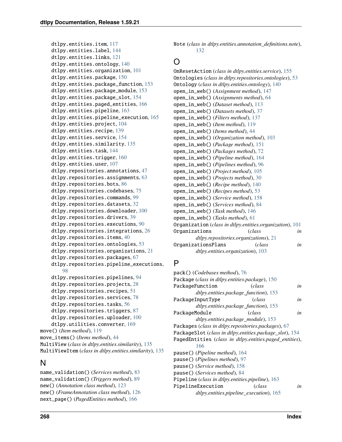```
dtlpy.entities.item, 117
    dtlpy.entities.label, 144
    dtlpy.entities.links, 121
    dtlpy.entities.ontology, 140
    dtlpy.entities.organization, 101
    dtlpy.entities.package, 150
    dtlpy.entities.package_function, 153
    dtlpy.entities.package_module, 153
    dtlpy.entities.package_slot, 154
    dtlpy.entities.paged_entities, 166
    dtlpy.entities.pipeline, 163
    dtlpy.entities.pipeline_execution, 165
    dtlpy.entities.project, 104
    dtlpy.entities.recipe, 139
    dtlpy.entities.service, 154
    dtlpy.entities.similarity, 135
    dtlpy.entities.task, 144
    dtlpy.entities.trigger, 160
    dtlpy.entities.user, 107
    dtlpy.repositories.annotations, 47
    dtlpy.repositories.assignments, 63
    dtlpy.repositories.bots, 86
    dtlpy.repositories.codebases, 75
    dtlpy.repositories.commands, 99
    dtlpy.repositories.datasets, 32
    dtlpy.repositories.downloader, 100
    dtlpy.repositories.drivers, 39
    dtlpy.repositories.executions, 90
    dtlpy.repositories.integrations, 26
    dtlpy.repositories.items, 40
    dtlpy.repositories.ontologies, 53
    dtlpy.repositories.organizations, 21
    dtlpy.repositories.packages, 67
    dtlpy.repositories.pipeline_executions,
        98
    dtlpy.repositories.pipelines, 94
    dtlpy.repositories.projects, 28
    dtlpy.repositories.recipes, 51
    dtlpy.repositories.services, 78
    dtlpy.repositories.tasks, 56
    dtlpy.repositories.triggers, 87
    dtlpy.repositories.uploader, 100
    dtlpy.utilities.converter, 169
move() (Item method), 119
move_items() (Items method), 44
MultiView (class in dtlpy.entities.similarity), 135
MultiViewItem (class in dtlpy.entities.similarity), 135
```
# N

name\_validation() (*Services method*), [83](#page-86-0) name\_validation() (*Triggers method*), [89](#page-92-0) new() (*Annotation class method*), [123](#page-126-0) new() (*FrameAnnotation class method*), [126](#page-129-0) next\_page() (*PagedEntities method*), [166](#page-169-1)

Note (*class in dtlpy.entities.annotation\_definitions.note*), [132](#page-135-4)

# O

OnResetAction (*class in dtlpy.entities.service*), [155](#page-158-0) Ontologies (*class in dtlpy.repositories.ontologies*), [53](#page-56-1) Ontology (*class in dtlpy.entities.ontology*), [140](#page-143-1) open\_in\_web() (*Assignment method*), [147](#page-150-1) open\_in\_web() (*Assignments method*), [64](#page-67-0) open\_in\_web() (*Dataset method*), [113](#page-116-0) open\_in\_web() (*Datasets method*), [37](#page-40-0) open\_in\_web() (*Filters method*), [137](#page-140-0) open\_in\_web() (*Item method*), [119](#page-122-0) open\_in\_web() (*Items method*), [44](#page-47-0) open\_in\_web() (*Organization method*), [103](#page-106-0) open\_in\_web() (*Package method*), [151](#page-154-0) open\_in\_web() (*Packages method*), [72](#page-75-0) open\_in\_web() (*Pipeline method*), [164](#page-167-0) open\_in\_web() (*Pipelines method*), [96](#page-99-0) open\_in\_web() (*Project method*), [105](#page-108-0) open\_in\_web() (*Projects method*), [30](#page-33-0) open\_in\_web() (*Recipe method*), [140](#page-143-1) open\_in\_web() (*Recipes method*), [53](#page-56-1) open\_in\_web() (*Service method*), [158](#page-161-0) open\_in\_web() (*Services method*), [84](#page-87-0) open\_in\_web() (*Task method*), [146](#page-149-0) open\_in\_web() (*Tasks method*), [61](#page-64-0) Organization (*class in dtlpy.entities.organization*), [101](#page-104-1) Organizations (*class in dtlpy.repositories.organizations*), [21](#page-24-1) OrganizationsPlans (*class in dtlpy.entities.organization*), [103](#page-106-0)

# P

```
pack() (Codebases method), 76
Package (class in dtlpy.entities.package), 150
PackageFunction (class in
        dtlpy.entities.package_function), 153
PackageInputType (class in
        dtlpy.entities.package_function), 153
PackageModule (class in
        dtlpy.entities.package_module), 153
Packages (class in dtlpy.repositories.packages), 67
PackageSlot (class in dtlpy.entities.package_slot), 154
PagedEntities (class in dtlpy.entities.paged_entities),
        166
pause() (Pipeline method), 164
pause() (Pipelines method), 97
pause() (Service method), 158
pause() (Services method), 84
Pipeline (class in dtlpy.entities.pipeline), 163
PipelineExecution (class in
        dtlpy.entities.pipeline_execution), 165
```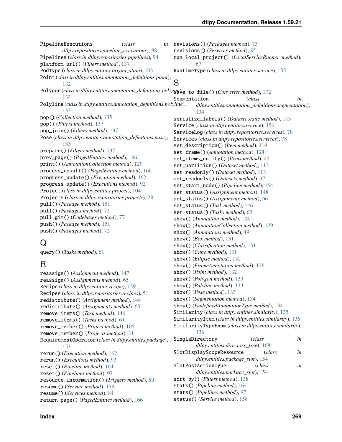PipelineExecutions (*class*) *dtlpy.repositories.pipeline\_executions*), [98](#page-101-1) Pipelines (*class in dtlpy.repositories.pipelines*), [94](#page-97-1) platform\_url() (*Filters method*), [137](#page-140-0) PodType (*class in dtlpy.entities.organization*), [103](#page-106-0) Point (*class in dtlpy.entities.annotation\_definitions.point*), [132](#page-135-4) Polygon (*class in dtlpy.entities.annotation\_definitions.polygg*g $\psi_{e\text{\_to}\text{file}}$ () (*Converter method*), [172](#page-175-0) [133](#page-136-3) Polyline (*class in dtlpy.entities.annotation\_definitions.polyline*), [133](#page-136-3) pop() (*Collection method*), [135](#page-138-1) pop() (*Filters method*), [137](#page-140-0) pop\_join() (*Filters method*), [137](#page-140-0) Pose (*class in dtlpy.entities.annotation\_definitions.pose*), [133](#page-136-3) prepare() (*Filters method*), [137](#page-140-0) prev\_page() (*PagedEntities method*), [166](#page-169-1) print() (*AnnotationCollection method*), [129](#page-132-0) process\_result() (*PagedEntities method*), [166](#page-169-1) progress\_update() (*Execution method*), [162](#page-165-1) progress\_update() (*Executions method*), [92](#page-95-0) Project (*class in dtlpy.entities.project*), [104](#page-107-2) Projects (*class in dtlpy.repositories.projects*), [28](#page-31-1) pull() (*Package method*), [151](#page-154-0) pull() (*Packages method*), [72](#page-75-0) pull\_git() (*Codebases method*), [77](#page-80-0) push() (*Package method*), [151](#page-154-0) push() (*Packages method*), [72](#page-75-0)

# Q

query() (*Tasks method*), [61](#page-64-0)

# R

```
reassign() (Assignment method), 147
reassign() (Assignments method), 65
Recipe (class in dtlpy.entities.recipe), 139
Recipes (class in dtlpy.repositories.recipes), 51
redistribute() (Assignment method), 148
redistribute() (Assignments method), 65
remove_items() (Task method), 146
remove_items() (Tasks method), 61
remove_member() (Project method), 106
remove_member() (Projects method), 31
RequirementOperator (class in dtlpy.entities.package),
         153
rerun() (Execution method), 162
rerun() (Executions method), 93
reset() (Pipeline method), 164
reset() (Pipelines method), 97
resource_information() (Triggers method), 89
resume() (Service method), 158
resume() (Services method), 84
return_page() (PagedEntities method), 166
```
revisions() (*Packages method*), [73](#page-76-0) revisions() (*Services method*), [85](#page-88-0) run\_local\_project() (*LocalServiceRunner method*), [67](#page-70-1) RuntimeType (*class in dtlpy.entities.service*), [155](#page-158-0)

S Segmentation (*class in dtlpy.entities.annotation\_definitions.segmentation*), [134](#page-137-3) serialize\_labels() (*Dataset static method*), [113](#page-116-0) Service (*class in dtlpy.entities.service*), [156](#page-159-0) ServiceLog (*class in dtlpy.repositories.services*), [78](#page-81-1) Services (*class in dtlpy.repositories.services*), [78](#page-81-1) set\_description() (*Item method*), [119](#page-122-0) set\_frame() (*Annotation method*), [124](#page-127-0) set\_items\_entity() (*Items method*), [45](#page-48-0) set\_partition() (*Dataset method*), [113](#page-116-0) set\_readonly() (*Dataset method*), [113](#page-116-0) set\_readonly() (*Datasets method*), [37](#page-40-0) set\_start\_node() (*Pipeline method*), [164](#page-167-0) set\_status() (*Assignment method*), [148](#page-151-0) set\_status() (*Assignments method*), [66](#page-69-0) set\_status() (*Task method*), [146](#page-149-0) set\_status() (*Tasks method*), [62](#page-65-0) show() (*Annotation method*), [124](#page-127-0) show() (*AnnotationCollection method*), [129](#page-132-0) show() (*Annotations method*), [49](#page-52-0) show() (*Box method*), [131](#page-134-4) show() (*Classification method*), [131](#page-134-4) show() (*Cube method*), [131](#page-134-4) show() (*Ellipse method*), [132](#page-135-4) show() (*FrameAnnotation method*), [126](#page-129-0) show() (*Point method*), [132](#page-135-4) show() (*Polygon method*), [133](#page-136-3) show() (*Polyline method*), [133](#page-136-3) show() (*Pose method*), [133](#page-136-3) show() (*Segmentation method*), [134](#page-137-3) show() (*UndefinedAnnotationType method*), [134](#page-137-3) Similarity (*class in dtlpy.entities.similarity*), [135](#page-138-1) SimilarityItem (*class in dtlpy.entities.similarity*), [136](#page-139-1) SimilarityTypeEnum (*class in dtlpy.entities.similarity*), [136](#page-139-1) SingleDirectory (*class in dtlpy.entities.directory\_tree*), [168](#page-171-1) SlotDisplayScopeResource (*class in dtlpy.entities.package\_slot*), [154](#page-157-3) SlotPostActionType (*class in dtlpy.entities.package\_slot*), [154](#page-157-3) sort\_by() (*Filters method*), [138](#page-141-0) stats() (*Pipeline method*), [164](#page-167-0) stats() (*Pipelines method*), [97](#page-100-0) status() (*Service method*), [158](#page-161-0)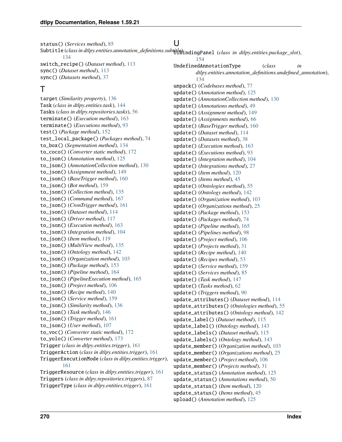status() (*Services method*), [85](#page-88-0)

Subtitle (*class in dtlpy.entities.annotation\_definitions.subtifl*{BindingPanel (*class in dtlpy.entities.package\_slot*), [134](#page-137-3)

 $\cup$ 

switch\_recipe() (*Dataset method*), [113](#page-116-0) sync() (*Dataset method*), [113](#page-116-0) sync() (*Datasets method*), [37](#page-40-0)

### T

target (*Similarity property*), [136](#page-139-1) Task (*class in dtlpy.entities.task*), [144](#page-147-2) Tasks (*class in dtlpy.repositories.tasks*), [56](#page-59-1) terminate() (*Execution method*), [163](#page-166-1) terminate() (*Executions method*), [93](#page-96-0) test() (*Package method*), [152](#page-155-0) test\_local\_package() (*Packages method*), [74](#page-77-0) to\_box() (*Segmentation method*), [134](#page-137-3) to\_coco() (*Converter static method*), [172](#page-175-0) to\_json() (*Annotation method*), [125](#page-128-0) to\_json() (*AnnotationCollection method*), [130](#page-133-0) to\_json() (*Assignment method*), [149](#page-152-0) to\_json() (*BaseTrigger method*), [160](#page-163-1) to\_json() (*Bot method*), [159](#page-162-1) to\_json() (*Collection method*), [135](#page-138-1) to\_json() (*Command method*), [167](#page-170-2) to\_json() (*CronTrigger method*), [161](#page-164-0) to\_json() (*Dataset method*), [114](#page-117-0) to\_json() (*Driver method*), [117](#page-120-1) to\_json() (*Execution method*), [163](#page-166-1) to\_json() (*Integration method*), [104](#page-107-2) to\_json() (*Item method*), [119](#page-122-0) to\_json() (*MultiView method*), [135](#page-138-1) to\_json() (*Ontology method*), [142](#page-145-0) to\_json() (*Organization method*), [103](#page-106-0) to\_json() (*Package method*), [153](#page-156-2) to\_json() (*Pipeline method*), [164](#page-167-0) to\_json() (*PipelineExecution method*), [165](#page-168-1) to\_json() (*Project method*), [106](#page-109-0) to\_json() (*Recipe method*), [140](#page-143-1) to\_json() (*Service method*), [159](#page-162-1) to\_json() (*Similarity method*), [136](#page-139-1) to\_json() (*Task method*), [146](#page-149-0) to\_json() (*Trigger method*), [161](#page-164-0) to\_json() (*User method*), [107](#page-110-2) to\_voc() (*Converter static method*), [172](#page-175-0) to\_yolo() (*Converter method*), [173](#page-176-0) Trigger (*class in dtlpy.entities.trigger*), [161](#page-164-0) TriggerAction (*class in dtlpy.entities.trigger*), [161](#page-164-0) TriggerExecutionMode (*class in dtlpy.entities.trigger*), [161](#page-164-0) TriggerResource (*class in dtlpy.entities.trigger*), [161](#page-164-0) Triggers (*class in dtlpy.repositories.triggers*), [87](#page-90-1) TriggerType (*class in dtlpy.entities.trigger*), [161](#page-164-0)

[154](#page-157-3) UndefinedAnnotationType (*class in dtlpy.entities.annotation\_definitions.undefined\_annotation*), [134](#page-137-3) unpack() (*Codebases method*), [77](#page-80-0) update() (*Annotation method*), [125](#page-128-0) update() (*AnnotationCollection method*), [130](#page-133-0) update() (*Annotations method*), [49](#page-52-0) update() (*Assignment method*), [149](#page-152-0) update() (*Assignments method*), [66](#page-69-0) update() (*BaseTrigger method*), [160](#page-163-1) update() (*Dataset method*), [114](#page-117-0) update() (*Datasets method*), [38](#page-41-0) update() (*Execution method*), [163](#page-166-1) update() (*Executions method*), [93](#page-96-0) update() (*Integration method*), [104](#page-107-2) update() (*Integrations method*), [27](#page-30-0) update() (*Item method*), [120](#page-123-0) update() (*Items method*), [45](#page-48-0) update() (*Ontologies method*), [55](#page-58-0) update() (*Ontology method*), [142](#page-145-0) update() (*Organization method*), [103](#page-106-0) update() (*Organizations method*), [25](#page-28-0) update() (*Package method*), [153](#page-156-2) update() (*Packages method*), [74](#page-77-0) update() (*Pipeline method*), [165](#page-168-1) update() (*Pipelines method*), [98](#page-101-1) update() (*Project method*), [106](#page-109-0) update() (*Projects method*), [31](#page-34-0) update() (*Recipe method*), [140](#page-143-1) update() (*Recipes method*), [53](#page-56-1) update() (*Service method*), [159](#page-162-1) update() (*Services method*), [85](#page-88-0) update() (*Task method*), [147](#page-150-1) update() (*Tasks method*), [62](#page-65-0) update() (*Triggers method*), [90](#page-93-1) update\_attributes() (*Dataset method*), [114](#page-117-0) update\_attributes() (*Ontologies method*), [55](#page-58-0) update\_attributes() (*Ontology method*), [142](#page-145-0) update\_label() (*Dataset method*), [115](#page-118-0) update\_label() (*Ontology method*), [143](#page-146-0) update\_labels() (*Dataset method*), [115](#page-118-0) update\_labels() (*Ontology method*), [143](#page-146-0) update\_member() (*Organization method*), [103](#page-106-0) update\_member() (*Organizations method*), [25](#page-28-0) update\_member() (*Project method*), [106](#page-109-0) update\_member() (*Projects method*), [31](#page-34-0) update\_status() (*Annotation method*), [125](#page-128-0) update\_status() (*Annotations method*), [50](#page-53-0) update\_status() (*Item method*), [120](#page-123-0) update\_status() (*Items method*), [45](#page-48-0) upload() (*Annotation method*), [125](#page-128-0)